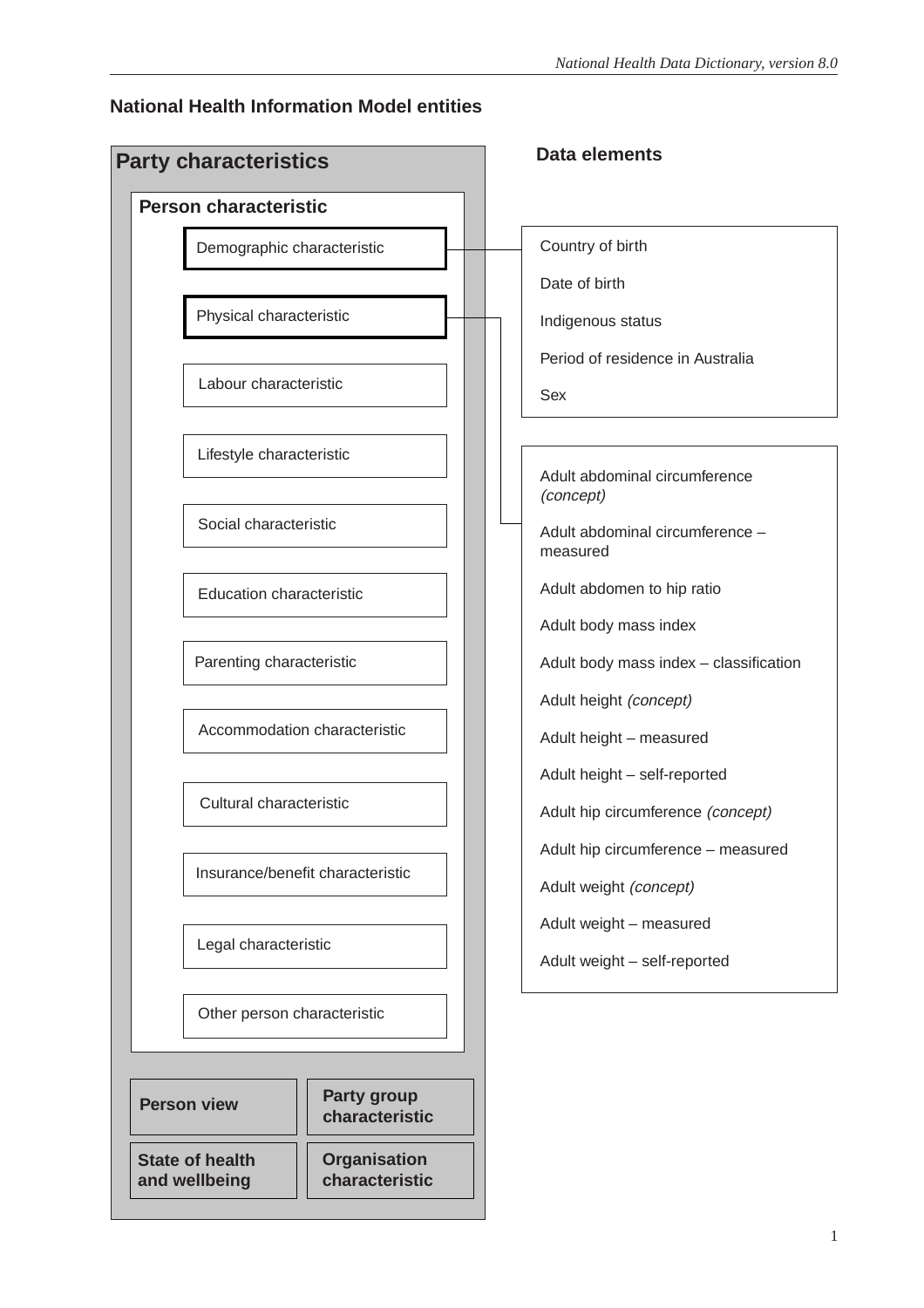### **National Health Information Model entities**

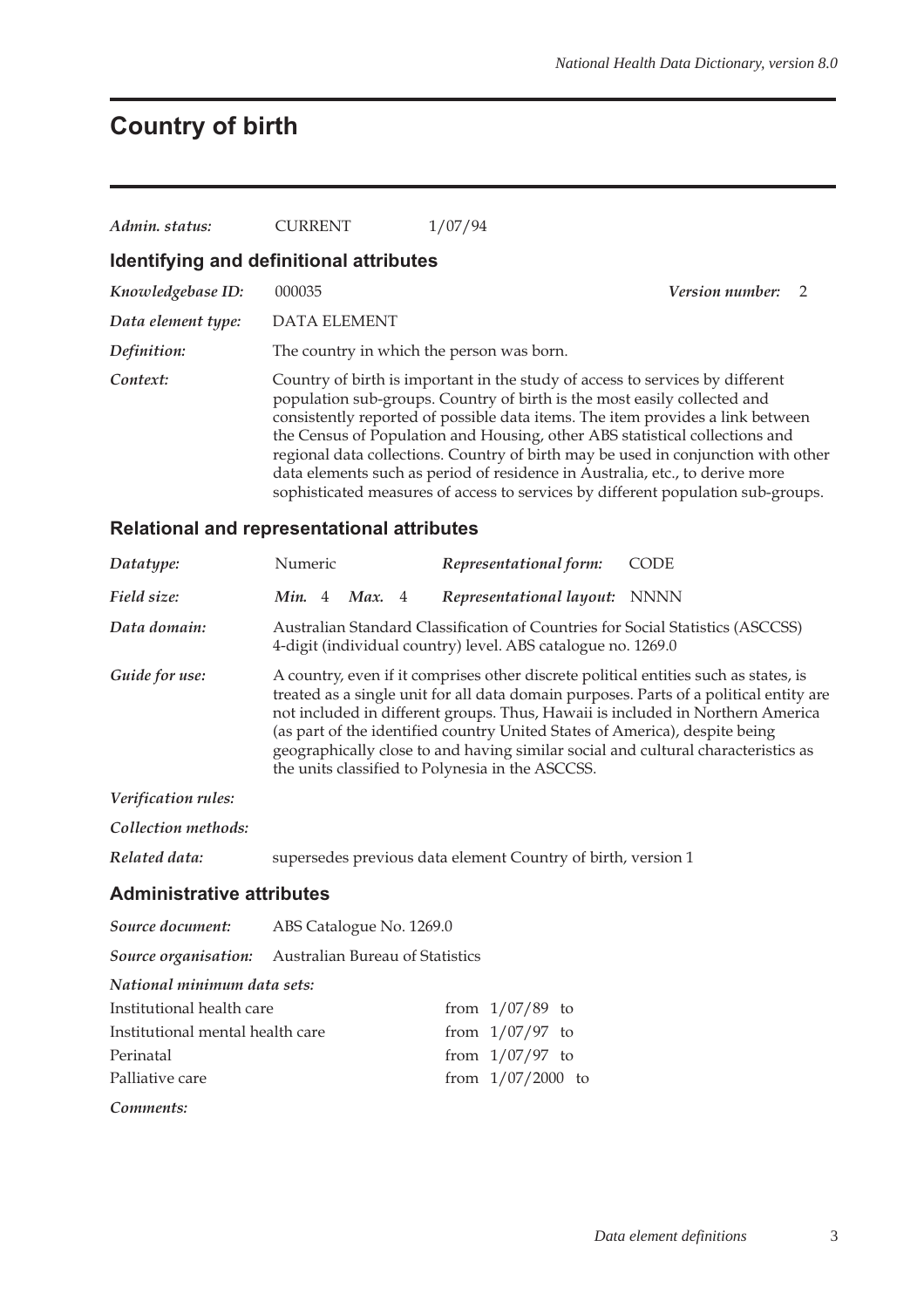# **Country of birth**

| Admin. status:                          | <b>CURRENT</b>                            | 1/07/94                                                                                                                                                                                                                                                                                                                                                                                                                                                                                                                                                                             |                          |
|-----------------------------------------|-------------------------------------------|-------------------------------------------------------------------------------------------------------------------------------------------------------------------------------------------------------------------------------------------------------------------------------------------------------------------------------------------------------------------------------------------------------------------------------------------------------------------------------------------------------------------------------------------------------------------------------------|--------------------------|
| Identifying and definitional attributes |                                           |                                                                                                                                                                                                                                                                                                                                                                                                                                                                                                                                                                                     |                          |
| Knowledgebase ID:                       | 000035                                    |                                                                                                                                                                                                                                                                                                                                                                                                                                                                                                                                                                                     | <b>Version number:</b> 2 |
| Data element type:                      | <b>DATA ELEMENT</b>                       |                                                                                                                                                                                                                                                                                                                                                                                                                                                                                                                                                                                     |                          |
| Definition:                             | The country in which the person was born. |                                                                                                                                                                                                                                                                                                                                                                                                                                                                                                                                                                                     |                          |
| Context:                                |                                           | Country of birth is important in the study of access to services by different<br>population sub-groups. Country of birth is the most easily collected and<br>consistently reported of possible data items. The item provides a link between<br>the Census of Population and Housing, other ABS statistical collections and<br>regional data collections. Country of birth may be used in conjunction with other<br>data elements such as period of residence in Australia, etc., to derive more<br>sophisticated measures of access to services by different population sub-groups. |                          |

### **Relational and representational attributes**

| Datatype:                  | <b>Numeric</b>                                                                                                                                                                                                                                                                                                                                                                                                                                                                           | Representational form:                                                                                                                         | <b>CODE</b> |
|----------------------------|------------------------------------------------------------------------------------------------------------------------------------------------------------------------------------------------------------------------------------------------------------------------------------------------------------------------------------------------------------------------------------------------------------------------------------------------------------------------------------------|------------------------------------------------------------------------------------------------------------------------------------------------|-------------|
| Field size:                | Min. 4<br>Max. 4                                                                                                                                                                                                                                                                                                                                                                                                                                                                         | Representational layout: NNNN                                                                                                                  |             |
| Data domain:               |                                                                                                                                                                                                                                                                                                                                                                                                                                                                                          | Australian Standard Classification of Countries for Social Statistics (ASCCSS)<br>4-digit (individual country) level. ABS catalogue no. 1269.0 |             |
| Guide for use:             | A country, even if it comprises other discrete political entities such as states, is<br>treated as a single unit for all data domain purposes. Parts of a political entity are<br>not included in different groups. Thus, Hawaii is included in Northern America<br>(as part of the identified country United States of America), despite being<br>geographically close to and having similar social and cultural characteristics as<br>the units classified to Polynesia in the ASCCSS. |                                                                                                                                                |             |
| <i>Verification rules:</i> |                                                                                                                                                                                                                                                                                                                                                                                                                                                                                          |                                                                                                                                                |             |

*Collection methods:*

*Related data:* supersedes previous data element Country of birth, version 1

### **Administrative attributes**

| Source document: ABS Catalogue No. 1269.0 |                                                      |                   |                     |  |  |  |  |
|-------------------------------------------|------------------------------------------------------|-------------------|---------------------|--|--|--|--|
|                                           | Source organisation: Australian Bureau of Statistics |                   |                     |  |  |  |  |
| National minimum data sets:               |                                                      |                   |                     |  |  |  |  |
| Institutional health care                 |                                                      | from $1/07/89$ to |                     |  |  |  |  |
| Institutional mental health care          |                                                      | from $1/07/97$ to |                     |  |  |  |  |
| Perinatal                                 |                                                      | from $1/07/97$ to |                     |  |  |  |  |
| Palliative care                           |                                                      |                   | from $1/07/2000$ to |  |  |  |  |
|                                           |                                                      |                   |                     |  |  |  |  |

*Comments:*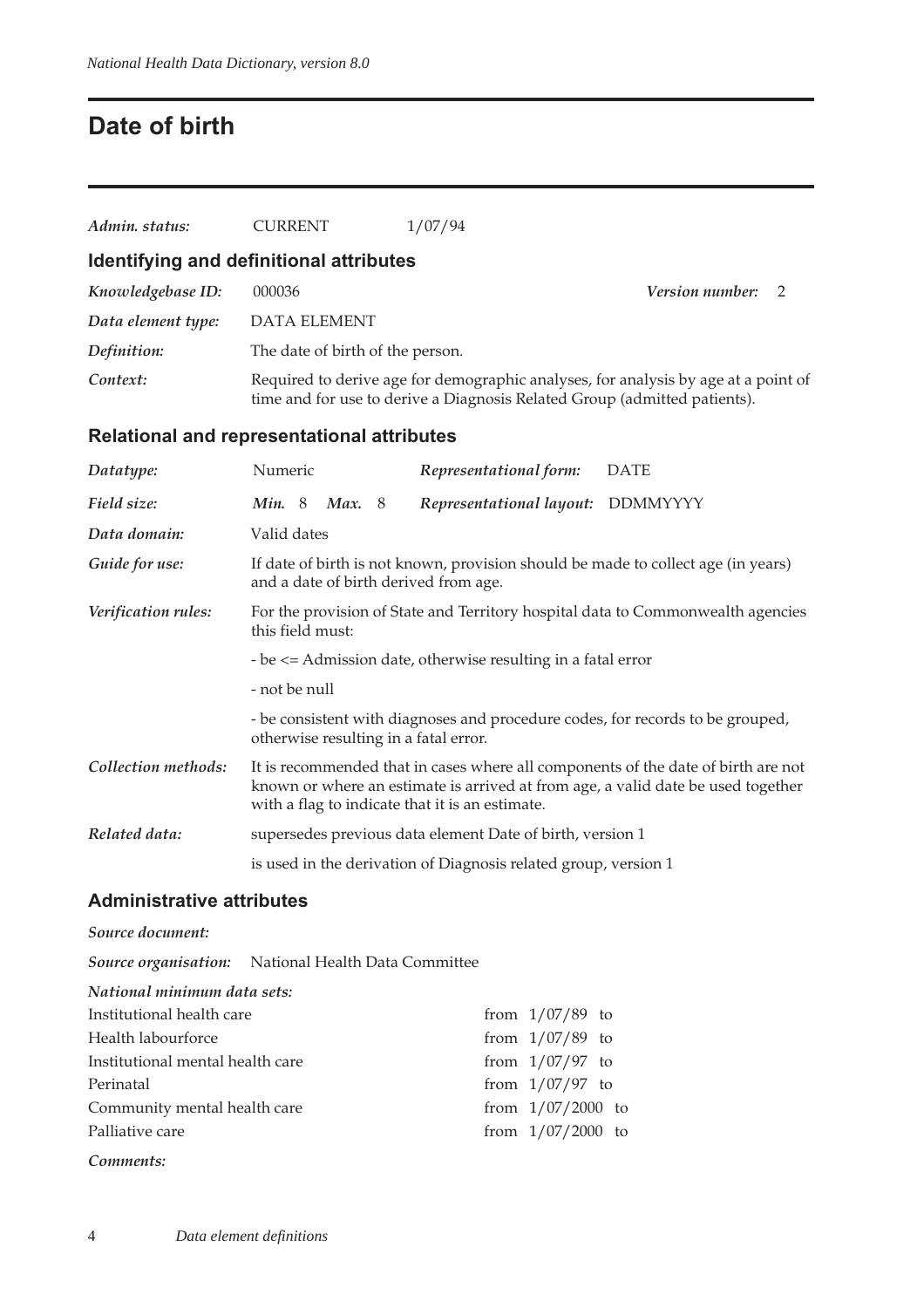## **Date of birth**

| Admin. status:                                                                                                             | <b>CURRENT</b>                                      | 1/07/94                                                                                                                                                                                                                  |  |
|----------------------------------------------------------------------------------------------------------------------------|-----------------------------------------------------|--------------------------------------------------------------------------------------------------------------------------------------------------------------------------------------------------------------------------|--|
|                                                                                                                            | Identifying and definitional attributes             |                                                                                                                                                                                                                          |  |
| Knowledgebase ID:                                                                                                          | 000036                                              | <i>Version number:</i><br>2                                                                                                                                                                                              |  |
| Data element type:                                                                                                         | <b>DATA ELEMENT</b>                                 |                                                                                                                                                                                                                          |  |
| Definition:                                                                                                                | The date of birth of the person.                    |                                                                                                                                                                                                                          |  |
| Context:                                                                                                                   |                                                     | Required to derive age for demographic analyses, for analysis by age at a point of<br>time and for use to derive a Diagnosis Related Group (admitted patients).                                                          |  |
|                                                                                                                            | <b>Relational and representational attributes</b>   |                                                                                                                                                                                                                          |  |
| Datatype:                                                                                                                  | Numeric                                             | Representational form:<br><b>DATE</b>                                                                                                                                                                                    |  |
| Field size:                                                                                                                | Min. 8 Max. 8                                       | Representational layout: DDMMYYYY                                                                                                                                                                                        |  |
| Data domain:                                                                                                               | Valid dates                                         |                                                                                                                                                                                                                          |  |
| Guide for use:                                                                                                             | and a date of birth derived from age.               | If date of birth is not known, provision should be made to collect age (in years)                                                                                                                                        |  |
| Verification rules:<br>For the provision of State and Territory hospital data to Commonwealth agencies<br>this field must: |                                                     |                                                                                                                                                                                                                          |  |
|                                                                                                                            |                                                     | - be <= Admission date, otherwise resulting in a fatal error                                                                                                                                                             |  |
|                                                                                                                            | - not be null                                       |                                                                                                                                                                                                                          |  |
|                                                                                                                            | otherwise resulting in a fatal error.               | - be consistent with diagnoses and procedure codes, for records to be grouped,                                                                                                                                           |  |
| Collection methods:                                                                                                        |                                                     | It is recommended that in cases where all components of the date of birth are not<br>known or where an estimate is arrived at from age, a valid date be used together<br>with a flag to indicate that it is an estimate. |  |
| Related data:                                                                                                              |                                                     | supersedes previous data element Date of birth, version 1                                                                                                                                                                |  |
|                                                                                                                            |                                                     | is used in the derivation of Diagnosis related group, version 1                                                                                                                                                          |  |
| <b>Administrative attributes</b>                                                                                           |                                                     |                                                                                                                                                                                                                          |  |
| Source document:                                                                                                           |                                                     |                                                                                                                                                                                                                          |  |
|                                                                                                                            | Source organisation: National Health Data Committee |                                                                                                                                                                                                                          |  |
| National minimum data sets:                                                                                                |                                                     |                                                                                                                                                                                                                          |  |
| Institutional health care                                                                                                  |                                                     | from $1/07/89$ to                                                                                                                                                                                                        |  |
| Health labourforce                                                                                                         |                                                     | from $1/07/89$ to                                                                                                                                                                                                        |  |
| Institutional mental health care                                                                                           |                                                     | from $1/07/97$ to                                                                                                                                                                                                        |  |
| Perinatal                                                                                                                  |                                                     | from $1/07/97$ to                                                                                                                                                                                                        |  |

*Comments:*

Community mental health care from 1/07/2000 to Palliative care from 1/07/2000 to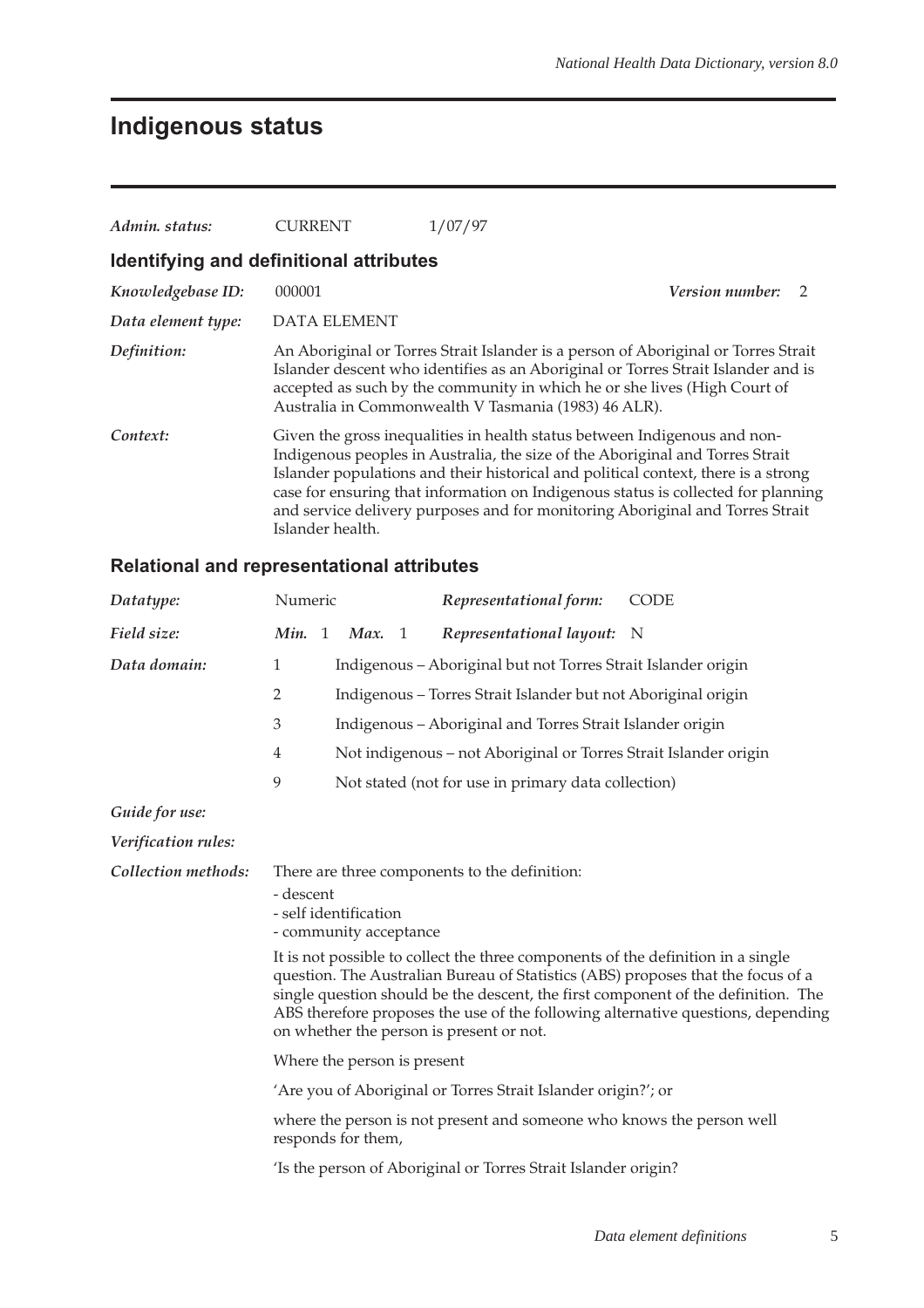# **Indigenous status**

| Admin. status:                          | <b>CURRENT</b>      | 1/07/97                                                                                                                                                                                                                                                                                                                                                                                                                |                        |               |
|-----------------------------------------|---------------------|------------------------------------------------------------------------------------------------------------------------------------------------------------------------------------------------------------------------------------------------------------------------------------------------------------------------------------------------------------------------------------------------------------------------|------------------------|---------------|
| Identifying and definitional attributes |                     |                                                                                                                                                                                                                                                                                                                                                                                                                        |                        |               |
| Knowledgebase ID:                       | 000001              |                                                                                                                                                                                                                                                                                                                                                                                                                        | <b>Version number:</b> | $\mathcal{D}$ |
| Data element type:                      | <b>DATA ELEMENT</b> |                                                                                                                                                                                                                                                                                                                                                                                                                        |                        |               |
| Definition:                             |                     | An Aboriginal or Torres Strait Islander is a person of Aboriginal or Torres Strait<br>Islander descent who identifies as an Aboriginal or Torres Strait Islander and is<br>accepted as such by the community in which he or she lives (High Court of<br>Australia in Commonwealth V Tasmania (1983) 46 ALR).                                                                                                           |                        |               |
| Context:                                | Islander health.    | Given the gross inequalities in health status between Indigenous and non-<br>Indigenous peoples in Australia, the size of the Aboriginal and Torres Strait<br>Islander populations and their historical and political context, there is a strong<br>case for ensuring that information on Indigenous status is collected for planning<br>and service delivery purposes and for monitoring Aboriginal and Torres Strait |                        |               |

### **Relational and representational attributes**

| Datatype:           | Numeric                                                                                                                                                                                                                                                                                                                                                                                                                                                                                                    | Representational form:                                           | <b>CODE</b> |  |  |
|---------------------|------------------------------------------------------------------------------------------------------------------------------------------------------------------------------------------------------------------------------------------------------------------------------------------------------------------------------------------------------------------------------------------------------------------------------------------------------------------------------------------------------------|------------------------------------------------------------------|-------------|--|--|
| Field size:         | Min. 1<br>Max. 1                                                                                                                                                                                                                                                                                                                                                                                                                                                                                           | Representational layout: N                                       |             |  |  |
| Data domain:        | 1                                                                                                                                                                                                                                                                                                                                                                                                                                                                                                          | Indigenous - Aboriginal but not Torres Strait Islander origin    |             |  |  |
|                     | $\overline{2}$                                                                                                                                                                                                                                                                                                                                                                                                                                                                                             | Indigenous – Torres Strait Islander but not Aboriginal origin    |             |  |  |
|                     | 3                                                                                                                                                                                                                                                                                                                                                                                                                                                                                                          | Indigenous - Aboriginal and Torres Strait Islander origin        |             |  |  |
|                     | $\overline{4}$                                                                                                                                                                                                                                                                                                                                                                                                                                                                                             | Not indigenous - not Aboriginal or Torres Strait Islander origin |             |  |  |
|                     | 9                                                                                                                                                                                                                                                                                                                                                                                                                                                                                                          | Not stated (not for use in primary data collection)              |             |  |  |
| Guide for use:      |                                                                                                                                                                                                                                                                                                                                                                                                                                                                                                            |                                                                  |             |  |  |
| Verification rules: |                                                                                                                                                                                                                                                                                                                                                                                                                                                                                                            |                                                                  |             |  |  |
| Collection methods: | There are three components to the definition:<br>- descent<br>- self identification<br>- community acceptance<br>It is not possible to collect the three components of the definition in a single<br>question. The Australian Bureau of Statistics (ABS) proposes that the focus of a<br>single question should be the descent, the first component of the definition. The<br>ABS therefore proposes the use of the following alternative questions, depending<br>on whether the person is present or not. |                                                                  |             |  |  |
|                     | Where the person is present                                                                                                                                                                                                                                                                                                                                                                                                                                                                                |                                                                  |             |  |  |
|                     | 'Are you of Aboriginal or Torres Strait Islander origin?'; or                                                                                                                                                                                                                                                                                                                                                                                                                                              |                                                                  |             |  |  |
|                     | where the person is not present and someone who knows the person well<br>responds for them,                                                                                                                                                                                                                                                                                                                                                                                                                |                                                                  |             |  |  |
|                     |                                                                                                                                                                                                                                                                                                                                                                                                                                                                                                            | 'Is the person of Aboriginal or Torres Strait Islander origin?   |             |  |  |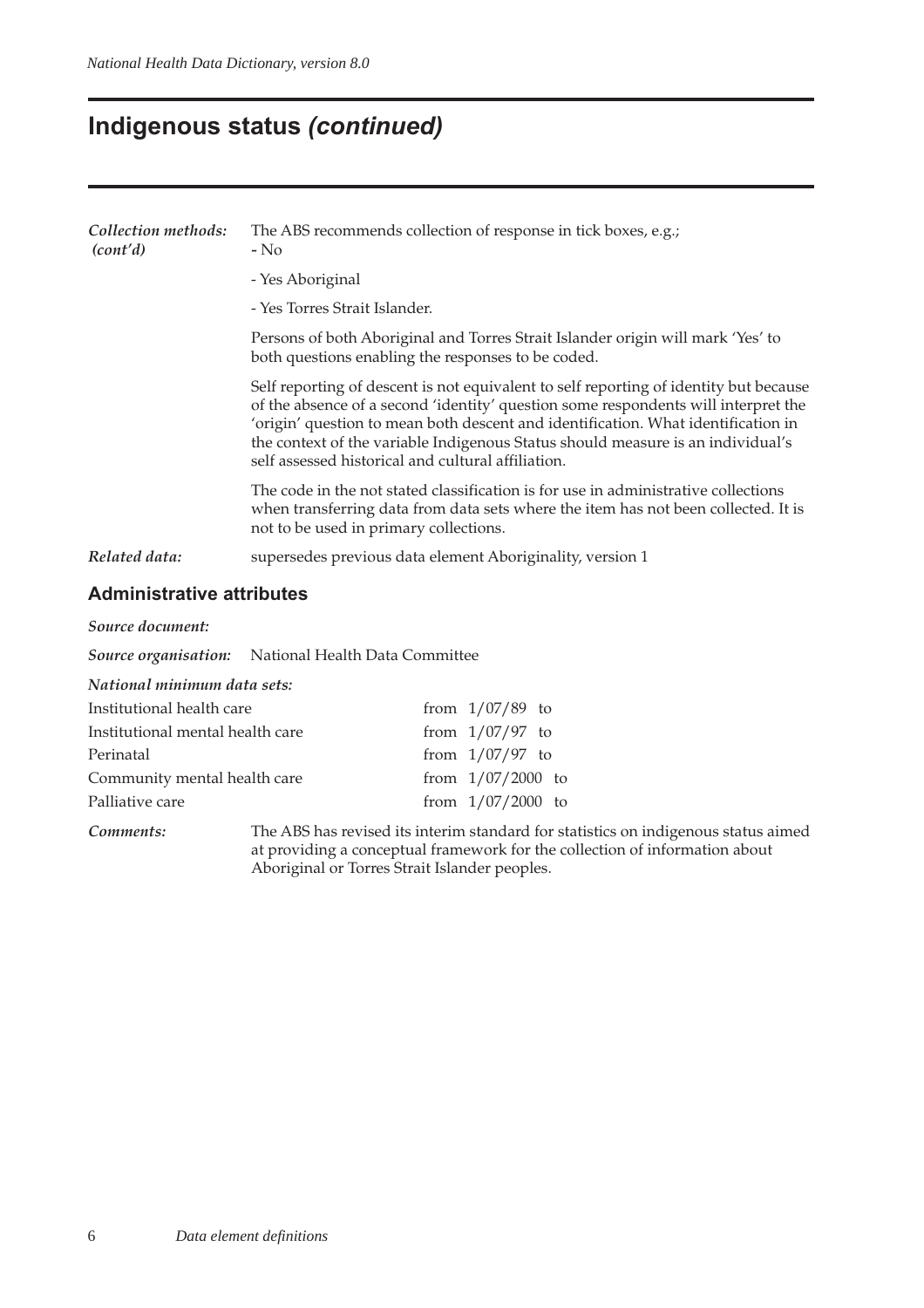## **Indigenous status (continued)**

| Collection methods:<br>(cont'd) | The ABS recommends collection of response in tick boxes, e.g.;<br>$-$ No                                                                                                                                                                                                                                                                                                                                  |
|---------------------------------|-----------------------------------------------------------------------------------------------------------------------------------------------------------------------------------------------------------------------------------------------------------------------------------------------------------------------------------------------------------------------------------------------------------|
|                                 | - Yes Aboriginal                                                                                                                                                                                                                                                                                                                                                                                          |
|                                 | - Yes Torres Strait Islander.                                                                                                                                                                                                                                                                                                                                                                             |
|                                 | Persons of both Aboriginal and Torres Strait Islander origin will mark 'Yes' to<br>both questions enabling the responses to be coded.                                                                                                                                                                                                                                                                     |
|                                 | Self reporting of descent is not equivalent to self reporting of identity but because<br>of the absence of a second 'identity' question some respondents will interpret the<br>'origin' question to mean both descent and identification. What identification in<br>the context of the variable Indigenous Status should measure is an individual's<br>self assessed historical and cultural affiliation. |
|                                 | The code in the not stated classification is for use in administrative collections<br>when transferring data from data sets where the item has not been collected. It is<br>not to be used in primary collections.                                                                                                                                                                                        |
| Related data:                   | supersedes previous data element Aboriginality, version 1                                                                                                                                                                                                                                                                                                                                                 |
|                                 |                                                                                                                                                                                                                                                                                                                                                                                                           |

### **Administrative attributes**

*Source document:*

*Source organisation:* National Health Data Committee

*National minimum data sets:*

| Institutional health care        | from $1/07/89$ to   |
|----------------------------------|---------------------|
| Institutional mental health care | from $1/07/97$ to   |
| Perinatal                        | from $1/07/97$ to   |
| Community mental health care     | from $1/07/2000$ to |
| Palliative care                  | from $1/07/2000$ to |
|                                  |                     |

*Comments:* The ABS has revised its interim standard for statistics on indigenous status aimed at providing a conceptual framework for the collection of information about Aboriginal or Torres Strait Islander peoples.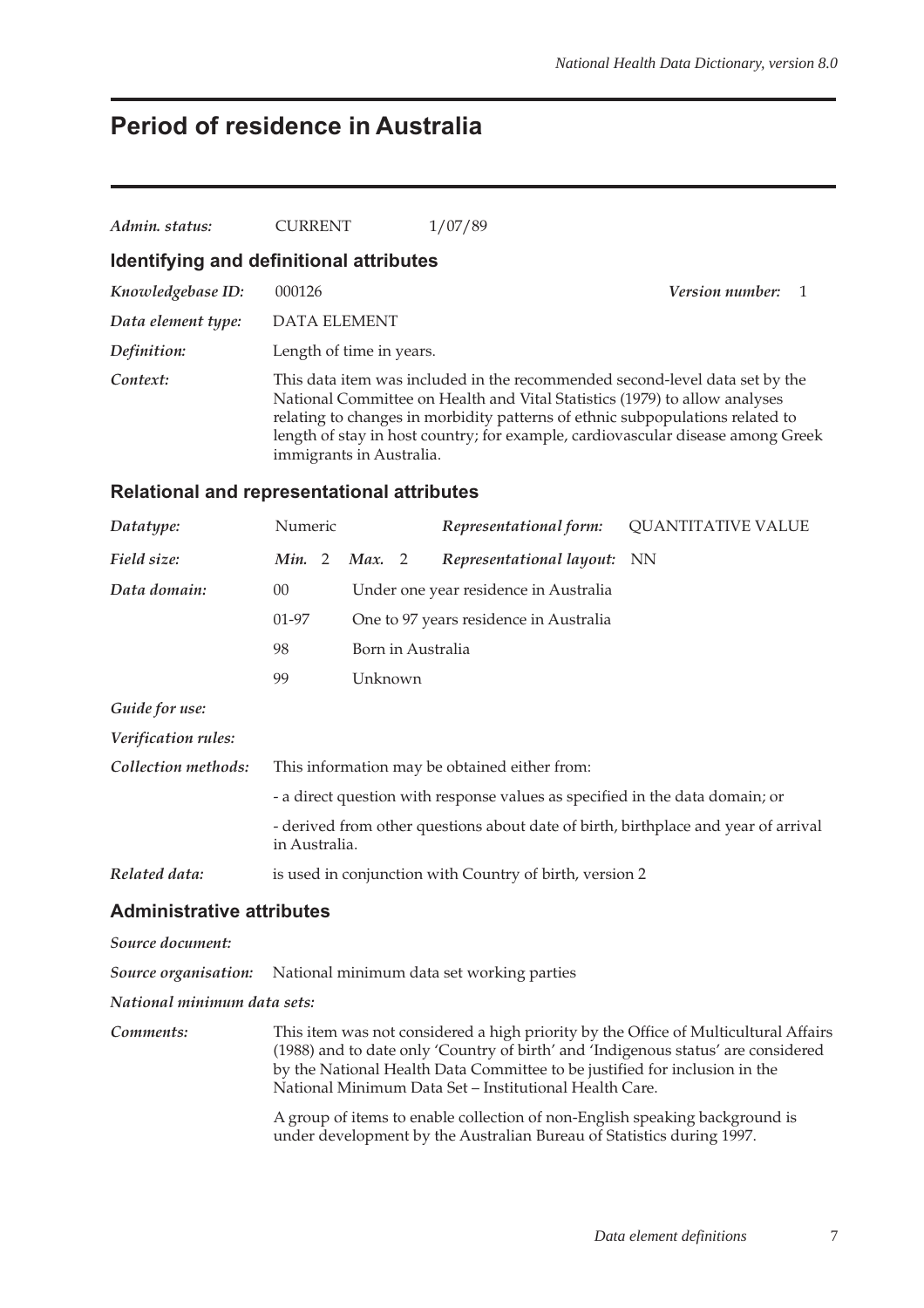## **Period of residence in Australia**

| Admin. status:                                    | <b>CURRENT</b>                                                                                                                                                                                                                                                                                                                                            |                          | 1/07/89                                                                      |                           |  |  |
|---------------------------------------------------|-----------------------------------------------------------------------------------------------------------------------------------------------------------------------------------------------------------------------------------------------------------------------------------------------------------------------------------------------------------|--------------------------|------------------------------------------------------------------------------|---------------------------|--|--|
| Identifying and definitional attributes           |                                                                                                                                                                                                                                                                                                                                                           |                          |                                                                              |                           |  |  |
| Knowledgebase ID:                                 | 000126                                                                                                                                                                                                                                                                                                                                                    |                          |                                                                              | Version number:<br>1      |  |  |
| Data element type:                                | <b>DATA ELEMENT</b>                                                                                                                                                                                                                                                                                                                                       |                          |                                                                              |                           |  |  |
| Definition:                                       |                                                                                                                                                                                                                                                                                                                                                           | Length of time in years. |                                                                              |                           |  |  |
| Context:                                          | This data item was included in the recommended second-level data set by the<br>National Committee on Health and Vital Statistics (1979) to allow analyses<br>relating to changes in morbidity patterns of ethnic subpopulations related to<br>length of stay in host country; for example, cardiovascular disease among Greek<br>immigrants in Australia. |                          |                                                                              |                           |  |  |
| <b>Relational and representational attributes</b> |                                                                                                                                                                                                                                                                                                                                                           |                          |                                                                              |                           |  |  |
| Datatype:                                         | Numeric                                                                                                                                                                                                                                                                                                                                                   |                          | Representational form:                                                       | <b>QUANTITATIVE VALUE</b> |  |  |
| Field size:                                       | Min. 2                                                                                                                                                                                                                                                                                                                                                    | Max. 2                   | Representational layout:                                                     | <b>NN</b>                 |  |  |
| Data domain:                                      | 00                                                                                                                                                                                                                                                                                                                                                        |                          | Under one year residence in Australia                                        |                           |  |  |
|                                                   | 01-97                                                                                                                                                                                                                                                                                                                                                     |                          | One to 97 years residence in Australia                                       |                           |  |  |
|                                                   | 98                                                                                                                                                                                                                                                                                                                                                        | Born in Australia        |                                                                              |                           |  |  |
|                                                   | 99                                                                                                                                                                                                                                                                                                                                                        | Unknown                  |                                                                              |                           |  |  |
| Guide for use:                                    |                                                                                                                                                                                                                                                                                                                                                           |                          |                                                                              |                           |  |  |
| Verification rules:                               |                                                                                                                                                                                                                                                                                                                                                           |                          |                                                                              |                           |  |  |
| Collection methods:                               |                                                                                                                                                                                                                                                                                                                                                           |                          | This information may be obtained either from:                                |                           |  |  |
|                                                   |                                                                                                                                                                                                                                                                                                                                                           |                          | - a direct question with response values as specified in the data domain; or |                           |  |  |
|                                                   | - derived from other questions about date of birth, birthplace and year of arrival<br>in Australia.                                                                                                                                                                                                                                                       |                          |                                                                              |                           |  |  |
| Related data:                                     |                                                                                                                                                                                                                                                                                                                                                           |                          | is used in conjunction with Country of birth, version 2                      |                           |  |  |

### **Administrative attributes**

#### *Source document:*

*Source organisation:* National minimum data set working parties

*National minimum data sets:*

*Comments:* This item was not considered a high priority by the Office of Multicultural Affairs (1988) and to date only 'Country of birth' and 'Indigenous status' are considered by the National Health Data Committee to be justified for inclusion in the National Minimum Data Set – Institutional Health Care.

> A group of items to enable collection of non-English speaking background is under development by the Australian Bureau of Statistics during 1997.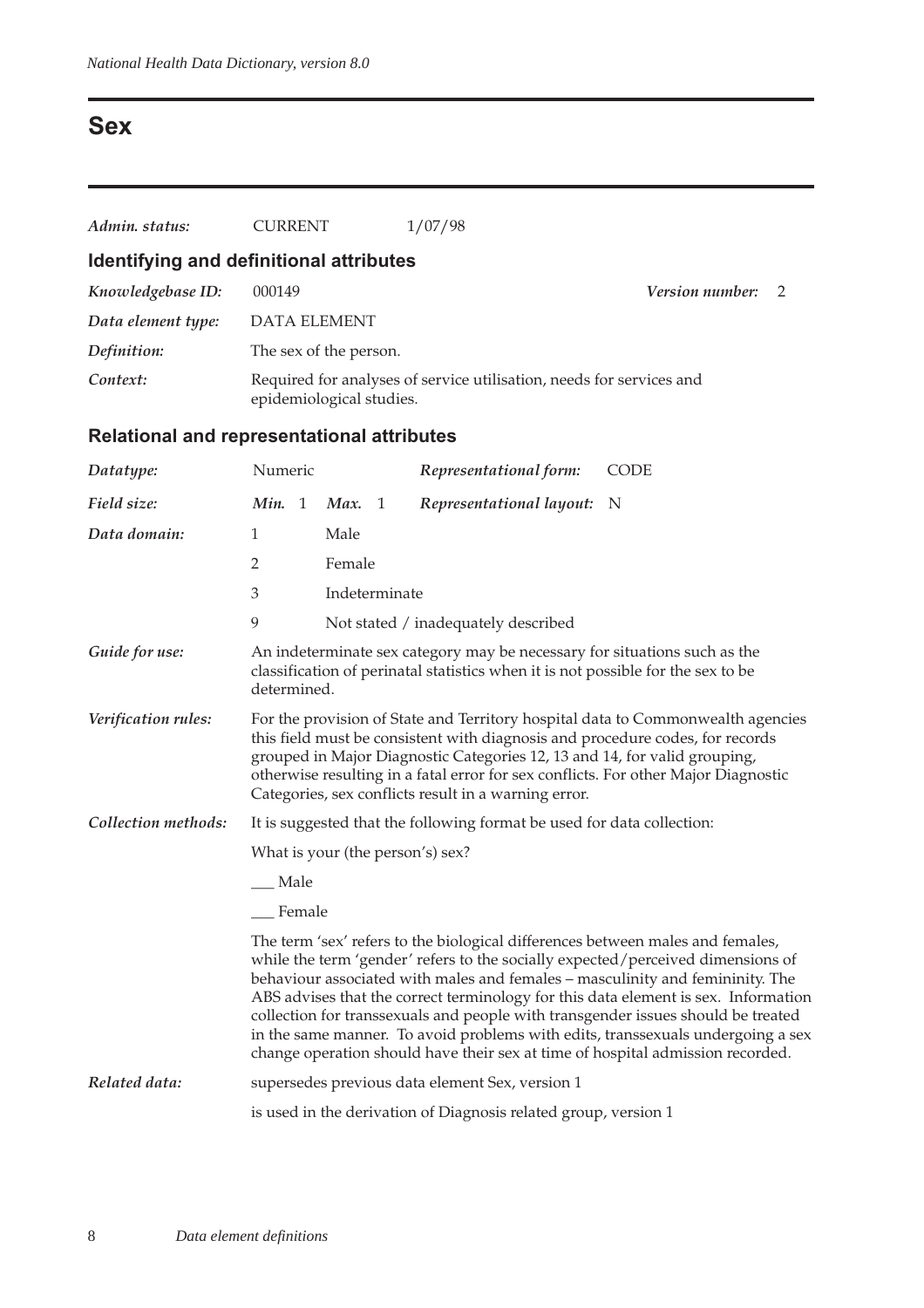## **Sex**

| Admin. status:                                    | <b>CURRENT</b>                   |                                                                                                                                                                              |  | 1/07/98                                                                                                                                                                                                            |                                                                                                                                                                                                                                                                                                                                                                                                                                                                                                                 |
|---------------------------------------------------|----------------------------------|------------------------------------------------------------------------------------------------------------------------------------------------------------------------------|--|--------------------------------------------------------------------------------------------------------------------------------------------------------------------------------------------------------------------|-----------------------------------------------------------------------------------------------------------------------------------------------------------------------------------------------------------------------------------------------------------------------------------------------------------------------------------------------------------------------------------------------------------------------------------------------------------------------------------------------------------------|
| Identifying and definitional attributes           |                                  |                                                                                                                                                                              |  |                                                                                                                                                                                                                    |                                                                                                                                                                                                                                                                                                                                                                                                                                                                                                                 |
| Knowledgebase ID:                                 | 000149                           |                                                                                                                                                                              |  |                                                                                                                                                                                                                    | Version number:<br>2                                                                                                                                                                                                                                                                                                                                                                                                                                                                                            |
| Data element type:                                | <b>DATA ELEMENT</b>              |                                                                                                                                                                              |  |                                                                                                                                                                                                                    |                                                                                                                                                                                                                                                                                                                                                                                                                                                                                                                 |
| Definition:                                       | The sex of the person.           |                                                                                                                                                                              |  |                                                                                                                                                                                                                    |                                                                                                                                                                                                                                                                                                                                                                                                                                                                                                                 |
| Context:                                          | epidemiological studies.         |                                                                                                                                                                              |  | Required for analyses of service utilisation, needs for services and                                                                                                                                               |                                                                                                                                                                                                                                                                                                                                                                                                                                                                                                                 |
| <b>Relational and representational attributes</b> |                                  |                                                                                                                                                                              |  |                                                                                                                                                                                                                    |                                                                                                                                                                                                                                                                                                                                                                                                                                                                                                                 |
| Datatype:                                         | Numeric                          |                                                                                                                                                                              |  | Representational form:                                                                                                                                                                                             | <b>CODE</b>                                                                                                                                                                                                                                                                                                                                                                                                                                                                                                     |
| Field size:                                       | Min. 1                           | Max. 1                                                                                                                                                                       |  | Representational layout:                                                                                                                                                                                           | N                                                                                                                                                                                                                                                                                                                                                                                                                                                                                                               |
| Data domain:                                      | $\mathbf{1}$                     | Male                                                                                                                                                                         |  |                                                                                                                                                                                                                    |                                                                                                                                                                                                                                                                                                                                                                                                                                                                                                                 |
|                                                   | $\overline{2}$                   | Female                                                                                                                                                                       |  |                                                                                                                                                                                                                    |                                                                                                                                                                                                                                                                                                                                                                                                                                                                                                                 |
|                                                   | 3                                | Indeterminate                                                                                                                                                                |  |                                                                                                                                                                                                                    |                                                                                                                                                                                                                                                                                                                                                                                                                                                                                                                 |
|                                                   | 9                                |                                                                                                                                                                              |  | Not stated / inadequately described                                                                                                                                                                                |                                                                                                                                                                                                                                                                                                                                                                                                                                                                                                                 |
| Guide for use:                                    |                                  | An indeterminate sex category may be necessary for situations such as the<br>classification of perinatal statistics when it is not possible for the sex to be<br>determined. |  |                                                                                                                                                                                                                    |                                                                                                                                                                                                                                                                                                                                                                                                                                                                                                                 |
| Verification rules:                               |                                  |                                                                                                                                                                              |  | this field must be consistent with diagnosis and procedure codes, for records<br>grouped in Major Diagnostic Categories 12, 13 and 14, for valid grouping,<br>Categories, sex conflicts result in a warning error. | For the provision of State and Territory hospital data to Commonwealth agencies<br>otherwise resulting in a fatal error for sex conflicts. For other Major Diagnostic                                                                                                                                                                                                                                                                                                                                           |
| Collection methods:                               |                                  |                                                                                                                                                                              |  | It is suggested that the following format be used for data collection:                                                                                                                                             |                                                                                                                                                                                                                                                                                                                                                                                                                                                                                                                 |
|                                                   | What is your (the person's) sex? |                                                                                                                                                                              |  |                                                                                                                                                                                                                    |                                                                                                                                                                                                                                                                                                                                                                                                                                                                                                                 |
|                                                   | Male                             |                                                                                                                                                                              |  |                                                                                                                                                                                                                    |                                                                                                                                                                                                                                                                                                                                                                                                                                                                                                                 |
|                                                   | Female                           |                                                                                                                                                                              |  |                                                                                                                                                                                                                    |                                                                                                                                                                                                                                                                                                                                                                                                                                                                                                                 |
|                                                   |                                  |                                                                                                                                                                              |  | The term 'sex' refers to the biological differences between males and females,                                                                                                                                     | while the term 'gender' refers to the socially expected/perceived dimensions of<br>behaviour associated with males and females – masculinity and femininity. The<br>ABS advises that the correct terminology for this data element is sex. Information<br>collection for transsexuals and people with transgender issues should be treated<br>in the same manner. To avoid problems with edits, transsexuals undergoing a sex<br>change operation should have their sex at time of hospital admission recorded. |
| Related data:                                     |                                  |                                                                                                                                                                              |  | supersedes previous data element Sex, version 1                                                                                                                                                                    |                                                                                                                                                                                                                                                                                                                                                                                                                                                                                                                 |
|                                                   |                                  |                                                                                                                                                                              |  | is used in the derivation of Diagnosis related group, version 1                                                                                                                                                    |                                                                                                                                                                                                                                                                                                                                                                                                                                                                                                                 |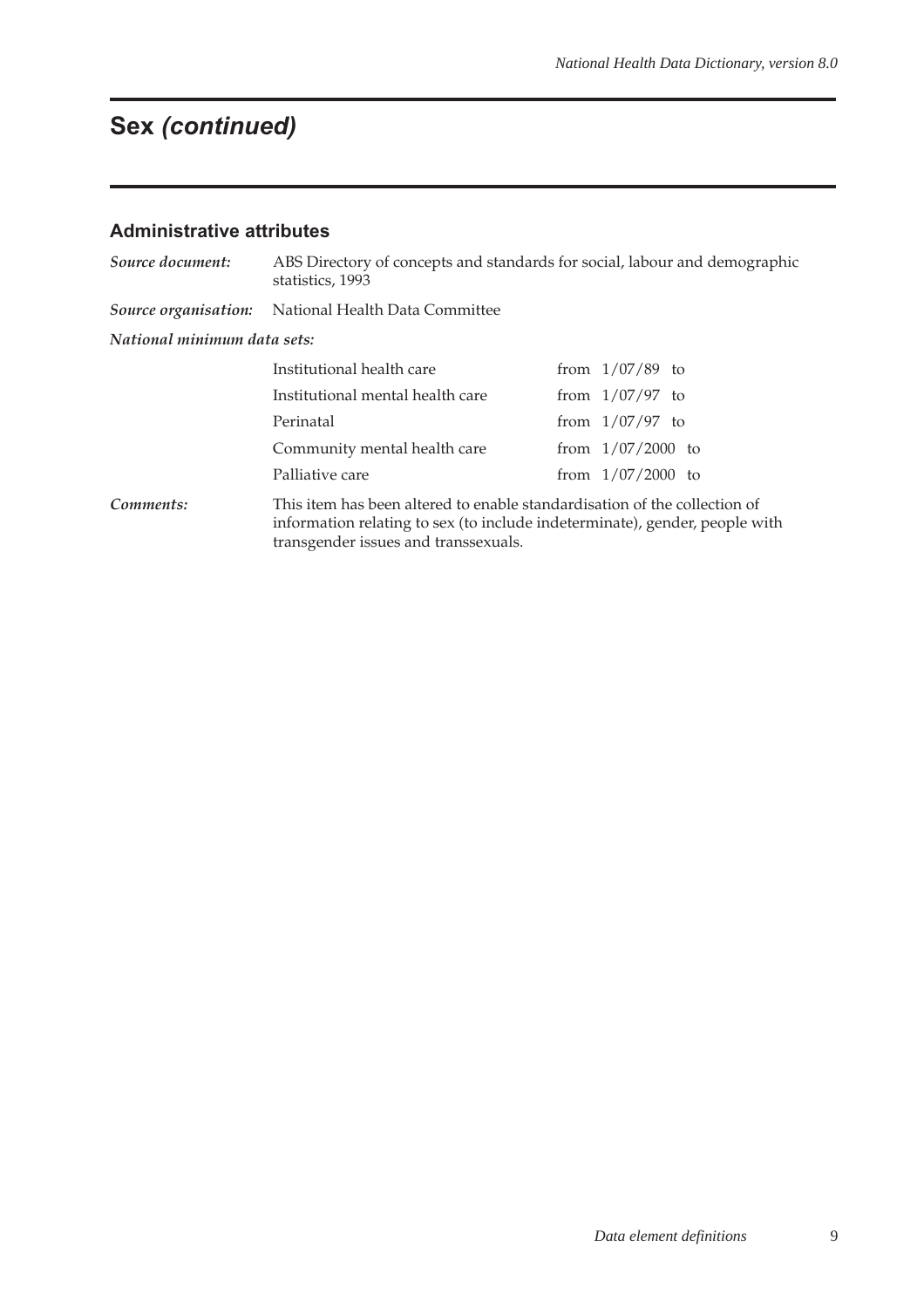# **Sex (continued)**

### **Administrative attributes**

| Source document:            | ABS Directory of concepts and standards for social, labour and demographic<br>statistics, 1993                                                                                                   |  |                     |  |  |  |
|-----------------------------|--------------------------------------------------------------------------------------------------------------------------------------------------------------------------------------------------|--|---------------------|--|--|--|
| Source organisation:        | National Health Data Committee                                                                                                                                                                   |  |                     |  |  |  |
| National minimum data sets: |                                                                                                                                                                                                  |  |                     |  |  |  |
|                             | Institutional health care                                                                                                                                                                        |  | from $1/07/89$ to   |  |  |  |
|                             | Institutional mental health care                                                                                                                                                                 |  | from $1/07/97$ to   |  |  |  |
|                             | Perinatal                                                                                                                                                                                        |  | from $1/07/97$ to   |  |  |  |
|                             | Community mental health care                                                                                                                                                                     |  | from $1/07/2000$ to |  |  |  |
|                             | Palliative care                                                                                                                                                                                  |  | from $1/07/2000$ to |  |  |  |
| Comments:                   | This item has been altered to enable standardisation of the collection of<br>information relating to sex (to include indeterminate), gender, people with<br>transgender issues and transsexuals. |  |                     |  |  |  |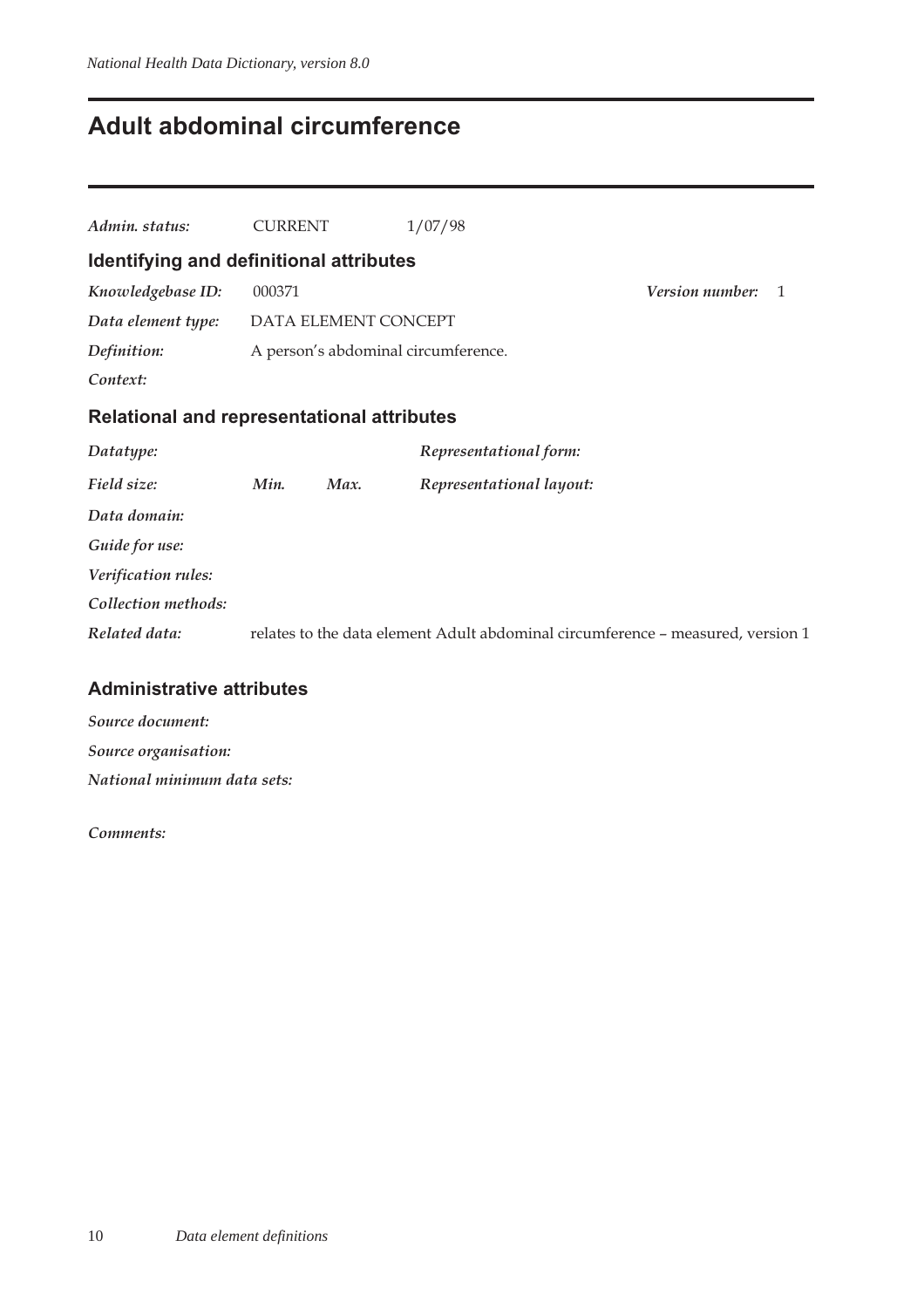## **Adult abdominal circumference**

| Admin. status:                                    | <b>CURRENT</b> |                      | 1/07/98                                                                         |                        |                |
|---------------------------------------------------|----------------|----------------------|---------------------------------------------------------------------------------|------------------------|----------------|
| Identifying and definitional attributes           |                |                      |                                                                                 |                        |                |
| Knowledgebase ID:                                 | 000371         |                      |                                                                                 | <i>Version number:</i> | $\overline{1}$ |
| Data element type:                                |                | DATA ELEMENT CONCEPT |                                                                                 |                        |                |
| Definition:                                       |                |                      | A person's abdominal circumference.                                             |                        |                |
| Context:                                          |                |                      |                                                                                 |                        |                |
| <b>Relational and representational attributes</b> |                |                      |                                                                                 |                        |                |
| Datatype:                                         |                |                      | Representational form:                                                          |                        |                |
| Field size:                                       | Min.           | Max.                 | Representational layout:                                                        |                        |                |
| Data domain:                                      |                |                      |                                                                                 |                        |                |
| Guide for use:                                    |                |                      |                                                                                 |                        |                |
| Verification rules:                               |                |                      |                                                                                 |                        |                |
| Collection methods:                               |                |                      |                                                                                 |                        |                |
| Related data:                                     |                |                      | relates to the data element Adult abdominal circumference - measured, version 1 |                        |                |
|                                                   |                |                      |                                                                                 |                        |                |

### **Administrative attributes**

*Source document: Source organisation: National minimum data sets:*

*Comments:*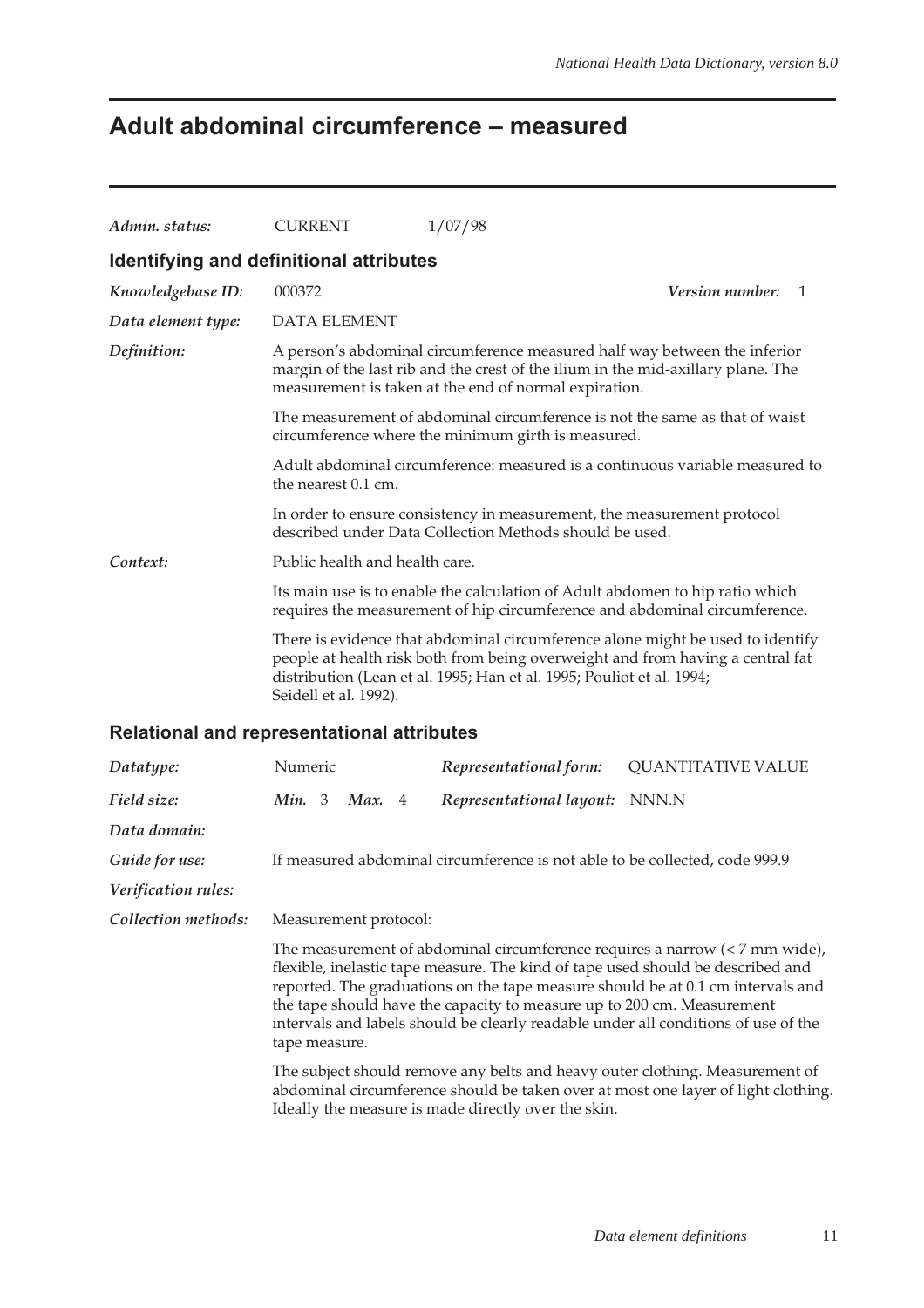# **Adult abdominal circumference – measured**

| Admin. status:                                    | <b>CURRENT</b>                                                                                                                                                                                                                                                                                                                                                                                                                             |  |      |   | 1/07/98                                                                                                                                                     |                                                                              |  |
|---------------------------------------------------|--------------------------------------------------------------------------------------------------------------------------------------------------------------------------------------------------------------------------------------------------------------------------------------------------------------------------------------------------------------------------------------------------------------------------------------------|--|------|---|-------------------------------------------------------------------------------------------------------------------------------------------------------------|------------------------------------------------------------------------------|--|
| Identifying and definitional attributes           |                                                                                                                                                                                                                                                                                                                                                                                                                                            |  |      |   |                                                                                                                                                             |                                                                              |  |
| Knowledgebase ID:                                 | 000372                                                                                                                                                                                                                                                                                                                                                                                                                                     |  |      |   |                                                                                                                                                             | <b>Version number:</b><br>1                                                  |  |
| Data element type:                                | <b>DATA ELEMENT</b>                                                                                                                                                                                                                                                                                                                                                                                                                        |  |      |   |                                                                                                                                                             |                                                                              |  |
| Definition:                                       | A person's abdominal circumference measured half way between the inferior<br>margin of the last rib and the crest of the ilium in the mid-axillary plane. The<br>measurement is taken at the end of normal expiration.                                                                                                                                                                                                                     |  |      |   |                                                                                                                                                             |                                                                              |  |
|                                                   | The measurement of abdominal circumference is not the same as that of waist<br>circumference where the minimum girth is measured.                                                                                                                                                                                                                                                                                                          |  |      |   |                                                                                                                                                             |                                                                              |  |
|                                                   | the nearest 0.1 cm.                                                                                                                                                                                                                                                                                                                                                                                                                        |  |      |   |                                                                                                                                                             | Adult abdominal circumference: measured is a continuous variable measured to |  |
|                                                   |                                                                                                                                                                                                                                                                                                                                                                                                                                            |  |      |   | In order to ensure consistency in measurement, the measurement protocol<br>described under Data Collection Methods should be used.                          |                                                                              |  |
| Context:                                          |                                                                                                                                                                                                                                                                                                                                                                                                                                            |  |      |   | Public health and health care.                                                                                                                              |                                                                              |  |
|                                                   |                                                                                                                                                                                                                                                                                                                                                                                                                                            |  |      |   | Its main use is to enable the calculation of Adult abdomen to hip ratio which<br>requires the measurement of hip circumference and abdominal circumference. |                                                                              |  |
|                                                   | There is evidence that abdominal circumference alone might be used to identify<br>people at health risk both from being overweight and from having a central fat<br>distribution (Lean et al. 1995; Han et al. 1995; Pouliot et al. 1994;<br>Seidell et al. 1992).                                                                                                                                                                         |  |      |   |                                                                                                                                                             |                                                                              |  |
| <b>Relational and representational attributes</b> |                                                                                                                                                                                                                                                                                                                                                                                                                                            |  |      |   |                                                                                                                                                             |                                                                              |  |
| Datatype:                                         | Numeric                                                                                                                                                                                                                                                                                                                                                                                                                                    |  |      |   | Representational form:                                                                                                                                      | <b>QUANTITATIVE VALUE</b>                                                    |  |
| Field size:                                       | Min. 3                                                                                                                                                                                                                                                                                                                                                                                                                                     |  | Max. | 4 | Representational layout:                                                                                                                                    | NNN.N                                                                        |  |
| Data domain:                                      |                                                                                                                                                                                                                                                                                                                                                                                                                                            |  |      |   |                                                                                                                                                             |                                                                              |  |
| Guide for use:                                    |                                                                                                                                                                                                                                                                                                                                                                                                                                            |  |      |   | If measured abdominal circumference is not able to be collected, code 999.9                                                                                 |                                                                              |  |
| Verification rules:                               |                                                                                                                                                                                                                                                                                                                                                                                                                                            |  |      |   |                                                                                                                                                             |                                                                              |  |
| Collection methods:                               | Measurement protocol:                                                                                                                                                                                                                                                                                                                                                                                                                      |  |      |   |                                                                                                                                                             |                                                                              |  |
|                                                   | The measurement of abdominal circumference requires a narrow $\left($ < 7 mm wide),<br>flexible, inelastic tape measure. The kind of tape used should be described and<br>reported. The graduations on the tape measure should be at 0.1 cm intervals and<br>the tape should have the capacity to measure up to 200 cm. Measurement<br>intervals and labels should be clearly readable under all conditions of use of the<br>tape measure. |  |      |   |                                                                                                                                                             |                                                                              |  |
|                                                   | The subject should remove any belts and heavy outer clothing. Measurement of<br>abdominal circumference should be taken over at most one layer of light clothing.<br>Ideally the measure is made directly over the skin.                                                                                                                                                                                                                   |  |      |   |                                                                                                                                                             |                                                                              |  |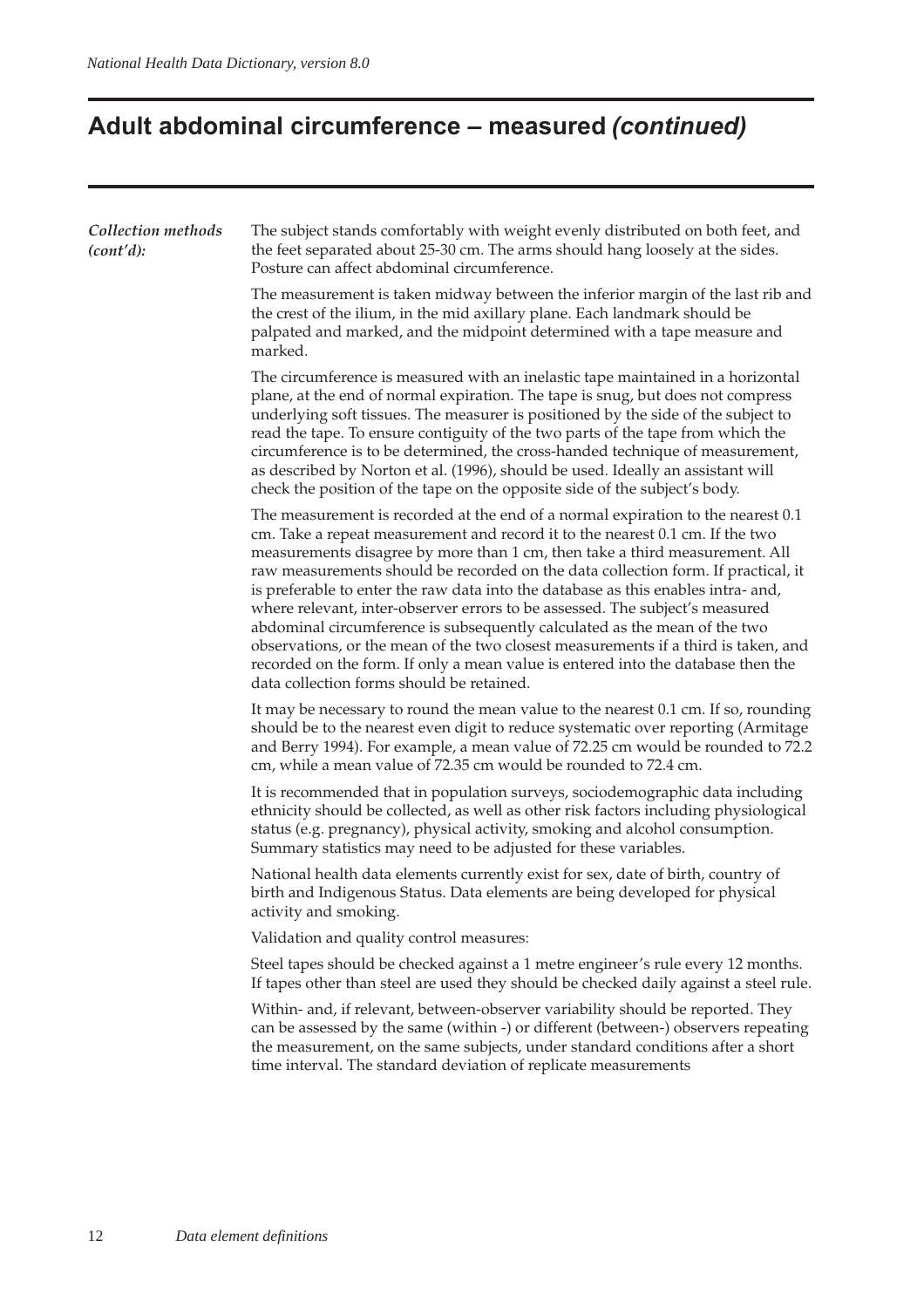# **Adult abdominal circumference – measured (continued)**

| Collection methods | The subject stands comfortably with weight evenly distributed on both feet, and                                                                                                                                                                                                                                                                                                                                                                                                                                                                                                                                                                                                                                                                                                                                |  |  |  |  |  |  |  |
|--------------------|----------------------------------------------------------------------------------------------------------------------------------------------------------------------------------------------------------------------------------------------------------------------------------------------------------------------------------------------------------------------------------------------------------------------------------------------------------------------------------------------------------------------------------------------------------------------------------------------------------------------------------------------------------------------------------------------------------------------------------------------------------------------------------------------------------------|--|--|--|--|--|--|--|
| (cont'd):          | the feet separated about 25-30 cm. The arms should hang loosely at the sides.<br>Posture can affect abdominal circumference.                                                                                                                                                                                                                                                                                                                                                                                                                                                                                                                                                                                                                                                                                   |  |  |  |  |  |  |  |
|                    | The measurement is taken midway between the inferior margin of the last rib and<br>the crest of the ilium, in the mid axillary plane. Each landmark should be<br>palpated and marked, and the midpoint determined with a tape measure and<br>marked.                                                                                                                                                                                                                                                                                                                                                                                                                                                                                                                                                           |  |  |  |  |  |  |  |
|                    | The circumference is measured with an inelastic tape maintained in a horizontal<br>plane, at the end of normal expiration. The tape is snug, but does not compress<br>underlying soft tissues. The measurer is positioned by the side of the subject to<br>read the tape. To ensure contiguity of the two parts of the tape from which the<br>circumference is to be determined, the cross-handed technique of measurement,<br>as described by Norton et al. (1996), should be used. Ideally an assistant will<br>check the position of the tape on the opposite side of the subject's body.                                                                                                                                                                                                                   |  |  |  |  |  |  |  |
|                    | The measurement is recorded at the end of a normal expiration to the nearest 0.1<br>cm. Take a repeat measurement and record it to the nearest 0.1 cm. If the two<br>measurements disagree by more than 1 cm, then take a third measurement. All<br>raw measurements should be recorded on the data collection form. If practical, it<br>is preferable to enter the raw data into the database as this enables intra- and,<br>where relevant, inter-observer errors to be assessed. The subject's measured<br>abdominal circumference is subsequently calculated as the mean of the two<br>observations, or the mean of the two closest measurements if a third is taken, and<br>recorded on the form. If only a mean value is entered into the database then the<br>data collection forms should be retained. |  |  |  |  |  |  |  |
|                    | It may be necessary to round the mean value to the nearest 0.1 cm. If so, rounding<br>should be to the nearest even digit to reduce systematic over reporting (Armitage<br>and Berry 1994). For example, a mean value of 72.25 cm would be rounded to 72.2<br>cm, while a mean value of 72.35 cm would be rounded to 72.4 cm.                                                                                                                                                                                                                                                                                                                                                                                                                                                                                  |  |  |  |  |  |  |  |
|                    | It is recommended that in population surveys, sociodemographic data including<br>ethnicity should be collected, as well as other risk factors including physiological<br>status (e.g. pregnancy), physical activity, smoking and alcohol consumption.<br>Summary statistics may need to be adjusted for these variables.                                                                                                                                                                                                                                                                                                                                                                                                                                                                                       |  |  |  |  |  |  |  |
|                    | National health data elements currently exist for sex, date of birth, country of<br>birth and Indigenous Status. Data elements are being developed for physical<br>activity and smoking.                                                                                                                                                                                                                                                                                                                                                                                                                                                                                                                                                                                                                       |  |  |  |  |  |  |  |
|                    | Validation and quality control measures:                                                                                                                                                                                                                                                                                                                                                                                                                                                                                                                                                                                                                                                                                                                                                                       |  |  |  |  |  |  |  |
|                    | Steel tapes should be checked against a 1 metre engineer's rule every 12 months.<br>If tapes other than steel are used they should be checked daily against a steel rule.                                                                                                                                                                                                                                                                                                                                                                                                                                                                                                                                                                                                                                      |  |  |  |  |  |  |  |
|                    | Within- and, if relevant, between-observer variability should be reported. They<br>can be assessed by the same (within -) or different (between-) observers repeating<br>the measurement, on the same subjects, under standard conditions after a short<br>time interval. The standard deviation of replicate measurements                                                                                                                                                                                                                                                                                                                                                                                                                                                                                     |  |  |  |  |  |  |  |
|                    |                                                                                                                                                                                                                                                                                                                                                                                                                                                                                                                                                                                                                                                                                                                                                                                                                |  |  |  |  |  |  |  |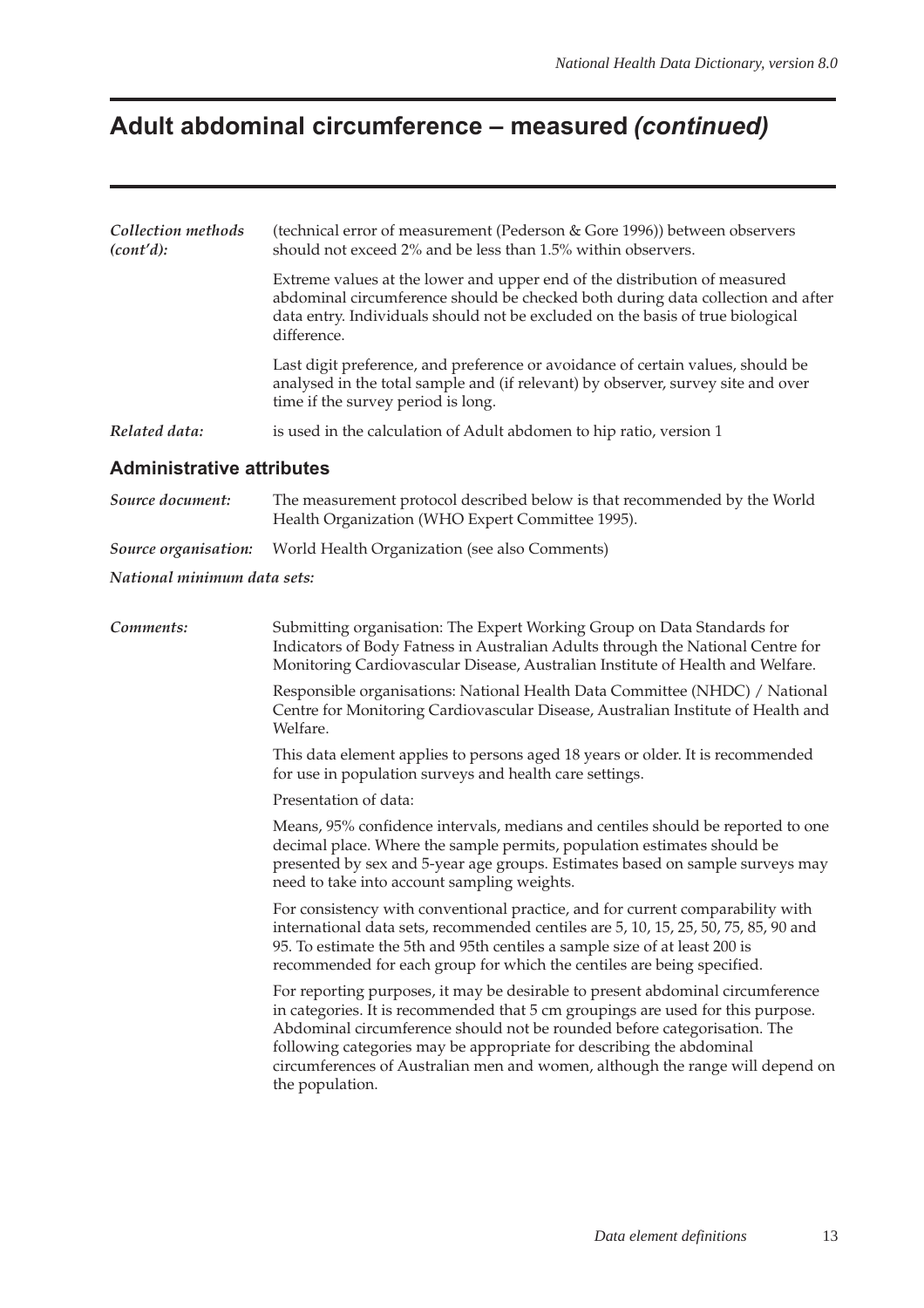# **Adult abdominal circumference – measured (continued)**

| Collection methods<br>(cont'd):  | (technical error of measurement (Pederson & Gore 1996)) between observers<br>should not exceed 2% and be less than 1.5% within observers.                                                                                                                                                                                                                                                                                 |  |  |  |  |  |
|----------------------------------|---------------------------------------------------------------------------------------------------------------------------------------------------------------------------------------------------------------------------------------------------------------------------------------------------------------------------------------------------------------------------------------------------------------------------|--|--|--|--|--|
|                                  | Extreme values at the lower and upper end of the distribution of measured<br>abdominal circumference should be checked both during data collection and after<br>data entry. Individuals should not be excluded on the basis of true biological<br>difference.                                                                                                                                                             |  |  |  |  |  |
|                                  | Last digit preference, and preference or avoidance of certain values, should be<br>analysed in the total sample and (if relevant) by observer, survey site and over<br>time if the survey period is long.                                                                                                                                                                                                                 |  |  |  |  |  |
| Related data:                    | is used in the calculation of Adult abdomen to hip ratio, version 1                                                                                                                                                                                                                                                                                                                                                       |  |  |  |  |  |
| <b>Administrative attributes</b> |                                                                                                                                                                                                                                                                                                                                                                                                                           |  |  |  |  |  |
| Source document:                 | The measurement protocol described below is that recommended by the World<br>Health Organization (WHO Expert Committee 1995).                                                                                                                                                                                                                                                                                             |  |  |  |  |  |
| Source organisation:             | World Health Organization (see also Comments)                                                                                                                                                                                                                                                                                                                                                                             |  |  |  |  |  |
| National minimum data sets:      |                                                                                                                                                                                                                                                                                                                                                                                                                           |  |  |  |  |  |
| Comments:                        | Submitting organisation: The Expert Working Group on Data Standards for<br>Indicators of Body Fatness in Australian Adults through the National Centre for<br>Monitoring Cardiovascular Disease, Australian Institute of Health and Welfare.                                                                                                                                                                              |  |  |  |  |  |
|                                  | Responsible organisations: National Health Data Committee (NHDC) / National<br>Centre for Monitoring Cardiovascular Disease, Australian Institute of Health and<br>Welfare.                                                                                                                                                                                                                                               |  |  |  |  |  |
|                                  | This data element applies to persons aged 18 years or older. It is recommended<br>for use in population surveys and health care settings.                                                                                                                                                                                                                                                                                 |  |  |  |  |  |
|                                  | Presentation of data:                                                                                                                                                                                                                                                                                                                                                                                                     |  |  |  |  |  |
|                                  | Means, 95% confidence intervals, medians and centiles should be reported to one<br>decimal place. Where the sample permits, population estimates should be<br>presented by sex and 5-year age groups. Estimates based on sample surveys may<br>need to take into account sampling weights.                                                                                                                                |  |  |  |  |  |
|                                  | For consistency with conventional practice, and for current comparability with<br>international data sets, recommended centiles are 5, 10, 15, 25, 50, 75, 85, 90 and<br>95. To estimate the 5th and 95th centiles a sample size of at least 200 is<br>recommended for each group for which the centiles are being specified.                                                                                             |  |  |  |  |  |
|                                  | For reporting purposes, it may be desirable to present abdominal circumference<br>in categories. It is recommended that 5 cm groupings are used for this purpose.<br>Abdominal circumference should not be rounded before categorisation. The<br>following categories may be appropriate for describing the abdominal<br>circumferences of Australian men and women, although the range will depend on<br>the population. |  |  |  |  |  |
|                                  |                                                                                                                                                                                                                                                                                                                                                                                                                           |  |  |  |  |  |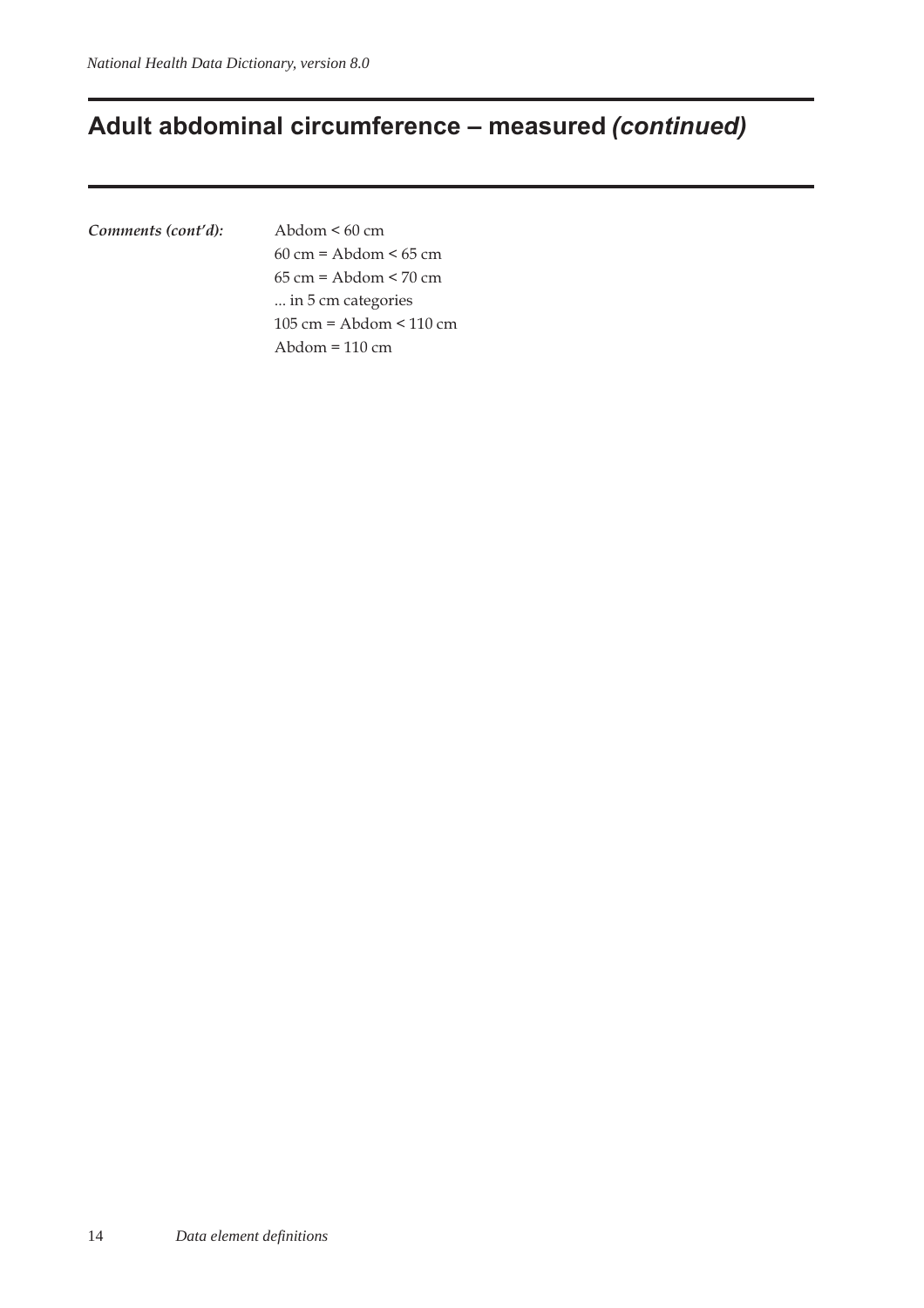## **Adult abdominal circumference – measured (continued)**

*Comments (cont'd):* Abdom < 60 cm

60 cm = Abdom < 65 cm 65 cm = Abdom < 70 cm ... in 5 cm categories 105 cm = Abdom < 110 cm Abdom = 110 cm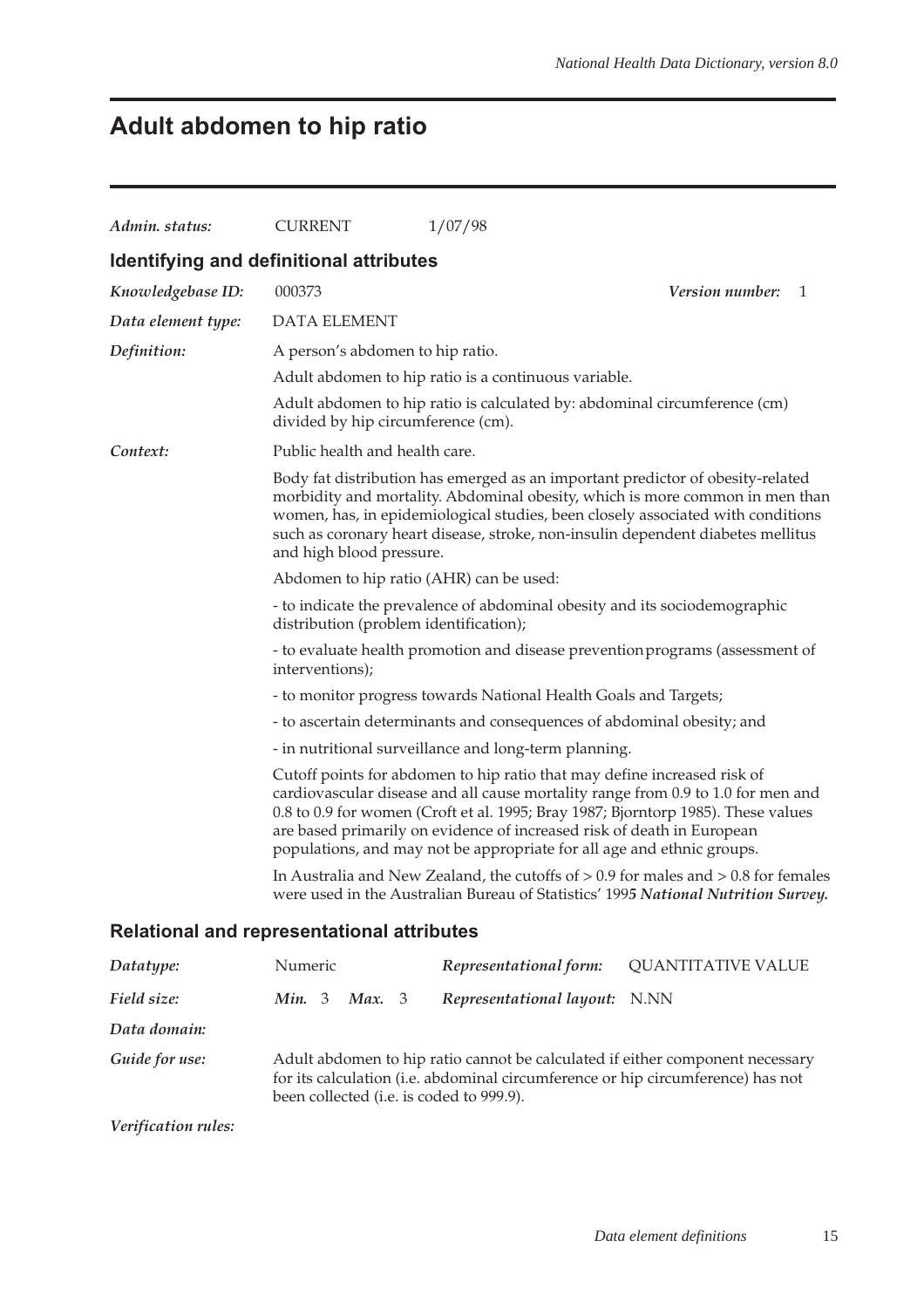# **Adult abdomen to hip ratio**

| Admin. status:                                    | <b>CURRENT</b>                                                                                   | 1/07/98                                                                                                                                                                                                                                                                                                                                                                                               |                                                                                                                                                                             |  |  |  |  |  |
|---------------------------------------------------|--------------------------------------------------------------------------------------------------|-------------------------------------------------------------------------------------------------------------------------------------------------------------------------------------------------------------------------------------------------------------------------------------------------------------------------------------------------------------------------------------------------------|-----------------------------------------------------------------------------------------------------------------------------------------------------------------------------|--|--|--|--|--|
| Identifying and definitional attributes           |                                                                                                  |                                                                                                                                                                                                                                                                                                                                                                                                       |                                                                                                                                                                             |  |  |  |  |  |
| Knowledgebase ID:                                 | 000373                                                                                           |                                                                                                                                                                                                                                                                                                                                                                                                       | <i>Version number:</i><br>1                                                                                                                                                 |  |  |  |  |  |
| Data element type:                                | <b>DATA ELEMENT</b>                                                                              |                                                                                                                                                                                                                                                                                                                                                                                                       |                                                                                                                                                                             |  |  |  |  |  |
| Definition:                                       | A person's abdomen to hip ratio.                                                                 |                                                                                                                                                                                                                                                                                                                                                                                                       |                                                                                                                                                                             |  |  |  |  |  |
|                                                   |                                                                                                  | Adult abdomen to hip ratio is a continuous variable.                                                                                                                                                                                                                                                                                                                                                  |                                                                                                                                                                             |  |  |  |  |  |
|                                                   | divided by hip circumference (cm).                                                               | Adult abdomen to hip ratio is calculated by: abdominal circumference (cm)                                                                                                                                                                                                                                                                                                                             |                                                                                                                                                                             |  |  |  |  |  |
| Context:                                          | Public health and health care.                                                                   |                                                                                                                                                                                                                                                                                                                                                                                                       |                                                                                                                                                                             |  |  |  |  |  |
|                                                   | and high blood pressure.                                                                         | Body fat distribution has emerged as an important predictor of obesity-related<br>women, has, in epidemiological studies, been closely associated with conditions<br>such as coronary heart disease, stroke, non-insulin dependent diabetes mellitus                                                                                                                                                  | morbidity and mortality. Abdominal obesity, which is more common in men than                                                                                                |  |  |  |  |  |
|                                                   | Abdomen to hip ratio (AHR) can be used:                                                          |                                                                                                                                                                                                                                                                                                                                                                                                       |                                                                                                                                                                             |  |  |  |  |  |
|                                                   | distribution (problem identification);                                                           | - to indicate the prevalence of abdominal obesity and its sociodemographic                                                                                                                                                                                                                                                                                                                            |                                                                                                                                                                             |  |  |  |  |  |
|                                                   | - to evaluate health promotion and disease prevention programs (assessment of<br>interventions); |                                                                                                                                                                                                                                                                                                                                                                                                       |                                                                                                                                                                             |  |  |  |  |  |
|                                                   | - to monitor progress towards National Health Goals and Targets;                                 |                                                                                                                                                                                                                                                                                                                                                                                                       |                                                                                                                                                                             |  |  |  |  |  |
|                                                   | - to ascertain determinants and consequences of abdominal obesity; and                           |                                                                                                                                                                                                                                                                                                                                                                                                       |                                                                                                                                                                             |  |  |  |  |  |
|                                                   | - in nutritional surveillance and long-term planning.                                            |                                                                                                                                                                                                                                                                                                                                                                                                       |                                                                                                                                                                             |  |  |  |  |  |
|                                                   |                                                                                                  | Cutoff points for abdomen to hip ratio that may define increased risk of<br>cardiovascular disease and all cause mortality range from 0.9 to 1.0 for men and<br>0.8 to 0.9 for women (Croft et al. 1995; Bray 1987; Bjorntorp 1985). These values<br>are based primarily on evidence of increased risk of death in European<br>populations, and may not be appropriate for all age and ethnic groups. |                                                                                                                                                                             |  |  |  |  |  |
|                                                   |                                                                                                  |                                                                                                                                                                                                                                                                                                                                                                                                       | In Australia and New Zealand, the cutoffs of $> 0.9$ for males and $> 0.8$ for females<br>were used in the Australian Bureau of Statistics' 1995 National Nutrition Survey. |  |  |  |  |  |
| <b>Relational and representational attributes</b> |                                                                                                  |                                                                                                                                                                                                                                                                                                                                                                                                       |                                                                                                                                                                             |  |  |  |  |  |
| Datatype:                                         | Numeric                                                                                          | Representational form:                                                                                                                                                                                                                                                                                                                                                                                | OUANTITATIVE VALUE                                                                                                                                                          |  |  |  |  |  |

| $\sim$ weekly p $\sim$ | 1.01121                     |                                          |                                                                                 | $\sim$                                                                        |
|------------------------|-----------------------------|------------------------------------------|---------------------------------------------------------------------------------|-------------------------------------------------------------------------------|
| Field size:            | <b>Min.</b> 3 <b>Max.</b> 3 |                                          | Representational layout: N.NN                                                   |                                                                               |
| Data domain:           |                             |                                          |                                                                                 |                                                                               |
| Guide for use:         |                             | been collected (i.e. is coded to 999.9). | for its calculation (i.e. abdominal circumference or hip circumference) has not | Adult abdomen to hip ratio cannot be calculated if either component necessary |

*Verification rules:*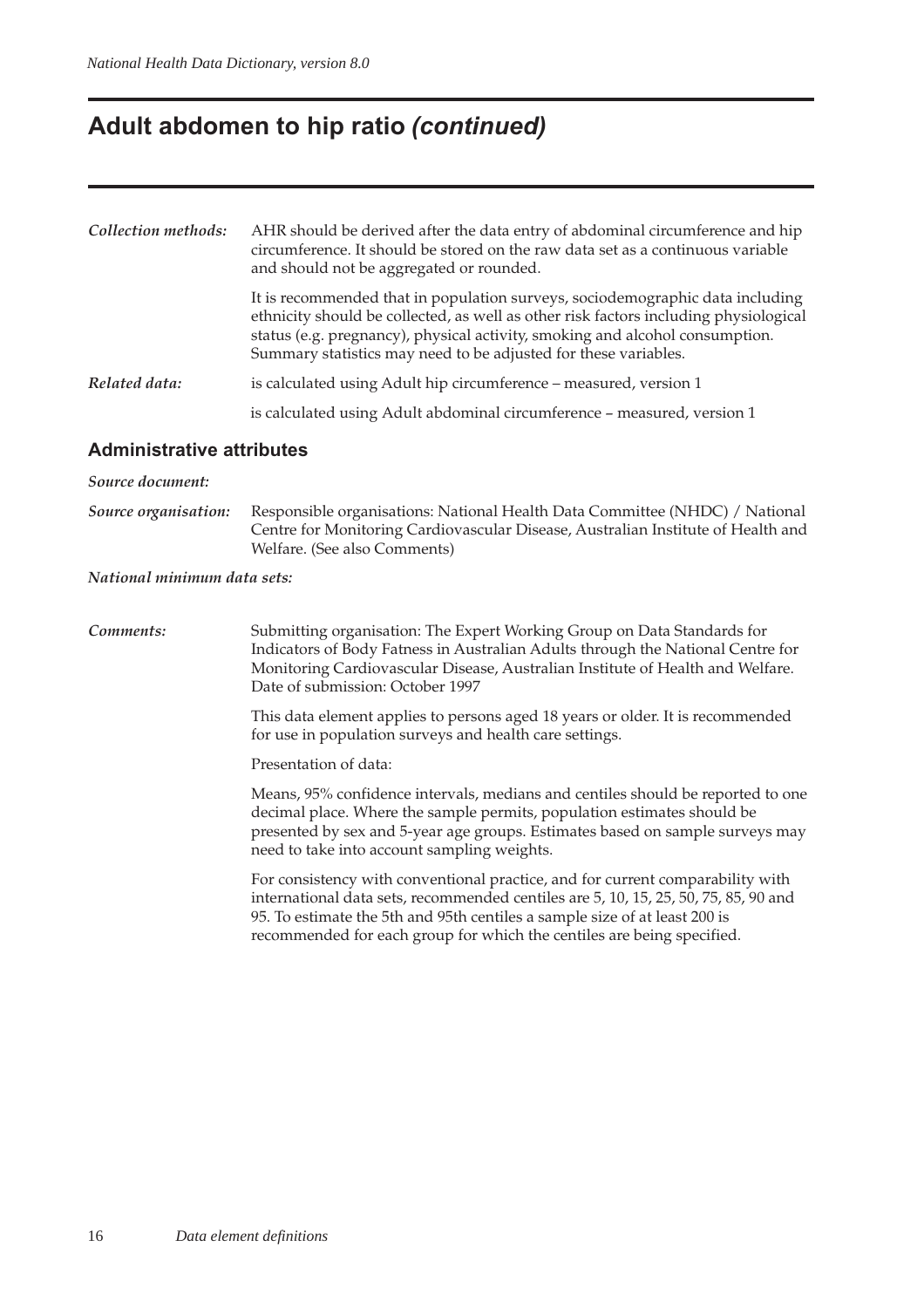# **Adult abdomen to hip ratio (continued)**

| Collection methods: | AHR should be derived after the data entry of abdominal circumference and hip<br>circumference. It should be stored on the raw data set as a continuous variable<br>and should not be aggregated or rounded.                                                                                                             |  |  |  |  |
|---------------------|--------------------------------------------------------------------------------------------------------------------------------------------------------------------------------------------------------------------------------------------------------------------------------------------------------------------------|--|--|--|--|
|                     | It is recommended that in population surveys, sociodemographic data including<br>ethnicity should be collected, as well as other risk factors including physiological<br>status (e.g. pregnancy), physical activity, smoking and alcohol consumption.<br>Summary statistics may need to be adjusted for these variables. |  |  |  |  |
| Related data:       | is calculated using Adult hip circumference – measured, version 1                                                                                                                                                                                                                                                        |  |  |  |  |
|                     | is calculated using Adult abdominal circumference - measured, version 1                                                                                                                                                                                                                                                  |  |  |  |  |

### **Administrative attributes**

| Source document:            |                                                                                                                                                                                                                                                                                                                               |  |  |  |  |
|-----------------------------|-------------------------------------------------------------------------------------------------------------------------------------------------------------------------------------------------------------------------------------------------------------------------------------------------------------------------------|--|--|--|--|
| Source organisation:        | Responsible organisations: National Health Data Committee (NHDC) / National<br>Centre for Monitoring Cardiovascular Disease, Australian Institute of Health and<br>Welfare. (See also Comments)                                                                                                                               |  |  |  |  |
| National minimum data sets: |                                                                                                                                                                                                                                                                                                                               |  |  |  |  |
| Comments:                   | Submitting organisation: The Expert Working Group on Data Standards for<br>Indicators of Body Fatness in Australian Adults through the National Centre for<br>Monitoring Cardiovascular Disease, Australian Institute of Health and Welfare.<br>Date of submission: October 1997                                              |  |  |  |  |
|                             | This data element applies to persons aged 18 years or older. It is recommended<br>for use in population surveys and health care settings.                                                                                                                                                                                     |  |  |  |  |
|                             | Presentation of data:                                                                                                                                                                                                                                                                                                         |  |  |  |  |
|                             | Means, 95% confidence intervals, medians and centiles should be reported to one<br>decimal place. Where the sample permits, population estimates should be<br>presented by sex and 5-year age groups. Estimates based on sample surveys may<br>need to take into account sampling weights.                                    |  |  |  |  |
|                             | For consistency with conventional practice, and for current comparability with<br>international data sets, recommended centiles are 5, 10, 15, 25, 50, 75, 85, 90 and<br>95. To estimate the 5th and 95th centiles a sample size of at least 200 is<br>recommended for each group for which the centiles are being specified. |  |  |  |  |
|                             |                                                                                                                                                                                                                                                                                                                               |  |  |  |  |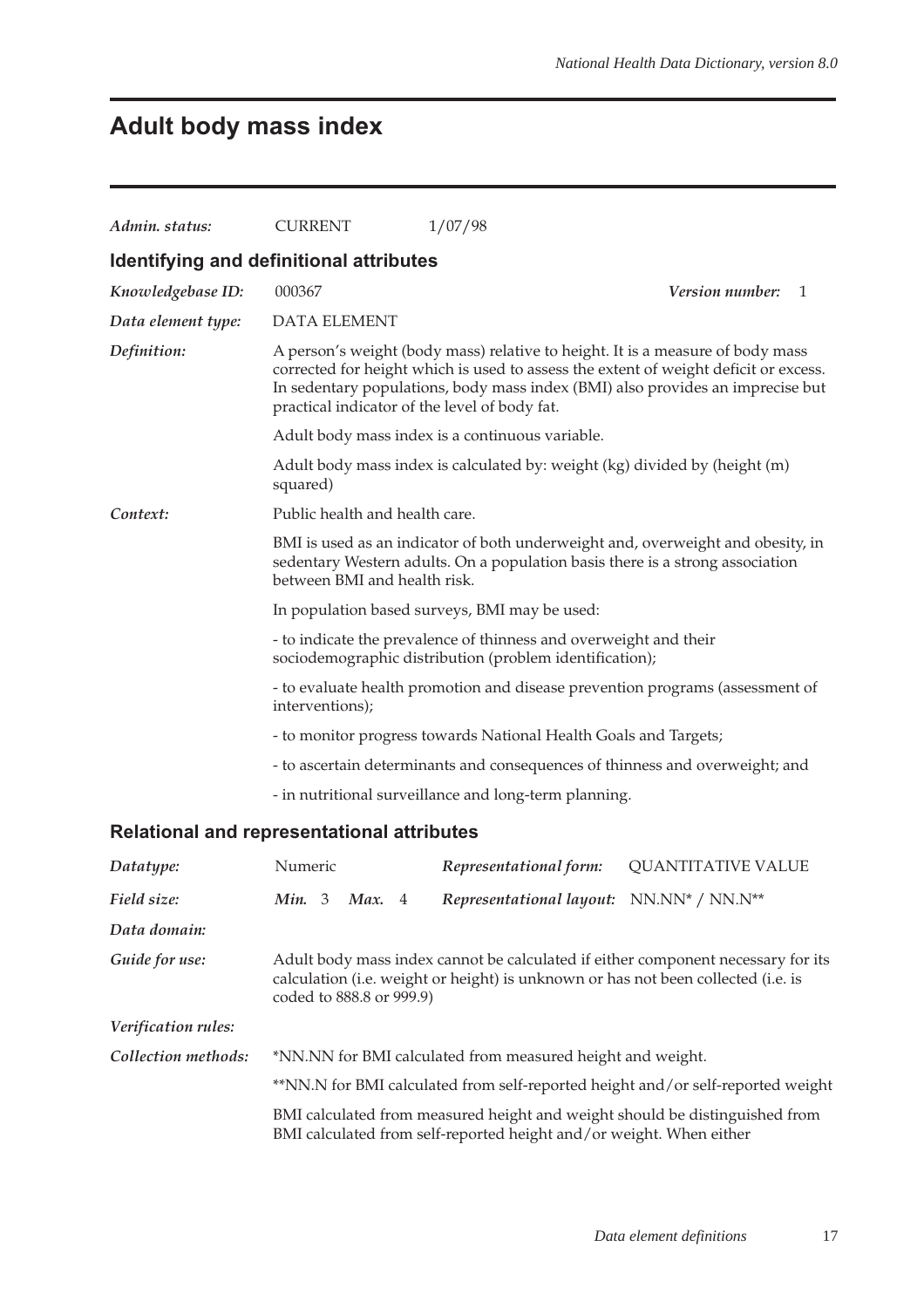# **Adult body mass index**

| Admin. status:                                    | <b>CURRENT</b>                                                                                                                                                                                   | 1/07/98                                                                        |                                                                                                                                                                        |  |  |  |  |
|---------------------------------------------------|--------------------------------------------------------------------------------------------------------------------------------------------------------------------------------------------------|--------------------------------------------------------------------------------|------------------------------------------------------------------------------------------------------------------------------------------------------------------------|--|--|--|--|
| Identifying and definitional attributes           |                                                                                                                                                                                                  |                                                                                |                                                                                                                                                                        |  |  |  |  |
| Knowledgebase ID:                                 | 000367                                                                                                                                                                                           |                                                                                | Version number:<br>-1                                                                                                                                                  |  |  |  |  |
| Data element type:                                | <b>DATA ELEMENT</b>                                                                                                                                                                              |                                                                                |                                                                                                                                                                        |  |  |  |  |
| Definition:                                       | practical indicator of the level of body fat.                                                                                                                                                    | A person's weight (body mass) relative to height. It is a measure of body mass | corrected for height which is used to assess the extent of weight deficit or excess.<br>In sedentary populations, body mass index (BMI) also provides an imprecise but |  |  |  |  |
|                                                   | Adult body mass index is a continuous variable.                                                                                                                                                  |                                                                                |                                                                                                                                                                        |  |  |  |  |
|                                                   | squared)                                                                                                                                                                                         | Adult body mass index is calculated by: weight (kg) divided by (height (m)     |                                                                                                                                                                        |  |  |  |  |
| Context:                                          | Public health and health care.                                                                                                                                                                   |                                                                                |                                                                                                                                                                        |  |  |  |  |
|                                                   | BMI is used as an indicator of both underweight and, overweight and obesity, in<br>sedentary Western adults. On a population basis there is a strong association<br>between BMI and health risk. |                                                                                |                                                                                                                                                                        |  |  |  |  |
|                                                   | In population based surveys, BMI may be used:                                                                                                                                                    |                                                                                |                                                                                                                                                                        |  |  |  |  |
|                                                   | - to indicate the prevalence of thinness and overweight and their<br>sociodemographic distribution (problem identification);                                                                     |                                                                                |                                                                                                                                                                        |  |  |  |  |
|                                                   | - to evaluate health promotion and disease prevention programs (assessment of<br>interventions);                                                                                                 |                                                                                |                                                                                                                                                                        |  |  |  |  |
|                                                   | - to monitor progress towards National Health Goals and Targets;                                                                                                                                 |                                                                                |                                                                                                                                                                        |  |  |  |  |
|                                                   | - to ascertain determinants and consequences of thinness and overweight; and                                                                                                                     |                                                                                |                                                                                                                                                                        |  |  |  |  |
|                                                   |                                                                                                                                                                                                  | - in nutritional surveillance and long-term planning.                          |                                                                                                                                                                        |  |  |  |  |
| <b>Relational and representational attributes</b> |                                                                                                                                                                                                  |                                                                                |                                                                                                                                                                        |  |  |  |  |
| Datatype:                                         | Numeric                                                                                                                                                                                          | Representational form:                                                         | <b>QUANTITATIVE VALUE</b>                                                                                                                                              |  |  |  |  |

| Datatype:           | inumeric                                                                                                                                           |  |                          |  |                                                                                   | <i>Representational form:</i> UUANIIIAIIVE VALUE                                 |
|---------------------|----------------------------------------------------------------------------------------------------------------------------------------------------|--|--------------------------|--|-----------------------------------------------------------------------------------|----------------------------------------------------------------------------------|
| Field size:         | Min. $3$                                                                                                                                           |  | Max. 4                   |  | Representational layout: NN.NN* / NN.N**                                          |                                                                                  |
| Data domain:        |                                                                                                                                                    |  |                          |  |                                                                                   |                                                                                  |
| Guide for use:      |                                                                                                                                                    |  | coded to 888.8 or 999.9) |  | calculation (i.e. weight or height) is unknown or has not been collected (i.e. is | Adult body mass index cannot be calculated if either component necessary for its |
| Verification rules: |                                                                                                                                                    |  |                          |  |                                                                                   |                                                                                  |
| Collection methods: | *NN.NN for BMI calculated from measured height and weight.                                                                                         |  |                          |  |                                                                                   |                                                                                  |
|                     | **NN.N for BMI calculated from self-reported height and/or self-reported weight                                                                    |  |                          |  |                                                                                   |                                                                                  |
|                     | BMI calculated from measured height and weight should be distinguished from<br>BMI calculated from self-reported height and/or weight. When either |  |                          |  |                                                                                   |                                                                                  |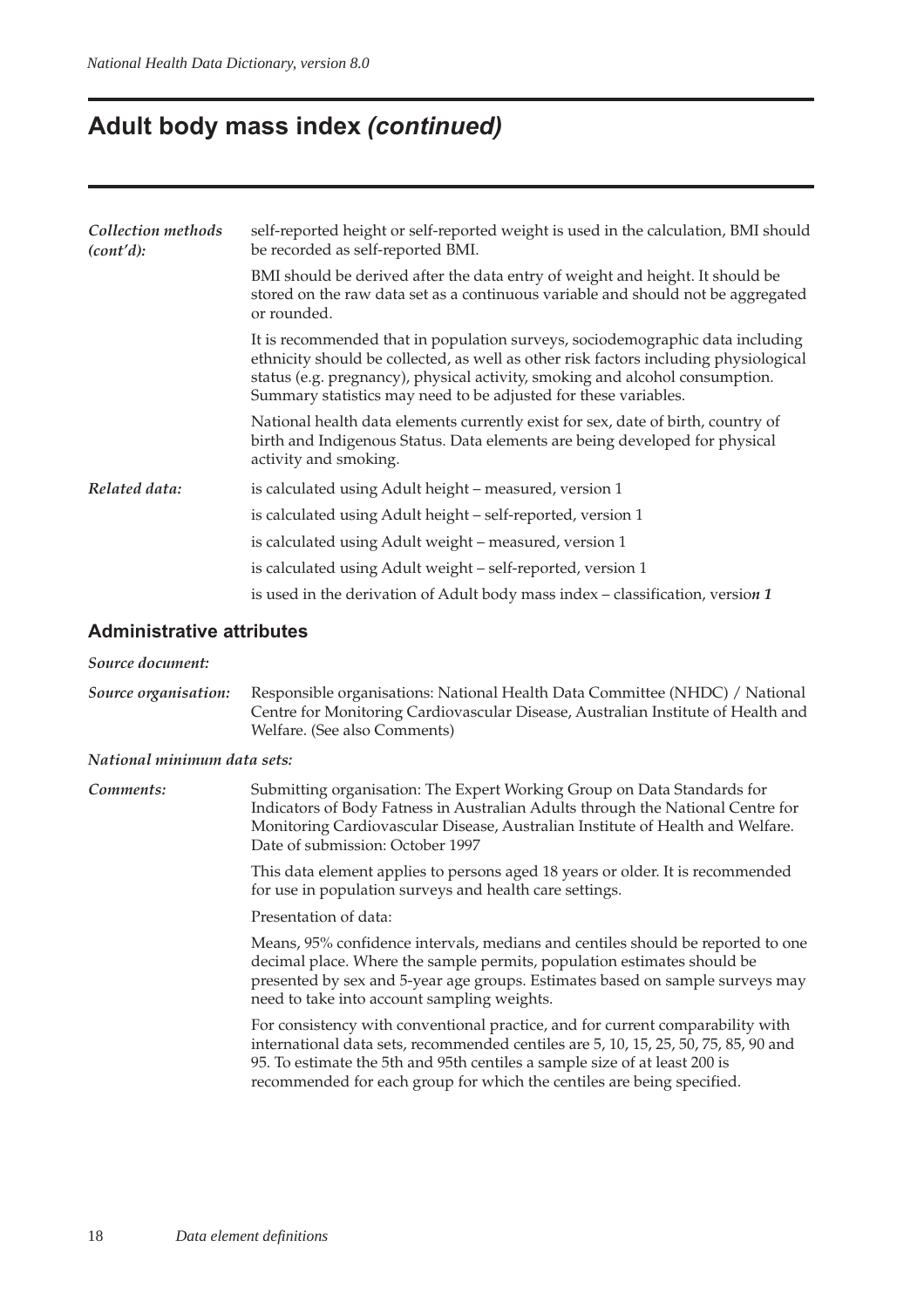## **Adult body mass index (continued)**

| Collection methods<br>(cont'd): | self-reported height or self-reported weight is used in the calculation, BMI should<br>be recorded as self-reported BMI.                                                                                                                                                                                                 |  |  |  |  |  |
|---------------------------------|--------------------------------------------------------------------------------------------------------------------------------------------------------------------------------------------------------------------------------------------------------------------------------------------------------------------------|--|--|--|--|--|
|                                 | BMI should be derived after the data entry of weight and height. It should be<br>stored on the raw data set as a continuous variable and should not be aggregated<br>or rounded.                                                                                                                                         |  |  |  |  |  |
|                                 | It is recommended that in population surveys, sociodemographic data including<br>ethnicity should be collected, as well as other risk factors including physiological<br>status (e.g. pregnancy), physical activity, smoking and alcohol consumption.<br>Summary statistics may need to be adjusted for these variables. |  |  |  |  |  |
|                                 | National health data elements currently exist for sex, date of birth, country of<br>birth and Indigenous Status. Data elements are being developed for physical<br>activity and smoking.                                                                                                                                 |  |  |  |  |  |
| Related data:                   | is calculated using Adult height – measured, version 1                                                                                                                                                                                                                                                                   |  |  |  |  |  |
|                                 | is calculated using Adult height - self-reported, version 1                                                                                                                                                                                                                                                              |  |  |  |  |  |
|                                 | is calculated using Adult weight – measured, version 1                                                                                                                                                                                                                                                                   |  |  |  |  |  |
|                                 | is calculated using Adult weight – self-reported, version 1                                                                                                                                                                                                                                                              |  |  |  |  |  |
|                                 | is used in the derivation of Adult body mass index $-$ classification, version 1                                                                                                                                                                                                                                         |  |  |  |  |  |

#### **Administrative attributes**

#### *Source document:*

*Source organisation:* Responsible organisations: National Health Data Committee (NHDC) / National Centre for Monitoring Cardiovascular Disease, Australian Institute of Health and Welfare. (See also Comments)

#### *National minimum data sets:*

| Comments: | Submitting organisation: The Expert Working Group on Data Standards for         |
|-----------|---------------------------------------------------------------------------------|
|           | Indicators of Body Fatness in Australian Adults through the National Centre for |
|           | Monitoring Cardiovascular Disease, Australian Institute of Health and Welfare.  |
|           | Date of submission: October 1997                                                |
|           |                                                                                 |

This data element applies to persons aged 18 years or older. It is recommended for use in population surveys and health care settings.

Presentation of data:

Means, 95% confidence intervals, medians and centiles should be reported to one decimal place. Where the sample permits, population estimates should be presented by sex and 5-year age groups. Estimates based on sample surveys may need to take into account sampling weights.

For consistency with conventional practice, and for current comparability with international data sets, recommended centiles are 5, 10, 15, 25, 50, 75, 85, 90 and 95. To estimate the 5th and 95th centiles a sample size of at least 200 is recommended for each group for which the centiles are being specified.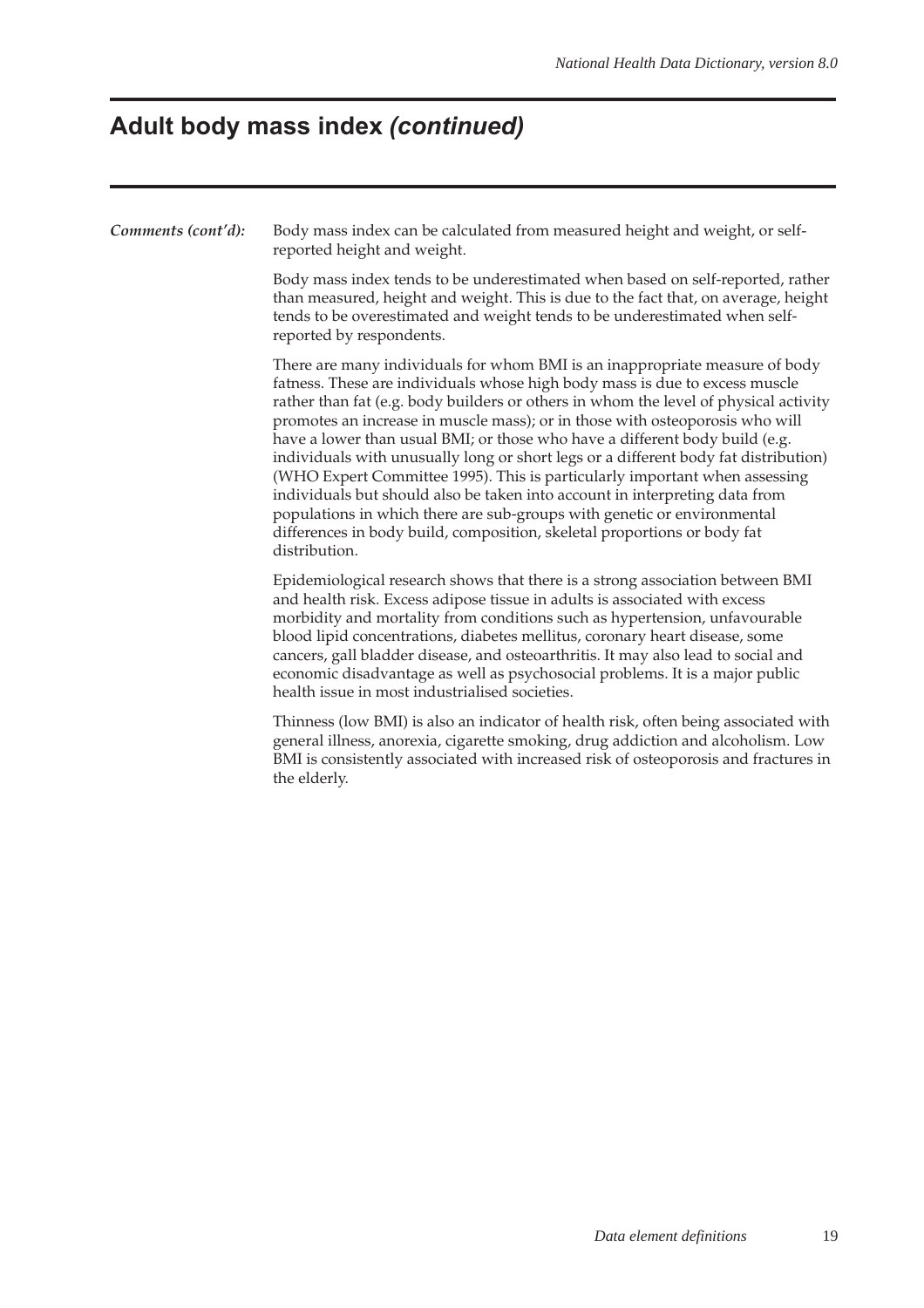### **Adult body mass index (continued)**

**Comments (cont'd):** Body mass index can be calculated from measured height and weight, or selfreported height and weight.

> Body mass index tends to be underestimated when based on self-reported, rather than measured, height and weight. This is due to the fact that, on average, height tends to be overestimated and weight tends to be underestimated when selfreported by respondents.

> There are many individuals for whom BMI is an inappropriate measure of body fatness. These are individuals whose high body mass is due to excess muscle rather than fat (e.g. body builders or others in whom the level of physical activity promotes an increase in muscle mass); or in those with osteoporosis who will have a lower than usual BMI; or those who have a different body build (e.g. individuals with unusually long or short legs or a different body fat distribution) (WHO Expert Committee 1995). This is particularly important when assessing individuals but should also be taken into account in interpreting data from populations in which there are sub-groups with genetic or environmental differences in body build, composition, skeletal proportions or body fat distribution.

Epidemiological research shows that there is a strong association between BMI and health risk. Excess adipose tissue in adults is associated with excess morbidity and mortality from conditions such as hypertension, unfavourable blood lipid concentrations, diabetes mellitus, coronary heart disease, some cancers, gall bladder disease, and osteoarthritis. It may also lead to social and economic disadvantage as well as psychosocial problems. It is a major public health issue in most industrialised societies.

Thinness (low BMI) is also an indicator of health risk, often being associated with general illness, anorexia, cigarette smoking, drug addiction and alcoholism. Low BMI is consistently associated with increased risk of osteoporosis and fractures in the elderly.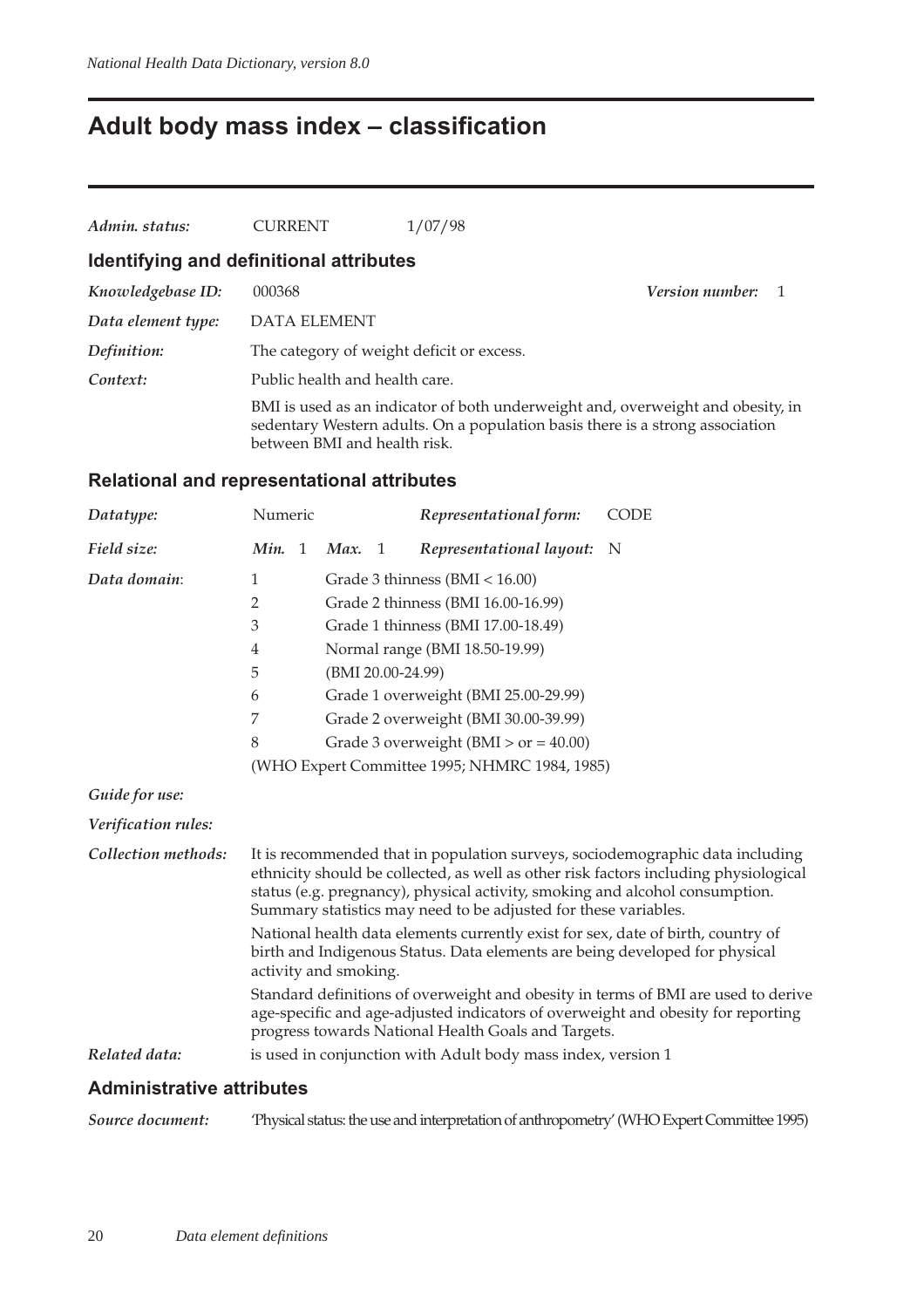## **Adult body mass index – classification**

| Admin. status:     | <b>CURRENT</b>                            | 1/07/98                                                                                                                                                          |                        |
|--------------------|-------------------------------------------|------------------------------------------------------------------------------------------------------------------------------------------------------------------|------------------------|
|                    | Identifying and definitional attributes   |                                                                                                                                                                  |                        |
| Knowledgebase ID:  | 000368                                    |                                                                                                                                                                  | <i>Version number:</i> |
| Data element type: | DATA ELEMENT                              |                                                                                                                                                                  |                        |
| Definition:        | The category of weight deficit or excess. |                                                                                                                                                                  |                        |
| Context:           | Public health and health care.            |                                                                                                                                                                  |                        |
|                    | between BMI and health risk.              | BMI is used as an indicator of both underweight and, overweight and obesity, in<br>sedentary Western adults. On a population basis there is a strong association |                        |

### **Relational and representational attributes**

| Datatype:           | Numeric                                                                                                                                                                                  |  |                   |                | Representational form:                                                                                                                          | <b>CODE</b>                                                                                                                                                           |  |  |
|---------------------|------------------------------------------------------------------------------------------------------------------------------------------------------------------------------------------|--|-------------------|----------------|-------------------------------------------------------------------------------------------------------------------------------------------------|-----------------------------------------------------------------------------------------------------------------------------------------------------------------------|--|--|
| Field size:         | Min. 1                                                                                                                                                                                   |  | Max.              | $\overline{1}$ | Representational layout: N                                                                                                                      |                                                                                                                                                                       |  |  |
| Data domain:        | 1                                                                                                                                                                                        |  |                   |                | Grade 3 thinness (BMI < 16.00)                                                                                                                  |                                                                                                                                                                       |  |  |
|                     | 2                                                                                                                                                                                        |  |                   |                | Grade 2 thinness (BMI 16.00-16.99)                                                                                                              |                                                                                                                                                                       |  |  |
|                     | 3                                                                                                                                                                                        |  |                   |                | Grade 1 thinness (BMI 17.00-18.49)                                                                                                              |                                                                                                                                                                       |  |  |
|                     | $\overline{4}$                                                                                                                                                                           |  |                   |                | Normal range (BMI 18.50-19.99)                                                                                                                  |                                                                                                                                                                       |  |  |
|                     | 5                                                                                                                                                                                        |  | (BMI 20.00-24.99) |                |                                                                                                                                                 |                                                                                                                                                                       |  |  |
|                     | 6                                                                                                                                                                                        |  |                   |                | Grade 1 overweight (BMI 25.00-29.99)                                                                                                            |                                                                                                                                                                       |  |  |
|                     | 7                                                                                                                                                                                        |  |                   |                | Grade 2 overweight (BMI 30.00-39.99)                                                                                                            |                                                                                                                                                                       |  |  |
|                     | 8                                                                                                                                                                                        |  |                   |                | Grade 3 overweight (BMI $>$ or = 40.00)                                                                                                         |                                                                                                                                                                       |  |  |
|                     |                                                                                                                                                                                          |  |                   |                | (WHO Expert Committee 1995; NHMRC 1984, 1985)                                                                                                   |                                                                                                                                                                       |  |  |
| Guide for use:      |                                                                                                                                                                                          |  |                   |                |                                                                                                                                                 |                                                                                                                                                                       |  |  |
| Verification rules: |                                                                                                                                                                                          |  |                   |                |                                                                                                                                                 |                                                                                                                                                                       |  |  |
| Collection methods: |                                                                                                                                                                                          |  |                   |                | status (e.g. pregnancy), physical activity, smoking and alcohol consumption.<br>Summary statistics may need to be adjusted for these variables. | It is recommended that in population surveys, sociodemographic data including<br>ethnicity should be collected, as well as other risk factors including physiological |  |  |
|                     | National health data elements currently exist for sex, date of birth, country of<br>birth and Indigenous Status. Data elements are being developed for physical<br>activity and smoking. |  |                   |                |                                                                                                                                                 |                                                                                                                                                                       |  |  |
|                     |                                                                                                                                                                                          |  |                   |                | progress towards National Health Goals and Targets.                                                                                             | Standard definitions of overweight and obesity in terms of BMI are used to derive<br>age-specific and age-adjusted indicators of overweight and obesity for reporting |  |  |
| Related data:       |                                                                                                                                                                                          |  |                   |                | is used in conjunction with Adult body mass index, version 1                                                                                    |                                                                                                                                                                       |  |  |
|                     |                                                                                                                                                                                          |  |                   |                |                                                                                                                                                 |                                                                                                                                                                       |  |  |

### **Administrative attributes**

*Source document:* 'Physical status: the use and interpretation of anthropometry' (WHO Expert Committee 1995)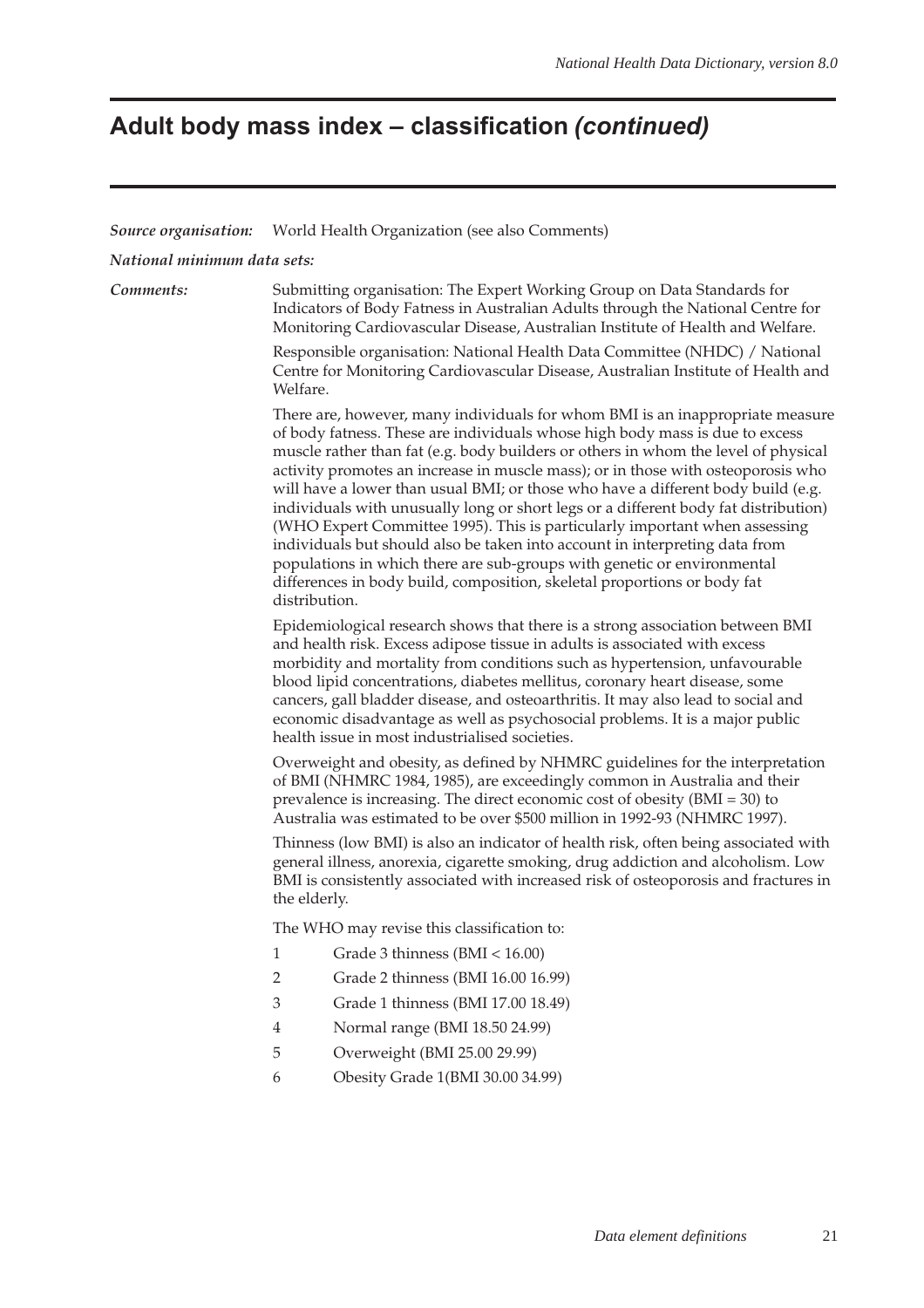### **Adult body mass index – classification (continued)**

#### *Source organisation:* World Health Organization (see also Comments)

*National minimum data sets:*

*Comments:* Submitting organisation: The Expert Working Group on Data Standards for Indicators of Body Fatness in Australian Adults through the National Centre for Monitoring Cardiovascular Disease, Australian Institute of Health and Welfare.

> Responsible organisation: National Health Data Committee (NHDC) / National Centre for Monitoring Cardiovascular Disease, Australian Institute of Health and Welfare.

> There are, however, many individuals for whom BMI is an inappropriate measure of body fatness. These are individuals whose high body mass is due to excess muscle rather than fat (e.g. body builders or others in whom the level of physical activity promotes an increase in muscle mass); or in those with osteoporosis who will have a lower than usual BMI; or those who have a different body build (e.g. individuals with unusually long or short legs or a different body fat distribution) (WHO Expert Committee 1995). This is particularly important when assessing individuals but should also be taken into account in interpreting data from populations in which there are sub-groups with genetic or environmental differences in body build, composition, skeletal proportions or body fat distribution.

Epidemiological research shows that there is a strong association between BMI and health risk. Excess adipose tissue in adults is associated with excess morbidity and mortality from conditions such as hypertension, unfavourable blood lipid concentrations, diabetes mellitus, coronary heart disease, some cancers, gall bladder disease, and osteoarthritis. It may also lead to social and economic disadvantage as well as psychosocial problems. It is a major public health issue in most industrialised societies.

Overweight and obesity, as defined by NHMRC guidelines for the interpretation of BMI (NHMRC 1984, 1985), are exceedingly common in Australia and their prevalence is increasing. The direct economic cost of obesity (BMI = 30) to Australia was estimated to be over \$500 million in 1992-93 (NHMRC 1997).

Thinness (low BMI) is also an indicator of health risk, often being associated with general illness, anorexia, cigarette smoking, drug addiction and alcoholism. Low BMI is consistently associated with increased risk of osteoporosis and fractures in the elderly.

The WHO may revise this classification to:

- 1 Grade 3 thinness (BMI < 16.00)
- 2 Grade 2 thinness (BMI 16.00 16.99)
- 3 Grade 1 thinness (BMI 17.00 18.49)
- 4 Normal range (BMI 18.50 24.99)
- 5 Overweight (BMI 25.00 29.99)
- 6 Obesity Grade 1(BMI 30.00 34.99)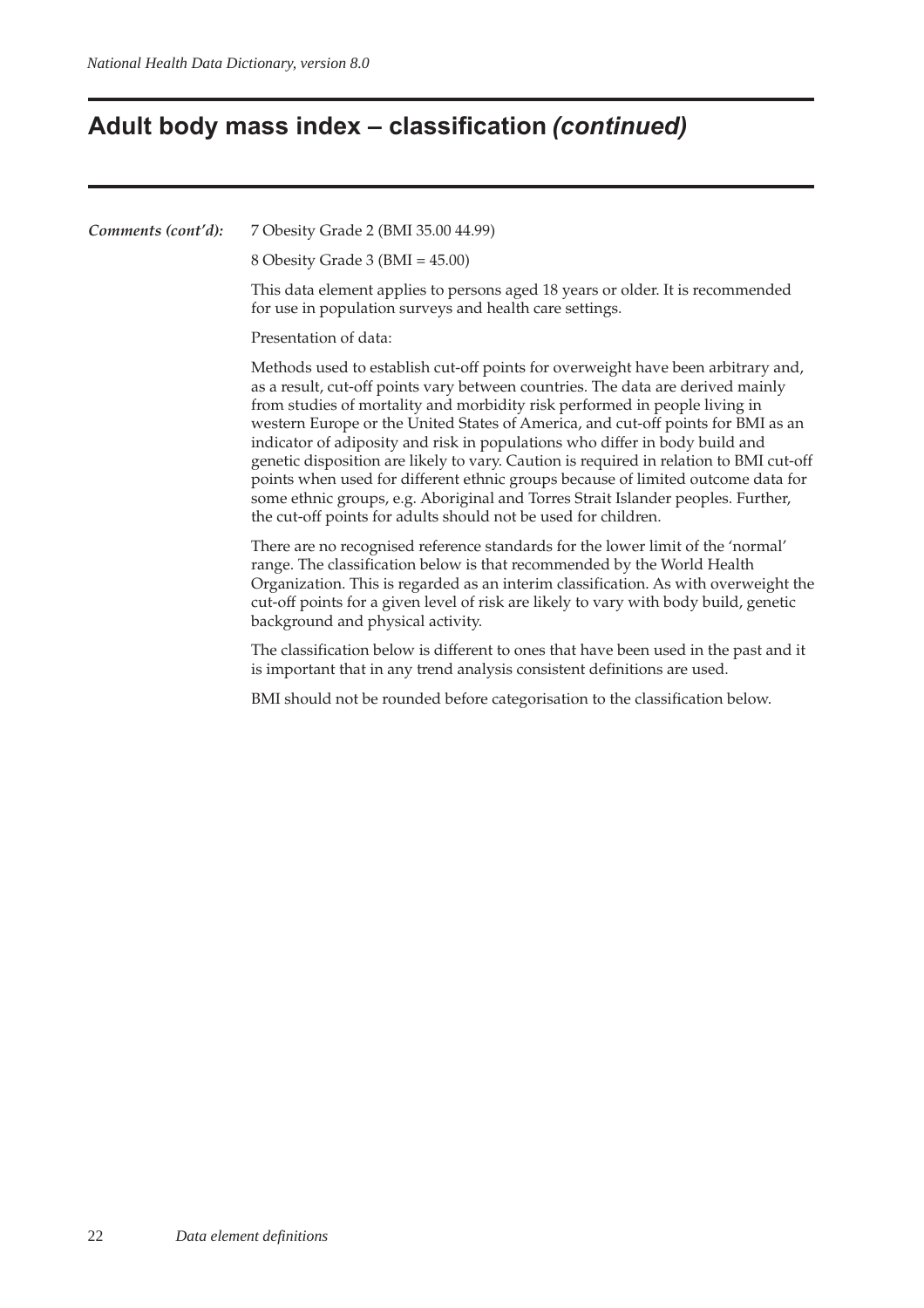## **Adult body mass index – classification (continued)**

*Comments (cont'd):* 7 Obesity Grade 2 (BMI 35.00 44.99) 8 Obesity Grade 3 (BMI = 45.00) This data element applies to persons aged 18 years or older. It is recommended for use in population surveys and health care settings. Presentation of data: Methods used to establish cut-off points for overweight have been arbitrary and, as a result, cut-off points vary between countries. The data are derived mainly from studies of mortality and morbidity risk performed in people living in western Europe or the United States of America, and cut-off points for BMI as an indicator of adiposity and risk in populations who differ in body build and genetic disposition are likely to vary. Caution is required in relation to BMI cut-off points when used for different ethnic groups because of limited outcome data for some ethnic groups, e.g. Aboriginal and Torres Strait Islander peoples. Further, the cut-off points for adults should not be used for children. There are no recognised reference standards for the lower limit of the 'normal' range. The classification below is that recommended by the World Health Organization. This is regarded as an interim classification. As with overweight the cut-off points for a given level of risk are likely to vary with body build, genetic background and physical activity. The classification below is different to ones that have been used in the past and it is important that in any trend analysis consistent definitions are used. BMI should not be rounded before categorisation to the classification below.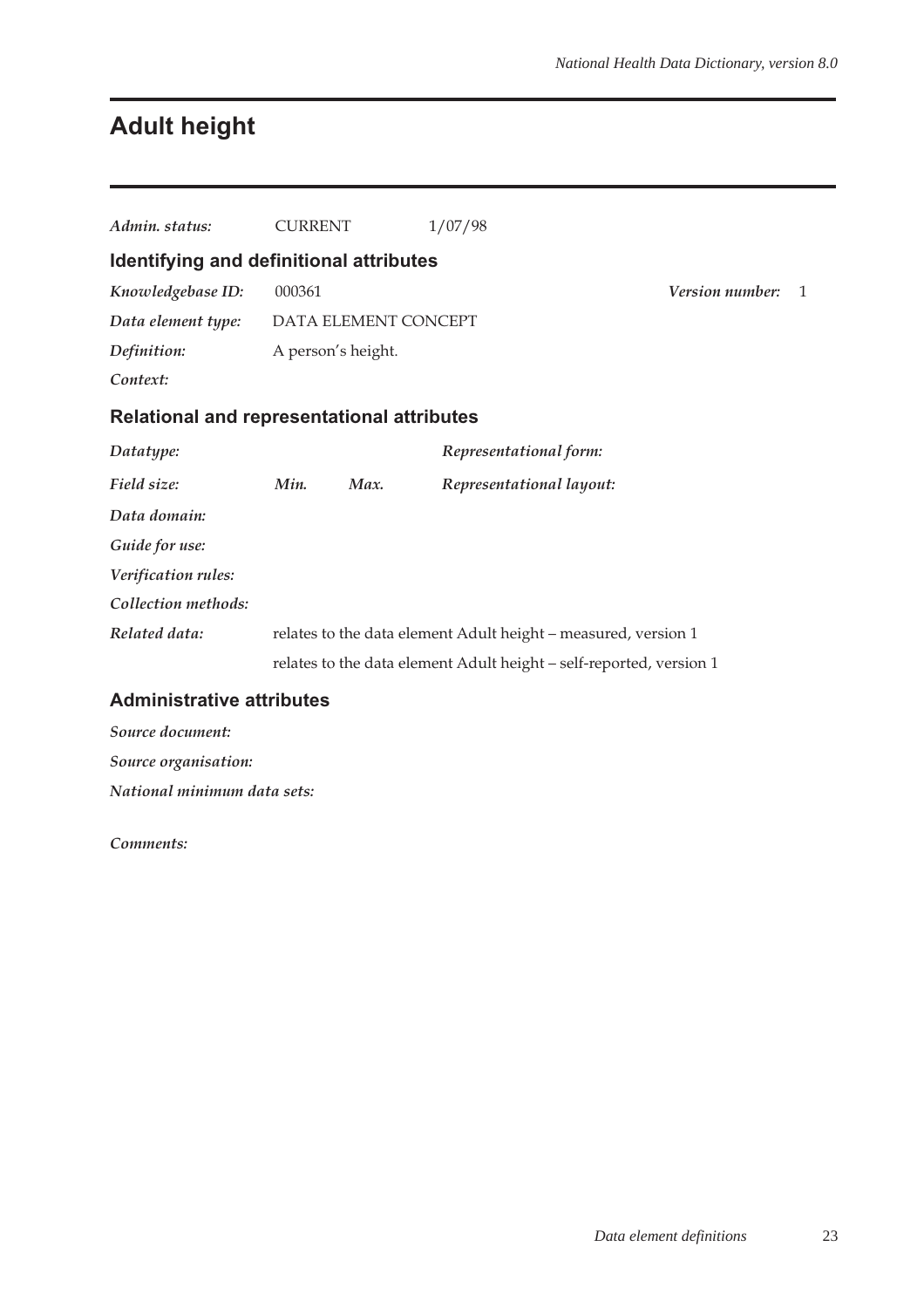# **Adult height**

| Admin, status:                                    | <b>CURRENT</b>     |                      | 1/07/98                                                             |                        |              |
|---------------------------------------------------|--------------------|----------------------|---------------------------------------------------------------------|------------------------|--------------|
| Identifying and definitional attributes           |                    |                      |                                                                     |                        |              |
| Knowledgebase ID:                                 | 000361             |                      |                                                                     | <i>Version number:</i> | $\mathbf{1}$ |
| Data element type:                                |                    | DATA ELEMENT CONCEPT |                                                                     |                        |              |
| Definition:                                       | A person's height. |                      |                                                                     |                        |              |
| Context:                                          |                    |                      |                                                                     |                        |              |
| <b>Relational and representational attributes</b> |                    |                      |                                                                     |                        |              |
| Datatype:                                         |                    |                      | Representational form:                                              |                        |              |
| Field size:                                       | Min.               | Max.                 | Representational layout:                                            |                        |              |
| Data domain:                                      |                    |                      |                                                                     |                        |              |
| Guide for use:                                    |                    |                      |                                                                     |                        |              |
| Verification rules:                               |                    |                      |                                                                     |                        |              |
| Collection methods:                               |                    |                      |                                                                     |                        |              |
| Related data:                                     |                    |                      | relates to the data element Adult height - measured, version 1      |                        |              |
|                                                   |                    |                      | relates to the data element Adult height - self-reported, version 1 |                        |              |
| <b>Administrative attributes</b>                  |                    |                      |                                                                     |                        |              |

### *Source document: Source organisation: National minimum data sets:*

*Comments:*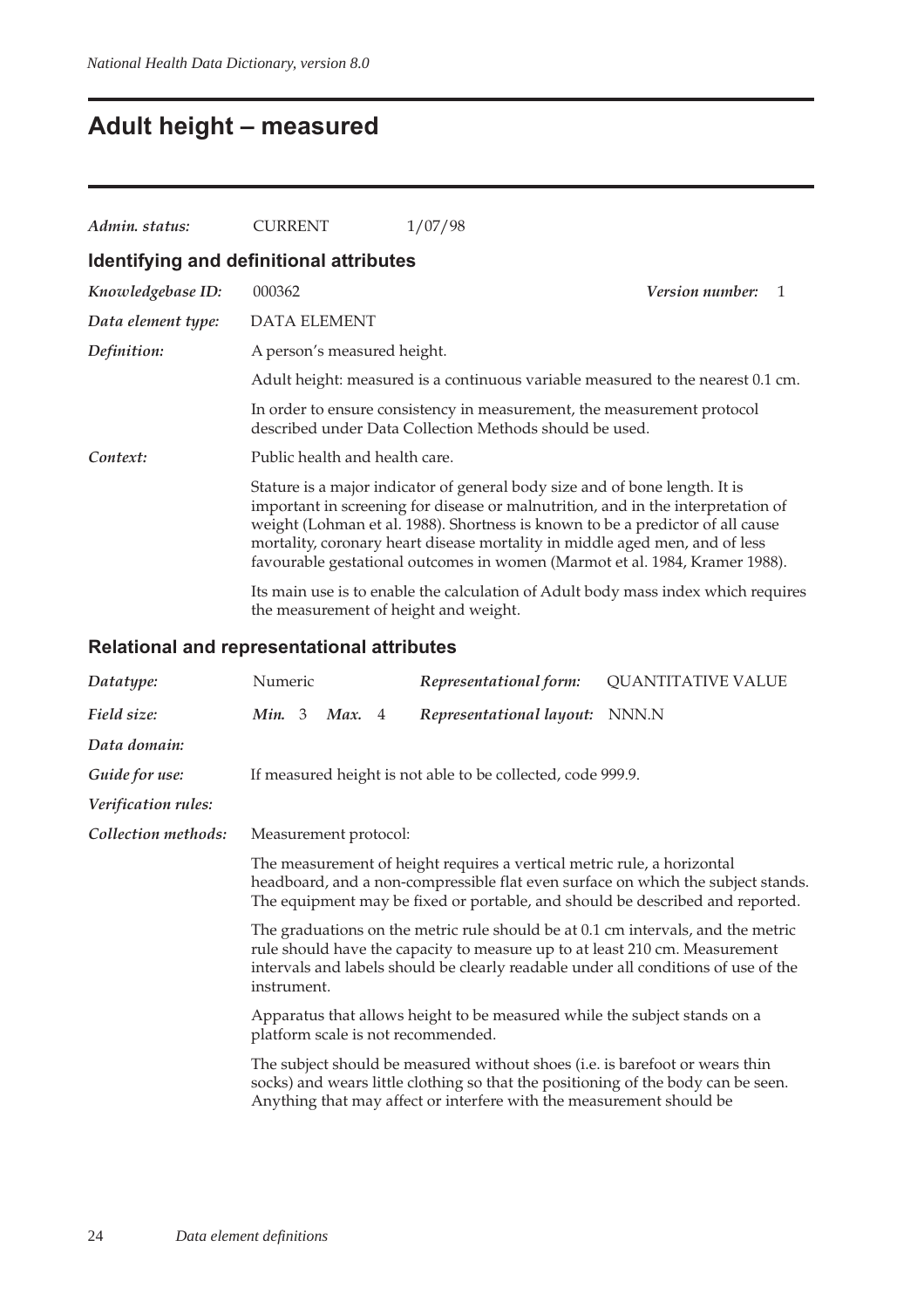# **Adult height – measured**

| Admin. status:                          | <b>CURRENT</b>                        | 1/07/98                                                                                                                                                                                                                                                                                                                                                                                                         |   |
|-----------------------------------------|---------------------------------------|-----------------------------------------------------------------------------------------------------------------------------------------------------------------------------------------------------------------------------------------------------------------------------------------------------------------------------------------------------------------------------------------------------------------|---|
| Identifying and definitional attributes |                                       |                                                                                                                                                                                                                                                                                                                                                                                                                 |   |
| Knowledgebase ID:                       | 000362                                | <i>Version number:</i>                                                                                                                                                                                                                                                                                                                                                                                          | 1 |
| Data element type:                      | <b>DATA ELEMENT</b>                   |                                                                                                                                                                                                                                                                                                                                                                                                                 |   |
| Definition:                             | A person's measured height.           |                                                                                                                                                                                                                                                                                                                                                                                                                 |   |
|                                         |                                       | Adult height: measured is a continuous variable measured to the nearest 0.1 cm.                                                                                                                                                                                                                                                                                                                                 |   |
|                                         |                                       | In order to ensure consistency in measurement, the measurement protocol<br>described under Data Collection Methods should be used.                                                                                                                                                                                                                                                                              |   |
| Context:                                | Public health and health care.        |                                                                                                                                                                                                                                                                                                                                                                                                                 |   |
|                                         |                                       | Stature is a major indicator of general body size and of bone length. It is<br>important in screening for disease or malnutrition, and in the interpretation of<br>weight (Lohman et al. 1988). Shortness is known to be a predictor of all cause<br>mortality, coronary heart disease mortality in middle aged men, and of less<br>favourable gestational outcomes in women (Marmot et al. 1984, Kramer 1988). |   |
|                                         | the measurement of height and weight. | Its main use is to enable the calculation of Adult body mass index which requires                                                                                                                                                                                                                                                                                                                               |   |

## **Relational and representational attributes**

| Datatype:           | Numeric                                                                                                                                                                                                                                                              |  |                       |  | Representational form:                                                                                                                                                                                                                    | <b>QUANTITATIVE VALUE</b> |  |
|---------------------|----------------------------------------------------------------------------------------------------------------------------------------------------------------------------------------------------------------------------------------------------------------------|--|-----------------------|--|-------------------------------------------------------------------------------------------------------------------------------------------------------------------------------------------------------------------------------------------|---------------------------|--|
| Field size:         | Min. 3                                                                                                                                                                                                                                                               |  | Max. 4                |  | Representational layout:                                                                                                                                                                                                                  | NNN.N                     |  |
| Data domain:        |                                                                                                                                                                                                                                                                      |  |                       |  |                                                                                                                                                                                                                                           |                           |  |
| Guide for use:      |                                                                                                                                                                                                                                                                      |  |                       |  | If measured height is not able to be collected, code 999.9.                                                                                                                                                                               |                           |  |
| Verification rules: |                                                                                                                                                                                                                                                                      |  |                       |  |                                                                                                                                                                                                                                           |                           |  |
| Collection methods: |                                                                                                                                                                                                                                                                      |  | Measurement protocol: |  |                                                                                                                                                                                                                                           |                           |  |
|                     | The measurement of height requires a vertical metric rule, a horizontal<br>headboard, and a non-compressible flat even surface on which the subject stands.<br>The equipment may be fixed or portable, and should be described and reported.                         |  |                       |  |                                                                                                                                                                                                                                           |                           |  |
|                     | The graduations on the metric rule should be at 0.1 cm intervals, and the metric<br>rule should have the capacity to measure up to at least 210 cm. Measurement<br>intervals and labels should be clearly readable under all conditions of use of the<br>instrument. |  |                       |  |                                                                                                                                                                                                                                           |                           |  |
|                     |                                                                                                                                                                                                                                                                      |  |                       |  | Apparatus that allows height to be measured while the subject stands on a<br>platform scale is not recommended.                                                                                                                           |                           |  |
|                     |                                                                                                                                                                                                                                                                      |  |                       |  | The subject should be measured without shoes (i.e. is barefoot or wears thin<br>socks) and wears little clothing so that the positioning of the body can be seen.<br>Anything that may affect or interfere with the measurement should be |                           |  |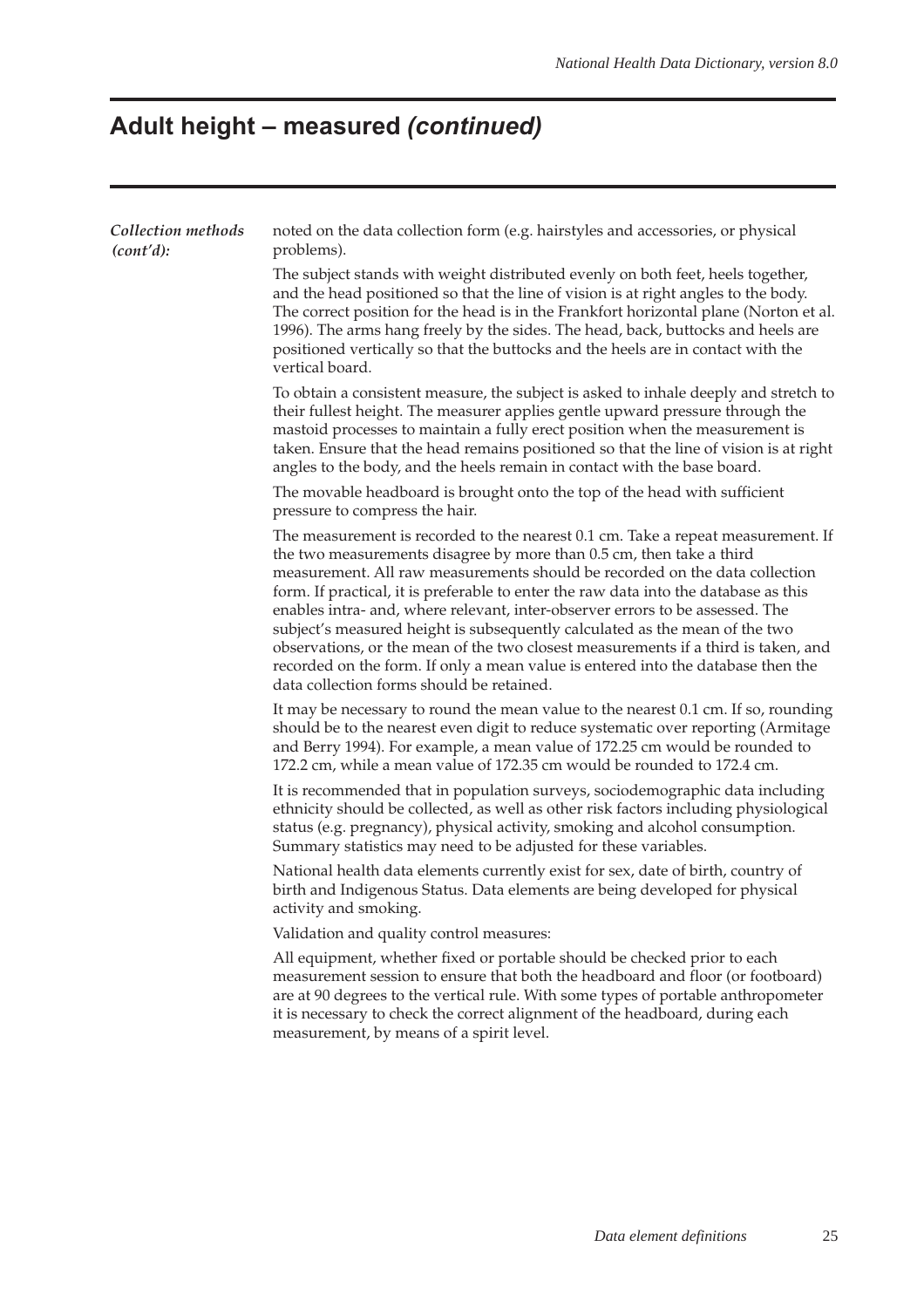# **Adult height – measured (continued)**

| Collection methods<br>(cont'd): | noted on the data collection form (e.g. hairstyles and accessories, or physical<br>problems).                                                                                                                                                                                                                                                                                                                                                                                                                                                                                                                                                                                                                          |
|---------------------------------|------------------------------------------------------------------------------------------------------------------------------------------------------------------------------------------------------------------------------------------------------------------------------------------------------------------------------------------------------------------------------------------------------------------------------------------------------------------------------------------------------------------------------------------------------------------------------------------------------------------------------------------------------------------------------------------------------------------------|
|                                 | The subject stands with weight distributed evenly on both feet, heels together,<br>and the head positioned so that the line of vision is at right angles to the body.<br>The correct position for the head is in the Frankfort horizontal plane (Norton et al.<br>1996). The arms hang freely by the sides. The head, back, buttocks and heels are<br>positioned vertically so that the buttocks and the heels are in contact with the<br>vertical board.                                                                                                                                                                                                                                                              |
|                                 | To obtain a consistent measure, the subject is asked to inhale deeply and stretch to<br>their fullest height. The measurer applies gentle upward pressure through the<br>mastoid processes to maintain a fully erect position when the measurement is<br>taken. Ensure that the head remains positioned so that the line of vision is at right<br>angles to the body, and the heels remain in contact with the base board.                                                                                                                                                                                                                                                                                             |
|                                 | The movable headboard is brought onto the top of the head with sufficient<br>pressure to compress the hair.                                                                                                                                                                                                                                                                                                                                                                                                                                                                                                                                                                                                            |
|                                 | The measurement is recorded to the nearest 0.1 cm. Take a repeat measurement. If<br>the two measurements disagree by more than 0.5 cm, then take a third<br>measurement. All raw measurements should be recorded on the data collection<br>form. If practical, it is preferable to enter the raw data into the database as this<br>enables intra- and, where relevant, inter-observer errors to be assessed. The<br>subject's measured height is subsequently calculated as the mean of the two<br>observations, or the mean of the two closest measurements if a third is taken, and<br>recorded on the form. If only a mean value is entered into the database then the<br>data collection forms should be retained. |
|                                 | It may be necessary to round the mean value to the nearest 0.1 cm. If so, rounding<br>should be to the nearest even digit to reduce systematic over reporting (Armitage<br>and Berry 1994). For example, a mean value of 172.25 cm would be rounded to<br>172.2 cm, while a mean value of 172.35 cm would be rounded to 172.4 cm.                                                                                                                                                                                                                                                                                                                                                                                      |
|                                 | It is recommended that in population surveys, sociodemographic data including<br>ethnicity should be collected, as well as other risk factors including physiological<br>status (e.g. pregnancy), physical activity, smoking and alcohol consumption.<br>Summary statistics may need to be adjusted for these variables.                                                                                                                                                                                                                                                                                                                                                                                               |
|                                 | National health data elements currently exist for sex, date of birth, country of<br>birth and Indigenous Status. Data elements are being developed for physical<br>activity and smoking.                                                                                                                                                                                                                                                                                                                                                                                                                                                                                                                               |
|                                 | Validation and quality control measures:                                                                                                                                                                                                                                                                                                                                                                                                                                                                                                                                                                                                                                                                               |
|                                 | All equipment, whether fixed or portable should be checked prior to each<br>measurement session to ensure that both the headboard and floor (or footboard)<br>are at 90 degrees to the vertical rule. With some types of portable anthropometer<br>it is necessary to check the correct alignment of the headboard, during each<br>measurement, by means of a spirit level.                                                                                                                                                                                                                                                                                                                                            |
|                                 |                                                                                                                                                                                                                                                                                                                                                                                                                                                                                                                                                                                                                                                                                                                        |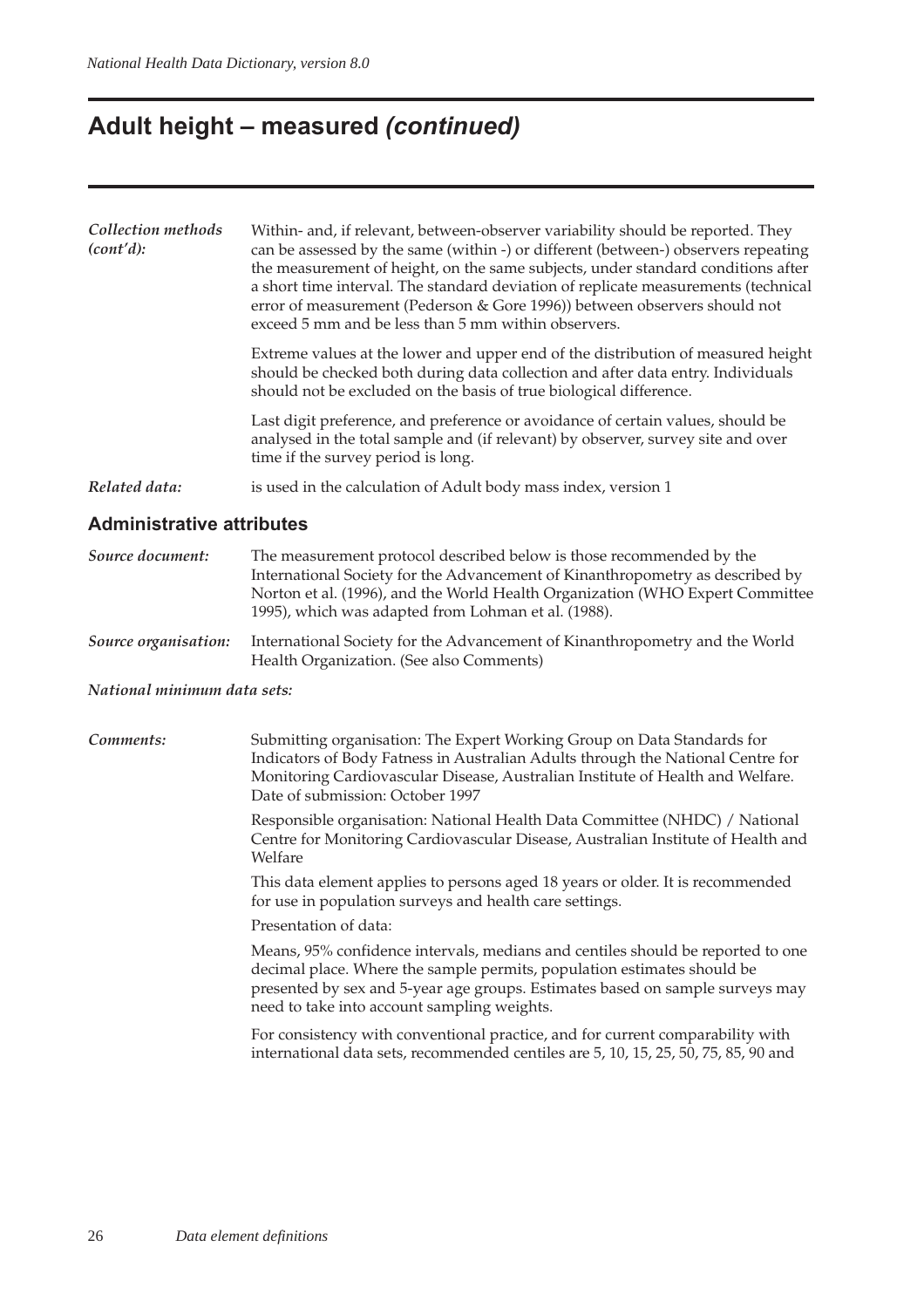## **Adult height – measured (continued)**

| Collection methods<br>(cont'd):  | Within- and, if relevant, between-observer variability should be reported. They<br>can be assessed by the same (within -) or different (between-) observers repeating<br>the measurement of height, on the same subjects, under standard conditions after<br>a short time interval. The standard deviation of replicate measurements (technical<br>error of measurement (Pederson & Gore 1996)) between observers should not<br>exceed 5 mm and be less than 5 mm within observers. |  |  |  |  |  |
|----------------------------------|-------------------------------------------------------------------------------------------------------------------------------------------------------------------------------------------------------------------------------------------------------------------------------------------------------------------------------------------------------------------------------------------------------------------------------------------------------------------------------------|--|--|--|--|--|
|                                  | Extreme values at the lower and upper end of the distribution of measured height<br>should be checked both during data collection and after data entry. Individuals<br>should not be excluded on the basis of true biological difference.                                                                                                                                                                                                                                           |  |  |  |  |  |
|                                  | Last digit preference, and preference or avoidance of certain values, should be<br>analysed in the total sample and (if relevant) by observer, survey site and over<br>time if the survey period is long.                                                                                                                                                                                                                                                                           |  |  |  |  |  |
| Related data:                    | is used in the calculation of Adult body mass index, version 1                                                                                                                                                                                                                                                                                                                                                                                                                      |  |  |  |  |  |
| <b>Administrative attributes</b> |                                                                                                                                                                                                                                                                                                                                                                                                                                                                                     |  |  |  |  |  |

| Source document:     | The measurement protocol described below is those recommended by the<br>International Society for the Advancement of Kinanthropometry as described by<br>Norton et al. (1996), and the World Health Organization (WHO Expert Committee<br>1995), which was adapted from Lohman et al. (1988). |
|----------------------|-----------------------------------------------------------------------------------------------------------------------------------------------------------------------------------------------------------------------------------------------------------------------------------------------|
| Source organisation: | International Society for the Advancement of Kinanthropometry and the World<br>Health Organization. (See also Comments)                                                                                                                                                                       |

#### *National minimum data sets:*

*Comments:* Submitting organisation: The Expert Working Group on Data Standards for Indicators of Body Fatness in Australian Adults through the National Centre for Monitoring Cardiovascular Disease, Australian Institute of Health and Welfare. Date of submission: October 1997

> Responsible organisation: National Health Data Committee (NHDC) / National Centre for Monitoring Cardiovascular Disease, Australian Institute of Health and Welfare

This data element applies to persons aged 18 years or older. It is recommended for use in population surveys and health care settings.

Presentation of data:

Means, 95% confidence intervals, medians and centiles should be reported to one decimal place. Where the sample permits, population estimates should be presented by sex and 5-year age groups. Estimates based on sample surveys may need to take into account sampling weights.

For consistency with conventional practice, and for current comparability with international data sets, recommended centiles are 5, 10, 15, 25, 50, 75, 85, 90 and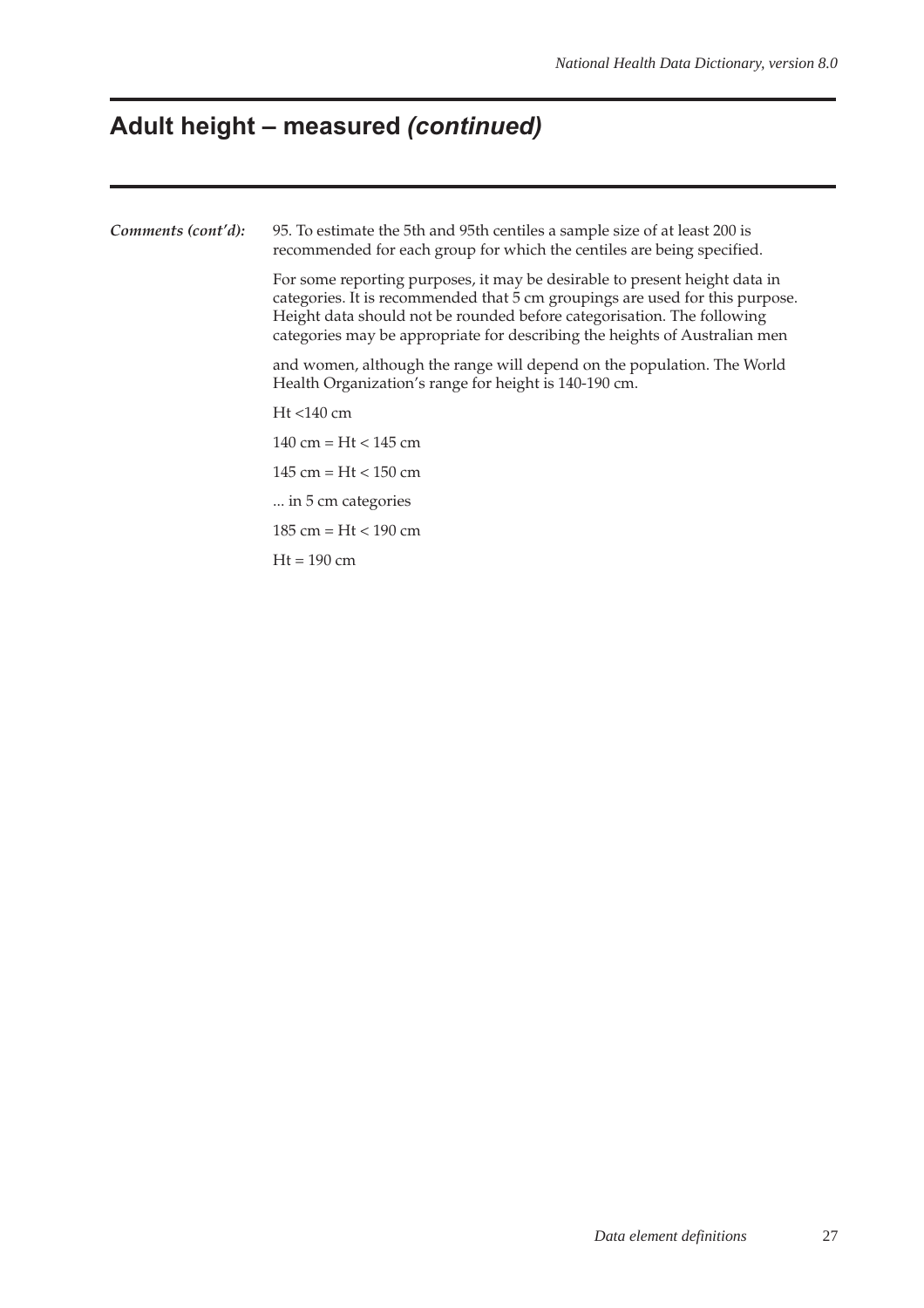# **Adult height – measured (continued)**

| Comments (cont'd): | 95. To estimate the 5th and 95th centiles a sample size of at least 200 is<br>recommended for each group for which the centiles are being specified.                                                                                                                                                               |  |  |  |  |  |  |
|--------------------|--------------------------------------------------------------------------------------------------------------------------------------------------------------------------------------------------------------------------------------------------------------------------------------------------------------------|--|--|--|--|--|--|
|                    | For some reporting purposes, it may be desirable to present height data in<br>categories. It is recommended that 5 cm groupings are used for this purpose.<br>Height data should not be rounded before categorisation. The following<br>categories may be appropriate for describing the heights of Australian men |  |  |  |  |  |  |
|                    | and women, although the range will depend on the population. The World<br>Health Organization's range for height is 140-190 cm.                                                                                                                                                                                    |  |  |  |  |  |  |
|                    | $Ht < 140$ cm                                                                                                                                                                                                                                                                                                      |  |  |  |  |  |  |
|                    | 140 cm = $Ht < 145$ cm                                                                                                                                                                                                                                                                                             |  |  |  |  |  |  |
|                    | $145 \text{ cm} = \text{Ht} < 150 \text{ cm}$                                                                                                                                                                                                                                                                      |  |  |  |  |  |  |
|                    | in 5 cm categories                                                                                                                                                                                                                                                                                                 |  |  |  |  |  |  |
|                    | $185 \text{ cm} = \text{Ht} < 190 \text{ cm}$                                                                                                                                                                                                                                                                      |  |  |  |  |  |  |
|                    | $Ht = 190$ cm                                                                                                                                                                                                                                                                                                      |  |  |  |  |  |  |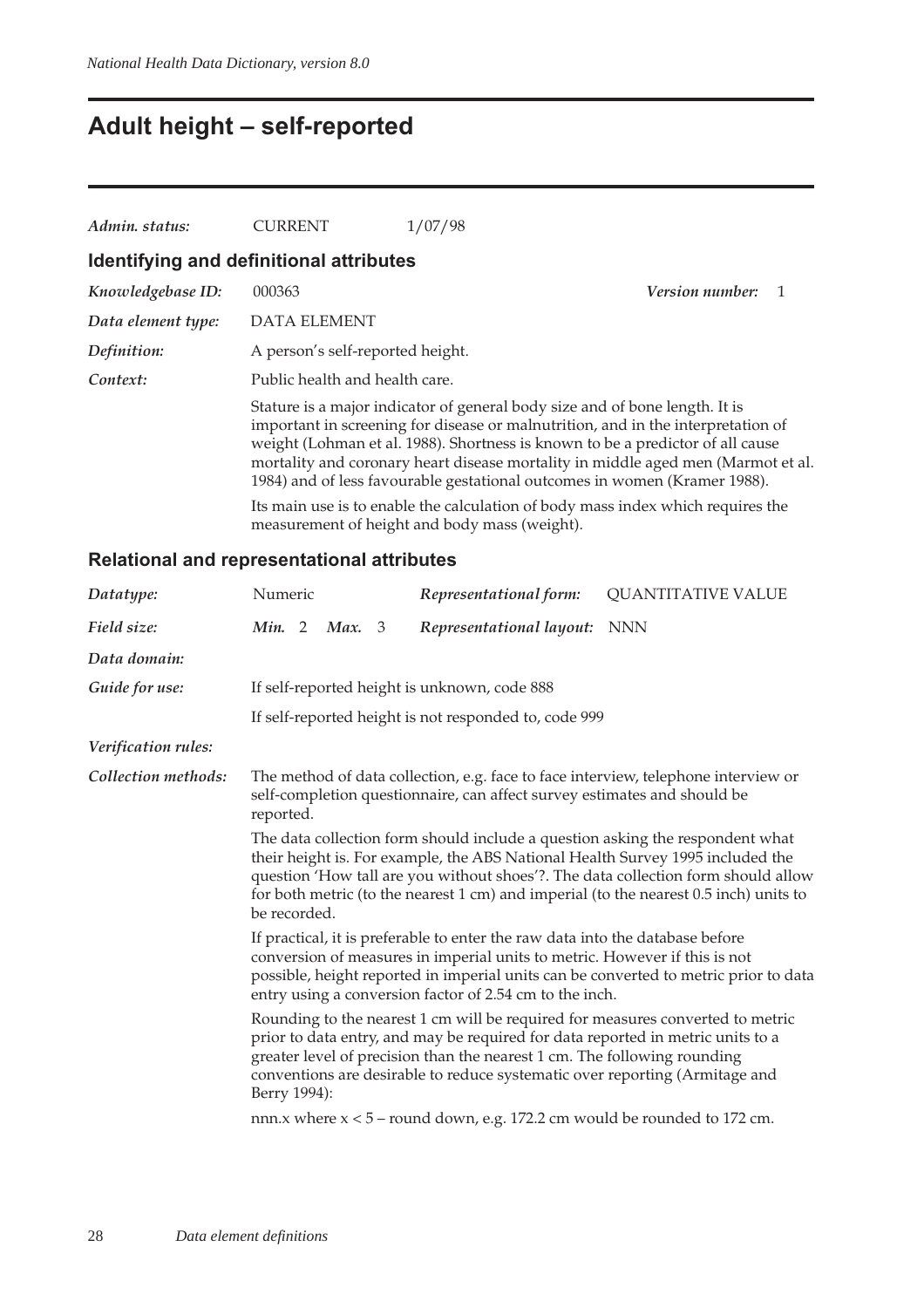## **Adult height – self-reported**

| Admin. status:                          | <b>CURRENT</b>                   | 1/07/98                                                                                                                                                                                                                                                                                                                                                                                                            |                 |
|-----------------------------------------|----------------------------------|--------------------------------------------------------------------------------------------------------------------------------------------------------------------------------------------------------------------------------------------------------------------------------------------------------------------------------------------------------------------------------------------------------------------|-----------------|
| Identifying and definitional attributes |                                  |                                                                                                                                                                                                                                                                                                                                                                                                                    |                 |
| Knowledgebase ID:                       | 000363                           |                                                                                                                                                                                                                                                                                                                                                                                                                    | Version number: |
| Data element type:                      | <b>DATA ELEMENT</b>              |                                                                                                                                                                                                                                                                                                                                                                                                                    |                 |
| Definition:                             | A person's self-reported height. |                                                                                                                                                                                                                                                                                                                                                                                                                    |                 |
| Context:                                | Public health and health care.   |                                                                                                                                                                                                                                                                                                                                                                                                                    |                 |
|                                         |                                  | Stature is a major indicator of general body size and of bone length. It is<br>important in screening for disease or malnutrition, and in the interpretation of<br>weight (Lohman et al. 1988). Shortness is known to be a predictor of all cause<br>mortality and coronary heart disease mortality in middle aged men (Marmot et al.<br>1984) and of less favourable gestational outcomes in women (Kramer 1988). |                 |
|                                         |                                  | Its main use is to enable the calculation of body mass index which requires the<br>measurement of height and body mass (weight).                                                                                                                                                                                                                                                                                   |                 |

### **Relational and representational attributes**

| Datatype:           | Numeric                                                                                                                                                                                                                                                                                                                                                                    |  |        |  | Representational form:                                                                                                                                                                                                                     | <b>QUANTITATIVE VALUE</b>                                                            |
|---------------------|----------------------------------------------------------------------------------------------------------------------------------------------------------------------------------------------------------------------------------------------------------------------------------------------------------------------------------------------------------------------------|--|--------|--|--------------------------------------------------------------------------------------------------------------------------------------------------------------------------------------------------------------------------------------------|--------------------------------------------------------------------------------------|
| Field size:         | Min. 2                                                                                                                                                                                                                                                                                                                                                                     |  | Max. 3 |  | Representational layout: NNN                                                                                                                                                                                                               |                                                                                      |
| Data domain:        |                                                                                                                                                                                                                                                                                                                                                                            |  |        |  |                                                                                                                                                                                                                                            |                                                                                      |
| Guide for use:      |                                                                                                                                                                                                                                                                                                                                                                            |  |        |  | If self-reported height is unknown, code 888                                                                                                                                                                                               |                                                                                      |
|                     |                                                                                                                                                                                                                                                                                                                                                                            |  |        |  | If self-reported height is not responded to, code 999                                                                                                                                                                                      |                                                                                      |
| Verification rules: |                                                                                                                                                                                                                                                                                                                                                                            |  |        |  |                                                                                                                                                                                                                                            |                                                                                      |
| Collection methods: | reported.                                                                                                                                                                                                                                                                                                                                                                  |  |        |  | self-completion questionnaire, can affect survey estimates and should be                                                                                                                                                                   | The method of data collection, e.g. face to face interview, telephone interview or   |
|                     | The data collection form should include a question asking the respondent what<br>their height is. For example, the ABS National Health Survey 1995 included the<br>question 'How tall are you without shoes'?. The data collection form should allow<br>for both metric (to the nearest $1 \text{ cm}$ ) and imperial (to the nearest $0.5$ inch) units to<br>be recorded. |  |        |  |                                                                                                                                                                                                                                            |                                                                                      |
|                     |                                                                                                                                                                                                                                                                                                                                                                            |  |        |  | If practical, it is preferable to enter the raw data into the database before<br>conversion of measures in imperial units to metric. However if this is not<br>entry using a conversion factor of 2.54 cm to the inch.                     | possible, height reported in imperial units can be converted to metric prior to data |
|                     | Berry 1994):                                                                                                                                                                                                                                                                                                                                                               |  |        |  | prior to data entry, and may be required for data reported in metric units to a<br>greater level of precision than the nearest 1 cm. The following rounding<br>conventions are desirable to reduce systematic over reporting (Armitage and | Rounding to the nearest 1 cm will be required for measures converted to metric       |
|                     |                                                                                                                                                                                                                                                                                                                                                                            |  |        |  | nnn. $x$ where $x < 5$ – round down, e.g. 172.2 cm would be rounded to 172 cm.                                                                                                                                                             |                                                                                      |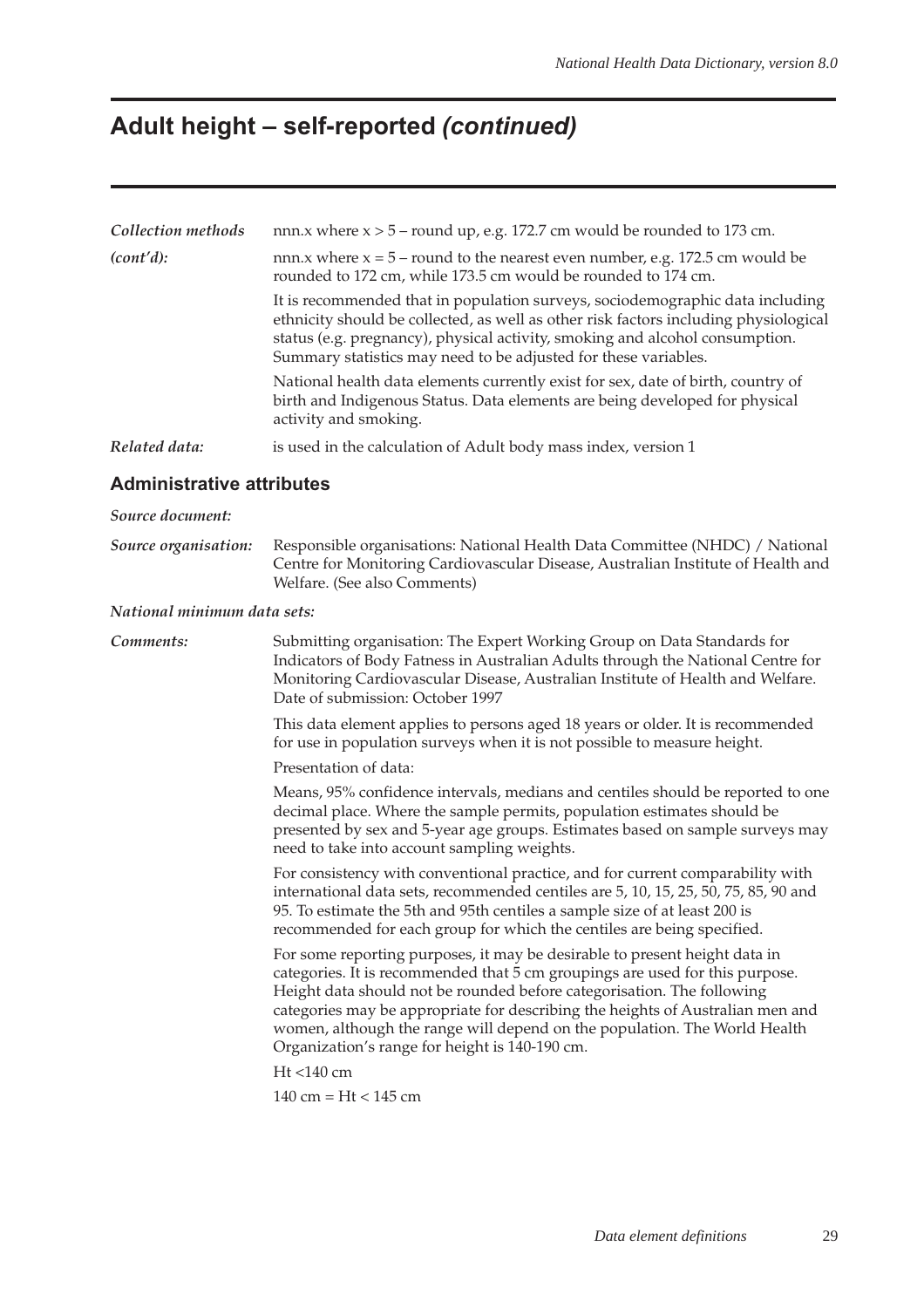## **Adult height – self-reported (continued)**

| Collection methods | nnn. $x$ where $x > 5$ – round up, e.g. 172.7 cm would be rounded to 173 cm.                                                                                                                                                                                                                                             |
|--------------------|--------------------------------------------------------------------------------------------------------------------------------------------------------------------------------------------------------------------------------------------------------------------------------------------------------------------------|
| (cont'd):          | nnn. $x$ where $x = 5$ – round to the nearest even number, e.g. 172.5 cm would be<br>rounded to 172 cm, while 173.5 cm would be rounded to 174 cm.                                                                                                                                                                       |
|                    | It is recommended that in population surveys, sociodemographic data including<br>ethnicity should be collected, as well as other risk factors including physiological<br>status (e.g. pregnancy), physical activity, smoking and alcohol consumption.<br>Summary statistics may need to be adjusted for these variables. |
|                    | National health data elements currently exist for sex, date of birth, country of<br>birth and Indigenous Status. Data elements are being developed for physical<br>activity and smoking.                                                                                                                                 |
| Related data:      | is used in the calculation of Adult body mass index, version 1                                                                                                                                                                                                                                                           |

### **Administrative attributes**

#### *Source document:*

*Source organisation:* Responsible organisations: National Health Data Committee (NHDC) / National Centre for Monitoring Cardiovascular Disease, Australian Institute of Health and Welfare. (See also Comments)

#### *National minimum data sets:*

*Comments:* Submitting organisation: The Expert Working Group on Data Standards for Indicators of Body Fatness in Australian Adults through the National Centre for Monitoring Cardiovascular Disease, Australian Institute of Health and Welfare. Date of submission: October 1997

This data element applies to persons aged 18 years or older. It is recommended for use in population surveys when it is not possible to measure height.

Presentation of data:

Means, 95% confidence intervals, medians and centiles should be reported to one decimal place. Where the sample permits, population estimates should be presented by sex and 5-year age groups. Estimates based on sample surveys may need to take into account sampling weights.

For consistency with conventional practice, and for current comparability with international data sets, recommended centiles are 5, 10, 15, 25, 50, 75, 85, 90 and 95. To estimate the 5th and 95th centiles a sample size of at least 200 is recommended for each group for which the centiles are being specified.

For some reporting purposes, it may be desirable to present height data in categories. It is recommended that 5 cm groupings are used for this purpose. Height data should not be rounded before categorisation. The following categories may be appropriate for describing the heights of Australian men and women, although the range will depend on the population. The World Health Organization's range for height is 140-190 cm.

Ht <140 cm

140 cm = Ht < 145 cm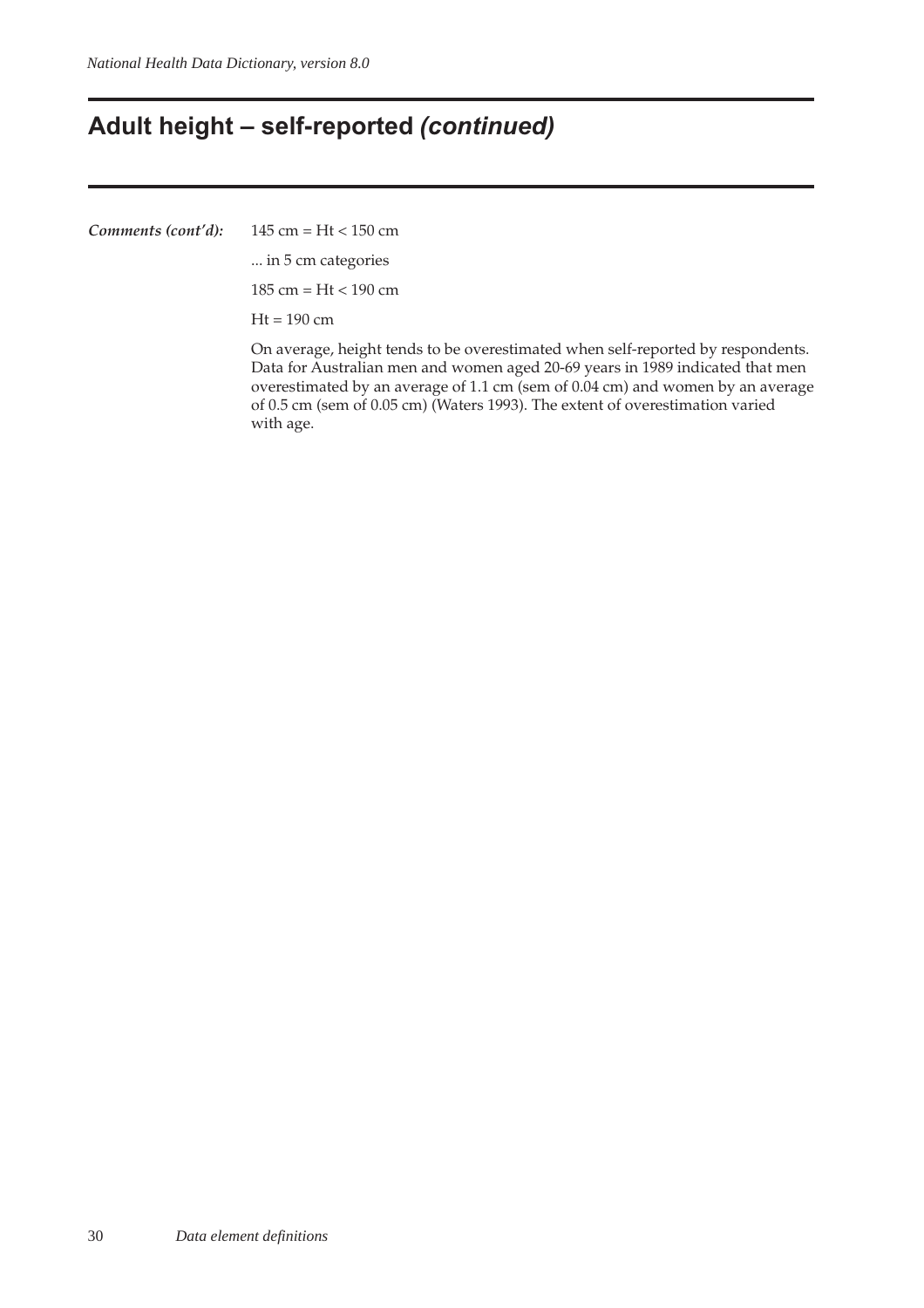## **Adult height – self-reported (continued)**

*Comments (cont'd):* 145 cm = Ht < 150 cm

... in 5 cm categories

185 cm = Ht < 190 cm

 $Ht = 190$  cm

On average, height tends to be overestimated when self-reported by respondents. Data for Australian men and women aged 20-69 years in 1989 indicated that men overestimated by an average of 1.1 cm (sem of 0.04 cm) and women by an average of 0.5 cm (sem of 0.05 cm) (Waters 1993). The extent of overestimation varied with age.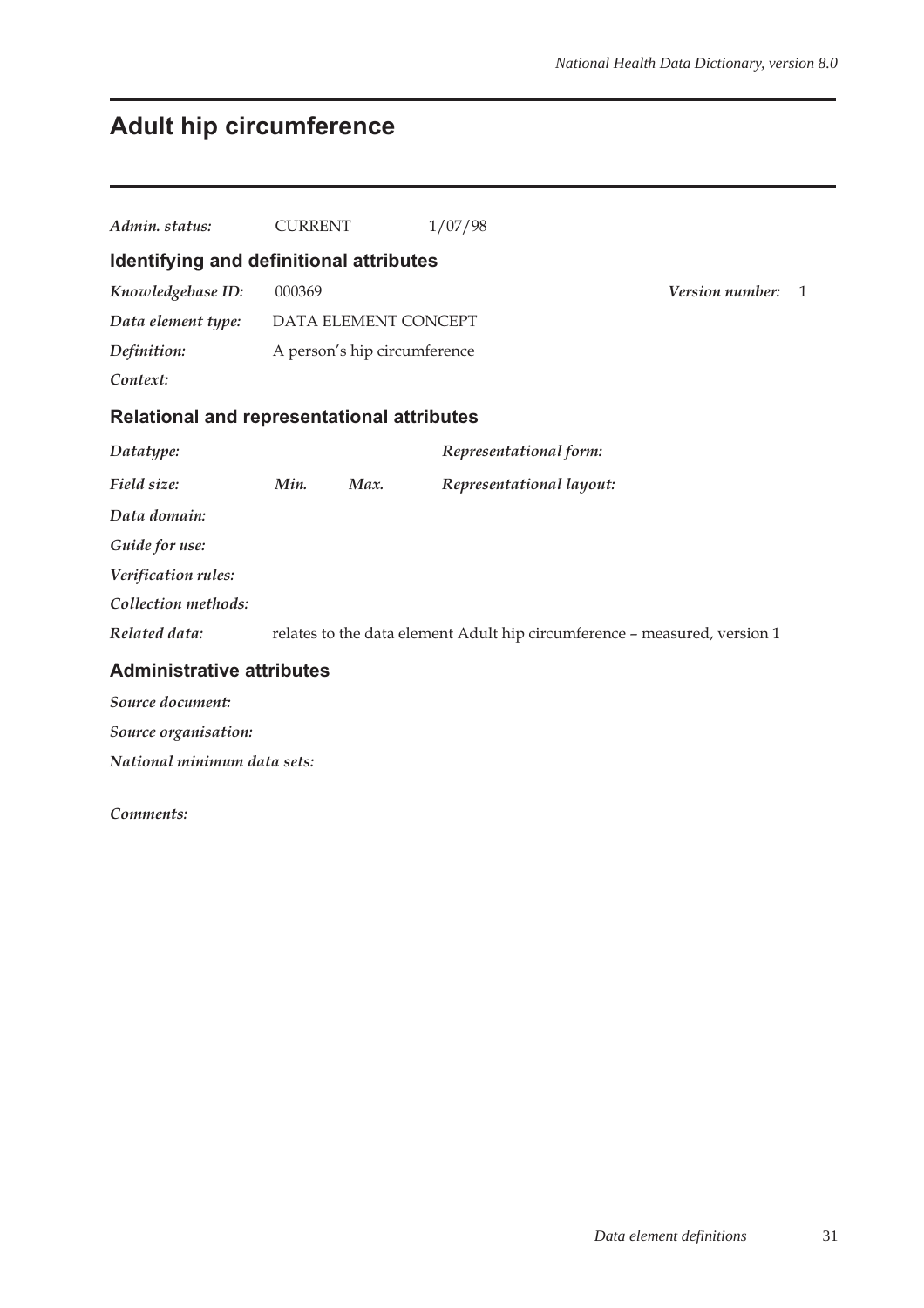# **Adult hip circumference**

| Admin. status:                                    | <b>CURRENT</b> |                              | 1/07/98                                                                   |                        |              |
|---------------------------------------------------|----------------|------------------------------|---------------------------------------------------------------------------|------------------------|--------------|
| Identifying and definitional attributes           |                |                              |                                                                           |                        |              |
| Knowledgebase ID:                                 | 000369         |                              |                                                                           | <b>Version number:</b> | $\mathbf{1}$ |
| Data element type:                                |                | DATA ELEMENT CONCEPT         |                                                                           |                        |              |
| Definition:                                       |                | A person's hip circumference |                                                                           |                        |              |
| Context:                                          |                |                              |                                                                           |                        |              |
| <b>Relational and representational attributes</b> |                |                              |                                                                           |                        |              |
| Datatype:                                         |                |                              | Representational form:                                                    |                        |              |
| Field size:                                       | Min.           | Max.                         | Representational layout:                                                  |                        |              |
| Data domain:                                      |                |                              |                                                                           |                        |              |
| Guide for use:                                    |                |                              |                                                                           |                        |              |
| Verification rules:                               |                |                              |                                                                           |                        |              |
| Collection methods:                               |                |                              |                                                                           |                        |              |
| Related data:                                     |                |                              | relates to the data element Adult hip circumference - measured, version 1 |                        |              |
| <b>Administrative attributes</b>                  |                |                              |                                                                           |                        |              |
| Source document:                                  |                |                              |                                                                           |                        |              |
| Source organisation:                              |                |                              |                                                                           |                        |              |
| National minimum data sets:                       |                |                              |                                                                           |                        |              |

#### *Comments:*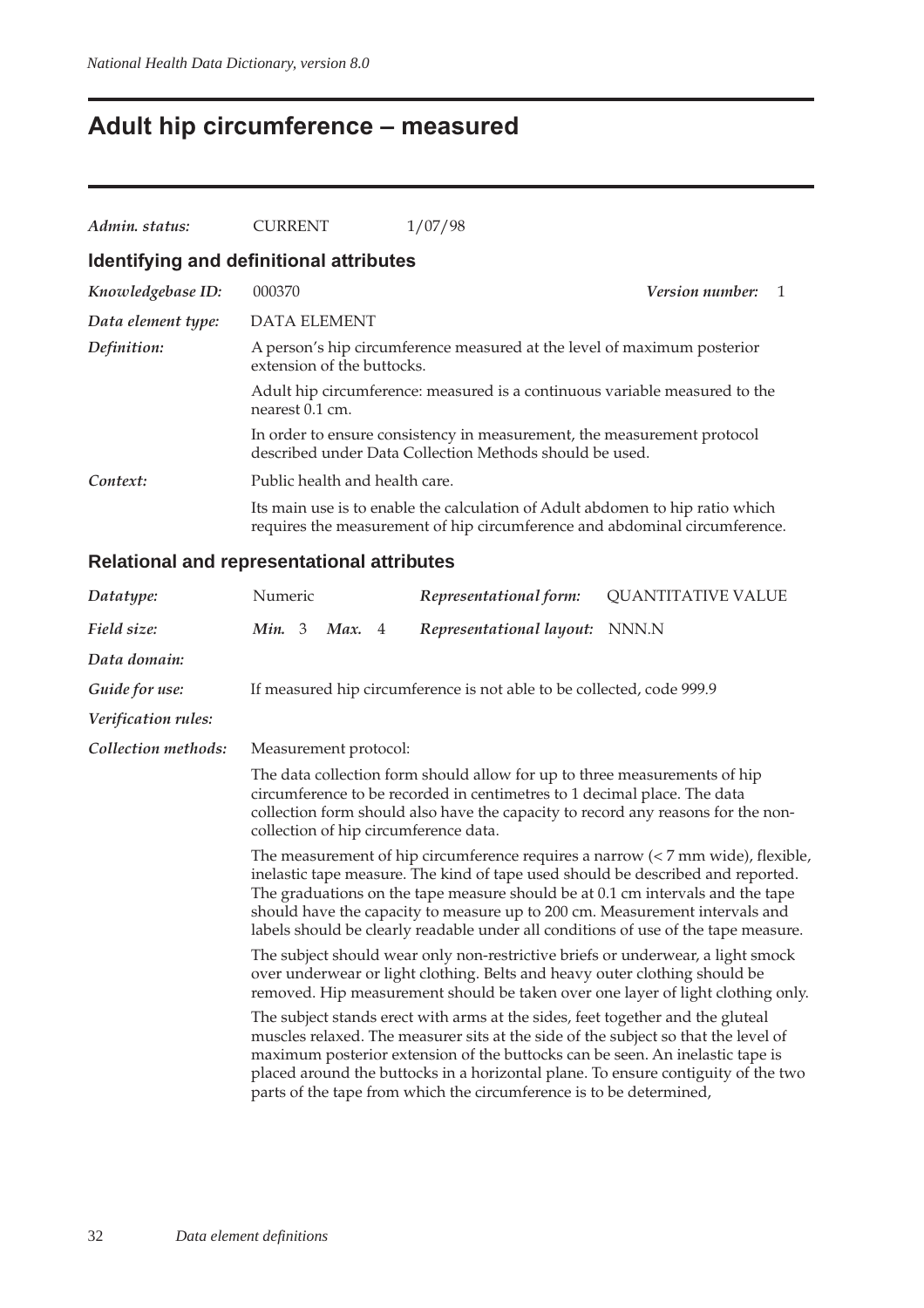# **Adult hip circumference – measured**

| Admin. status:                          | <b>CURRENT</b>                                                                                                                     | 1/07/98                                                                                                                                                     |  |  |  |  |
|-----------------------------------------|------------------------------------------------------------------------------------------------------------------------------------|-------------------------------------------------------------------------------------------------------------------------------------------------------------|--|--|--|--|
| Identifying and definitional attributes |                                                                                                                                    |                                                                                                                                                             |  |  |  |  |
| Knowledgebase ID:                       | 000370                                                                                                                             | <i>Version number:</i>                                                                                                                                      |  |  |  |  |
| Data element type:                      | <b>DATA ELEMENT</b>                                                                                                                |                                                                                                                                                             |  |  |  |  |
| Definition:                             | A person's hip circumference measured at the level of maximum posterior<br>extension of the buttocks.                              |                                                                                                                                                             |  |  |  |  |
|                                         | Adult hip circumference: measured is a continuous variable measured to the<br>nearest 0.1 cm.                                      |                                                                                                                                                             |  |  |  |  |
|                                         | In order to ensure consistency in measurement, the measurement protocol<br>described under Data Collection Methods should be used. |                                                                                                                                                             |  |  |  |  |
| Context:                                | Public health and health care.                                                                                                     |                                                                                                                                                             |  |  |  |  |
|                                         |                                                                                                                                    | Its main use is to enable the calculation of Adult abdomen to hip ratio which<br>requires the measurement of hip circumference and abdominal circumference. |  |  |  |  |

### **Relational and representational attributes**

| Datatype:           | Numeric                                                                                                                                                                                                                                                                                                                                                                                                                                                                                                                                                                                                                                                                                                                                          |  |        |  | Representational form:                                                | <b>QUANTITATIVE VALUE</b> |  |
|---------------------|--------------------------------------------------------------------------------------------------------------------------------------------------------------------------------------------------------------------------------------------------------------------------------------------------------------------------------------------------------------------------------------------------------------------------------------------------------------------------------------------------------------------------------------------------------------------------------------------------------------------------------------------------------------------------------------------------------------------------------------------------|--|--------|--|-----------------------------------------------------------------------|---------------------------|--|
| Field size:         | Min. $3$                                                                                                                                                                                                                                                                                                                                                                                                                                                                                                                                                                                                                                                                                                                                         |  | Max. 4 |  | Representational layout:                                              | NNN.N                     |  |
| Data domain:        |                                                                                                                                                                                                                                                                                                                                                                                                                                                                                                                                                                                                                                                                                                                                                  |  |        |  |                                                                       |                           |  |
| Guide for use:      |                                                                                                                                                                                                                                                                                                                                                                                                                                                                                                                                                                                                                                                                                                                                                  |  |        |  | If measured hip circumference is not able to be collected, code 999.9 |                           |  |
| Verification rules: |                                                                                                                                                                                                                                                                                                                                                                                                                                                                                                                                                                                                                                                                                                                                                  |  |        |  |                                                                       |                           |  |
| Collection methods: | Measurement protocol:<br>The data collection form should allow for up to three measurements of hip<br>circumference to be recorded in centimetres to 1 decimal place. The data<br>collection form should also have the capacity to record any reasons for the non-<br>collection of hip circumference data.<br>The measurement of hip circumference requires a narrow $\left($ < 7 mm wide), flexible,<br>inelastic tape measure. The kind of tape used should be described and reported.<br>The graduations on the tape measure should be at 0.1 cm intervals and the tape<br>should have the capacity to measure up to 200 cm. Measurement intervals and<br>labels should be clearly readable under all conditions of use of the tape measure. |  |        |  |                                                                       |                           |  |
|                     |                                                                                                                                                                                                                                                                                                                                                                                                                                                                                                                                                                                                                                                                                                                                                  |  |        |  |                                                                       |                           |  |
|                     |                                                                                                                                                                                                                                                                                                                                                                                                                                                                                                                                                                                                                                                                                                                                                  |  |        |  |                                                                       |                           |  |
|                     | The subject should wear only non-restrictive briefs or underwear, a light smock<br>over underwear or light clothing. Belts and heavy outer clothing should be<br>removed. Hip measurement should be taken over one layer of light clothing only.                                                                                                                                                                                                                                                                                                                                                                                                                                                                                                 |  |        |  |                                                                       |                           |  |
|                     | The subject stands erect with arms at the sides, feet together and the gluteal<br>muscles relaxed. The measurer sits at the side of the subject so that the level of<br>maximum posterior extension of the buttocks can be seen. An inelastic tape is<br>placed around the buttocks in a horizontal plane. To ensure contiguity of the two<br>parts of the tape from which the circumference is to be determined,                                                                                                                                                                                                                                                                                                                                |  |        |  |                                                                       |                           |  |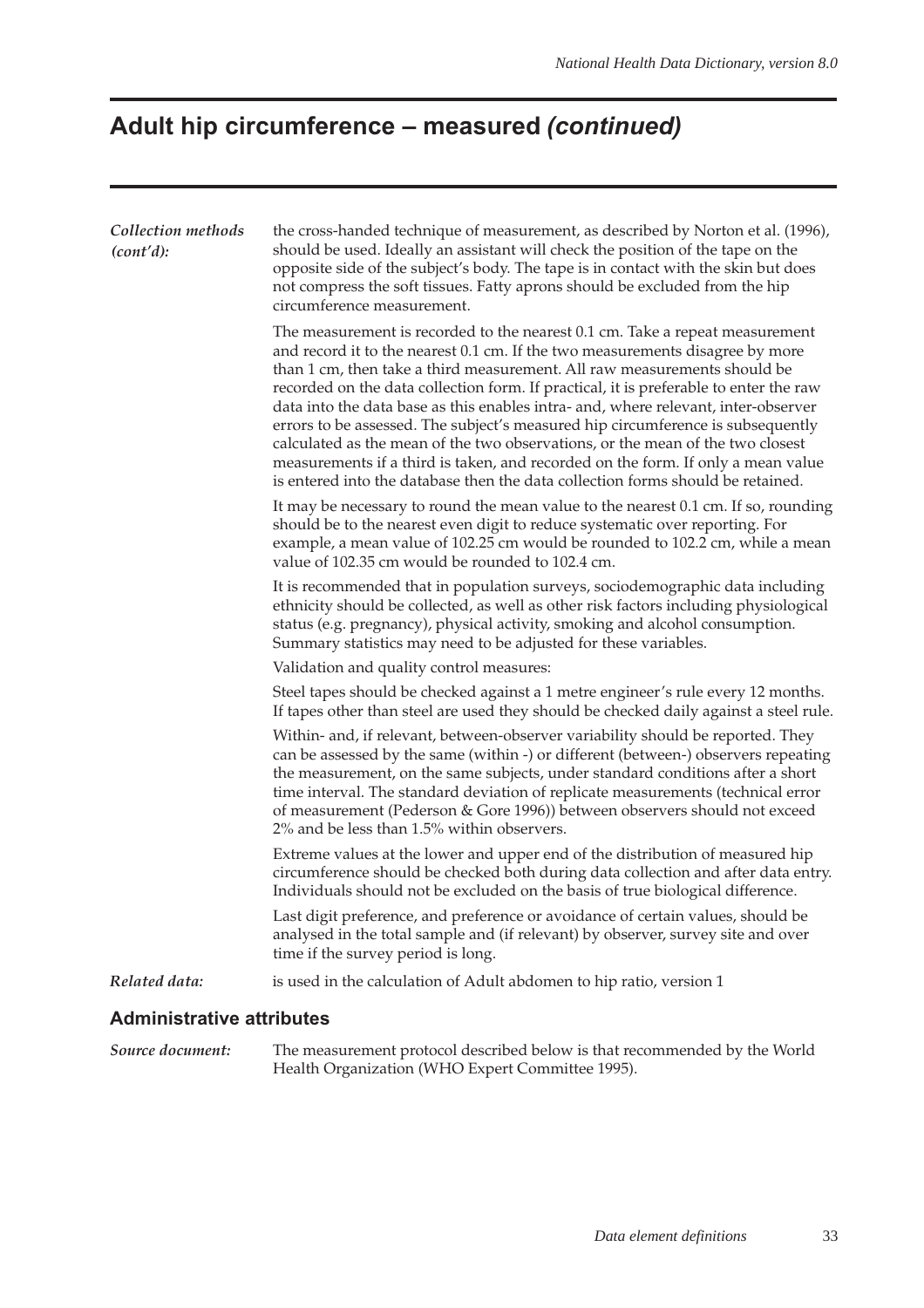# **Adult hip circumference – measured (continued)**

| Collection methods<br>(cont'd):  | the cross-handed technique of measurement, as described by Norton et al. (1996),<br>should be used. Ideally an assistant will check the position of the tape on the<br>opposite side of the subject's body. The tape is in contact with the skin but does<br>not compress the soft tissues. Fatty aprons should be excluded from the hip<br>circumference measurement.                                                                                                                                                                                                                                                                                                                                                                                               |
|----------------------------------|----------------------------------------------------------------------------------------------------------------------------------------------------------------------------------------------------------------------------------------------------------------------------------------------------------------------------------------------------------------------------------------------------------------------------------------------------------------------------------------------------------------------------------------------------------------------------------------------------------------------------------------------------------------------------------------------------------------------------------------------------------------------|
|                                  | The measurement is recorded to the nearest 0.1 cm. Take a repeat measurement<br>and record it to the nearest 0.1 cm. If the two measurements disagree by more<br>than 1 cm, then take a third measurement. All raw measurements should be<br>recorded on the data collection form. If practical, it is preferable to enter the raw<br>data into the data base as this enables intra- and, where relevant, inter-observer<br>errors to be assessed. The subject's measured hip circumference is subsequently<br>calculated as the mean of the two observations, or the mean of the two closest<br>measurements if a third is taken, and recorded on the form. If only a mean value<br>is entered into the database then the data collection forms should be retained. |
|                                  | It may be necessary to round the mean value to the nearest 0.1 cm. If so, rounding<br>should be to the nearest even digit to reduce systematic over reporting. For<br>example, a mean value of 102.25 cm would be rounded to 102.2 cm, while a mean<br>value of 102.35 cm would be rounded to 102.4 cm.                                                                                                                                                                                                                                                                                                                                                                                                                                                              |
|                                  | It is recommended that in population surveys, sociodemographic data including<br>ethnicity should be collected, as well as other risk factors including physiological<br>status (e.g. pregnancy), physical activity, smoking and alcohol consumption.<br>Summary statistics may need to be adjusted for these variables.                                                                                                                                                                                                                                                                                                                                                                                                                                             |
|                                  | Validation and quality control measures:                                                                                                                                                                                                                                                                                                                                                                                                                                                                                                                                                                                                                                                                                                                             |
|                                  | Steel tapes should be checked against a 1 metre engineer's rule every 12 months.<br>If tapes other than steel are used they should be checked daily against a steel rule.                                                                                                                                                                                                                                                                                                                                                                                                                                                                                                                                                                                            |
|                                  | Within- and, if relevant, between-observer variability should be reported. They<br>can be assessed by the same (within -) or different (between-) observers repeating<br>the measurement, on the same subjects, under standard conditions after a short<br>time interval. The standard deviation of replicate measurements (technical error<br>of measurement (Pederson & Gore 1996)) between observers should not exceed<br>2% and be less than 1.5% within observers.                                                                                                                                                                                                                                                                                              |
|                                  | Extreme values at the lower and upper end of the distribution of measured hip<br>circumference should be checked both during data collection and after data entry.<br>Individuals should not be excluded on the basis of true biological difference.                                                                                                                                                                                                                                                                                                                                                                                                                                                                                                                 |
|                                  | Last digit preference, and preference or avoidance of certain values, should be<br>analysed in the total sample and (if relevant) by observer, survey site and over<br>time if the survey period is long.                                                                                                                                                                                                                                                                                                                                                                                                                                                                                                                                                            |
| Related data:                    | is used in the calculation of Adult abdomen to hip ratio, version 1                                                                                                                                                                                                                                                                                                                                                                                                                                                                                                                                                                                                                                                                                                  |
| <b>Administrative attributes</b> |                                                                                                                                                                                                                                                                                                                                                                                                                                                                                                                                                                                                                                                                                                                                                                      |
| Source document:                 | The measurement protocol described below is that recommended by the World<br>Health Organization (WHO Expert Committee 1995).                                                                                                                                                                                                                                                                                                                                                                                                                                                                                                                                                                                                                                        |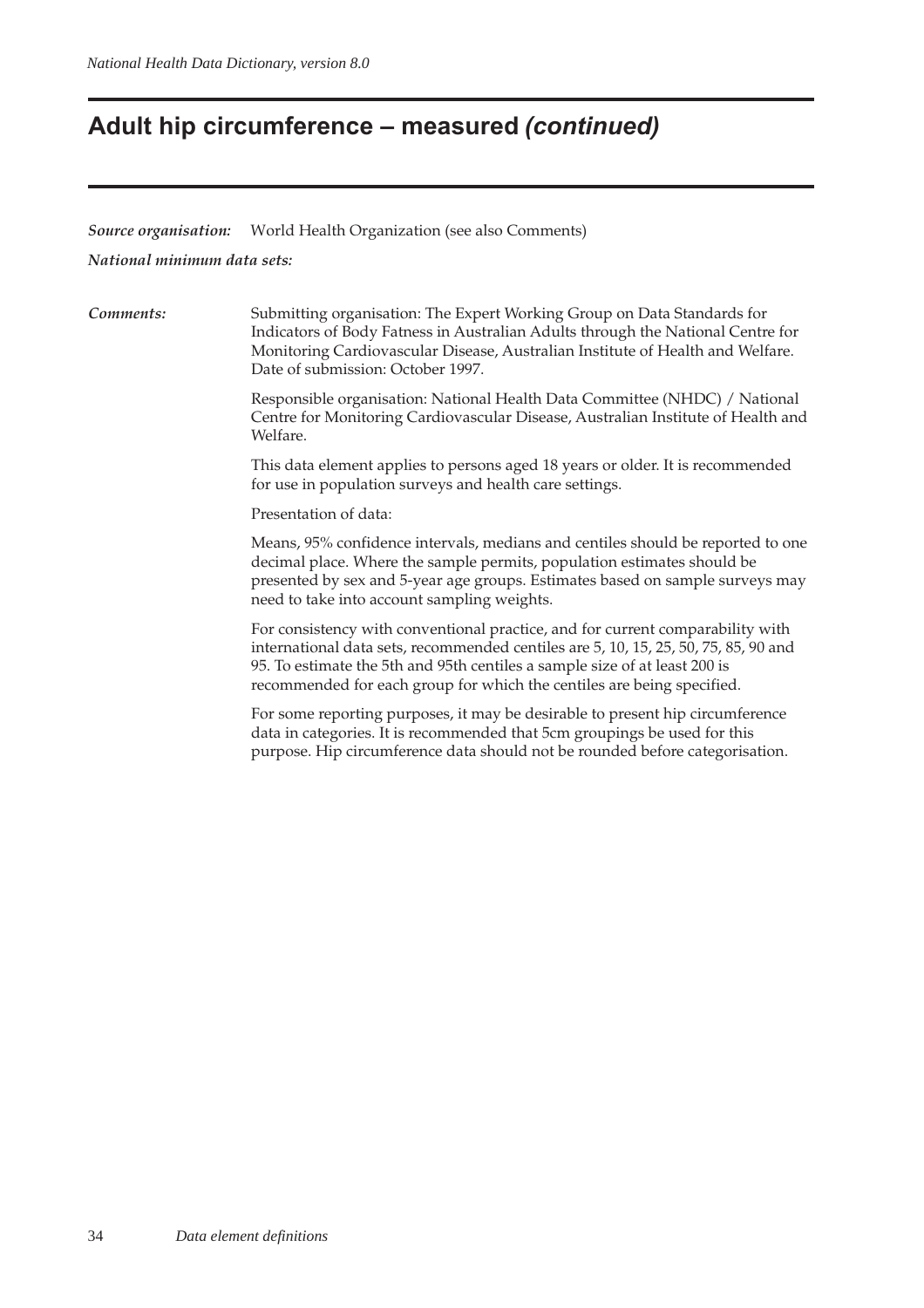## **Adult hip circumference – measured (continued)**

*Source organisation:* World Health Organization (see also Comments)

*National minimum data sets:*

*Comments:* Submitting organisation: The Expert Working Group on Data Standards for Indicators of Body Fatness in Australian Adults through the National Centre for Monitoring Cardiovascular Disease, Australian Institute of Health and Welfare. Date of submission: October 1997.

> Responsible organisation: National Health Data Committee (NHDC) / National Centre for Monitoring Cardiovascular Disease, Australian Institute of Health and Welfare.

This data element applies to persons aged 18 years or older. It is recommended for use in population surveys and health care settings.

Presentation of data:

Means, 95% confidence intervals, medians and centiles should be reported to one decimal place. Where the sample permits, population estimates should be presented by sex and 5-year age groups. Estimates based on sample surveys may need to take into account sampling weights.

For consistency with conventional practice, and for current comparability with international data sets, recommended centiles are 5, 10, 15, 25, 50, 75, 85, 90 and 95. To estimate the 5th and 95th centiles a sample size of at least 200 is recommended for each group for which the centiles are being specified.

For some reporting purposes, it may be desirable to present hip circumference data in categories. It is recommended that 5cm groupings be used for this purpose. Hip circumference data should not be rounded before categorisation.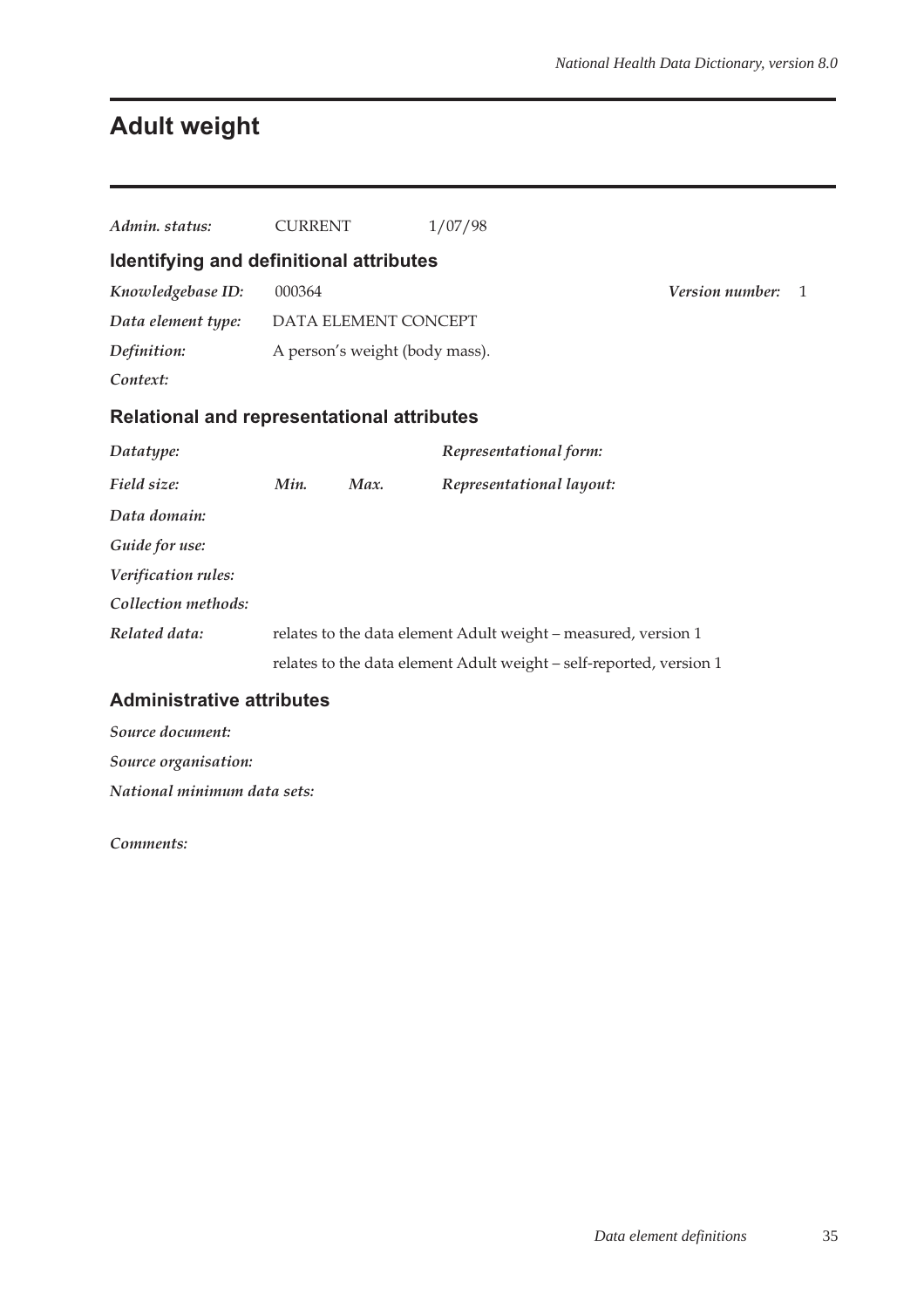# **Adult weight**

| Admin. status:                                    | <b>CURRENT</b> |                                | 1/07/98                                                             |                        |   |
|---------------------------------------------------|----------------|--------------------------------|---------------------------------------------------------------------|------------------------|---|
| Identifying and definitional attributes           |                |                                |                                                                     |                        |   |
| Knowledgebase ID:                                 | 000364         |                                |                                                                     | <b>Version number:</b> | 1 |
| Data element type:                                |                | DATA ELEMENT CONCEPT           |                                                                     |                        |   |
| Definition:                                       |                | A person's weight (body mass). |                                                                     |                        |   |
| Context:                                          |                |                                |                                                                     |                        |   |
| <b>Relational and representational attributes</b> |                |                                |                                                                     |                        |   |
| Datatype:                                         |                |                                | Representational form:                                              |                        |   |
| Field size:                                       | Min.           | Max.                           | Representational layout:                                            |                        |   |
| Data domain:                                      |                |                                |                                                                     |                        |   |
| Guide for use:                                    |                |                                |                                                                     |                        |   |
| Verification rules:                               |                |                                |                                                                     |                        |   |
| Collection methods:                               |                |                                |                                                                     |                        |   |
| Related data:                                     |                |                                | relates to the data element Adult weight - measured, version 1      |                        |   |
|                                                   |                |                                | relates to the data element Adult weight - self-reported, version 1 |                        |   |
| <b>Administrative attributes</b>                  |                |                                |                                                                     |                        |   |

## *Source document: Source organisation:*

*National minimum data sets:*

*Comments:*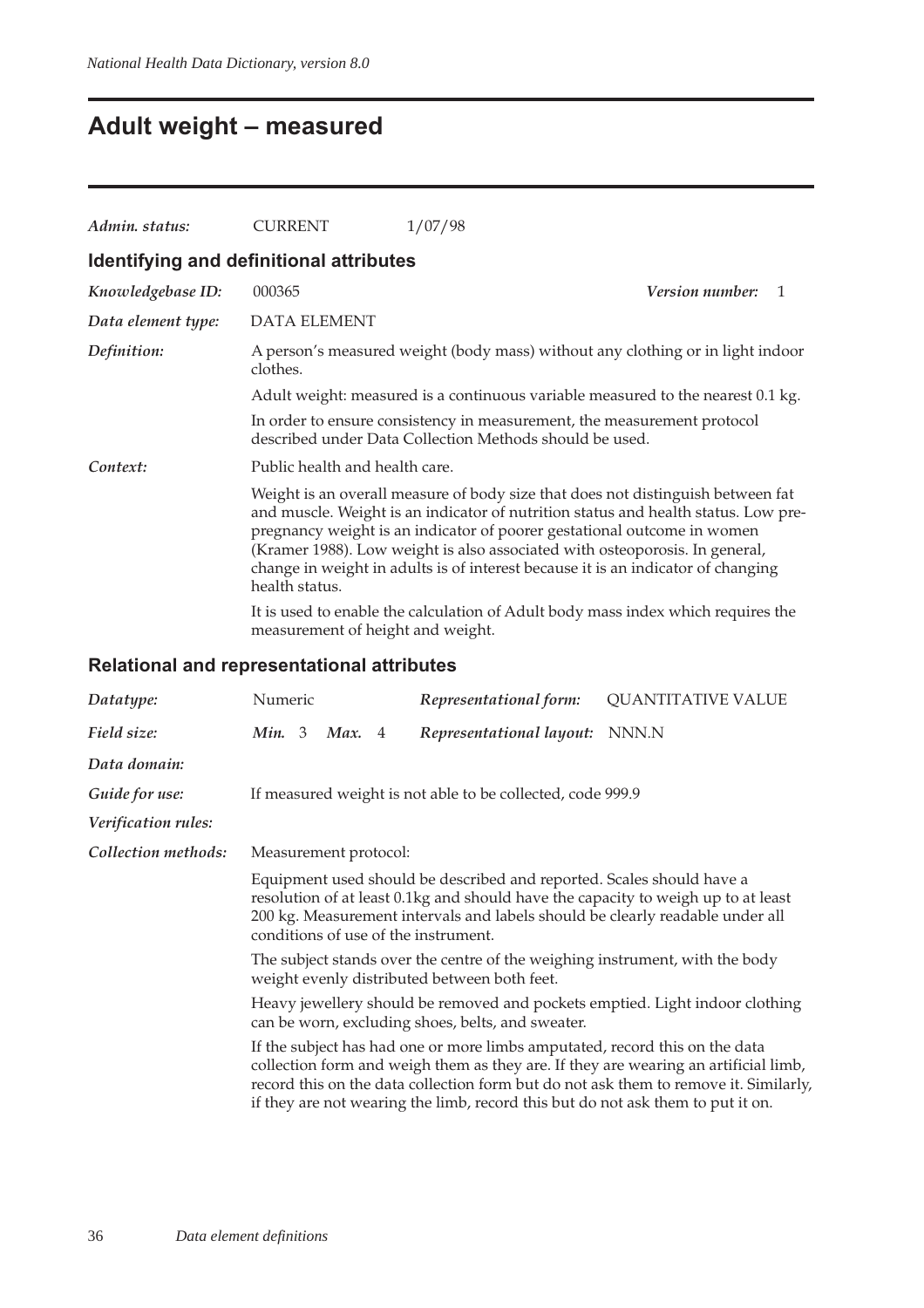## **Adult weight – measured**

| Admin. status:                          | <b>CURRENT</b>                                                                                                                                                                                                                                                                                                                                                                                                                        | 1/07/98                                                                          |  |  |  |  |  |
|-----------------------------------------|---------------------------------------------------------------------------------------------------------------------------------------------------------------------------------------------------------------------------------------------------------------------------------------------------------------------------------------------------------------------------------------------------------------------------------------|----------------------------------------------------------------------------------|--|--|--|--|--|
| Identifying and definitional attributes |                                                                                                                                                                                                                                                                                                                                                                                                                                       |                                                                                  |  |  |  |  |  |
| Knowledgebase ID:                       | 000365                                                                                                                                                                                                                                                                                                                                                                                                                                | <i>Version number:</i><br>$\mathbf{1}$                                           |  |  |  |  |  |
| Data element type:                      | <b>DATA ELEMENT</b>                                                                                                                                                                                                                                                                                                                                                                                                                   |                                                                                  |  |  |  |  |  |
| Definition:                             | A person's measured weight (body mass) without any clothing or in light indoor<br>clothes.                                                                                                                                                                                                                                                                                                                                            |                                                                                  |  |  |  |  |  |
|                                         | Adult weight: measured is a continuous variable measured to the nearest 0.1 kg.                                                                                                                                                                                                                                                                                                                                                       |                                                                                  |  |  |  |  |  |
|                                         | In order to ensure consistency in measurement, the measurement protocol<br>described under Data Collection Methods should be used.                                                                                                                                                                                                                                                                                                    |                                                                                  |  |  |  |  |  |
| Context:                                | Public health and health care.                                                                                                                                                                                                                                                                                                                                                                                                        |                                                                                  |  |  |  |  |  |
|                                         | Weight is an overall measure of body size that does not distinguish between fat<br>and muscle. Weight is an indicator of nutrition status and health status. Low pre-<br>pregnancy weight is an indicator of poorer gestational outcome in women<br>(Kramer 1988). Low weight is also associated with osteoporosis. In general,<br>change in weight in adults is of interest because it is an indicator of changing<br>health status. |                                                                                  |  |  |  |  |  |
|                                         | measurement of height and weight.                                                                                                                                                                                                                                                                                                                                                                                                     | It is used to enable the calculation of Adult body mass index which requires the |  |  |  |  |  |

### **Relational and representational attributes**

| Datatype:                                                                                                                         | Numeric                                                                                                                                                                                                                                                                                                                                                                                                             |  |        | Representational form: | <b>QUANTITATIVE VALUE</b>                                  |       |
|-----------------------------------------------------------------------------------------------------------------------------------|---------------------------------------------------------------------------------------------------------------------------------------------------------------------------------------------------------------------------------------------------------------------------------------------------------------------------------------------------------------------------------------------------------------------|--|--------|------------------------|------------------------------------------------------------|-------|
| Field size:                                                                                                                       | Min. 3                                                                                                                                                                                                                                                                                                                                                                                                              |  | Max. 4 |                        | Representational layout:                                   | NNN.N |
| Data domain:                                                                                                                      |                                                                                                                                                                                                                                                                                                                                                                                                                     |  |        |                        |                                                            |       |
| Guide for use:                                                                                                                    |                                                                                                                                                                                                                                                                                                                                                                                                                     |  |        |                        | If measured weight is not able to be collected, code 999.9 |       |
| Verification rules:                                                                                                               |                                                                                                                                                                                                                                                                                                                                                                                                                     |  |        |                        |                                                            |       |
| Collection methods:                                                                                                               | Measurement protocol:                                                                                                                                                                                                                                                                                                                                                                                               |  |        |                        |                                                            |       |
|                                                                                                                                   | Equipment used should be described and reported. Scales should have a<br>resolution of at least 0.1kg and should have the capacity to weigh up to at least<br>200 kg. Measurement intervals and labels should be clearly readable under all<br>conditions of use of the instrument.<br>The subject stands over the centre of the weighing instrument, with the body<br>weight evenly distributed between both feet. |  |        |                        |                                                            |       |
|                                                                                                                                   |                                                                                                                                                                                                                                                                                                                                                                                                                     |  |        |                        |                                                            |       |
| Heavy jewellery should be removed and pockets emptied. Light indoor clothing<br>can be worn, excluding shoes, belts, and sweater. |                                                                                                                                                                                                                                                                                                                                                                                                                     |  |        |                        |                                                            |       |
|                                                                                                                                   | If the subject has had one or more limbs amputated, record this on the data<br>collection form and weigh them as they are. If they are wearing an artificial limb,<br>record this on the data collection form but do not ask them to remove it. Similarly,<br>if they are not wearing the limb, record this but do not ask them to put it on.                                                                       |  |        |                        |                                                            |       |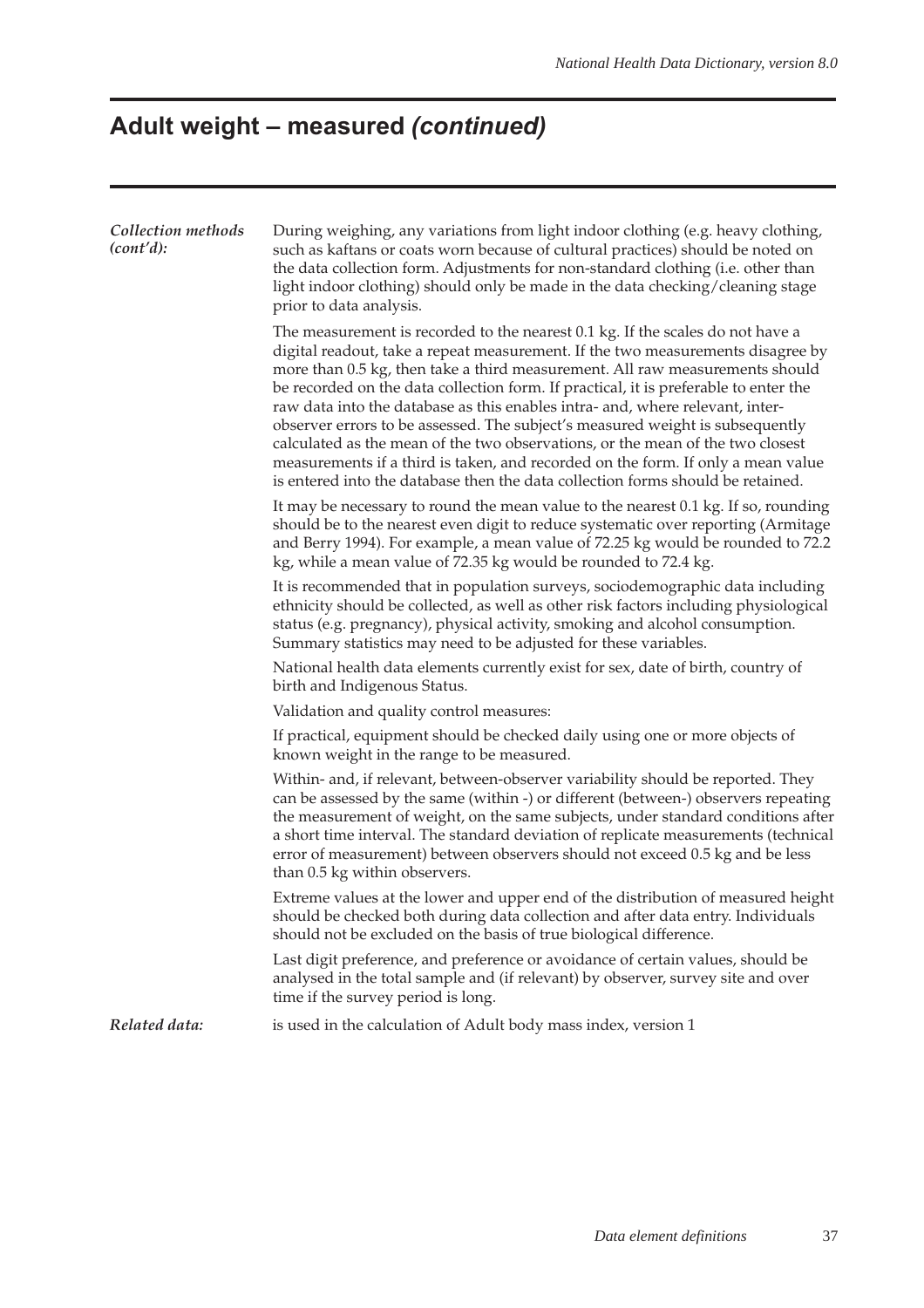# **Adult weight – measured (continued)**

| Collection methods<br>(cont'd): | During weighing, any variations from light indoor clothing (e.g. heavy clothing,<br>such as kaftans or coats worn because of cultural practices) should be noted on<br>the data collection form. Adjustments for non-standard clothing (i.e. other than<br>light indoor clothing) should only be made in the data checking/cleaning stage<br>prior to data analysis.                                                                                                                                                                                                                                                                                                                                                                                                 |
|---------------------------------|----------------------------------------------------------------------------------------------------------------------------------------------------------------------------------------------------------------------------------------------------------------------------------------------------------------------------------------------------------------------------------------------------------------------------------------------------------------------------------------------------------------------------------------------------------------------------------------------------------------------------------------------------------------------------------------------------------------------------------------------------------------------|
|                                 | The measurement is recorded to the nearest 0.1 kg. If the scales do not have a<br>digital readout, take a repeat measurement. If the two measurements disagree by<br>more than 0.5 kg, then take a third measurement. All raw measurements should<br>be recorded on the data collection form. If practical, it is preferable to enter the<br>raw data into the database as this enables intra- and, where relevant, inter-<br>observer errors to be assessed. The subject's measured weight is subsequently<br>calculated as the mean of the two observations, or the mean of the two closest<br>measurements if a third is taken, and recorded on the form. If only a mean value<br>is entered into the database then the data collection forms should be retained. |
|                                 | It may be necessary to round the mean value to the nearest 0.1 kg. If so, rounding<br>should be to the nearest even digit to reduce systematic over reporting (Armitage<br>and Berry 1994). For example, a mean value of 72.25 kg would be rounded to 72.2<br>kg, while a mean value of 72.35 kg would be rounded to 72.4 kg.                                                                                                                                                                                                                                                                                                                                                                                                                                        |
|                                 | It is recommended that in population surveys, sociodemographic data including<br>ethnicity should be collected, as well as other risk factors including physiological<br>status (e.g. pregnancy), physical activity, smoking and alcohol consumption.<br>Summary statistics may need to be adjusted for these variables.                                                                                                                                                                                                                                                                                                                                                                                                                                             |
|                                 | National health data elements currently exist for sex, date of birth, country of<br>birth and Indigenous Status.                                                                                                                                                                                                                                                                                                                                                                                                                                                                                                                                                                                                                                                     |
|                                 | Validation and quality control measures:                                                                                                                                                                                                                                                                                                                                                                                                                                                                                                                                                                                                                                                                                                                             |
|                                 | If practical, equipment should be checked daily using one or more objects of<br>known weight in the range to be measured.                                                                                                                                                                                                                                                                                                                                                                                                                                                                                                                                                                                                                                            |
|                                 | Within- and, if relevant, between-observer variability should be reported. They<br>can be assessed by the same (within -) or different (between-) observers repeating<br>the measurement of weight, on the same subjects, under standard conditions after<br>a short time interval. The standard deviation of replicate measurements (technical<br>error of measurement) between observers should not exceed 0.5 kg and be less<br>than 0.5 kg within observers.                                                                                                                                                                                                                                                                                                     |
|                                 | Extreme values at the lower and upper end of the distribution of measured height<br>should be checked both during data collection and after data entry. Individuals<br>should not be excluded on the basis of true biological difference.                                                                                                                                                                                                                                                                                                                                                                                                                                                                                                                            |
|                                 | Last digit preference, and preference or avoidance of certain values, should be<br>analysed in the total sample and (if relevant) by observer, survey site and over<br>time if the survey period is long.                                                                                                                                                                                                                                                                                                                                                                                                                                                                                                                                                            |
| Related data:                   | is used in the calculation of Adult body mass index, version 1                                                                                                                                                                                                                                                                                                                                                                                                                                                                                                                                                                                                                                                                                                       |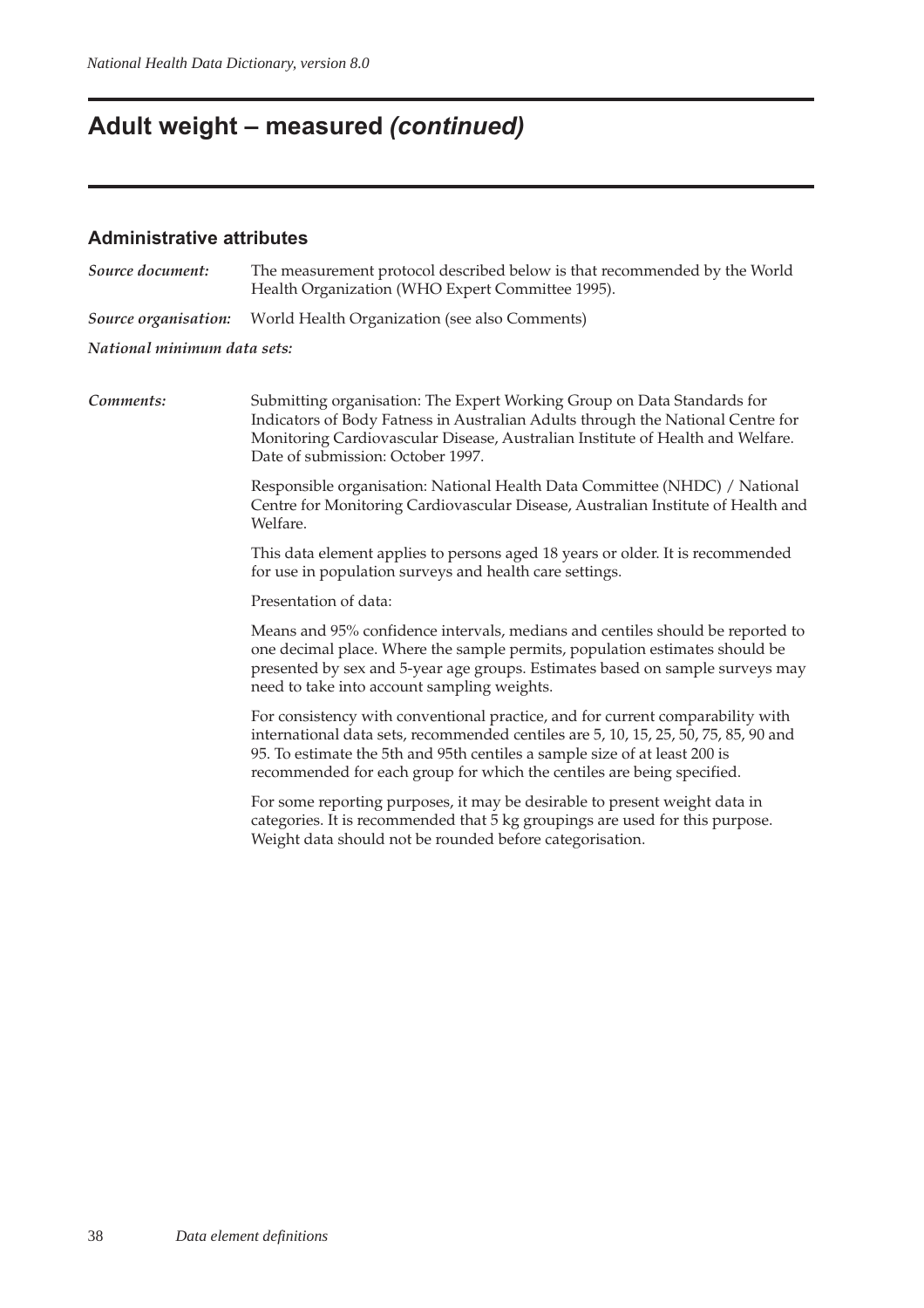# **Adult weight – measured (continued)**

#### **Administrative attributes**

| Source document:            | The measurement protocol described below is that recommended by the World<br>Health Organization (WHO Expert Committee 1995).                                                                                                                                                                                                 |  |  |  |  |  |  |  |
|-----------------------------|-------------------------------------------------------------------------------------------------------------------------------------------------------------------------------------------------------------------------------------------------------------------------------------------------------------------------------|--|--|--|--|--|--|--|
| Source organisation:        | World Health Organization (see also Comments)                                                                                                                                                                                                                                                                                 |  |  |  |  |  |  |  |
| National minimum data sets: |                                                                                                                                                                                                                                                                                                                               |  |  |  |  |  |  |  |
| Comments:                   | Submitting organisation: The Expert Working Group on Data Standards for<br>Indicators of Body Fatness in Australian Adults through the National Centre for<br>Monitoring Cardiovascular Disease, Australian Institute of Health and Welfare.<br>Date of submission: October 1997.                                             |  |  |  |  |  |  |  |
|                             | Responsible organisation: National Health Data Committee (NHDC) / National<br>Centre for Monitoring Cardiovascular Disease, Australian Institute of Health and<br>Welfare.                                                                                                                                                    |  |  |  |  |  |  |  |
|                             | This data element applies to persons aged 18 years or older. It is recommended<br>for use in population surveys and health care settings.                                                                                                                                                                                     |  |  |  |  |  |  |  |
|                             | Presentation of data:                                                                                                                                                                                                                                                                                                         |  |  |  |  |  |  |  |
|                             | Means and 95% confidence intervals, medians and centiles should be reported to<br>one decimal place. Where the sample permits, population estimates should be<br>presented by sex and 5-year age groups. Estimates based on sample surveys may<br>need to take into account sampling weights.                                 |  |  |  |  |  |  |  |
|                             | For consistency with conventional practice, and for current comparability with<br>international data sets, recommended centiles are 5, 10, 15, 25, 50, 75, 85, 90 and<br>95. To estimate the 5th and 95th centiles a sample size of at least 200 is<br>recommended for each group for which the centiles are being specified. |  |  |  |  |  |  |  |
|                             | For some reporting purposes, it may be desirable to present weight data in<br>categories. It is recommended that 5 kg groupings are used for this purpose.<br>Weight data should not be rounded before categorisation.                                                                                                        |  |  |  |  |  |  |  |
|                             |                                                                                                                                                                                                                                                                                                                               |  |  |  |  |  |  |  |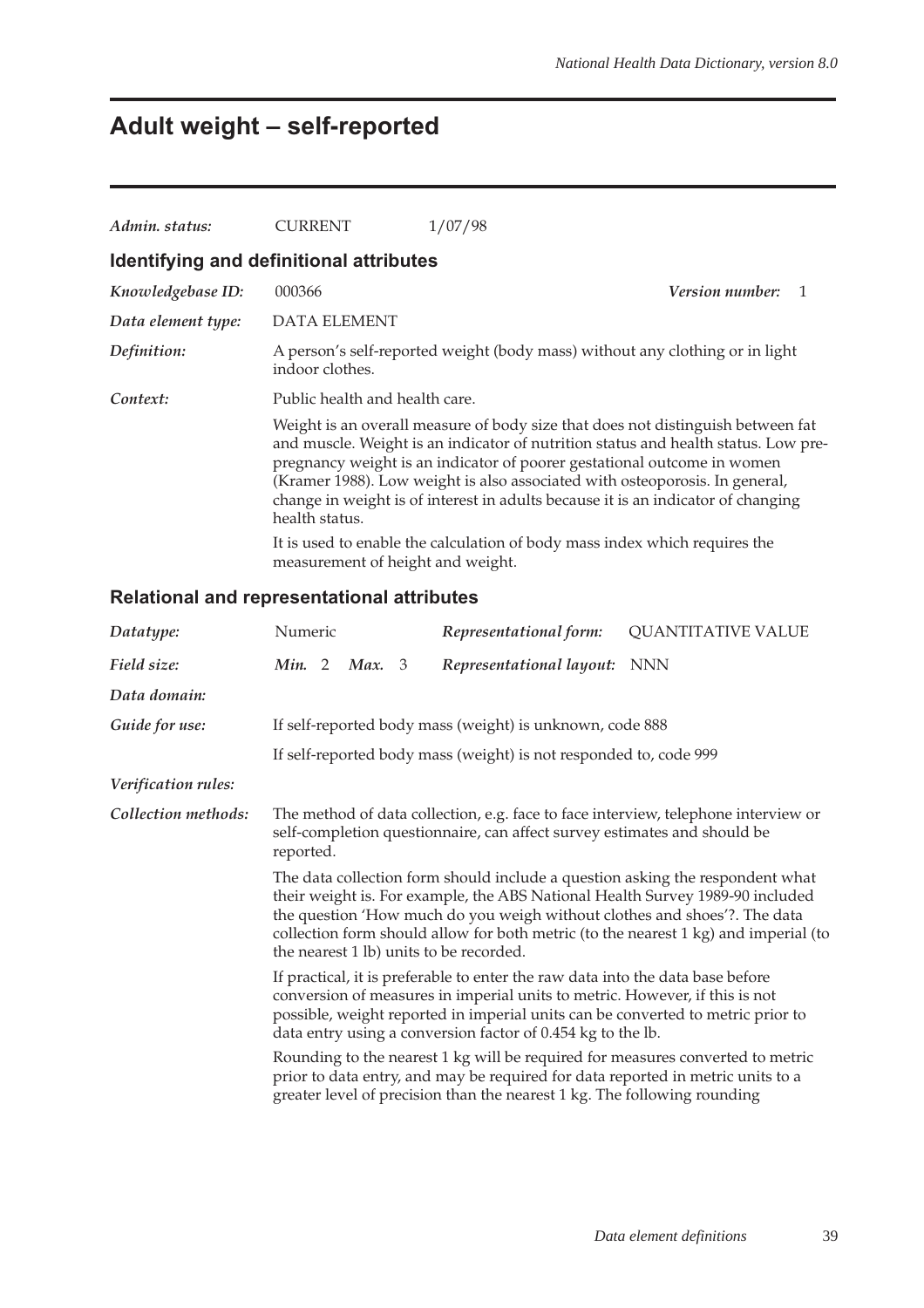# **Adult weight – self-reported**

| Admin. status:                          | <b>CURRENT</b>                    | 1/07/98                                                                                                                                                                                                                                                                                                                                                                                                             |                        |
|-----------------------------------------|-----------------------------------|---------------------------------------------------------------------------------------------------------------------------------------------------------------------------------------------------------------------------------------------------------------------------------------------------------------------------------------------------------------------------------------------------------------------|------------------------|
| Identifying and definitional attributes |                                   |                                                                                                                                                                                                                                                                                                                                                                                                                     |                        |
| Knowledgebase ID:                       | 000366                            |                                                                                                                                                                                                                                                                                                                                                                                                                     | <i>Version number:</i> |
| Data element type:                      | <b>DATA ELEMENT</b>               |                                                                                                                                                                                                                                                                                                                                                                                                                     |                        |
| Definition:                             | indoor clothes.                   | A person's self-reported weight (body mass) without any clothing or in light                                                                                                                                                                                                                                                                                                                                        |                        |
| Context:                                | Public health and health care.    |                                                                                                                                                                                                                                                                                                                                                                                                                     |                        |
|                                         | health status.                    | Weight is an overall measure of body size that does not distinguish between fat<br>and muscle. Weight is an indicator of nutrition status and health status. Low pre-<br>pregnancy weight is an indicator of poorer gestational outcome in women<br>(Kramer 1988). Low weight is also associated with osteoporosis. In general,<br>change in weight is of interest in adults because it is an indicator of changing |                        |
|                                         | measurement of height and weight. | It is used to enable the calculation of body mass index which requires the                                                                                                                                                                                                                                                                                                                                          |                        |

| Datatype:           | Numeric                                                                                                                                                                                                                                                                                                                                                                       |  |        |  | Representational form:                                                                                                                                      | <b>QUANTITATIVE VALUE</b>                                                      |
|---------------------|-------------------------------------------------------------------------------------------------------------------------------------------------------------------------------------------------------------------------------------------------------------------------------------------------------------------------------------------------------------------------------|--|--------|--|-------------------------------------------------------------------------------------------------------------------------------------------------------------|--------------------------------------------------------------------------------|
| Field size:         | Min. 2                                                                                                                                                                                                                                                                                                                                                                        |  | Max. 3 |  | Representational layout:                                                                                                                                    | <b>NNN</b>                                                                     |
| Data domain:        |                                                                                                                                                                                                                                                                                                                                                                               |  |        |  |                                                                                                                                                             |                                                                                |
| Guide for use:      |                                                                                                                                                                                                                                                                                                                                                                               |  |        |  | If self-reported body mass (weight) is unknown, code 888                                                                                                    |                                                                                |
|                     |                                                                                                                                                                                                                                                                                                                                                                               |  |        |  | If self-reported body mass (weight) is not responded to, code 999                                                                                           |                                                                                |
| Verification rules: |                                                                                                                                                                                                                                                                                                                                                                               |  |        |  |                                                                                                                                                             |                                                                                |
| Collection methods: | The method of data collection, e.g. face to face interview, telephone interview or<br>self-completion questionnaire, can affect survey estimates and should be<br>reported.                                                                                                                                                                                                   |  |        |  |                                                                                                                                                             |                                                                                |
|                     | The data collection form should include a question asking the respondent what<br>their weight is. For example, the ABS National Health Survey 1989-90 included<br>the question 'How much do you weigh without clothes and shoes'?. The data<br>collection form should allow for both metric (to the nearest 1 kg) and imperial (to<br>the nearest 1 lb) units to be recorded. |  |        |  |                                                                                                                                                             |                                                                                |
|                     | If practical, it is preferable to enter the raw data into the data base before<br>conversion of measures in imperial units to metric. However, if this is not<br>possible, weight reported in imperial units can be converted to metric prior to<br>data entry using a conversion factor of 0.454 kg to the lb.                                                               |  |        |  |                                                                                                                                                             |                                                                                |
|                     |                                                                                                                                                                                                                                                                                                                                                                               |  |        |  | prior to data entry, and may be required for data reported in metric units to a<br>greater level of precision than the nearest 1 kg. The following rounding | Rounding to the nearest 1 kg will be required for measures converted to metric |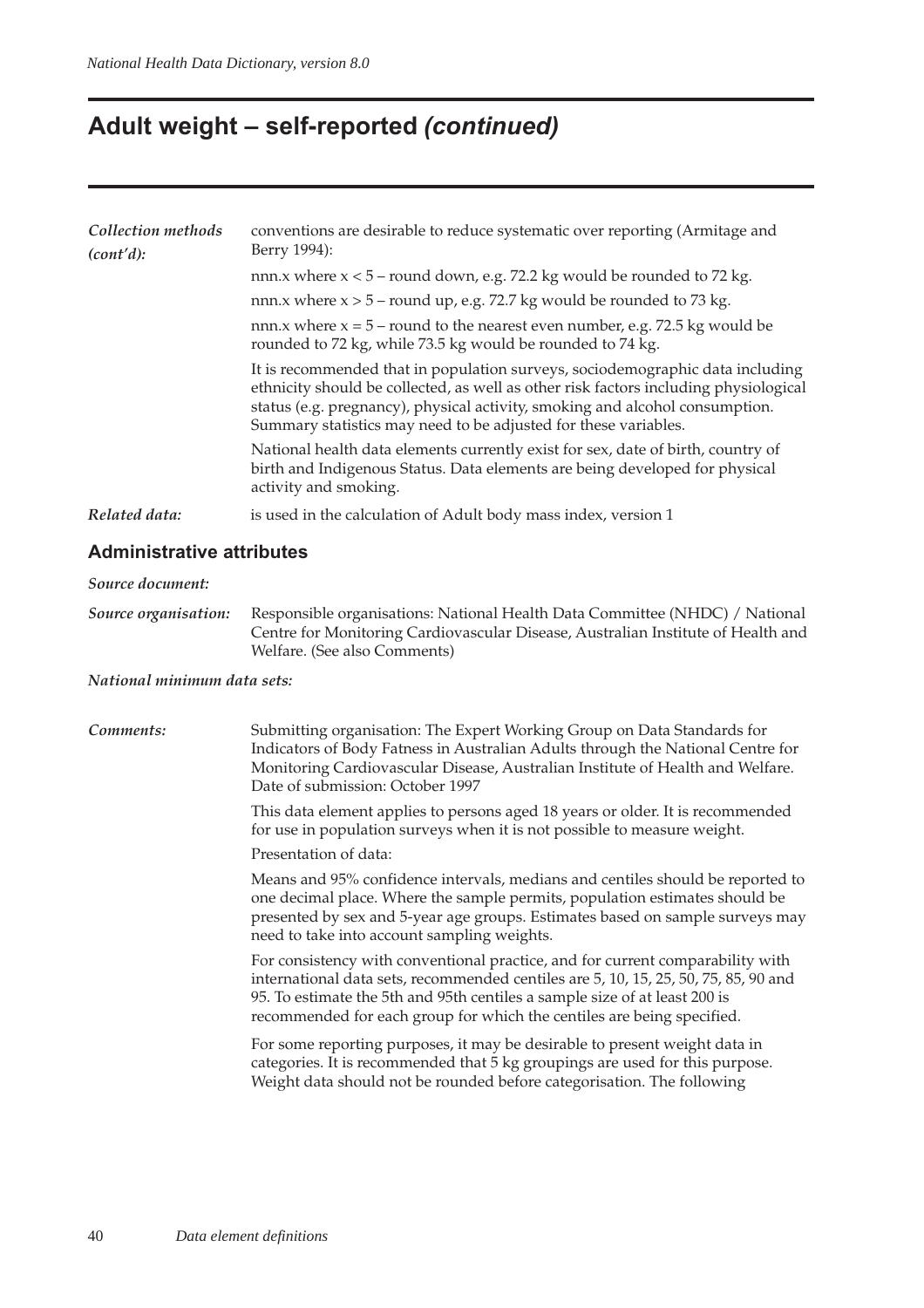### **Adult weight – self-reported (continued)**

| Collection methods<br>(cont'd): | conventions are desirable to reduce systematic over reporting (Armitage and<br>Berry 1994):                                                                                                                                                                                                                              |
|---------------------------------|--------------------------------------------------------------------------------------------------------------------------------------------------------------------------------------------------------------------------------------------------------------------------------------------------------------------------|
|                                 | nnn.x where $x < 5$ – round down, e.g. 72.2 kg would be rounded to 72 kg.                                                                                                                                                                                                                                                |
|                                 | nnn.x where $x > 5$ – round up, e.g. 72.7 kg would be rounded to 73 kg.                                                                                                                                                                                                                                                  |
|                                 | nnn.x where $x = 5$ – round to the nearest even number, e.g. 72.5 kg would be<br>rounded to 72 kg, while 73.5 kg would be rounded to 74 kg.                                                                                                                                                                              |
|                                 | It is recommended that in population surveys, sociodemographic data including<br>ethnicity should be collected, as well as other risk factors including physiological<br>status (e.g. pregnancy), physical activity, smoking and alcohol consumption.<br>Summary statistics may need to be adjusted for these variables. |
|                                 | National health data elements currently exist for sex, date of birth, country of<br>birth and Indigenous Status. Data elements are being developed for physical<br>activity and smoking.                                                                                                                                 |
| Related data:                   | is used in the calculation of Adult body mass index, version 1                                                                                                                                                                                                                                                           |
|                                 |                                                                                                                                                                                                                                                                                                                          |

#### **Administrative attributes**

*Source document:*

*Source organisation:* Responsible organisations: National Health Data Committee (NHDC) / National Centre for Monitoring Cardiovascular Disease, Australian Institute of Health and Welfare. (See also Comments)

#### *National minimum data sets:*

#### *Comments:* Submitting organisation: The Expert Working Group on Data Standards for Indicators of Body Fatness in Australian Adults through the National Centre for Monitoring Cardiovascular Disease, Australian Institute of Health and Welfare. Date of submission: October 1997 This data element applies to persons aged 18 years or older. It is recommended for use in population surveys when it is not possible to measure weight. Presentation of data: Means and 95% confidence intervals, medians and centiles should be reported to one decimal place. Where the sample permits, population estimates should be presented by sex and 5-year age groups. Estimates based on sample surveys may need to take into account sampling weights. For consistency with conventional practice, and for current comparability with international data sets, recommended centiles are 5, 10, 15, 25, 50, 75, 85, 90 and 95. To estimate the 5th and 95th centiles a sample size of at least 200 is recommended for each group for which the centiles are being specified. For some reporting purposes, it may be desirable to present weight data in categories. It is recommended that 5 kg groupings are used for this purpose. Weight data should not be rounded before categorisation. The following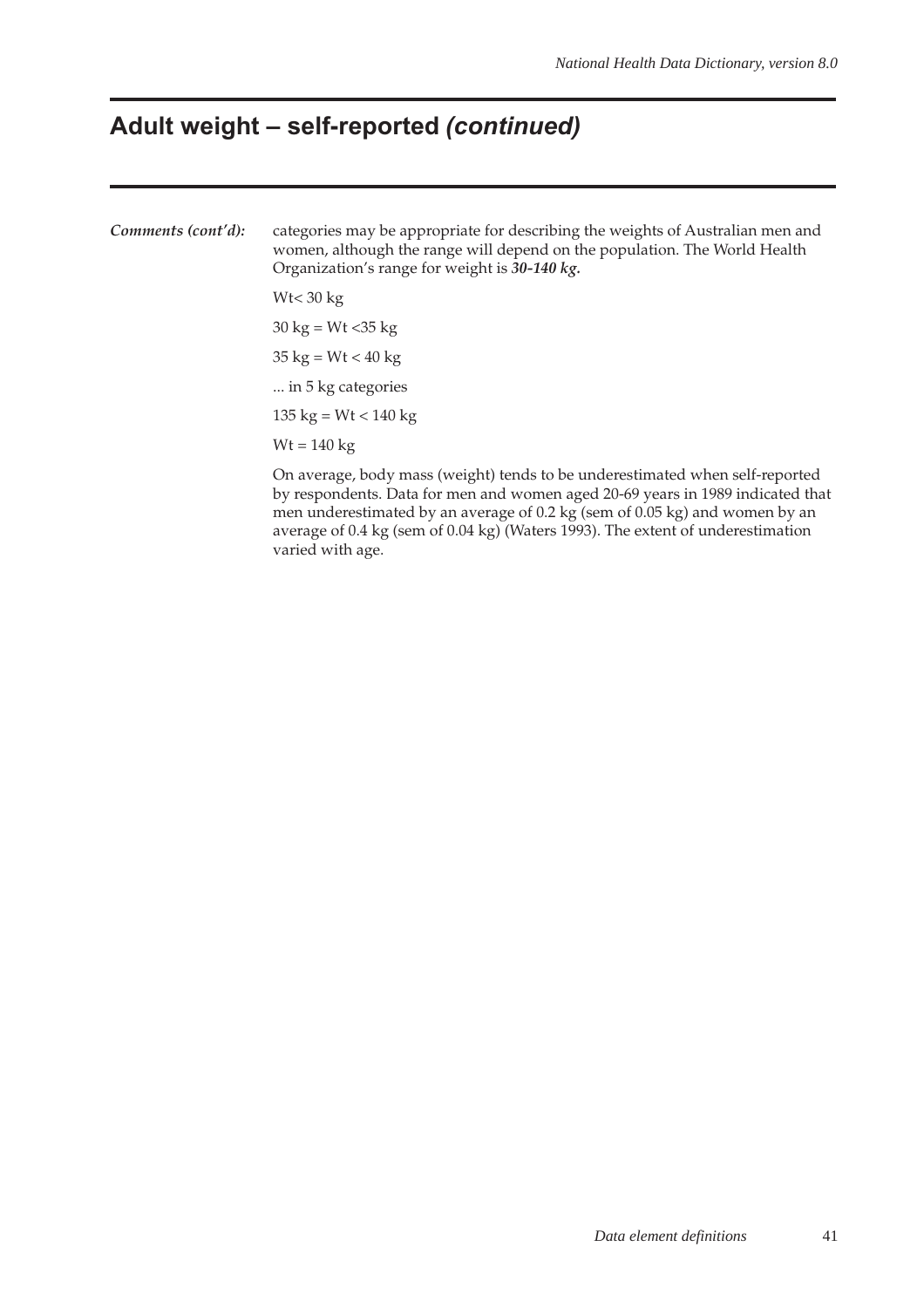### **Adult weight – self-reported (continued)**

*Comments (cont'd):* categories may be appropriate for describing the weights of Australian men and women, although the range will depend on the population. The World Health Organization's range for weight is *30-140 kg.* Wt< 30 kg  $30 \text{ kg} = \text{Wt} < 35 \text{ kg}$  $35 \text{ kg} = \text{Wt} < 40 \text{ kg}$ ... in 5 kg categories 135 kg =  $Wt$  < 140 kg  $Wt = 140$  kg On average, body mass (weight) tends to be underestimated when self-reported

by respondents. Data for men and women aged 20-69 years in 1989 indicated that men underestimated by an average of 0.2 kg (sem of 0.05 kg) and women by an average of 0.4 kg (sem of 0.04 kg) (Waters 1993). The extent of underestimation varied with age.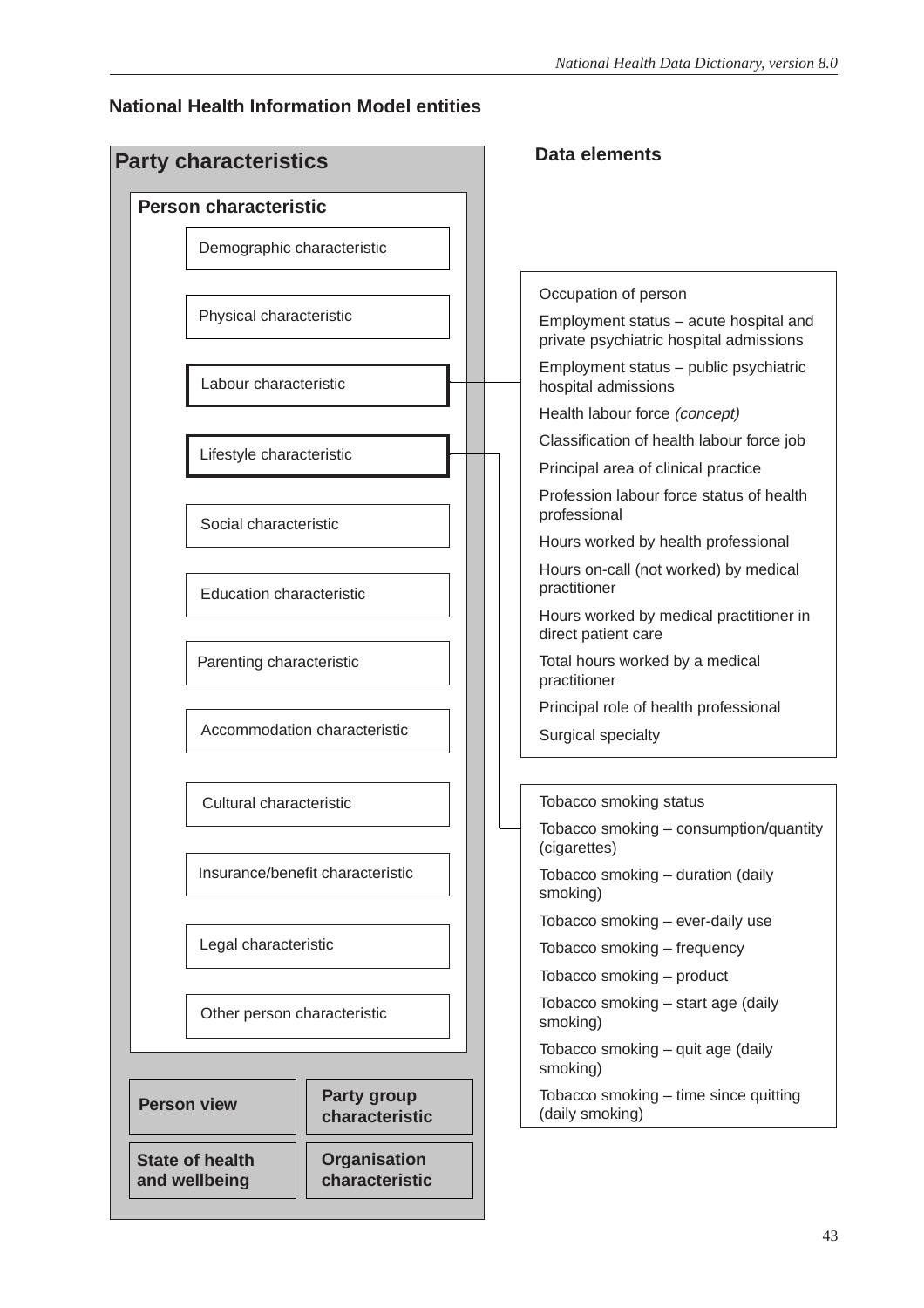### **National Health Information Model entities**

| <b>Person characteristic</b>                               |                                  |                                                                                   |
|------------------------------------------------------------|----------------------------------|-----------------------------------------------------------------------------------|
| Demographic characteristic                                 |                                  |                                                                                   |
|                                                            |                                  | Occupation of person                                                              |
| Physical characteristic                                    |                                  | Employment status - acute hospital and<br>private psychiatric hospital admissions |
| Labour characteristic                                      |                                  | Employment status - public psychiatric<br>hospital admissions                     |
|                                                            |                                  | Health labour force (concept)                                                     |
|                                                            |                                  | Classification of health labour force job                                         |
| Lifestyle characteristic                                   |                                  | Principal area of clinical practice                                               |
| Social characteristic                                      |                                  | Profession labour force status of health<br>professional                          |
|                                                            |                                  | Hours worked by health professional                                               |
| <b>Education characteristic</b>                            |                                  | Hours on-call (not worked) by medical<br>practitioner                             |
|                                                            |                                  | Hours worked by medical practitioner in<br>direct patient care                    |
| Parenting characteristic                                   |                                  | Total hours worked by a medical<br>practitioner                                   |
|                                                            |                                  | Principal role of health professional                                             |
|                                                            | Accommodation characteristic     | Surgical specialty                                                                |
| Cultural characteristic                                    |                                  | Tobacco smoking status                                                            |
|                                                            |                                  | Tobacco smoking – consumption/quantity<br>(cigarettes)                            |
|                                                            | Insurance/benefit characteristic | Tobacco smoking - duration (daily<br>smoking)                                     |
|                                                            |                                  | Tobacco smoking - ever-daily use                                                  |
| Legal characteristic                                       |                                  | Tobacco smoking - frequency                                                       |
|                                                            |                                  | Tobacco smoking - product                                                         |
| Other person characteristic                                |                                  | Tobacco smoking - start age (daily<br>smoking)                                    |
|                                                            |                                  | Tobacco smoking - quit age (daily<br>smoking)                                     |
| <b>Party group</b><br><b>Person view</b><br>characteristic |                                  | Tobacco smoking - time since quitting<br>(daily smoking)                          |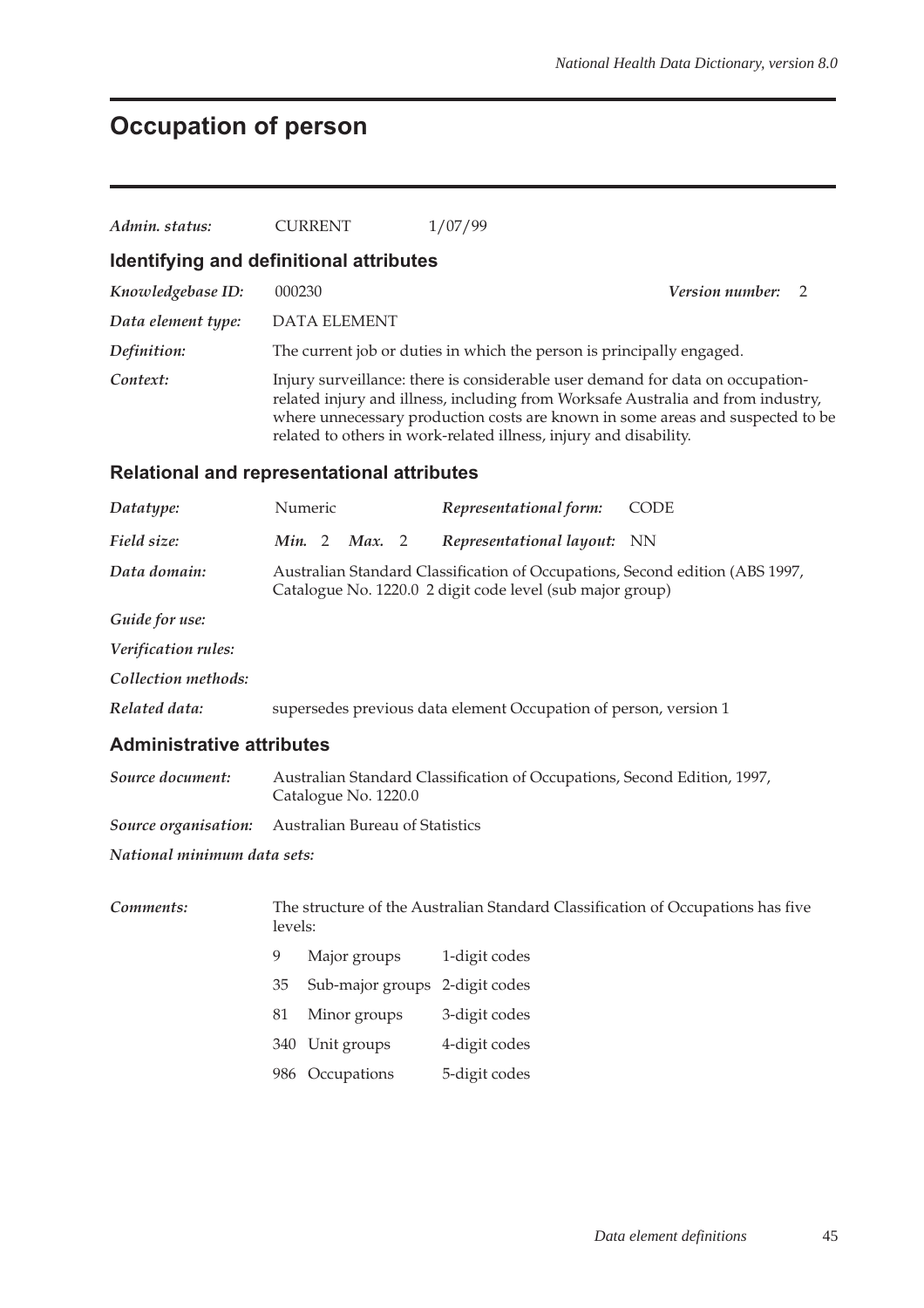# **Occupation of person**

| Admin. status:                                    |                                                                                                                                           | <b>CURRENT</b>                                                                                                                                                                                                                                                                                                            |                     |  | 1/07/99                                                                         |                             |  |  |
|---------------------------------------------------|-------------------------------------------------------------------------------------------------------------------------------------------|---------------------------------------------------------------------------------------------------------------------------------------------------------------------------------------------------------------------------------------------------------------------------------------------------------------------------|---------------------|--|---------------------------------------------------------------------------------|-----------------------------|--|--|
| Identifying and definitional attributes           |                                                                                                                                           |                                                                                                                                                                                                                                                                                                                           |                     |  |                                                                                 |                             |  |  |
| Knowledgebase ID:                                 | 000230                                                                                                                                    |                                                                                                                                                                                                                                                                                                                           |                     |  |                                                                                 | <b>Version number:</b><br>2 |  |  |
| Data element type:                                |                                                                                                                                           |                                                                                                                                                                                                                                                                                                                           | <b>DATA ELEMENT</b> |  |                                                                                 |                             |  |  |
| Definition:                                       |                                                                                                                                           |                                                                                                                                                                                                                                                                                                                           |                     |  | The current job or duties in which the person is principally engaged.           |                             |  |  |
| Context:                                          |                                                                                                                                           | Injury surveillance: there is considerable user demand for data on occupation-<br>related injury and illness, including from Worksafe Australia and from industry,<br>where unnecessary production costs are known in some areas and suspected to be<br>related to others in work-related illness, injury and disability. |                     |  |                                                                                 |                             |  |  |
| <b>Relational and representational attributes</b> |                                                                                                                                           |                                                                                                                                                                                                                                                                                                                           |                     |  |                                                                                 |                             |  |  |
| Datatype:                                         |                                                                                                                                           | Numeric                                                                                                                                                                                                                                                                                                                   |                     |  | Representational form:                                                          | <b>CODE</b>                 |  |  |
| Field size:                                       |                                                                                                                                           | Min. 2                                                                                                                                                                                                                                                                                                                    | Max. 2              |  | Representational layout:                                                        | NN)                         |  |  |
| Data domain:                                      | Australian Standard Classification of Occupations, Second edition (ABS 1997,<br>Catalogue No. 1220.0 2 digit code level (sub major group) |                                                                                                                                                                                                                                                                                                                           |                     |  |                                                                                 |                             |  |  |
| Guide for use:                                    |                                                                                                                                           |                                                                                                                                                                                                                                                                                                                           |                     |  |                                                                                 |                             |  |  |
| Verification rules:                               |                                                                                                                                           |                                                                                                                                                                                                                                                                                                                           |                     |  |                                                                                 |                             |  |  |
| Collection methods:                               |                                                                                                                                           |                                                                                                                                                                                                                                                                                                                           |                     |  |                                                                                 |                             |  |  |
| Related data:                                     | supersedes previous data element Occupation of person, version 1                                                                          |                                                                                                                                                                                                                                                                                                                           |                     |  |                                                                                 |                             |  |  |
| <b>Administrative attributes</b>                  |                                                                                                                                           |                                                                                                                                                                                                                                                                                                                           |                     |  |                                                                                 |                             |  |  |
| Source document:                                  |                                                                                                                                           | Australian Standard Classification of Occupations, Second Edition, 1997,<br>Catalogue No. 1220.0                                                                                                                                                                                                                          |                     |  |                                                                                 |                             |  |  |
| Source organisation:                              |                                                                                                                                           |                                                                                                                                                                                                                                                                                                                           |                     |  | Australian Bureau of Statistics                                                 |                             |  |  |
| National minimum data sets:                       |                                                                                                                                           |                                                                                                                                                                                                                                                                                                                           |                     |  |                                                                                 |                             |  |  |
| Comments:                                         | levels:                                                                                                                                   |                                                                                                                                                                                                                                                                                                                           |                     |  | The structure of the Australian Standard Classification of Occupations has five |                             |  |  |
|                                                   | $\overline{9}$                                                                                                                            |                                                                                                                                                                                                                                                                                                                           | Major groups        |  | 1-digit codes                                                                   |                             |  |  |
|                                                   | 35                                                                                                                                        |                                                                                                                                                                                                                                                                                                                           | Sub-major groups    |  | 2-digit codes                                                                   |                             |  |  |
|                                                   | 81                                                                                                                                        |                                                                                                                                                                                                                                                                                                                           | Minor groups        |  | 3-digit codes                                                                   |                             |  |  |
|                                                   |                                                                                                                                           |                                                                                                                                                                                                                                                                                                                           | 340 Unit groups     |  | 4-digit codes                                                                   |                             |  |  |
|                                                   |                                                                                                                                           |                                                                                                                                                                                                                                                                                                                           | 986 Occupations     |  | 5-digit codes                                                                   |                             |  |  |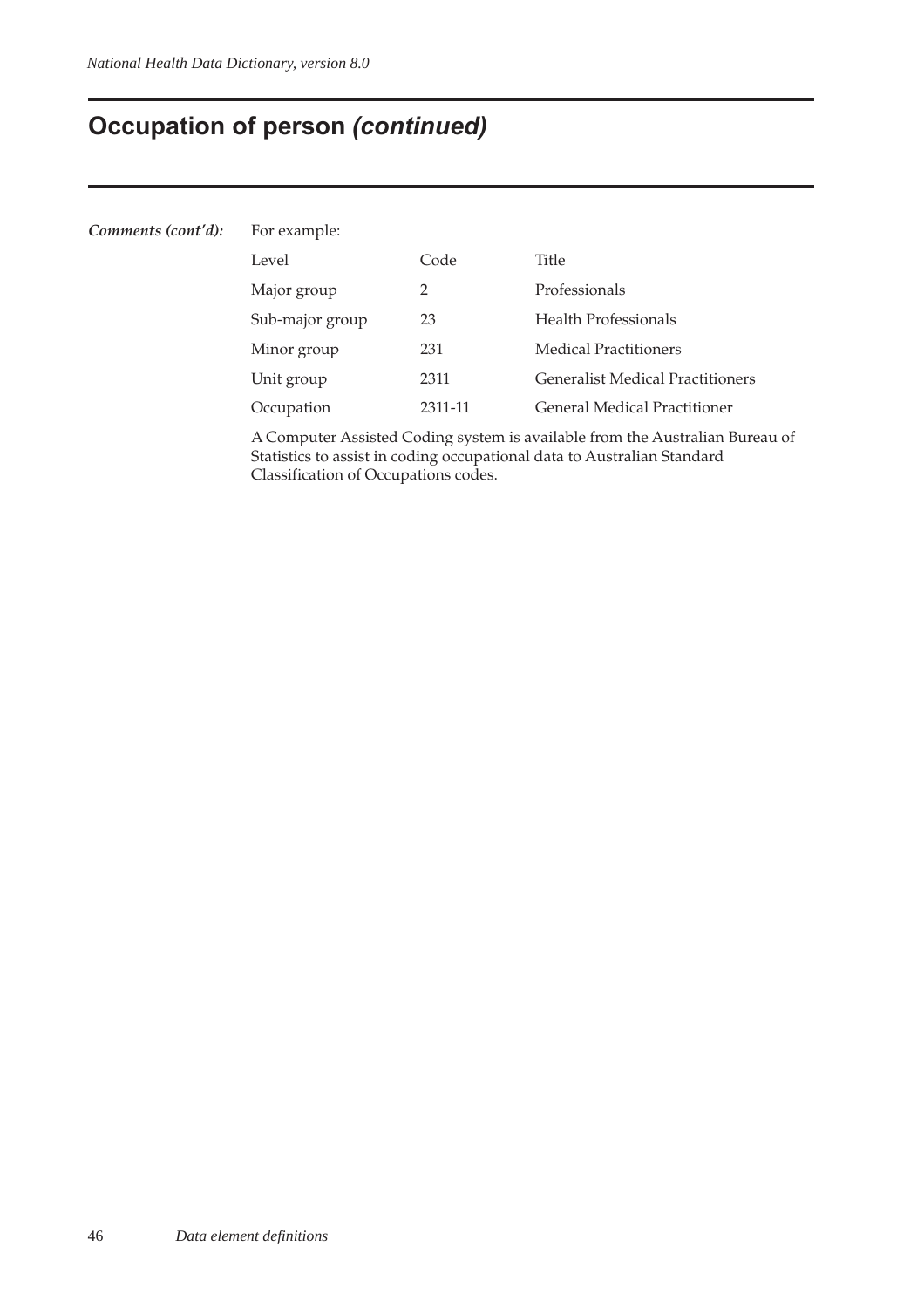## **Occupation of person (continued)**

| Comments (cont'd): | For example:    |         |                                         |  |  |  |  |
|--------------------|-----------------|---------|-----------------------------------------|--|--|--|--|
|                    | Level           | Code    | Title                                   |  |  |  |  |
|                    | Major group     | 2       | Professionals                           |  |  |  |  |
|                    | Sub-major group | 23      | <b>Health Professionals</b>             |  |  |  |  |
|                    | Minor group     | 231     | <b>Medical Practitioners</b>            |  |  |  |  |
|                    | Unit group      | 2311    | <b>Generalist Medical Practitioners</b> |  |  |  |  |
|                    | Occupation      | 2311-11 | <b>General Medical Practitioner</b>     |  |  |  |  |
|                    |                 |         |                                         |  |  |  |  |

A Computer Assisted Coding system is available from the Australian Bureau of Statistics to assist in coding occupational data to Australian Standard Classification of Occupations codes.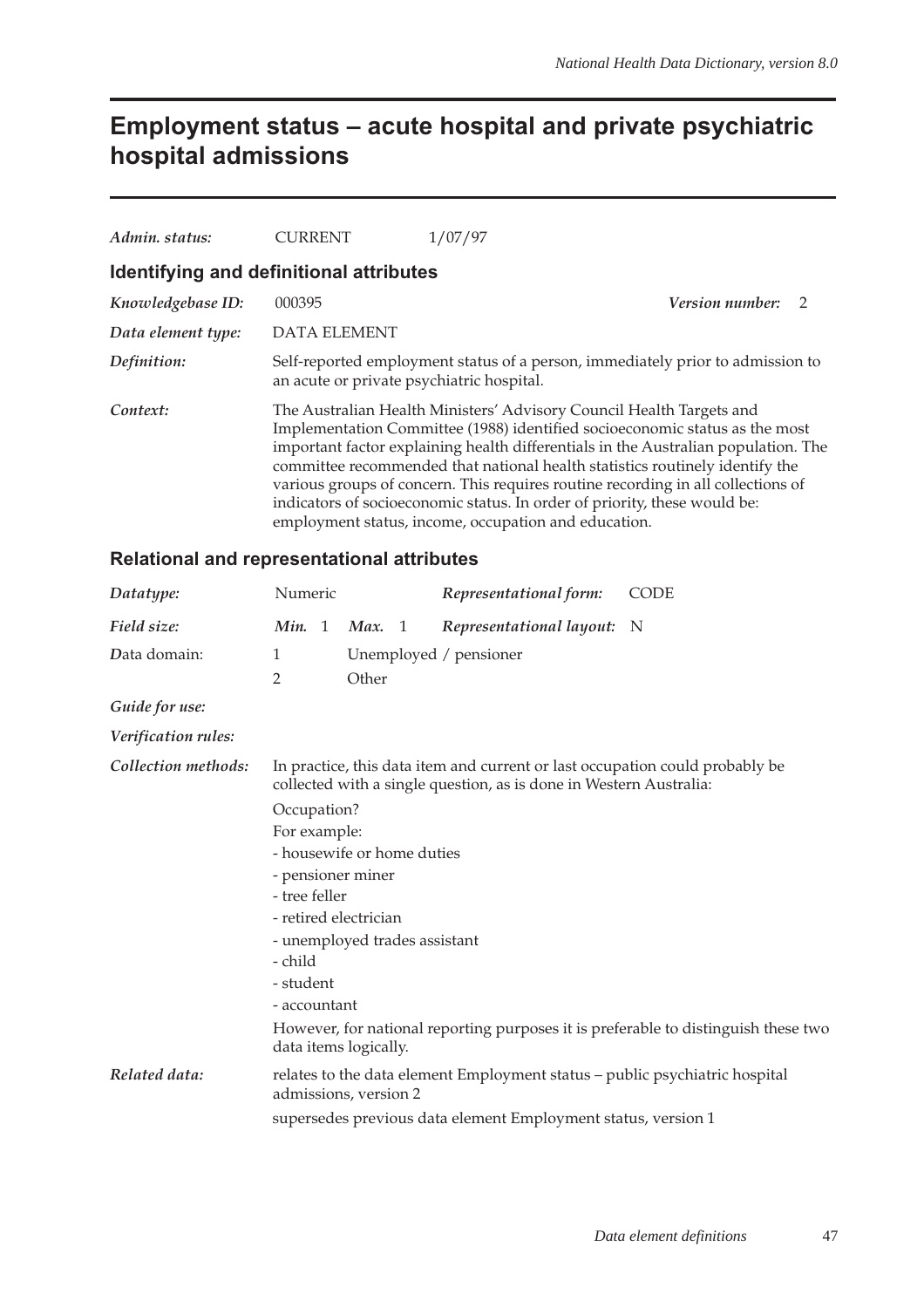## **Employment status – acute hospital and private psychiatric hospital admissions**

| Admin. status:     | <b>CURRENT</b>                            | 1/07/97                                                                                                                                                                                                                                                                                                                                                                                                                                                                                                                                            |                |
|--------------------|-------------------------------------------|----------------------------------------------------------------------------------------------------------------------------------------------------------------------------------------------------------------------------------------------------------------------------------------------------------------------------------------------------------------------------------------------------------------------------------------------------------------------------------------------------------------------------------------------------|----------------|
|                    | Identifying and definitional attributes   |                                                                                                                                                                                                                                                                                                                                                                                                                                                                                                                                                    |                |
| Knowledgebase ID:  | 000395                                    | <b>Version number:</b>                                                                                                                                                                                                                                                                                                                                                                                                                                                                                                                             | $\overline{z}$ |
| Data element type: | <b>DATA ELEMENT</b>                       |                                                                                                                                                                                                                                                                                                                                                                                                                                                                                                                                                    |                |
| Definition:        | an acute or private psychiatric hospital. | Self-reported employment status of a person, immediately prior to admission to                                                                                                                                                                                                                                                                                                                                                                                                                                                                     |                |
| Context:           |                                           | The Australian Health Ministers' Advisory Council Health Targets and<br>Implementation Committee (1988) identified socioeconomic status as the most<br>important factor explaining health differentials in the Australian population. The<br>committee recommended that national health statistics routinely identify the<br>various groups of concern. This requires routine recording in all collections of<br>indicators of socioeconomic status. In order of priority, these would be:<br>employment status, income, occupation and education. |                |

| Datatype:           | Numeric                                                                                                                                            |                               | Representational form:                                                      | <b>CODE</b> |  |  |  |  |
|---------------------|----------------------------------------------------------------------------------------------------------------------------------------------------|-------------------------------|-----------------------------------------------------------------------------|-------------|--|--|--|--|
| Field size:         | Min. 1                                                                                                                                             | Max. 1                        | Representational layout: N                                                  |             |  |  |  |  |
| Data domain:        | 1                                                                                                                                                  | Unemployed / pensioner        |                                                                             |             |  |  |  |  |
|                     | $\overline{2}$                                                                                                                                     | Other                         |                                                                             |             |  |  |  |  |
| Guide for use:      |                                                                                                                                                    |                               |                                                                             |             |  |  |  |  |
| Verification rules: |                                                                                                                                                    |                               |                                                                             |             |  |  |  |  |
| Collection methods: | In practice, this data item and current or last occupation could probably be<br>collected with a single question, as is done in Western Australia: |                               |                                                                             |             |  |  |  |  |
|                     | Occupation?                                                                                                                                        |                               |                                                                             |             |  |  |  |  |
|                     |                                                                                                                                                    | For example:                  |                                                                             |             |  |  |  |  |
|                     |                                                                                                                                                    | - housewife or home duties    |                                                                             |             |  |  |  |  |
|                     | - pensioner miner                                                                                                                                  |                               |                                                                             |             |  |  |  |  |
|                     | - tree feller                                                                                                                                      |                               |                                                                             |             |  |  |  |  |
|                     | - retired electrician                                                                                                                              | - unemployed trades assistant |                                                                             |             |  |  |  |  |
|                     |                                                                                                                                                    |                               |                                                                             |             |  |  |  |  |
|                     | - child                                                                                                                                            |                               |                                                                             |             |  |  |  |  |
|                     | - student<br>- accountant                                                                                                                          |                               |                                                                             |             |  |  |  |  |
|                     | However, for national reporting purposes it is preferable to distinguish these two                                                                 |                               |                                                                             |             |  |  |  |  |
|                     | data items logically.                                                                                                                              |                               |                                                                             |             |  |  |  |  |
| Related data:       |                                                                                                                                                    | admissions, version 2         | relates to the data element Employment status - public psychiatric hospital |             |  |  |  |  |
|                     |                                                                                                                                                    |                               | supersedes previous data element Employment status, version 1               |             |  |  |  |  |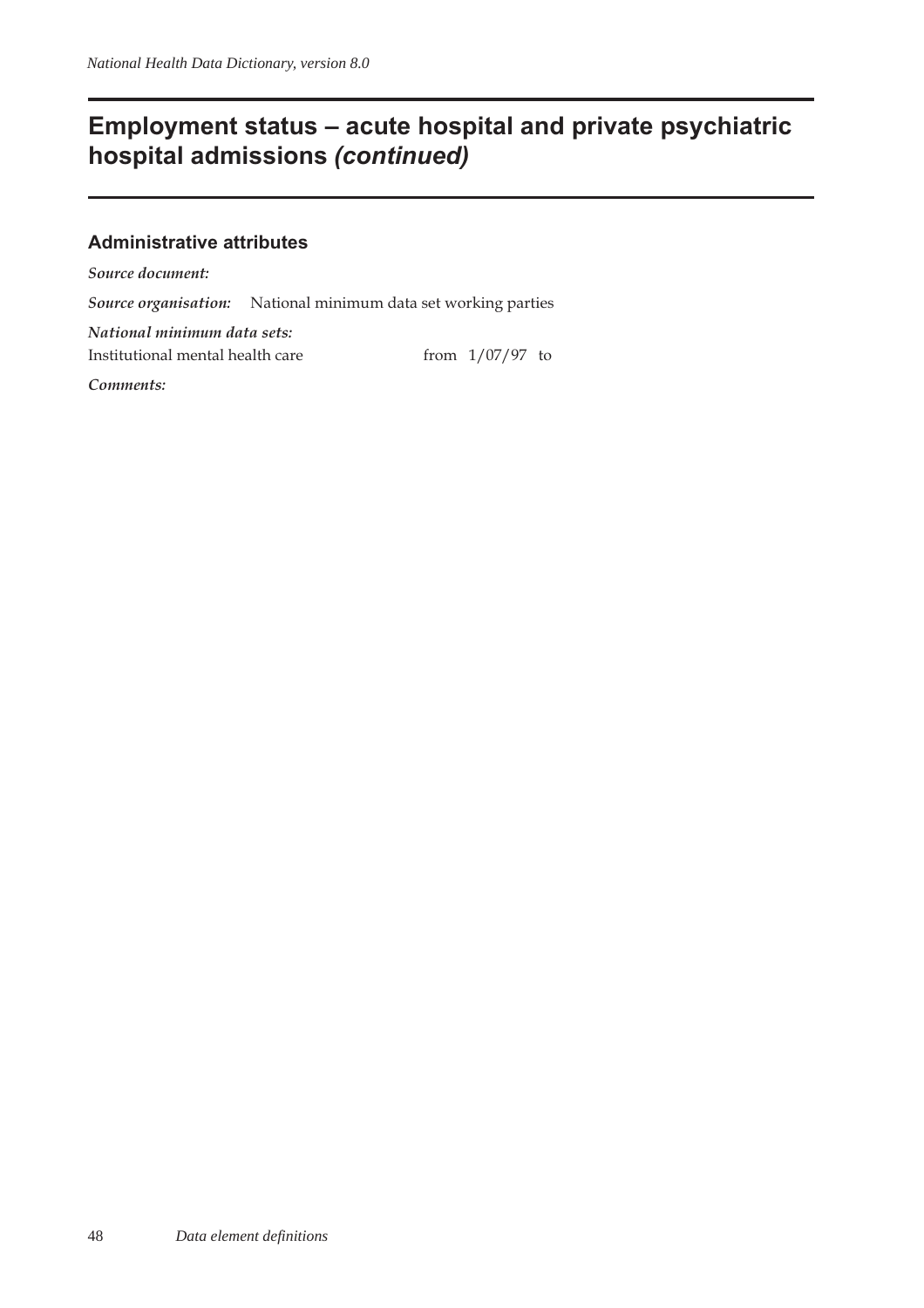## **Employment status – acute hospital and private psychiatric hospital admissions (continued)**

#### **Administrative attributes**

*Source document:*

*Source organisation:* National minimum data set working parties

*National minimum data sets:* Institutional mental health care from  $1/07/97$  to

*Comments:*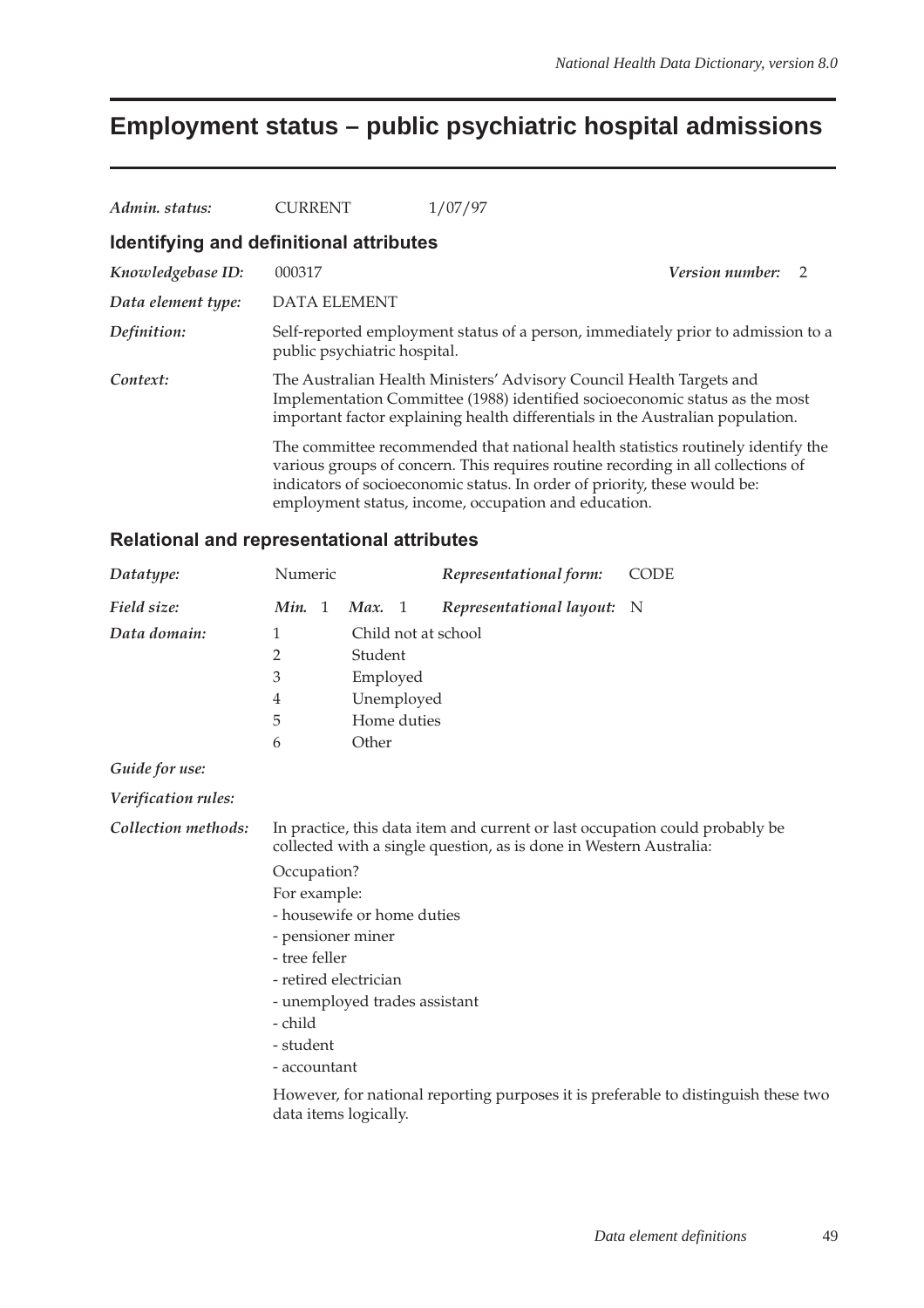## **Employment status – public psychiatric hospital admissions**

| Admin. status:                          | CURRENT                      | 1/07/97                                                                                                                                                                                                                                                                                                   |
|-----------------------------------------|------------------------------|-----------------------------------------------------------------------------------------------------------------------------------------------------------------------------------------------------------------------------------------------------------------------------------------------------------|
| Identifying and definitional attributes |                              |                                                                                                                                                                                                                                                                                                           |
| Knowledgebase ID:                       | 000317                       | <b>Version number:</b><br>$\mathcal{L}$                                                                                                                                                                                                                                                                   |
| Data element type:                      | <b>DATA ELEMENT</b>          |                                                                                                                                                                                                                                                                                                           |
| Definition:                             | public psychiatric hospital. | Self-reported employment status of a person, immediately prior to admission to a                                                                                                                                                                                                                          |
| Context:                                |                              | The Australian Health Ministers' Advisory Council Health Targets and<br>Implementation Committee (1988) identified socioeconomic status as the most<br>important factor explaining health differentials in the Australian population.                                                                     |
|                                         |                              | The committee recommended that national health statistics routinely identify the<br>various groups of concern. This requires routine recording in all collections of<br>indicators of socioeconomic status. In order of priority, these would be:<br>employment status, income, occupation and education. |

| Datatype:           | Numeric                                                                                                                                            |  |                       |    | Representational form:   | <b>CODE</b>                                                                        |  |  |
|---------------------|----------------------------------------------------------------------------------------------------------------------------------------------------|--|-----------------------|----|--------------------------|------------------------------------------------------------------------------------|--|--|
| Field size:         | Min. 1                                                                                                                                             |  | Max.                  | -1 | Representational layout: | - N                                                                                |  |  |
| Data domain:        | 1                                                                                                                                                  |  |                       |    | Child not at school      |                                                                                    |  |  |
|                     | 2                                                                                                                                                  |  | Student               |    |                          |                                                                                    |  |  |
|                     | 3                                                                                                                                                  |  | Employed              |    |                          |                                                                                    |  |  |
|                     | 4                                                                                                                                                  |  | Unemployed            |    |                          |                                                                                    |  |  |
|                     | 5                                                                                                                                                  |  | Home duties           |    |                          |                                                                                    |  |  |
|                     | 6                                                                                                                                                  |  | Other                 |    |                          |                                                                                    |  |  |
| Guide for use:      |                                                                                                                                                    |  |                       |    |                          |                                                                                    |  |  |
| Verification rules: |                                                                                                                                                    |  |                       |    |                          |                                                                                    |  |  |
| Collection methods: | In practice, this data item and current or last occupation could probably be<br>collected with a single question, as is done in Western Australia: |  |                       |    |                          |                                                                                    |  |  |
|                     | Occupation?                                                                                                                                        |  |                       |    |                          |                                                                                    |  |  |
|                     | For example:                                                                                                                                       |  |                       |    |                          |                                                                                    |  |  |
|                     | - housewife or home duties                                                                                                                         |  |                       |    |                          |                                                                                    |  |  |
|                     | - pensioner miner                                                                                                                                  |  |                       |    |                          |                                                                                    |  |  |
|                     | - tree feller                                                                                                                                      |  |                       |    |                          |                                                                                    |  |  |
|                     | - retired electrician                                                                                                                              |  |                       |    |                          |                                                                                    |  |  |
|                     | - unemployed trades assistant                                                                                                                      |  |                       |    |                          |                                                                                    |  |  |
|                     | - child                                                                                                                                            |  |                       |    |                          |                                                                                    |  |  |
|                     | - student                                                                                                                                          |  |                       |    |                          |                                                                                    |  |  |
|                     | - accountant                                                                                                                                       |  |                       |    |                          |                                                                                    |  |  |
|                     |                                                                                                                                                    |  | data items logically. |    |                          | However, for national reporting purposes it is preferable to distinguish these two |  |  |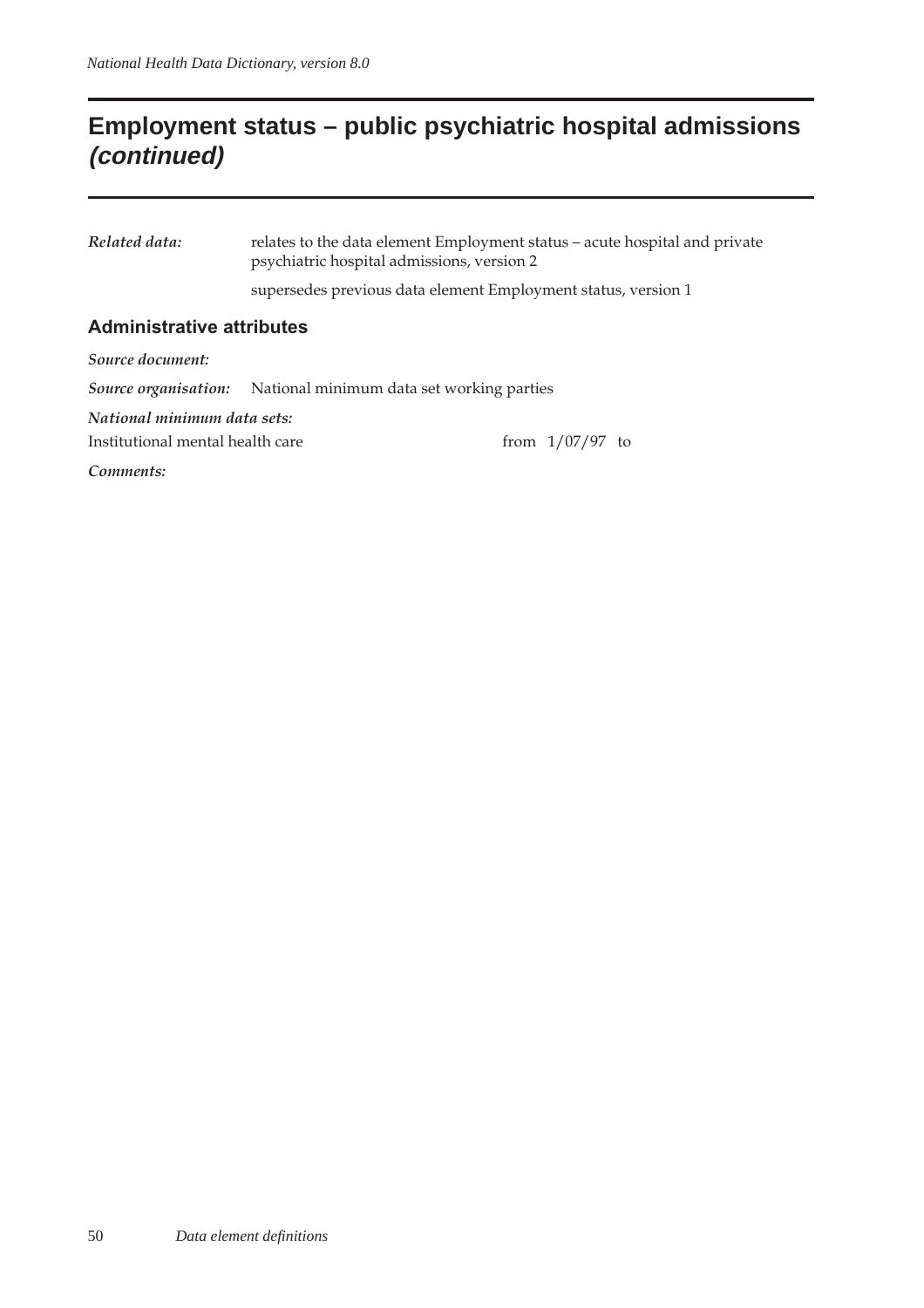## **Employment status – public psychiatric hospital admissions (continued)**

*Related data:* relates to the data element Employment status – acute hospital and private psychiatric hospital admissions, version 2

supersedes previous data element Employment status, version 1

#### **Administrative attributes**

*Source document:*

*Source organisation:* National minimum data set working parties

*National minimum data sets:*

Institutional mental health care from  $1/07/97$  to

*Comments:*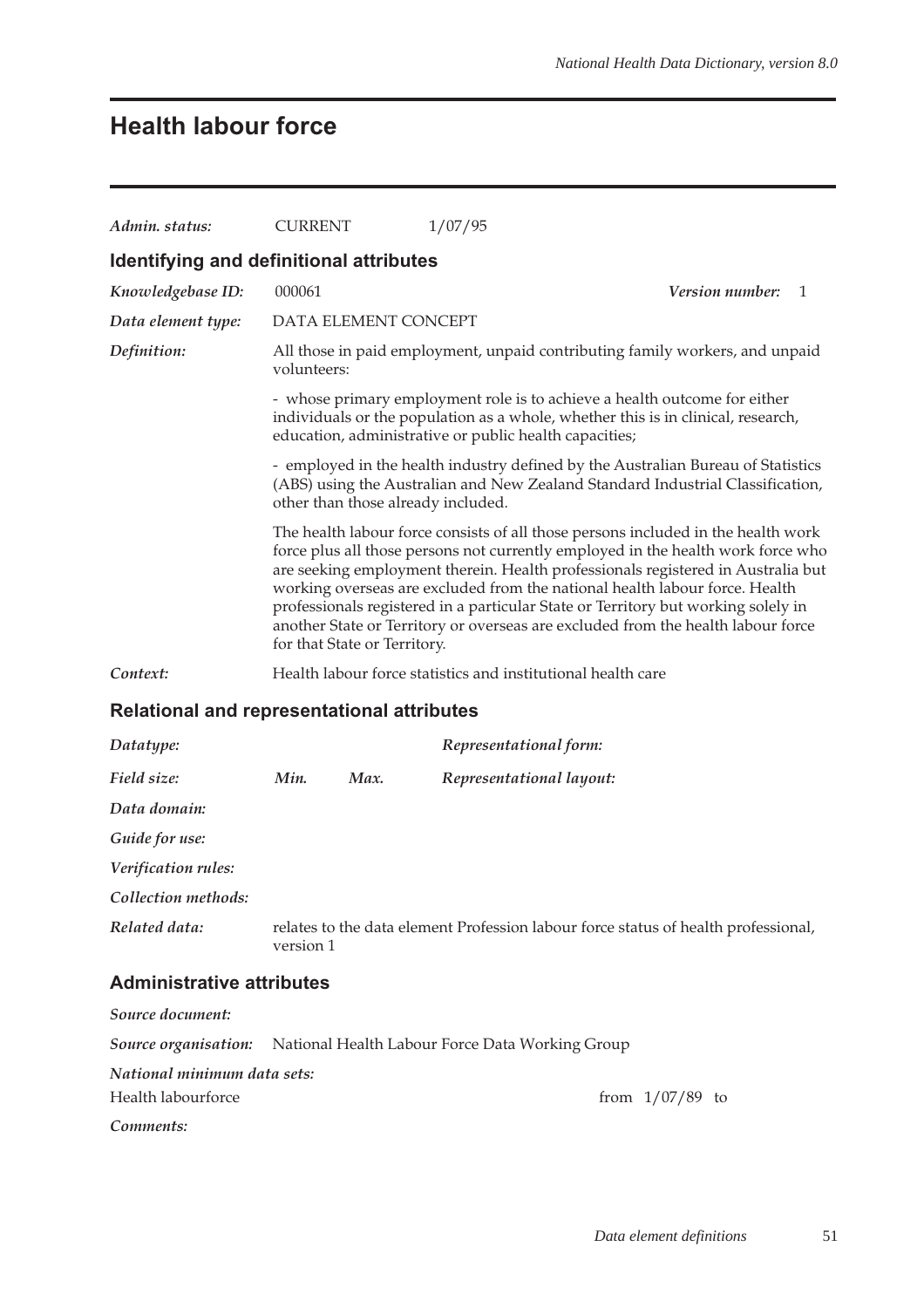# **Health labour force**

| Admin. status:                                    | <b>CURRENT</b>                                                                                                                                                                                                          |                                                                                                                                                                                                                                                                                                                                                                                                                                                                                                                                                   | 1/07/95                                                                            |  |  |  |  |  |  |
|---------------------------------------------------|-------------------------------------------------------------------------------------------------------------------------------------------------------------------------------------------------------------------------|---------------------------------------------------------------------------------------------------------------------------------------------------------------------------------------------------------------------------------------------------------------------------------------------------------------------------------------------------------------------------------------------------------------------------------------------------------------------------------------------------------------------------------------------------|------------------------------------------------------------------------------------|--|--|--|--|--|--|
| Identifying and definitional attributes           |                                                                                                                                                                                                                         |                                                                                                                                                                                                                                                                                                                                                                                                                                                                                                                                                   |                                                                                    |  |  |  |  |  |  |
| Knowledgebase ID:                                 | 000061                                                                                                                                                                                                                  |                                                                                                                                                                                                                                                                                                                                                                                                                                                                                                                                                   | Version number:<br>1                                                               |  |  |  |  |  |  |
| Data element type:                                |                                                                                                                                                                                                                         | DATA ELEMENT CONCEPT                                                                                                                                                                                                                                                                                                                                                                                                                                                                                                                              |                                                                                    |  |  |  |  |  |  |
| Definition:                                       | volunteers:                                                                                                                                                                                                             |                                                                                                                                                                                                                                                                                                                                                                                                                                                                                                                                                   | All those in paid employment, unpaid contributing family workers, and unpaid       |  |  |  |  |  |  |
|                                                   | - whose primary employment role is to achieve a health outcome for either<br>individuals or the population as a whole, whether this is in clinical, research,<br>education, administrative or public health capacities; |                                                                                                                                                                                                                                                                                                                                                                                                                                                                                                                                                   |                                                                                    |  |  |  |  |  |  |
|                                                   |                                                                                                                                                                                                                         | - employed in the health industry defined by the Australian Bureau of Statistics<br>(ABS) using the Australian and New Zealand Standard Industrial Classification,<br>other than those already included.                                                                                                                                                                                                                                                                                                                                          |                                                                                    |  |  |  |  |  |  |
|                                                   |                                                                                                                                                                                                                         | The health labour force consists of all those persons included in the health work<br>force plus all those persons not currently employed in the health work force who<br>are seeking employment therein. Health professionals registered in Australia but<br>working overseas are excluded from the national health labour force. Health<br>professionals registered in a particular State or Territory but working solely in<br>another State or Territory or overseas are excluded from the health labour force<br>for that State or Territory. |                                                                                    |  |  |  |  |  |  |
| Context:                                          |                                                                                                                                                                                                                         | Health labour force statistics and institutional health care                                                                                                                                                                                                                                                                                                                                                                                                                                                                                      |                                                                                    |  |  |  |  |  |  |
| <b>Relational and representational attributes</b> |                                                                                                                                                                                                                         |                                                                                                                                                                                                                                                                                                                                                                                                                                                                                                                                                   |                                                                                    |  |  |  |  |  |  |
| Datatype:                                         |                                                                                                                                                                                                                         |                                                                                                                                                                                                                                                                                                                                                                                                                                                                                                                                                   | Representational form:                                                             |  |  |  |  |  |  |
| Field size:                                       | Min.                                                                                                                                                                                                                    | Max.                                                                                                                                                                                                                                                                                                                                                                                                                                                                                                                                              | Representational layout:                                                           |  |  |  |  |  |  |
| Data domain:                                      |                                                                                                                                                                                                                         |                                                                                                                                                                                                                                                                                                                                                                                                                                                                                                                                                   |                                                                                    |  |  |  |  |  |  |
| Guide for use:                                    |                                                                                                                                                                                                                         |                                                                                                                                                                                                                                                                                                                                                                                                                                                                                                                                                   |                                                                                    |  |  |  |  |  |  |
| Verification rules:                               |                                                                                                                                                                                                                         |                                                                                                                                                                                                                                                                                                                                                                                                                                                                                                                                                   |                                                                                    |  |  |  |  |  |  |
| Collection methods:                               |                                                                                                                                                                                                                         |                                                                                                                                                                                                                                                                                                                                                                                                                                                                                                                                                   |                                                                                    |  |  |  |  |  |  |
| Related data:                                     | version 1                                                                                                                                                                                                               |                                                                                                                                                                                                                                                                                                                                                                                                                                                                                                                                                   | relates to the data element Profession labour force status of health professional, |  |  |  |  |  |  |
| <b>Administrative attributes</b>                  |                                                                                                                                                                                                                         |                                                                                                                                                                                                                                                                                                                                                                                                                                                                                                                                                   |                                                                                    |  |  |  |  |  |  |
| Source document:                                  |                                                                                                                                                                                                                         |                                                                                                                                                                                                                                                                                                                                                                                                                                                                                                                                                   |                                                                                    |  |  |  |  |  |  |
| Source organisation:                              |                                                                                                                                                                                                                         |                                                                                                                                                                                                                                                                                                                                                                                                                                                                                                                                                   | National Health Labour Force Data Working Group                                    |  |  |  |  |  |  |
| National minimum data sets:                       |                                                                                                                                                                                                                         |                                                                                                                                                                                                                                                                                                                                                                                                                                                                                                                                                   |                                                                                    |  |  |  |  |  |  |
| Health labourforce                                |                                                                                                                                                                                                                         |                                                                                                                                                                                                                                                                                                                                                                                                                                                                                                                                                   | from $1/07/89$ to                                                                  |  |  |  |  |  |  |
| Comments:                                         |                                                                                                                                                                                                                         |                                                                                                                                                                                                                                                                                                                                                                                                                                                                                                                                                   |                                                                                    |  |  |  |  |  |  |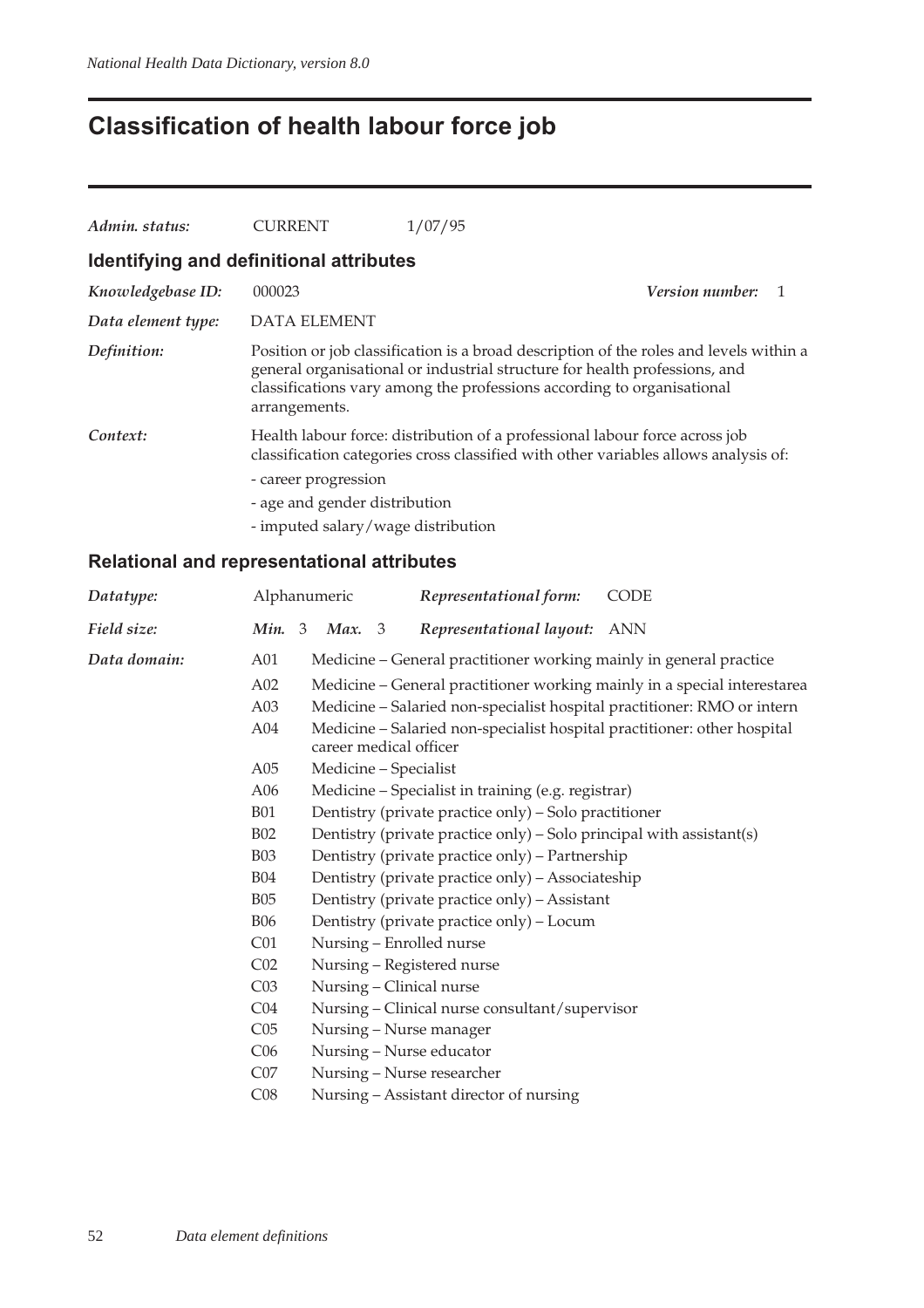# **Classification of health labour force job**

| Admin. status:                          | <b>CURRENT</b>                     | 1/07/95                                                                                                                                                                                                                                        |                        |              |
|-----------------------------------------|------------------------------------|------------------------------------------------------------------------------------------------------------------------------------------------------------------------------------------------------------------------------------------------|------------------------|--------------|
| Identifying and definitional attributes |                                    |                                                                                                                                                                                                                                                |                        |              |
| Knowledgebase ID:                       | 000023                             |                                                                                                                                                                                                                                                | <i>Version number:</i> | $\mathbf{1}$ |
| Data element type:                      | <b>DATA ELEMENT</b>                |                                                                                                                                                                                                                                                |                        |              |
| Definition:                             | arrangements.                      | Position or job classification is a broad description of the roles and levels within a<br>general organisational or industrial structure for health professions, and<br>classifications vary among the professions according to organisational |                        |              |
| Context:                                |                                    | Health labour force: distribution of a professional labour force across job<br>classification categories cross classified with other variables allows analysis of:                                                                             |                        |              |
|                                         | - career progression               |                                                                                                                                                                                                                                                |                        |              |
|                                         | - age and gender distribution      |                                                                                                                                                                                                                                                |                        |              |
|                                         | - imputed salary/wage distribution |                                                                                                                                                                                                                                                |                        |              |

|                          |                                                                                                                                                                               | Representational form: | CODE                                                                                                                                                                                                                                                                                                                                                                                                                                                                                                                                                                                                                                                                                                                                                                                                                                                                     |
|--------------------------|-------------------------------------------------------------------------------------------------------------------------------------------------------------------------------|------------------------|--------------------------------------------------------------------------------------------------------------------------------------------------------------------------------------------------------------------------------------------------------------------------------------------------------------------------------------------------------------------------------------------------------------------------------------------------------------------------------------------------------------------------------------------------------------------------------------------------------------------------------------------------------------------------------------------------------------------------------------------------------------------------------------------------------------------------------------------------------------------------|
|                          | Max. 3                                                                                                                                                                        |                        | <b>ANN</b>                                                                                                                                                                                                                                                                                                                                                                                                                                                                                                                                                                                                                                                                                                                                                                                                                                                               |
| A01                      |                                                                                                                                                                               |                        |                                                                                                                                                                                                                                                                                                                                                                                                                                                                                                                                                                                                                                                                                                                                                                                                                                                                          |
| A02                      |                                                                                                                                                                               |                        |                                                                                                                                                                                                                                                                                                                                                                                                                                                                                                                                                                                                                                                                                                                                                                                                                                                                          |
| A03                      | Medicine - Salaried non-specialist hospital practitioner: RMO or intern<br>Medicine - Salaried non-specialist hospital practitioner: other hospital<br>career medical officer |                        |                                                                                                                                                                                                                                                                                                                                                                                                                                                                                                                                                                                                                                                                                                                                                                                                                                                                          |
| A04                      |                                                                                                                                                                               |                        |                                                                                                                                                                                                                                                                                                                                                                                                                                                                                                                                                                                                                                                                                                                                                                                                                                                                          |
| A05                      |                                                                                                                                                                               |                        |                                                                                                                                                                                                                                                                                                                                                                                                                                                                                                                                                                                                                                                                                                                                                                                                                                                                          |
| A06                      |                                                                                                                                                                               |                        |                                                                                                                                                                                                                                                                                                                                                                                                                                                                                                                                                                                                                                                                                                                                                                                                                                                                          |
| <b>B01</b><br><b>B02</b> |                                                                                                                                                                               |                        |                                                                                                                                                                                                                                                                                                                                                                                                                                                                                                                                                                                                                                                                                                                                                                                                                                                                          |
|                          |                                                                                                                                                                               |                        |                                                                                                                                                                                                                                                                                                                                                                                                                                                                                                                                                                                                                                                                                                                                                                                                                                                                          |
| <b>B03</b>               |                                                                                                                                                                               |                        |                                                                                                                                                                                                                                                                                                                                                                                                                                                                                                                                                                                                                                                                                                                                                                                                                                                                          |
| <b>B04</b>               |                                                                                                                                                                               |                        |                                                                                                                                                                                                                                                                                                                                                                                                                                                                                                                                                                                                                                                                                                                                                                                                                                                                          |
| <b>B05</b>               |                                                                                                                                                                               |                        |                                                                                                                                                                                                                                                                                                                                                                                                                                                                                                                                                                                                                                                                                                                                                                                                                                                                          |
| <b>B06</b>               |                                                                                                                                                                               |                        |                                                                                                                                                                                                                                                                                                                                                                                                                                                                                                                                                                                                                                                                                                                                                                                                                                                                          |
| C <sub>01</sub>          |                                                                                                                                                                               |                        |                                                                                                                                                                                                                                                                                                                                                                                                                                                                                                                                                                                                                                                                                                                                                                                                                                                                          |
| C <sub>02</sub>          |                                                                                                                                                                               |                        |                                                                                                                                                                                                                                                                                                                                                                                                                                                                                                                                                                                                                                                                                                                                                                                                                                                                          |
| C <sub>03</sub>          |                                                                                                                                                                               |                        |                                                                                                                                                                                                                                                                                                                                                                                                                                                                                                                                                                                                                                                                                                                                                                                                                                                                          |
| C <sub>04</sub>          |                                                                                                                                                                               |                        |                                                                                                                                                                                                                                                                                                                                                                                                                                                                                                                                                                                                                                                                                                                                                                                                                                                                          |
| C <sub>05</sub>          |                                                                                                                                                                               |                        |                                                                                                                                                                                                                                                                                                                                                                                                                                                                                                                                                                                                                                                                                                                                                                                                                                                                          |
| C <sub>06</sub>          |                                                                                                                                                                               |                        |                                                                                                                                                                                                                                                                                                                                                                                                                                                                                                                                                                                                                                                                                                                                                                                                                                                                          |
| CO7                      |                                                                                                                                                                               |                        |                                                                                                                                                                                                                                                                                                                                                                                                                                                                                                                                                                                                                                                                                                                                                                                                                                                                          |
| C <sub>08</sub>          |                                                                                                                                                                               |                        |                                                                                                                                                                                                                                                                                                                                                                                                                                                                                                                                                                                                                                                                                                                                                                                                                                                                          |
|                          |                                                                                                                                                                               | Alphanumeric<br>Min. 3 | Representational layout:<br>Medicine – General practitioner working mainly in general practice<br>Medicine – General practitioner working mainly in a special interestarea<br>Medicine - Specialist<br>Medicine - Specialist in training (e.g. registrar)<br>Dentistry (private practice only) – Solo practitioner<br>Dentistry (private practice only) - Solo principal with assistant(s)<br>Dentistry (private practice only) - Partnership<br>Dentistry (private practice only) - Associateship<br>Dentistry (private practice only) - Assistant<br>Dentistry (private practice only) - Locum<br>Nursing - Enrolled nurse<br>Nursing - Registered nurse<br>Nursing - Clinical nurse<br>Nursing - Clinical nurse consultant/supervisor<br>Nursing - Nurse manager<br>Nursing - Nurse educator<br>Nursing - Nurse researcher<br>Nursing - Assistant director of nursing |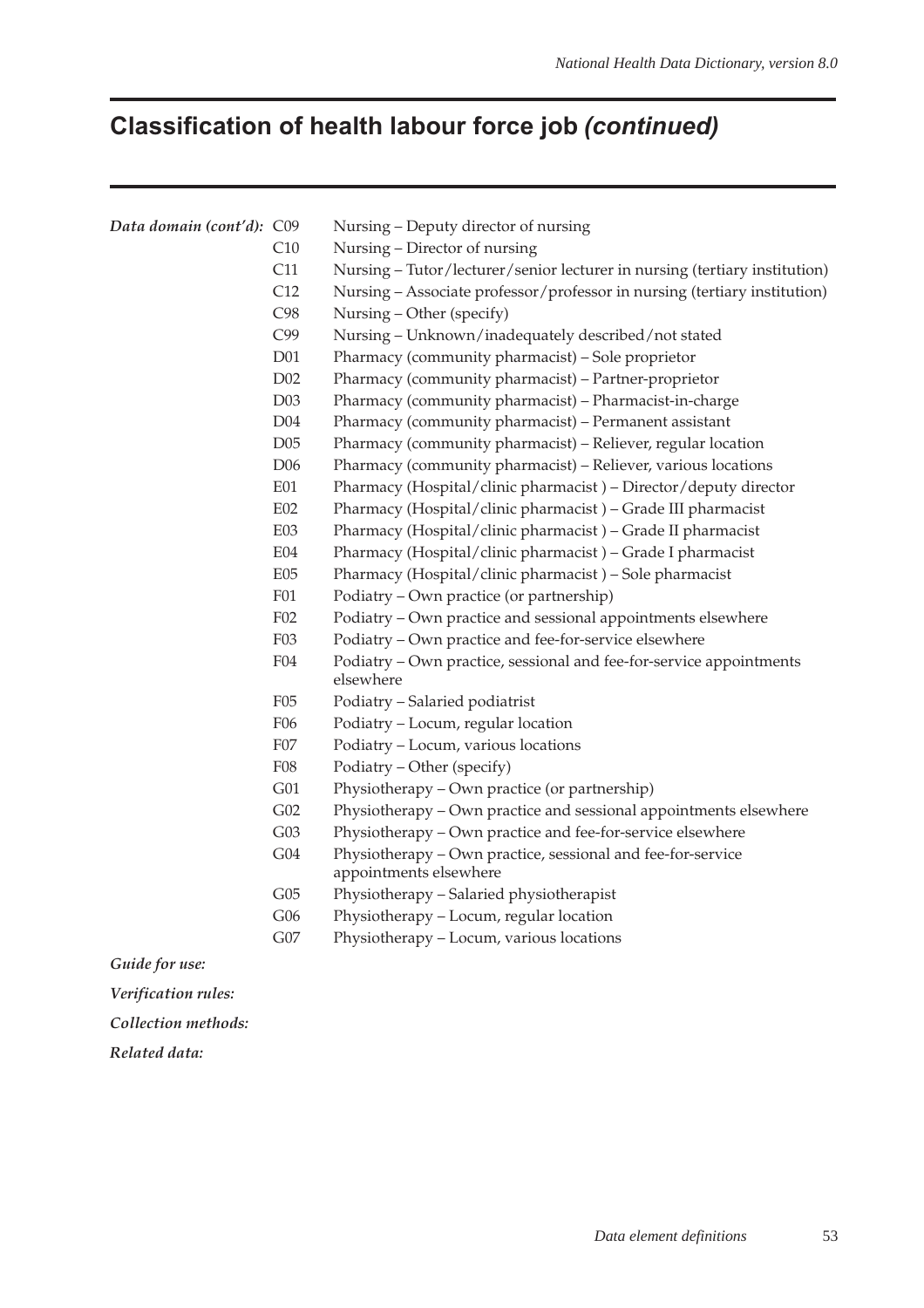# **Classification of health labour force job (continued)**

| Data domain (cont'd): C09 |                 | Nursing - Deputy director of nursing                                                  |
|---------------------------|-----------------|---------------------------------------------------------------------------------------|
|                           | C10             | Nursing - Director of nursing                                                         |
|                           | C11             | Nursing - Tutor/lecturer/senior lecturer in nursing (tertiary institution)            |
|                           | C12             | Nursing - Associate professor/professor in nursing (tertiary institution)             |
|                           | C98             | Nursing - Other (specify)                                                             |
|                           | C99             | Nursing - Unknown/inadequately described/not stated                                   |
|                           | D <sub>01</sub> | Pharmacy (community pharmacist) - Sole proprietor                                     |
|                           | D02             | Pharmacy (community pharmacist) - Partner-proprietor                                  |
|                           | D03             | Pharmacy (community pharmacist) - Pharmacist-in-charge                                |
|                           | D04             | Pharmacy (community pharmacist) - Permanent assistant                                 |
|                           | D05             | Pharmacy (community pharmacist) - Reliever, regular location                          |
|                           | D <sub>06</sub> | Pharmacy (community pharmacist) – Reliever, various locations                         |
|                           | E01             | Pharmacy (Hospital/clinic pharmacist) - Director/deputy director                      |
|                           | E02             | Pharmacy (Hospital/clinic pharmacist) - Grade III pharmacist                          |
|                           | <b>E03</b>      | Pharmacy (Hospital/clinic pharmacist) - Grade II pharmacist                           |
|                           | E04             | Pharmacy (Hospital/clinic pharmacist) - Grade I pharmacist                            |
|                           | E05             | Pharmacy (Hospital/clinic pharmacist) - Sole pharmacist                               |
|                           | <b>F01</b>      | Podiatry - Own practice (or partnership)                                              |
|                           | F02             | Podiatry - Own practice and sessional appointments elsewhere                          |
|                           | F03             | Podiatry - Own practice and fee-for-service elsewhere                                 |
|                           | ${\rm F}04$     | Podiatry - Own practice, sessional and fee-for-service appointments<br>elsewhere      |
|                           | F05             | Podiatry - Salaried podiatrist                                                        |
|                           | F06             | Podiatry - Locum, regular location                                                    |
|                           | ${\rm F07}$     | Podiatry - Locum, various locations                                                   |
|                           | ${\rm F08}$     | Podiatry - Other (specify)                                                            |
|                           | G01             | Physiotherapy – Own practice (or partnership)                                         |
|                           | G02             | Physiotherapy - Own practice and sessional appointments elsewhere                     |
|                           | G03             | Physiotherapy - Own practice and fee-for-service elsewhere                            |
|                           | G04             | Physiotherapy - Own practice, sessional and fee-for-service<br>appointments elsewhere |
|                           | G05             | Physiotherapy - Salaried physiotherapist                                              |
|                           | G06             | Physiotherapy - Locum, regular location                                               |
|                           | G07             | Physiotherapy - Locum, various locations                                              |
| Guide for use:            |                 |                                                                                       |

*Verification rules:*

*Collection methods:*

*Related data:*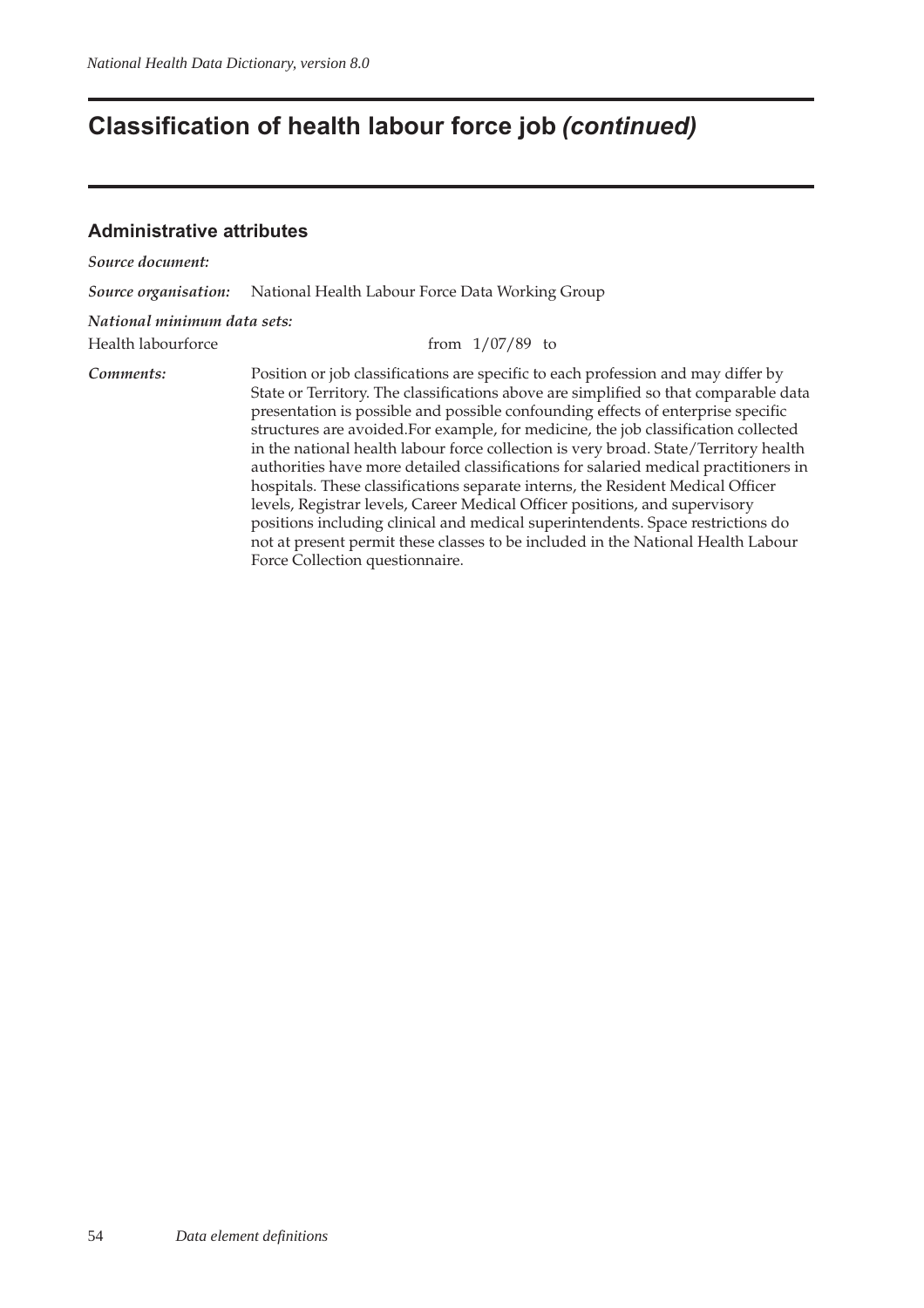## **Classification of health labour force job (continued)**

#### **Administrative attributes**

*Source document: Source organisation:* National Health Labour Force Data Working Group *National minimum data sets:* Health labourforce from 1/07/89 to *Comments:* Position or job classifications are specific to each profession and may differ by State or Territory. The classifications above are simplified so that comparable data presentation is possible and possible confounding effects of enterprise specific structures are avoided.For example, for medicine, the job classification collected in the national health labour force collection is very broad. State/Territory health authorities have more detailed classifications for salaried medical practitioners in hospitals. These classifications separate interns, the Resident Medical Officer levels, Registrar levels, Career Medical Officer positions, and supervisory positions including clinical and medical superintendents. Space restrictions do not at present permit these classes to be included in the National Health Labour Force Collection questionnaire.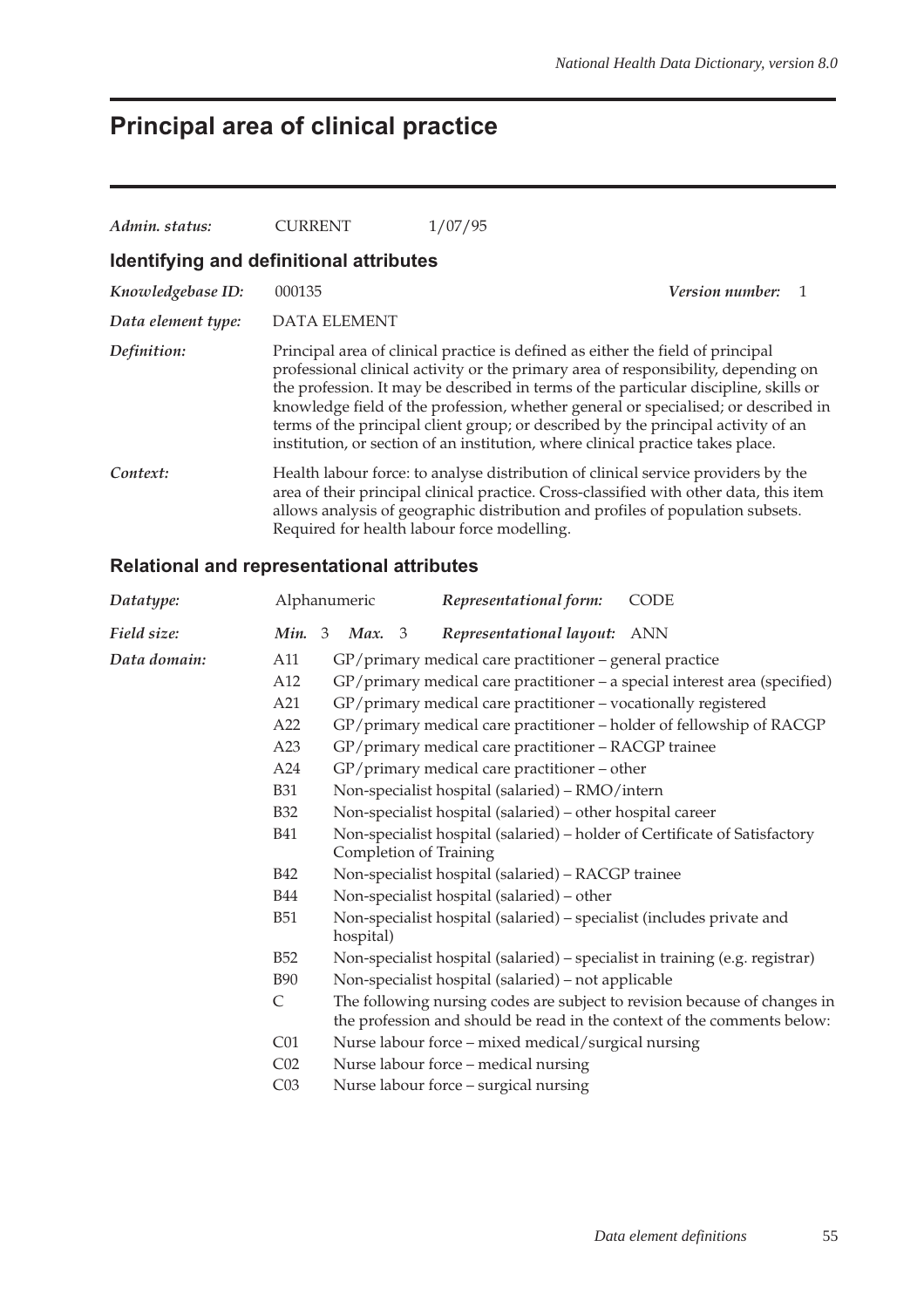# **Principal area of clinical practice**

| Admin. status:                          | <b>CURRENT</b>                              | 1/07/95                                                                                                                                                                                                                                                                                                                                                                                                                                                                                                                     |  |
|-----------------------------------------|---------------------------------------------|-----------------------------------------------------------------------------------------------------------------------------------------------------------------------------------------------------------------------------------------------------------------------------------------------------------------------------------------------------------------------------------------------------------------------------------------------------------------------------------------------------------------------------|--|
| Identifying and definitional attributes |                                             |                                                                                                                                                                                                                                                                                                                                                                                                                                                                                                                             |  |
| Knowledgebase ID:                       | 000135                                      | <i>Version number:</i>                                                                                                                                                                                                                                                                                                                                                                                                                                                                                                      |  |
| Data element type:                      | <b>DATA ELEMENT</b>                         |                                                                                                                                                                                                                                                                                                                                                                                                                                                                                                                             |  |
| Definition:                             |                                             | Principal area of clinical practice is defined as either the field of principal<br>professional clinical activity or the primary area of responsibility, depending on<br>the profession. It may be described in terms of the particular discipline, skills or<br>knowledge field of the profession, whether general or specialised; or described in<br>terms of the principal client group; or described by the principal activity of an<br>institution, or section of an institution, where clinical practice takes place. |  |
| Context:                                | Required for health labour force modelling. | Health labour force: to analyse distribution of clinical service providers by the<br>area of their principal clinical practice. Cross-classified with other data, this item<br>allows analysis of geographic distribution and profiles of population subsets.                                                                                                                                                                                                                                                               |  |

| Datatype:    | Alphanumeric    |                                                                                                                                        | Representational form:                                  | <b>CODE</b>                                                                                                                                          |  |
|--------------|-----------------|----------------------------------------------------------------------------------------------------------------------------------------|---------------------------------------------------------|------------------------------------------------------------------------------------------------------------------------------------------------------|--|
| Field size:  | Min. 3          | Max. 3                                                                                                                                 | Representational layout: ANN                            |                                                                                                                                                      |  |
| Data domain: | A11             |                                                                                                                                        | GP/primary medical care practitioner - general practice |                                                                                                                                                      |  |
|              | A12             |                                                                                                                                        |                                                         | GP/primary medical care practitioner - a special interest area (specified)                                                                           |  |
|              | A21             | GP/primary medical care practitioner - vocationally registered<br>GP/primary medical care practitioner - holder of fellowship of RACGP |                                                         |                                                                                                                                                      |  |
|              | A22             |                                                                                                                                        |                                                         |                                                                                                                                                      |  |
|              | A23             |                                                                                                                                        | GP/primary medical care practitioner - RACGP trainee    |                                                                                                                                                      |  |
|              | A24             |                                                                                                                                        | GP/primary medical care practitioner - other            |                                                                                                                                                      |  |
|              | <b>B31</b>      |                                                                                                                                        | Non-specialist hospital (salaried) - RMO/intern         |                                                                                                                                                      |  |
|              | <b>B32</b>      | Non-specialist hospital (salaried) – other hospital career                                                                             |                                                         |                                                                                                                                                      |  |
|              | <b>B41</b>      | Non-specialist hospital (salaried) - holder of Certificate of Satisfactory<br>Completion of Training                                   |                                                         |                                                                                                                                                      |  |
|              | <b>B42</b>      |                                                                                                                                        | Non-specialist hospital (salaried) - RACGP trainee      |                                                                                                                                                      |  |
|              | <b>B44</b>      | Non-specialist hospital (salaried) – other                                                                                             |                                                         |                                                                                                                                                      |  |
|              | <b>B51</b>      | Non-specialist hospital (salaried) – specialist (includes private and<br>hospital)                                                     |                                                         |                                                                                                                                                      |  |
|              | <b>B52</b>      |                                                                                                                                        |                                                         | Non-specialist hospital (salaried) – specialist in training (e.g. registrar)                                                                         |  |
|              | <b>B90</b>      |                                                                                                                                        | Non-specialist hospital (salaried) - not applicable     |                                                                                                                                                      |  |
|              | $\mathsf{C}$    |                                                                                                                                        |                                                         | The following nursing codes are subject to revision because of changes in<br>the profession and should be read in the context of the comments below: |  |
|              | C <sub>01</sub> |                                                                                                                                        | Nurse labour force – mixed medical/surgical nursing     |                                                                                                                                                      |  |
|              | C <sub>02</sub> |                                                                                                                                        | Nurse labour force – medical nursing                    |                                                                                                                                                      |  |
|              | C <sub>03</sub> |                                                                                                                                        | Nurse labour force - surgical nursing                   |                                                                                                                                                      |  |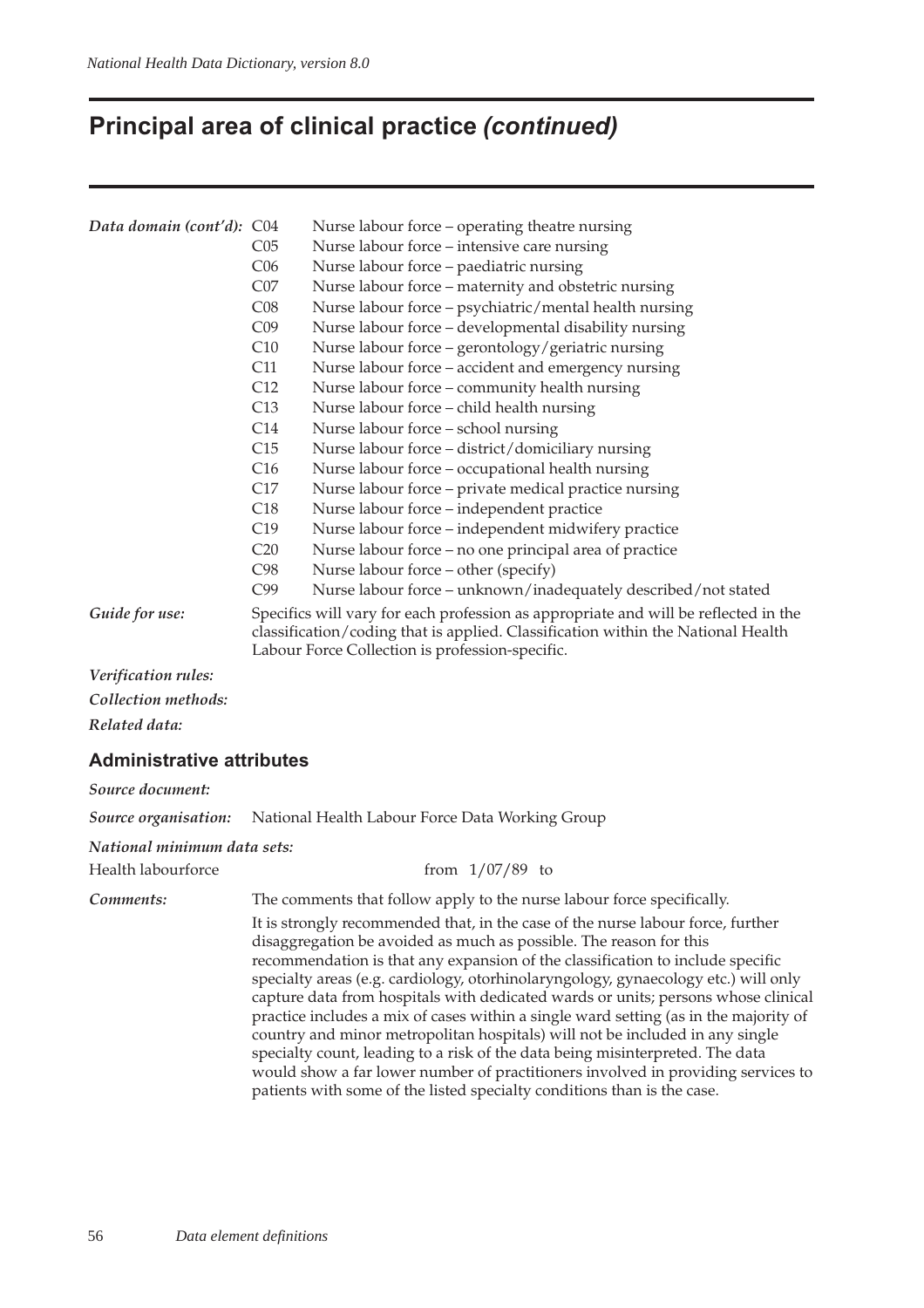# **Principal area of clinical practice (continued)**

| Data domain (cont'd): C04        |                 | Nurse labour force - operating theatre nursing                                                                                                                                                                                                                                                                                                                                                                                                                                                                                                                                                                                                                                                                                                                                                                                             |
|----------------------------------|-----------------|--------------------------------------------------------------------------------------------------------------------------------------------------------------------------------------------------------------------------------------------------------------------------------------------------------------------------------------------------------------------------------------------------------------------------------------------------------------------------------------------------------------------------------------------------------------------------------------------------------------------------------------------------------------------------------------------------------------------------------------------------------------------------------------------------------------------------------------------|
|                                  | CO <sub>5</sub> | Nurse labour force – intensive care nursing                                                                                                                                                                                                                                                                                                                                                                                                                                                                                                                                                                                                                                                                                                                                                                                                |
|                                  | C <sub>06</sub> | Nurse labour force - paediatric nursing                                                                                                                                                                                                                                                                                                                                                                                                                                                                                                                                                                                                                                                                                                                                                                                                    |
|                                  | CO7             | Nurse labour force - maternity and obstetric nursing                                                                                                                                                                                                                                                                                                                                                                                                                                                                                                                                                                                                                                                                                                                                                                                       |
|                                  | C <sub>08</sub> | Nurse labour force - psychiatric/mental health nursing                                                                                                                                                                                                                                                                                                                                                                                                                                                                                                                                                                                                                                                                                                                                                                                     |
|                                  | C <sub>09</sub> | Nurse labour force - developmental disability nursing                                                                                                                                                                                                                                                                                                                                                                                                                                                                                                                                                                                                                                                                                                                                                                                      |
|                                  | C10             | Nurse labour force - gerontology/geriatric nursing                                                                                                                                                                                                                                                                                                                                                                                                                                                                                                                                                                                                                                                                                                                                                                                         |
|                                  | C11             | Nurse labour force – accident and emergency nursing                                                                                                                                                                                                                                                                                                                                                                                                                                                                                                                                                                                                                                                                                                                                                                                        |
|                                  | C12             | Nurse labour force - community health nursing                                                                                                                                                                                                                                                                                                                                                                                                                                                                                                                                                                                                                                                                                                                                                                                              |
|                                  | C13             | Nurse labour force - child health nursing                                                                                                                                                                                                                                                                                                                                                                                                                                                                                                                                                                                                                                                                                                                                                                                                  |
|                                  | C14             | Nurse labour force - school nursing                                                                                                                                                                                                                                                                                                                                                                                                                                                                                                                                                                                                                                                                                                                                                                                                        |
|                                  | C15             | Nurse labour force - district/domiciliary nursing                                                                                                                                                                                                                                                                                                                                                                                                                                                                                                                                                                                                                                                                                                                                                                                          |
|                                  | C16             | Nurse labour force - occupational health nursing                                                                                                                                                                                                                                                                                                                                                                                                                                                                                                                                                                                                                                                                                                                                                                                           |
|                                  | C17             | Nurse labour force - private medical practice nursing                                                                                                                                                                                                                                                                                                                                                                                                                                                                                                                                                                                                                                                                                                                                                                                      |
|                                  | C18             | Nurse labour force - independent practice                                                                                                                                                                                                                                                                                                                                                                                                                                                                                                                                                                                                                                                                                                                                                                                                  |
|                                  | C19             | Nurse labour force - independent midwifery practice                                                                                                                                                                                                                                                                                                                                                                                                                                                                                                                                                                                                                                                                                                                                                                                        |
|                                  | C20             | Nurse labour force - no one principal area of practice                                                                                                                                                                                                                                                                                                                                                                                                                                                                                                                                                                                                                                                                                                                                                                                     |
|                                  | C98             | Nurse labour force - other (specify)                                                                                                                                                                                                                                                                                                                                                                                                                                                                                                                                                                                                                                                                                                                                                                                                       |
|                                  | C99             | Nurse labour force - unknown/inadequately described/not stated                                                                                                                                                                                                                                                                                                                                                                                                                                                                                                                                                                                                                                                                                                                                                                             |
| Guide for use:                   |                 | Specifics will vary for each profession as appropriate and will be reflected in the<br>classification/coding that is applied. Classification within the National Health<br>Labour Force Collection is profession-specific.                                                                                                                                                                                                                                                                                                                                                                                                                                                                                                                                                                                                                 |
| Verification rules:              |                 |                                                                                                                                                                                                                                                                                                                                                                                                                                                                                                                                                                                                                                                                                                                                                                                                                                            |
| Collection methods:              |                 |                                                                                                                                                                                                                                                                                                                                                                                                                                                                                                                                                                                                                                                                                                                                                                                                                                            |
| Related data:                    |                 |                                                                                                                                                                                                                                                                                                                                                                                                                                                                                                                                                                                                                                                                                                                                                                                                                                            |
| <b>Administrative attributes</b> |                 |                                                                                                                                                                                                                                                                                                                                                                                                                                                                                                                                                                                                                                                                                                                                                                                                                                            |
| Source document:                 |                 |                                                                                                                                                                                                                                                                                                                                                                                                                                                                                                                                                                                                                                                                                                                                                                                                                                            |
| Source organisation:             |                 | National Health Labour Force Data Working Group                                                                                                                                                                                                                                                                                                                                                                                                                                                                                                                                                                                                                                                                                                                                                                                            |
| National minimum data sets:      |                 |                                                                                                                                                                                                                                                                                                                                                                                                                                                                                                                                                                                                                                                                                                                                                                                                                                            |
| Health labourforce               |                 | from $1/07/89$ to                                                                                                                                                                                                                                                                                                                                                                                                                                                                                                                                                                                                                                                                                                                                                                                                                          |
| Comments:                        |                 | The comments that follow apply to the nurse labour force specifically.                                                                                                                                                                                                                                                                                                                                                                                                                                                                                                                                                                                                                                                                                                                                                                     |
|                                  |                 | It is strongly recommended that, in the case of the nurse labour force, further<br>disaggregation be avoided as much as possible. The reason for this<br>recommendation is that any expansion of the classification to include specific<br>specialty areas (e.g. cardiology, otorhinolaryngology, gynaecology etc.) will only<br>capture data from hospitals with dedicated wards or units; persons whose clinical<br>practice includes a mix of cases within a single ward setting (as in the majority of<br>country and minor metropolitan hospitals) will not be included in any single<br>specialty count, leading to a risk of the data being misinterpreted. The data<br>would show a far lower number of practitioners involved in providing services to<br>patients with some of the listed specialty conditions than is the case. |
|                                  |                 |                                                                                                                                                                                                                                                                                                                                                                                                                                                                                                                                                                                                                                                                                                                                                                                                                                            |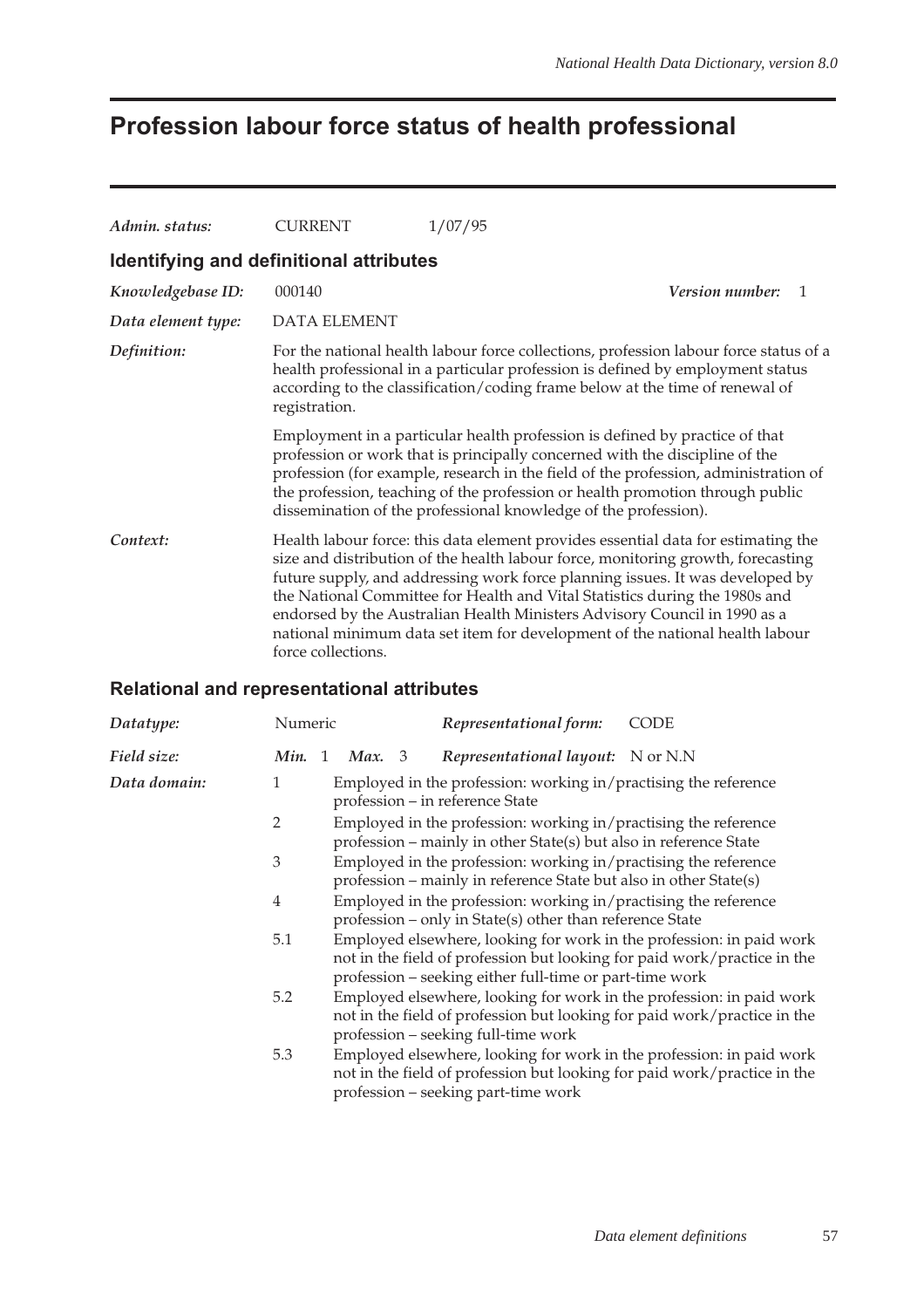## **Profession labour force status of health professional**

| Admin. status:                          | CURRENT                                                                                                                                                                                                                                                                  | 1/07/95                                                                                                                                                                                                                                                                                                                                                                                                                                                                                            |  |
|-----------------------------------------|--------------------------------------------------------------------------------------------------------------------------------------------------------------------------------------------------------------------------------------------------------------------------|----------------------------------------------------------------------------------------------------------------------------------------------------------------------------------------------------------------------------------------------------------------------------------------------------------------------------------------------------------------------------------------------------------------------------------------------------------------------------------------------------|--|
| Identifying and definitional attributes |                                                                                                                                                                                                                                                                          |                                                                                                                                                                                                                                                                                                                                                                                                                                                                                                    |  |
| Knowledgebase ID:                       | 000140                                                                                                                                                                                                                                                                   | <i>Version number:</i><br>$\mathbf{1}$                                                                                                                                                                                                                                                                                                                                                                                                                                                             |  |
| Data element type:                      | <b>DATA ELEMENT</b>                                                                                                                                                                                                                                                      |                                                                                                                                                                                                                                                                                                                                                                                                                                                                                                    |  |
| Definition:                             | For the national health labour force collections, profession labour force status of a<br>health professional in a particular profession is defined by employment status<br>according to the classification/coding frame below at the time of renewal of<br>registration. |                                                                                                                                                                                                                                                                                                                                                                                                                                                                                                    |  |
|                                         |                                                                                                                                                                                                                                                                          | Employment in a particular health profession is defined by practice of that<br>profession or work that is principally concerned with the discipline of the<br>profession (for example, research in the field of the profession, administration of<br>the profession, teaching of the profession or health promotion through public<br>dissemination of the professional knowledge of the profession).                                                                                              |  |
| Context:                                | force collections.                                                                                                                                                                                                                                                       | Health labour force: this data element provides essential data for estimating the<br>size and distribution of the health labour force, monitoring growth, forecasting<br>future supply, and addressing work force planning issues. It was developed by<br>the National Committee for Health and Vital Statistics during the 1980s and<br>endorsed by the Australian Health Ministers Advisory Council in 1990 as a<br>national minimum data set item for development of the national health labour |  |

| Datatype:    | Numeric |        | Representational form:                                                                                                                                                                                      | <b>CODE</b> |
|--------------|---------|--------|-------------------------------------------------------------------------------------------------------------------------------------------------------------------------------------------------------------|-------------|
| Field size:  | Min. 1  | Max. 3 | Representational layout: N or N.N                                                                                                                                                                           |             |
| Data domain: | 1       |        | Employed in the profession: working in/practising the reference<br>profession – in reference State                                                                                                          |             |
|              | 2       |        | Employed in the profession: working in/practising the reference<br>profession – mainly in other State(s) but also in reference State                                                                        |             |
|              | 3       |        | Employed in the profession: working in/practising the reference<br>profession – mainly in reference State but also in other State(s)                                                                        |             |
|              | 4       |        | Employed in the profession: working in/practising the reference<br>profession – only in State(s) other than reference State                                                                                 |             |
|              | 5.1     |        | Employed elsewhere, looking for work in the profession: in paid work<br>not in the field of profession but looking for paid work/practice in the<br>profession – seeking either full-time or part-time work |             |
|              | 5.2     |        | Employed elsewhere, looking for work in the profession: in paid work<br>not in the field of profession but looking for paid work/practice in the<br>profession - seeking full-time work                     |             |
|              | 5.3     |        | Employed elsewhere, looking for work in the profession: in paid work<br>not in the field of profession but looking for paid work/practice in the<br>profession - seeking part-time work                     |             |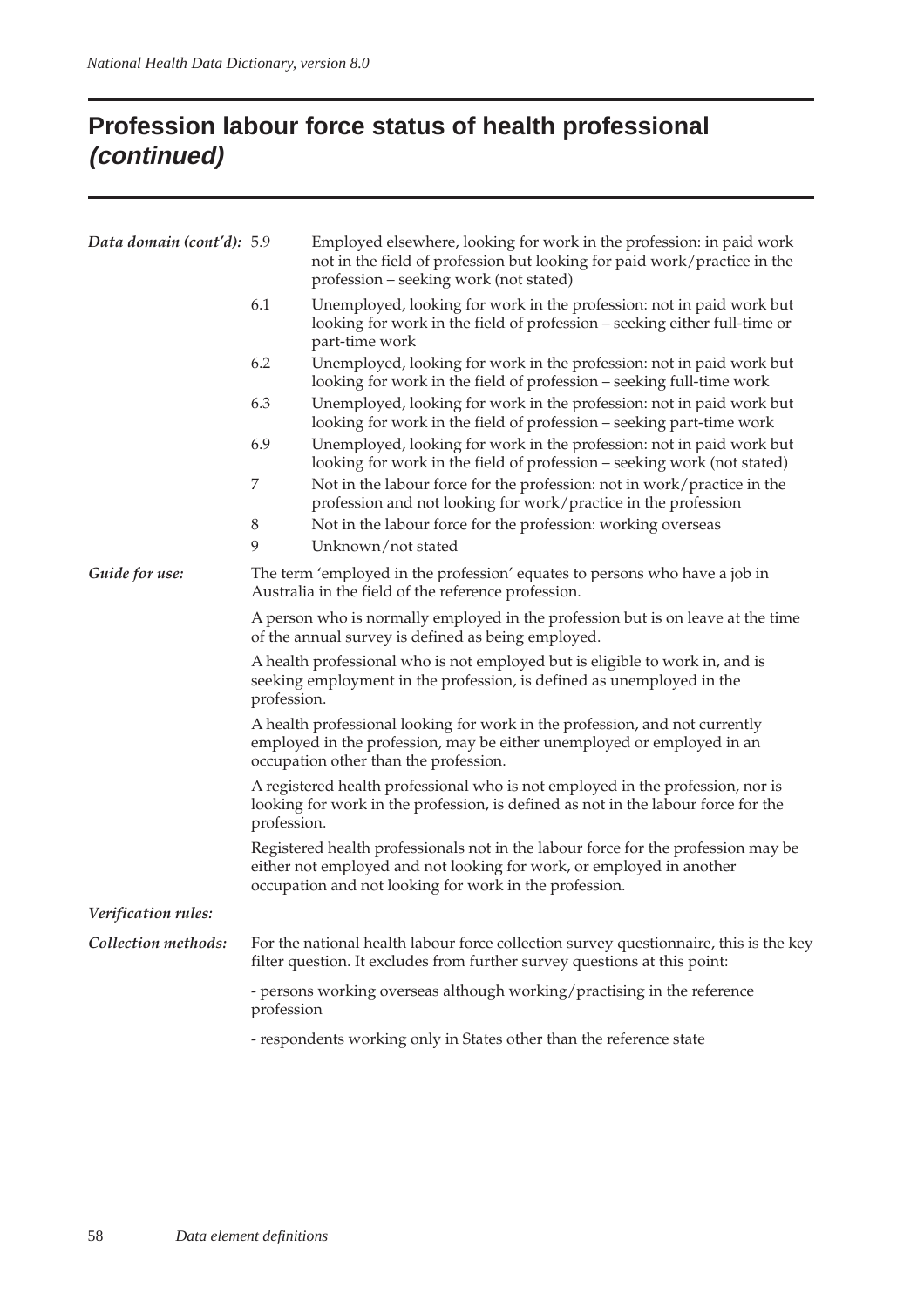## **Profession labour force status of health professional (continued)**

| Data domain (cont'd): 5.9 | Employed elsewhere, looking for work in the profession: in paid work<br>not in the field of profession but looking for paid work/practice in the<br>profession – seeking work (not stated)     |                                                                                                                                                                                                                     |  |  |
|---------------------------|------------------------------------------------------------------------------------------------------------------------------------------------------------------------------------------------|---------------------------------------------------------------------------------------------------------------------------------------------------------------------------------------------------------------------|--|--|
|                           | 6.1                                                                                                                                                                                            | Unemployed, looking for work in the profession: not in paid work but<br>looking for work in the field of profession - seeking either full-time or<br>part-time work                                                 |  |  |
|                           | 6.2                                                                                                                                                                                            | Unemployed, looking for work in the profession: not in paid work but<br>looking for work in the field of profession – seeking full-time work                                                                        |  |  |
|                           | 6.3                                                                                                                                                                                            | Unemployed, looking for work in the profession: not in paid work but<br>looking for work in the field of profession – seeking part-time work                                                                        |  |  |
|                           | 6.9                                                                                                                                                                                            | Unemployed, looking for work in the profession: not in paid work but<br>looking for work in the field of profession – seeking work (not stated)                                                                     |  |  |
|                           | $\boldsymbol{7}$                                                                                                                                                                               | Not in the labour force for the profession: not in work/practice in the<br>profession and not looking for work/practice in the profession                                                                           |  |  |
|                           | 8                                                                                                                                                                                              | Not in the labour force for the profession: working overseas                                                                                                                                                        |  |  |
|                           | $\mathbf{9}$                                                                                                                                                                                   | Unknown/not stated                                                                                                                                                                                                  |  |  |
| Guide for use:            |                                                                                                                                                                                                | The term 'employed in the profession' equates to persons who have a job in<br>Australia in the field of the reference profession.                                                                                   |  |  |
|                           |                                                                                                                                                                                                | A person who is normally employed in the profession but is on leave at the time<br>of the annual survey is defined as being employed.                                                                               |  |  |
|                           | A health professional who is not employed but is eligible to work in, and is<br>seeking employment in the profession, is defined as unemployed in the<br>profession.                           |                                                                                                                                                                                                                     |  |  |
|                           | A health professional looking for work in the profession, and not currently<br>employed in the profession, may be either unemployed or employed in an<br>occupation other than the profession. |                                                                                                                                                                                                                     |  |  |
|                           | A registered health professional who is not employed in the profession, nor is<br>looking for work in the profession, is defined as not in the labour force for the<br>profession.             |                                                                                                                                                                                                                     |  |  |
|                           |                                                                                                                                                                                                | Registered health professionals not in the labour force for the profession may be<br>either not employed and not looking for work, or employed in another<br>occupation and not looking for work in the profession. |  |  |
| Verification rules:       |                                                                                                                                                                                                |                                                                                                                                                                                                                     |  |  |
| Collection methods:       |                                                                                                                                                                                                | For the national health labour force collection survey questionnaire, this is the key<br>filter question. It excludes from further survey questions at this point:                                                  |  |  |
|                           | profession                                                                                                                                                                                     | - persons working overseas although working/practising in the reference                                                                                                                                             |  |  |
|                           |                                                                                                                                                                                                | - respondents working only in States other than the reference state                                                                                                                                                 |  |  |
|                           |                                                                                                                                                                                                |                                                                                                                                                                                                                     |  |  |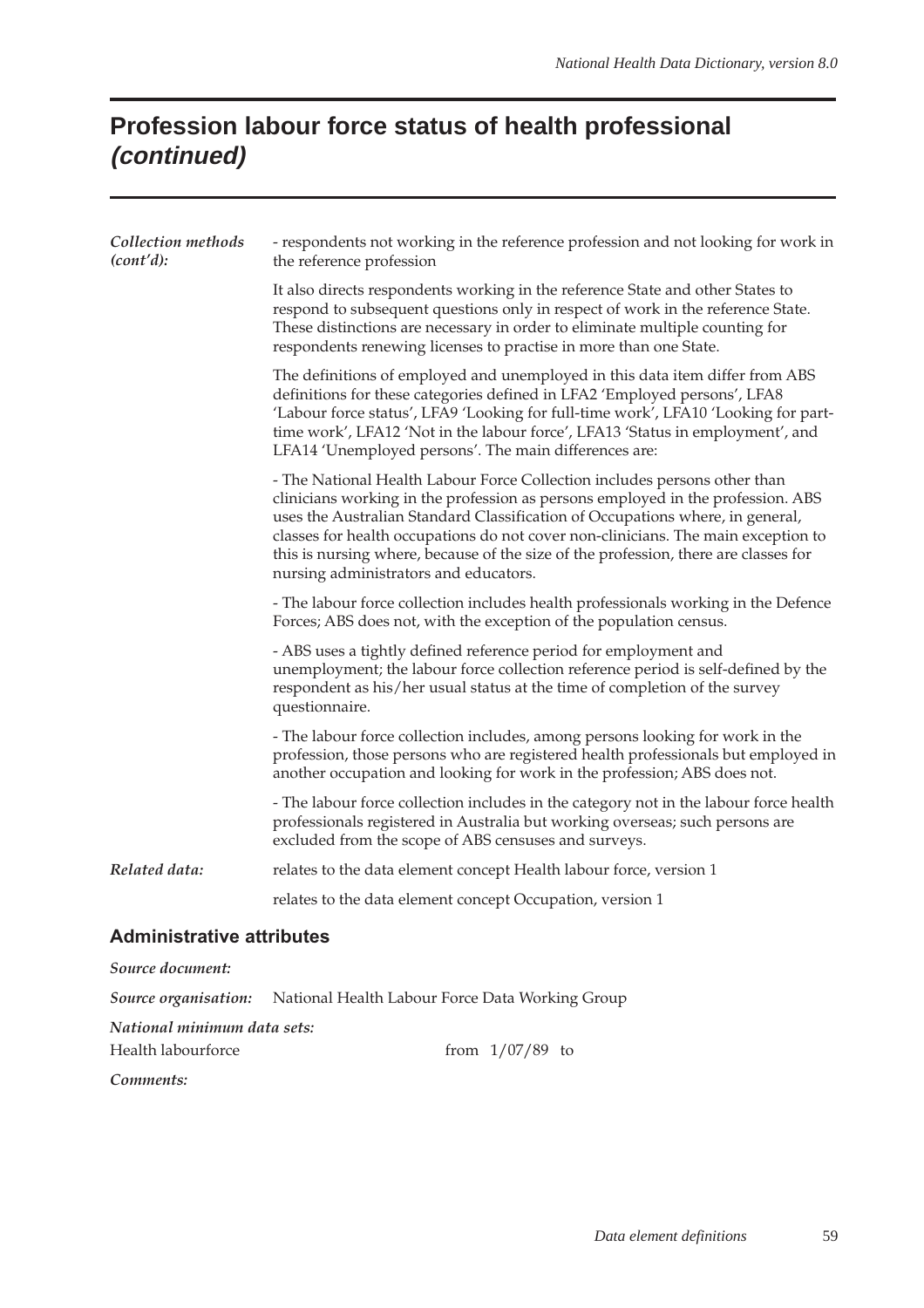# **Profession labour force status of health professional (continued)**

| Collection methods<br>(cont'd):  | - respondents not working in the reference profession and not looking for work in<br>the reference profession                                                                                                                                                                                                                                                                                                                                                      |  |  |  |  |
|----------------------------------|--------------------------------------------------------------------------------------------------------------------------------------------------------------------------------------------------------------------------------------------------------------------------------------------------------------------------------------------------------------------------------------------------------------------------------------------------------------------|--|--|--|--|
|                                  | It also directs respondents working in the reference State and other States to<br>respond to subsequent questions only in respect of work in the reference State.<br>These distinctions are necessary in order to eliminate multiple counting for<br>respondents renewing licenses to practise in more than one State.                                                                                                                                             |  |  |  |  |
|                                  | The definitions of employed and unemployed in this data item differ from ABS<br>definitions for these categories defined in LFA2 'Employed persons', LFA8<br>'Labour force status', LFA9 'Looking for full-time work', LFA10 'Looking for part-<br>time work', LFA12 'Not in the labour force', LFA13 'Status in employment', and<br>LFA14 'Unemployed persons'. The main differences are:                                                                         |  |  |  |  |
|                                  | - The National Health Labour Force Collection includes persons other than<br>clinicians working in the profession as persons employed in the profession. ABS<br>uses the Australian Standard Classification of Occupations where, in general,<br>classes for health occupations do not cover non-clinicians. The main exception to<br>this is nursing where, because of the size of the profession, there are classes for<br>nursing administrators and educators. |  |  |  |  |
|                                  | - The labour force collection includes health professionals working in the Defence<br>Forces; ABS does not, with the exception of the population census.                                                                                                                                                                                                                                                                                                           |  |  |  |  |
|                                  | - ABS uses a tightly defined reference period for employment and<br>unemployment; the labour force collection reference period is self-defined by the<br>respondent as his/her usual status at the time of completion of the survey<br>questionnaire.                                                                                                                                                                                                              |  |  |  |  |
|                                  | - The labour force collection includes, among persons looking for work in the<br>profession, those persons who are registered health professionals but employed in<br>another occupation and looking for work in the profession; ABS does not.                                                                                                                                                                                                                     |  |  |  |  |
|                                  | - The labour force collection includes in the category not in the labour force health<br>professionals registered in Australia but working overseas; such persons are<br>excluded from the scope of ABS censuses and surveys.                                                                                                                                                                                                                                      |  |  |  |  |
| Related data:                    | relates to the data element concept Health labour force, version 1                                                                                                                                                                                                                                                                                                                                                                                                 |  |  |  |  |
|                                  | relates to the data element concept Occupation, version 1                                                                                                                                                                                                                                                                                                                                                                                                          |  |  |  |  |
| <b>Administrative attributes</b> |                                                                                                                                                                                                                                                                                                                                                                                                                                                                    |  |  |  |  |
| Source document:                 |                                                                                                                                                                                                                                                                                                                                                                                                                                                                    |  |  |  |  |
| Source organisation:             | National Health Labour Force Data Working Group                                                                                                                                                                                                                                                                                                                                                                                                                    |  |  |  |  |
| National minimum data sets:      |                                                                                                                                                                                                                                                                                                                                                                                                                                                                    |  |  |  |  |
| Health labourforce               | from $1/07/89$ to                                                                                                                                                                                                                                                                                                                                                                                                                                                  |  |  |  |  |

*Comments:*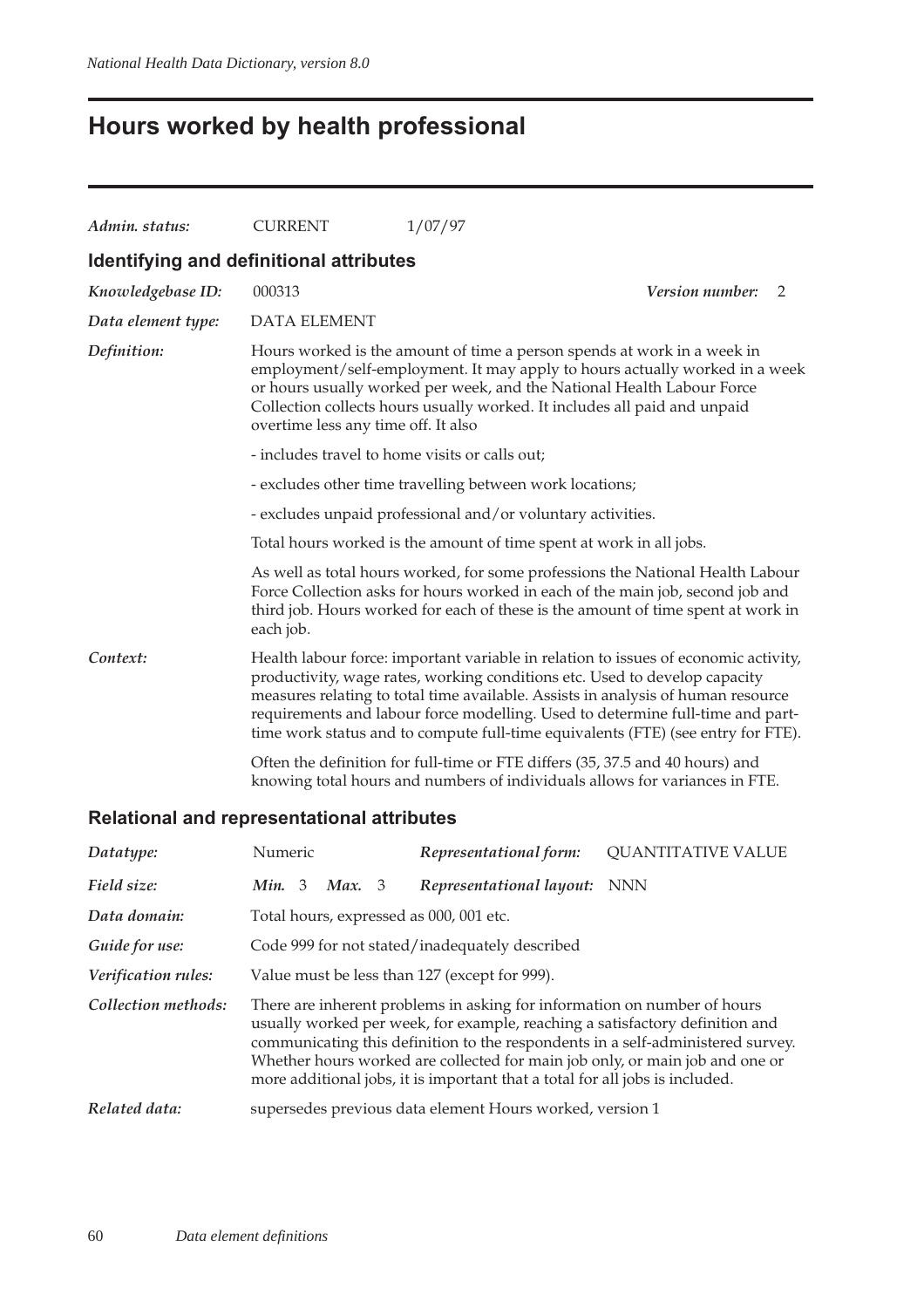# **Hours worked by health professional**

| Admin. status:                          | <b>CURRENT</b>                                                                                                                                                                                                                                                                                                                                       | 1/07/97                                                                                                                                                                                                                                                                                                                                                                                                                                                                                                                                                                                     |  |  |  |  |
|-----------------------------------------|------------------------------------------------------------------------------------------------------------------------------------------------------------------------------------------------------------------------------------------------------------------------------------------------------------------------------------------------------|---------------------------------------------------------------------------------------------------------------------------------------------------------------------------------------------------------------------------------------------------------------------------------------------------------------------------------------------------------------------------------------------------------------------------------------------------------------------------------------------------------------------------------------------------------------------------------------------|--|--|--|--|
| Identifying and definitional attributes |                                                                                                                                                                                                                                                                                                                                                      |                                                                                                                                                                                                                                                                                                                                                                                                                                                                                                                                                                                             |  |  |  |  |
| Knowledgebase ID:                       | 000313                                                                                                                                                                                                                                                                                                                                               | Version number:<br>2                                                                                                                                                                                                                                                                                                                                                                                                                                                                                                                                                                        |  |  |  |  |
| Data element type:                      | <b>DATA ELEMENT</b>                                                                                                                                                                                                                                                                                                                                  |                                                                                                                                                                                                                                                                                                                                                                                                                                                                                                                                                                                             |  |  |  |  |
| Definition:                             | Hours worked is the amount of time a person spends at work in a week in<br>employment/self-employment. It may apply to hours actually worked in a week<br>or hours usually worked per week, and the National Health Labour Force<br>Collection collects hours usually worked. It includes all paid and unpaid<br>overtime less any time off. It also |                                                                                                                                                                                                                                                                                                                                                                                                                                                                                                                                                                                             |  |  |  |  |
|                                         | - includes travel to home visits or calls out;                                                                                                                                                                                                                                                                                                       |                                                                                                                                                                                                                                                                                                                                                                                                                                                                                                                                                                                             |  |  |  |  |
|                                         | - excludes other time travelling between work locations;                                                                                                                                                                                                                                                                                             |                                                                                                                                                                                                                                                                                                                                                                                                                                                                                                                                                                                             |  |  |  |  |
|                                         |                                                                                                                                                                                                                                                                                                                                                      | - excludes unpaid professional and/or voluntary activities.                                                                                                                                                                                                                                                                                                                                                                                                                                                                                                                                 |  |  |  |  |
|                                         | Total hours worked is the amount of time spent at work in all jobs.                                                                                                                                                                                                                                                                                  |                                                                                                                                                                                                                                                                                                                                                                                                                                                                                                                                                                                             |  |  |  |  |
|                                         | each job.                                                                                                                                                                                                                                                                                                                                            | As well as total hours worked, for some professions the National Health Labour<br>Force Collection asks for hours worked in each of the main job, second job and<br>third job. Hours worked for each of these is the amount of time spent at work in                                                                                                                                                                                                                                                                                                                                        |  |  |  |  |
| Context:                                |                                                                                                                                                                                                                                                                                                                                                      | Health labour force: important variable in relation to issues of economic activity,<br>productivity, wage rates, working conditions etc. Used to develop capacity<br>measures relating to total time available. Assists in analysis of human resource<br>requirements and labour force modelling. Used to determine full-time and part-<br>time work status and to compute full-time equivalents (FTE) (see entry for FTE).<br>Often the definition for full-time or FTE differs (35, 37.5 and 40 hours) and<br>knowing total hours and numbers of individuals allows for variances in FTE. |  |  |  |  |
|                                         |                                                                                                                                                                                                                                                                                                                                                      |                                                                                                                                                                                                                                                                                                                                                                                                                                                                                                                                                                                             |  |  |  |  |

| Datatype:           | Numeric                                                                                                                                                                                                                                                                                                                                                                                                     | Representational form:                                   | <b>QUANTITATIVE VALUE</b> |  |
|---------------------|-------------------------------------------------------------------------------------------------------------------------------------------------------------------------------------------------------------------------------------------------------------------------------------------------------------------------------------------------------------------------------------------------------------|----------------------------------------------------------|---------------------------|--|
| Field size:         | Min. 3<br>Max. 3                                                                                                                                                                                                                                                                                                                                                                                            | Representational layout: NNN                             |                           |  |
| Data domain:        | Total hours, expressed as 000, 001 etc.                                                                                                                                                                                                                                                                                                                                                                     |                                                          |                           |  |
| Guide for use:      | Code 999 for not stated/inadequately described                                                                                                                                                                                                                                                                                                                                                              |                                                          |                           |  |
| Verification rules: | Value must be less than 127 (except for 999).                                                                                                                                                                                                                                                                                                                                                               |                                                          |                           |  |
| Collection methods: | There are inherent problems in asking for information on number of hours<br>usually worked per week, for example, reaching a satisfactory definition and<br>communicating this definition to the respondents in a self-administered survey.<br>Whether hours worked are collected for main job only, or main job and one or<br>more additional jobs, it is important that a total for all jobs is included. |                                                          |                           |  |
| Related data:       |                                                                                                                                                                                                                                                                                                                                                                                                             | supersedes previous data element Hours worked, version 1 |                           |  |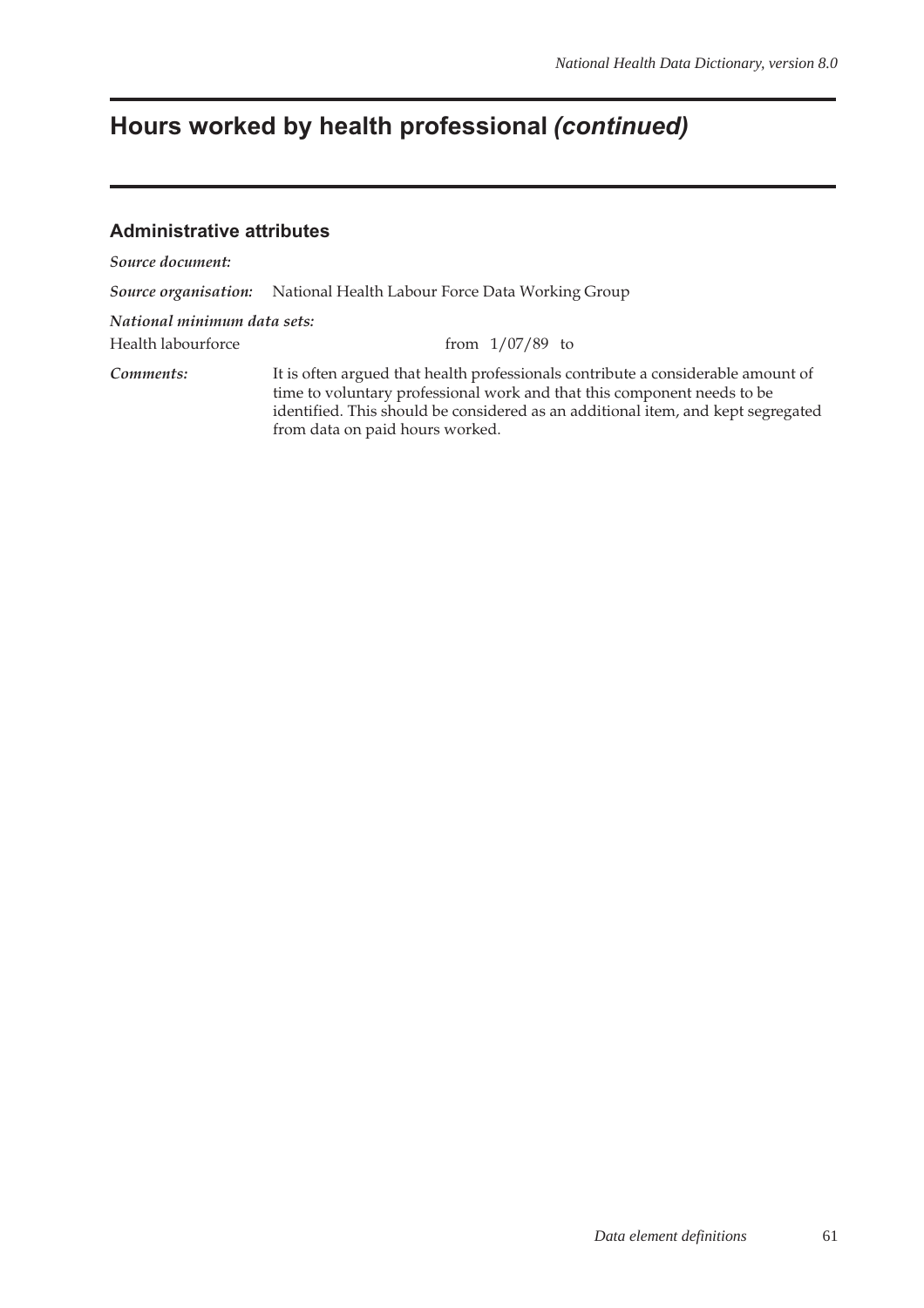## **Hours worked by health professional (continued)**

#### **Administrative attributes**

*Source document:*

*Source organisation:* National Health Labour Force Data Working Group

*National minimum data sets:*

Health labourforce from 1/07/89 to

*Comments:* It is often argued that health professionals contribute a considerable amount of time to voluntary professional work and that this component needs to be identified. This should be considered as an additional item, and kept segregated from data on paid hours worked.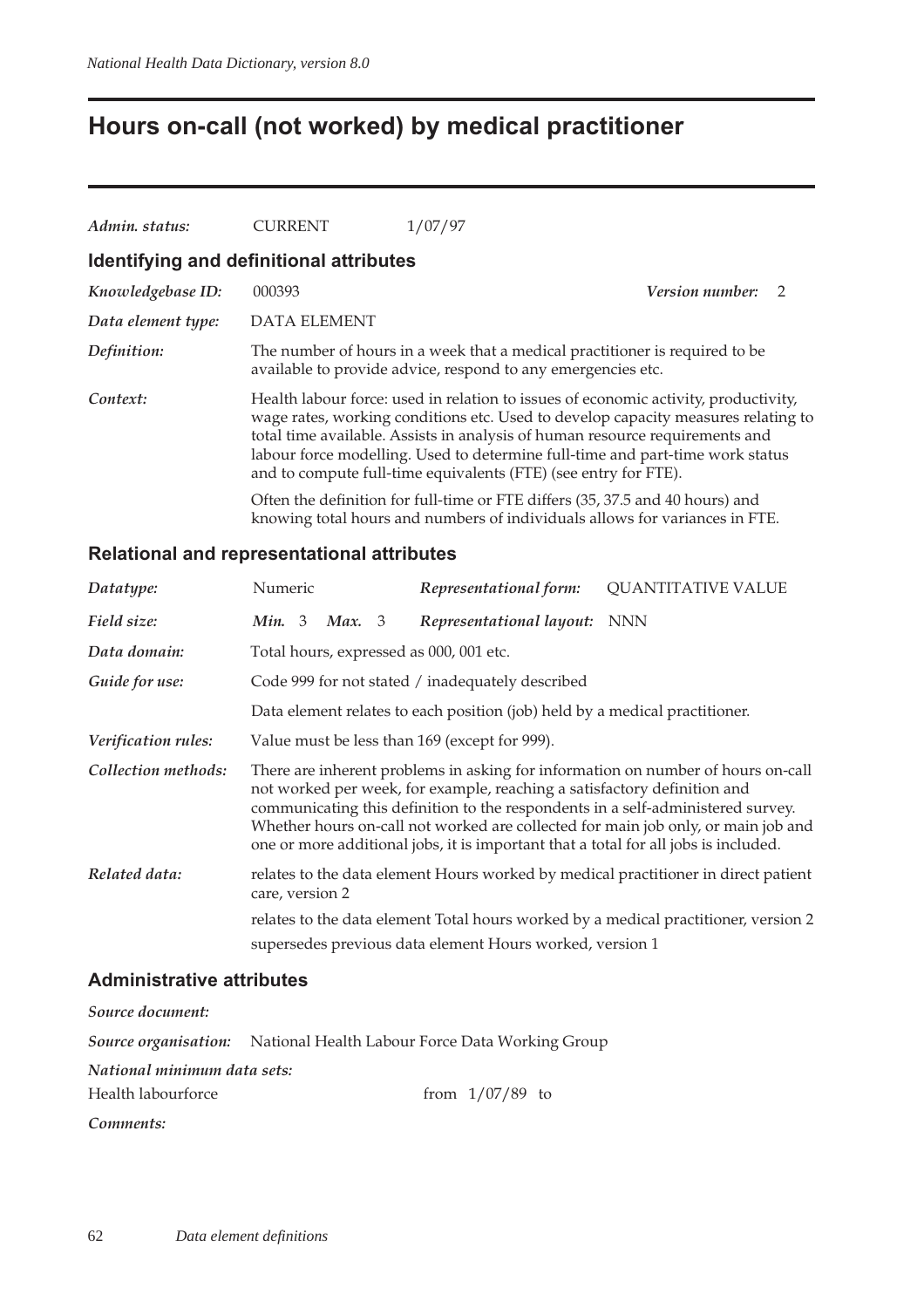## **Hours on-call (not worked) by medical practitioner**

| Admin. status:     | <b>CURRENT</b>                          | 1/07/97                                                                                                                                                                                                                                                                                                                                                                                                      |  |
|--------------------|-----------------------------------------|--------------------------------------------------------------------------------------------------------------------------------------------------------------------------------------------------------------------------------------------------------------------------------------------------------------------------------------------------------------------------------------------------------------|--|
|                    | Identifying and definitional attributes |                                                                                                                                                                                                                                                                                                                                                                                                              |  |
| Knowledgebase ID:  | 000393                                  | <i>Version number:</i><br>$\overline{2}$                                                                                                                                                                                                                                                                                                                                                                     |  |
| Data element type: | <b>DATA ELEMENT</b>                     |                                                                                                                                                                                                                                                                                                                                                                                                              |  |
| Definition:        |                                         | The number of hours in a week that a medical practitioner is required to be<br>available to provide advice, respond to any emergencies etc.                                                                                                                                                                                                                                                                  |  |
| Context:           |                                         | Health labour force: used in relation to issues of economic activity, productivity,<br>wage rates, working conditions etc. Used to develop capacity measures relating to<br>total time available. Assists in analysis of human resource requirements and<br>labour force modelling. Used to determine full-time and part-time work status<br>and to compute full-time equivalents (FTE) (see entry for FTE). |  |
|                    |                                         | Often the definition for full-time or FTE differs (35, 37.5 and 40 hours) and<br>knowing total hours and numbers of individuals allows for variances in FTE.                                                                                                                                                                                                                                                 |  |

#### **Relational and representational attributes**

| Datatype:           | Numeric                                 | Representational form:                                                                                                                                          | <b>QUANTITATIVE VALUE</b>                                                                                                                                                                                                                                |
|---------------------|-----------------------------------------|-----------------------------------------------------------------------------------------------------------------------------------------------------------------|----------------------------------------------------------------------------------------------------------------------------------------------------------------------------------------------------------------------------------------------------------|
| Field size:         | Min. 3<br><b>Max.</b> 3                 | Representational layout: NNN                                                                                                                                    |                                                                                                                                                                                                                                                          |
| Data domain:        | Total hours, expressed as 000, 001 etc. |                                                                                                                                                                 |                                                                                                                                                                                                                                                          |
| Guide for use:      |                                         | Code 999 for not stated / inadequately described                                                                                                                |                                                                                                                                                                                                                                                          |
|                     |                                         | Data element relates to each position (job) held by a medical practitioner.                                                                                     |                                                                                                                                                                                                                                                          |
| Verification rules: |                                         | Value must be less than 169 (except for 999).                                                                                                                   |                                                                                                                                                                                                                                                          |
| Collection methods: |                                         | not worked per week, for example, reaching a satisfactory definition and<br>one or more additional jobs, it is important that a total for all jobs is included. | There are inherent problems in asking for information on number of hours on-call<br>communicating this definition to the respondents in a self-administered survey.<br>Whether hours on-call not worked are collected for main job only, or main job and |
| Related data:       | care, version 2                         |                                                                                                                                                                 | relates to the data element Hours worked by medical practitioner in direct patient                                                                                                                                                                       |
|                     |                                         |                                                                                                                                                                 | relates to the data element Total hours worked by a medical practitioner, version 2                                                                                                                                                                      |
|                     |                                         | supersedes previous data element Hours worked, version 1                                                                                                        |                                                                                                                                                                                                                                                          |
|                     |                                         |                                                                                                                                                                 |                                                                                                                                                                                                                                                          |

### **Administrative attributes**

| Source document:            |                                                                             |
|-----------------------------|-----------------------------------------------------------------------------|
|                             | <b>Source organisation:</b> National Health Labour Force Data Working Group |
| National minimum data sets: |                                                                             |
| Health labourforce          | from $1/07/89$ to                                                           |
| Comments:                   |                                                                             |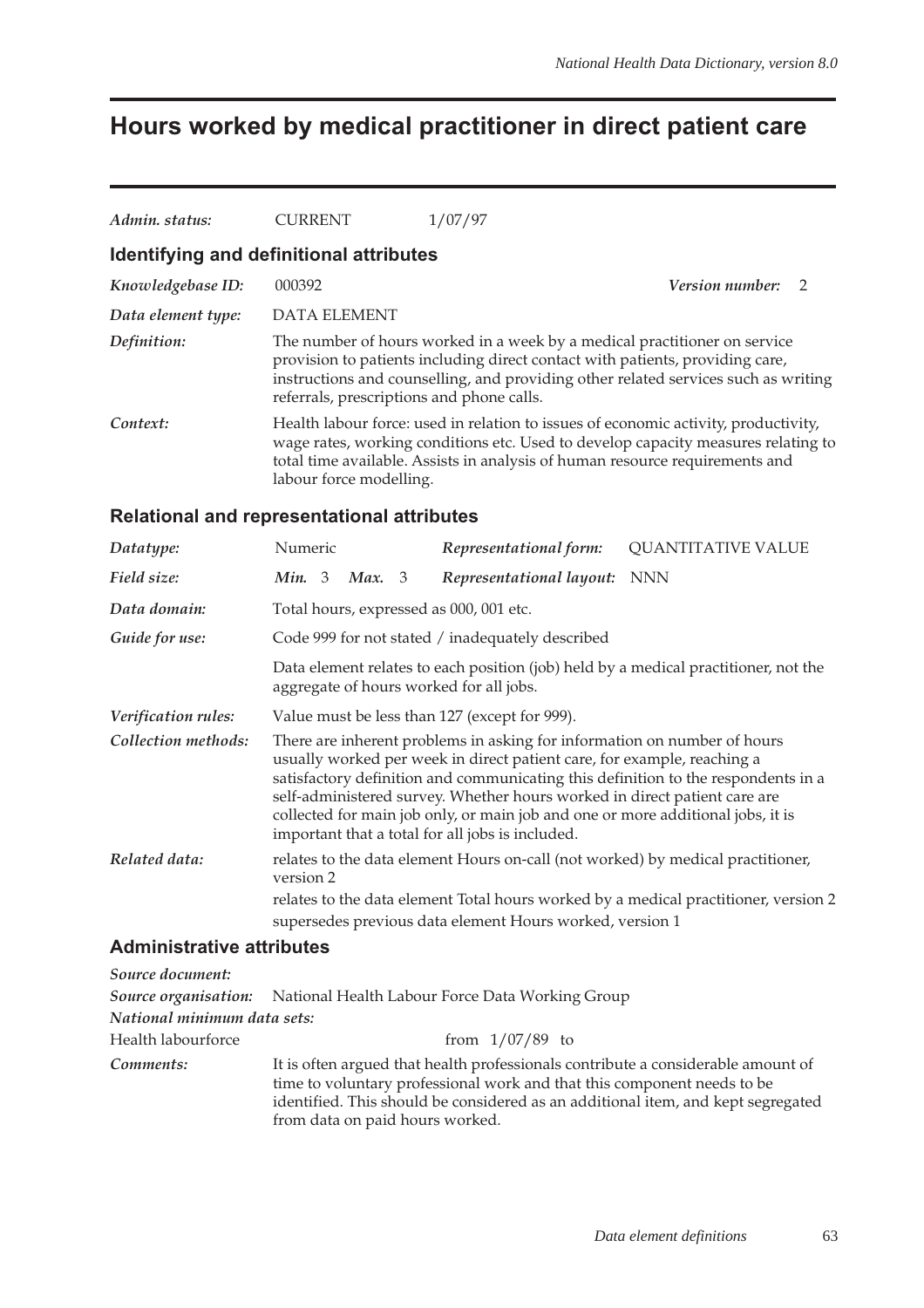# **Hours worked by medical practitioner in direct patient care**

| Admin. status:                   | CURRENT                                           | 1/07/97                                                                                                                                                                                                                                                                                                                                                                 |                                                                                     |
|----------------------------------|---------------------------------------------------|-------------------------------------------------------------------------------------------------------------------------------------------------------------------------------------------------------------------------------------------------------------------------------------------------------------------------------------------------------------------------|-------------------------------------------------------------------------------------|
|                                  | <b>Identifying and definitional attributes</b>    |                                                                                                                                                                                                                                                                                                                                                                         |                                                                                     |
| Knowledgebase ID:                | 000392                                            |                                                                                                                                                                                                                                                                                                                                                                         | <i>Version number:</i><br>2                                                         |
| Data element type:               | <b>DATA ELEMENT</b>                               |                                                                                                                                                                                                                                                                                                                                                                         |                                                                                     |
| Definition:                      | referrals, prescriptions and phone calls.         | The number of hours worked in a week by a medical practitioner on service<br>provision to patients including direct contact with patients, providing care,                                                                                                                                                                                                              | instructions and counselling, and providing other related services such as writing  |
| Context:                         | labour force modelling.                           | Health labour force: used in relation to issues of economic activity, productivity,<br>total time available. Assists in analysis of human resource requirements and                                                                                                                                                                                                     | wage rates, working conditions etc. Used to develop capacity measures relating to   |
|                                  | <b>Relational and representational attributes</b> |                                                                                                                                                                                                                                                                                                                                                                         |                                                                                     |
| Datatype:                        | Numeric                                           | Representational form:                                                                                                                                                                                                                                                                                                                                                  | <b>QUANTITATIVE VALUE</b>                                                           |
| Field size:                      | Min. 3<br>Max.<br>3                               | Representational layout:                                                                                                                                                                                                                                                                                                                                                | <b>NNN</b>                                                                          |
| Data domain:                     | Total hours, expressed as 000, 001 etc.           |                                                                                                                                                                                                                                                                                                                                                                         |                                                                                     |
| Guide for use:                   |                                                   | Code 999 for not stated / inadequately described                                                                                                                                                                                                                                                                                                                        |                                                                                     |
|                                  | aggregate of hours worked for all jobs.           |                                                                                                                                                                                                                                                                                                                                                                         | Data element relates to each position (job) held by a medical practitioner, not the |
| Verification rules:              |                                                   | Value must be less than 127 (except for 999).                                                                                                                                                                                                                                                                                                                           |                                                                                     |
| Collection methods:              |                                                   | There are inherent problems in asking for information on number of hours<br>usually worked per week in direct patient care, for example, reaching a<br>self-administered survey. Whether hours worked in direct patient care are<br>collected for main job only, or main job and one or more additional jobs, it is<br>important that a total for all jobs is included. | satisfactory definition and communicating this definition to the respondents in a   |
| Related data:                    | version 2                                         | relates to the data element Hours on-call (not worked) by medical practitioner,                                                                                                                                                                                                                                                                                         |                                                                                     |
|                                  |                                                   |                                                                                                                                                                                                                                                                                                                                                                         | relates to the data element Total hours worked by a medical practitioner, version 2 |
|                                  |                                                   | supersedes previous data element Hours worked, version 1                                                                                                                                                                                                                                                                                                                |                                                                                     |
| <b>Administrative attributes</b> |                                                   |                                                                                                                                                                                                                                                                                                                                                                         |                                                                                     |
| Source document:                 |                                                   |                                                                                                                                                                                                                                                                                                                                                                         |                                                                                     |

|                             | <b>Source organisation:</b> National Health Labour Force Data Working Group                                                                                                                                                                                                        |
|-----------------------------|------------------------------------------------------------------------------------------------------------------------------------------------------------------------------------------------------------------------------------------------------------------------------------|
| National minimum data sets: |                                                                                                                                                                                                                                                                                    |
| Health labourforce          | from $1/07/89$ to                                                                                                                                                                                                                                                                  |
| Comments:                   | It is often argued that health professionals contribute a considerable amount of<br>time to voluntary professional work and that this component needs to be<br>identified. This should be considered as an additional item, and kept segregated<br>from data on paid hours worked. |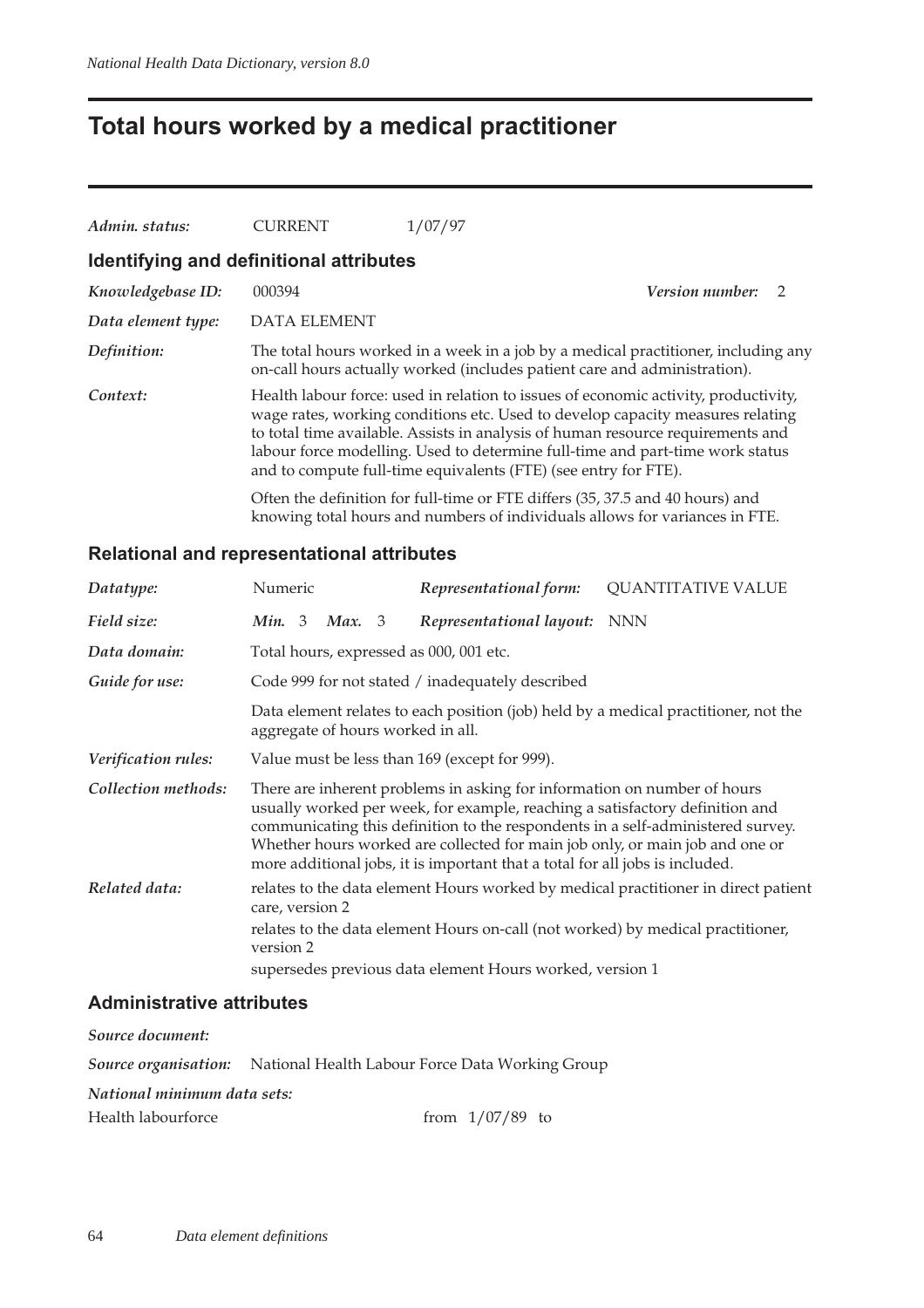## **Total hours worked by a medical practitioner**

| Admin. status:                          | <b>CURRENT</b>      | 1/07/97                                                                                                                                                                                                                                                                                                                                                                                                      |                        |  |
|-----------------------------------------|---------------------|--------------------------------------------------------------------------------------------------------------------------------------------------------------------------------------------------------------------------------------------------------------------------------------------------------------------------------------------------------------------------------------------------------------|------------------------|--|
| Identifying and definitional attributes |                     |                                                                                                                                                                                                                                                                                                                                                                                                              |                        |  |
| Knowledgebase ID:                       | 000394              |                                                                                                                                                                                                                                                                                                                                                                                                              | <i>Version number:</i> |  |
| Data element type:                      | <b>DATA ELEMENT</b> |                                                                                                                                                                                                                                                                                                                                                                                                              |                        |  |
| Definition:                             |                     | The total hours worked in a week in a job by a medical practitioner, including any<br>on-call hours actually worked (includes patient care and administration).                                                                                                                                                                                                                                              |                        |  |
| Context:                                |                     | Health labour force: used in relation to issues of economic activity, productivity,<br>wage rates, working conditions etc. Used to develop capacity measures relating<br>to total time available. Assists in analysis of human resource requirements and<br>labour force modelling. Used to determine full-time and part-time work status<br>and to compute full-time equivalents (FTE) (see entry for FTE). |                        |  |
|                                         |                     | Often the definition for full-time or FTE differs (35, 37.5 and 40 hours) and<br>knowing total hours and numbers of individuals allows for variances in FTE.                                                                                                                                                                                                                                                 |                        |  |

#### **Relational and representational attributes**

| Datatype:                  | Numeric         |        | Representational form:                                                                                                                                                                                                                                                                                                   | <b>QUANTITATIVE VALUE</b>                                                           |
|----------------------------|-----------------|--------|--------------------------------------------------------------------------------------------------------------------------------------------------------------------------------------------------------------------------------------------------------------------------------------------------------------------------|-------------------------------------------------------------------------------------|
| Field size:                | Min. $3$        | Max. 3 | Representational layout: NNN                                                                                                                                                                                                                                                                                             |                                                                                     |
| Data domain:               |                 |        | Total hours, expressed as 000, 001 etc.                                                                                                                                                                                                                                                                                  |                                                                                     |
| Guide for use:             |                 |        | Code 999 for not stated / inadequately described                                                                                                                                                                                                                                                                         |                                                                                     |
|                            |                 |        | aggregate of hours worked in all.                                                                                                                                                                                                                                                                                        | Data element relates to each position (job) held by a medical practitioner, not the |
| <i>Verification rules:</i> |                 |        | Value must be less than 169 (except for 999).                                                                                                                                                                                                                                                                            |                                                                                     |
| Collection methods:        |                 |        | There are inherent problems in asking for information on number of hours<br>usually worked per week, for example, reaching a satisfactory definition and<br>Whether hours worked are collected for main job only, or main job and one or<br>more additional jobs, it is important that a total for all jobs is included. | communicating this definition to the respondents in a self-administered survey.     |
| Related data:              | care, version 2 |        |                                                                                                                                                                                                                                                                                                                          | relates to the data element Hours worked by medical practitioner in direct patient  |
|                            | version 2       |        |                                                                                                                                                                                                                                                                                                                          | relates to the data element Hours on-call (not worked) by medical practitioner,     |
|                            |                 |        | supersedes previous data element Hours worked, version 1                                                                                                                                                                                                                                                                 |                                                                                     |

#### **Administrative attributes**

| <b>Source organisation:</b> National Health Labour Force Data Working Group |
|-----------------------------------------------------------------------------|
| National minimum data sets:                                                 |
| from $1/07/89$ to                                                           |
|                                                                             |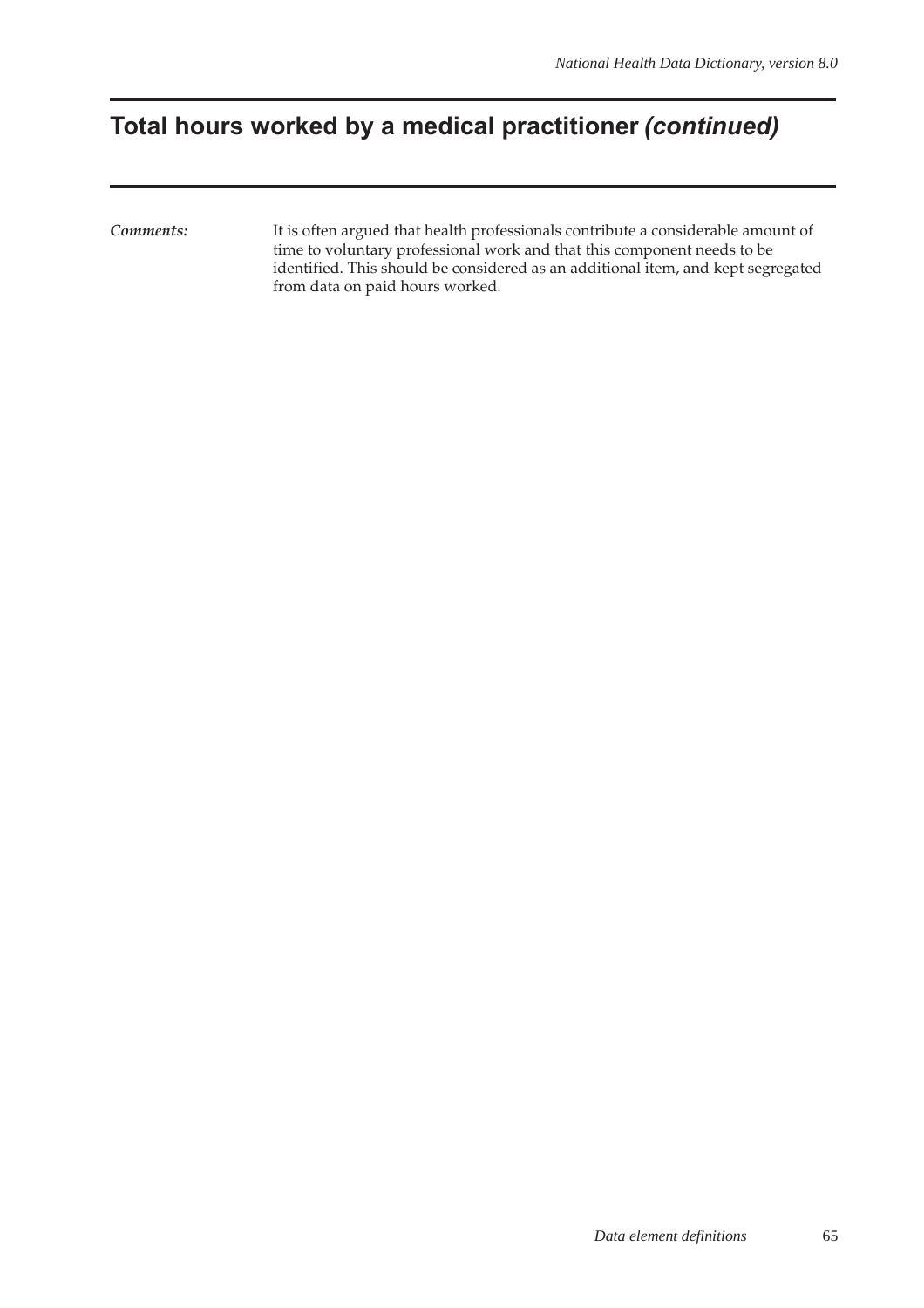## **Total hours worked by a medical practitioner (continued)**

*Comments:* It is often argued that health professionals contribute a considerable amount of time to voluntary professional work and that this component needs to be identified. This should be considered as an additional item, and kept segregated from data on paid hours worked.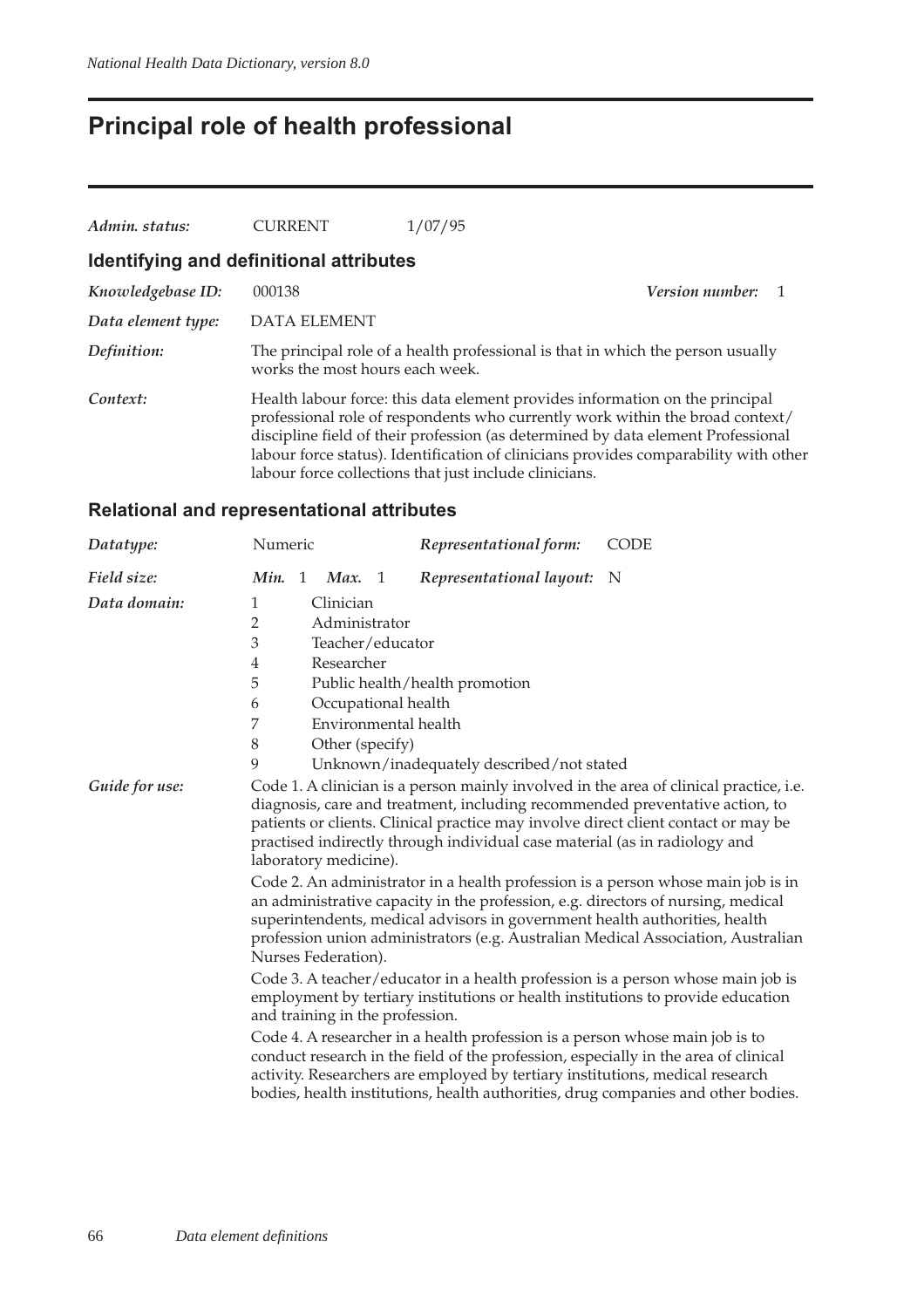## **Principal role of health professional**

| Admin. status:                          | <b>CURRENT</b>                  | 1/07/95                                                                                                                                |                                                                                                                                                                                                                                                           |
|-----------------------------------------|---------------------------------|----------------------------------------------------------------------------------------------------------------------------------------|-----------------------------------------------------------------------------------------------------------------------------------------------------------------------------------------------------------------------------------------------------------|
| Identifying and definitional attributes |                                 |                                                                                                                                        |                                                                                                                                                                                                                                                           |
| Knowledgebase ID:                       | 000138                          |                                                                                                                                        | <i>Version number:</i>                                                                                                                                                                                                                                    |
| Data element type:                      | <b>DATA ELEMENT</b>             |                                                                                                                                        |                                                                                                                                                                                                                                                           |
| Definition:                             | works the most hours each week. |                                                                                                                                        | The principal role of a health professional is that in which the person usually                                                                                                                                                                           |
| Context:                                |                                 | Health labour force: this data element provides information on the principal<br>labour force collections that just include clinicians. | professional role of respondents who currently work within the broad context/<br>discipline field of their profession (as determined by data element Professional<br>labour force status). Identification of clinicians provides comparability with other |

| Datatype:      | Numeric                                                                                                                                                                                                                                                                                                                                                                                                                                                                                                                                            | Representational form:                                                                                                                                                                                                                       | <b>CODE</b>                                                                                                                                                                                                                                                                                                                                                                                                                          |  |
|----------------|----------------------------------------------------------------------------------------------------------------------------------------------------------------------------------------------------------------------------------------------------------------------------------------------------------------------------------------------------------------------------------------------------------------------------------------------------------------------------------------------------------------------------------------------------|----------------------------------------------------------------------------------------------------------------------------------------------------------------------------------------------------------------------------------------------|--------------------------------------------------------------------------------------------------------------------------------------------------------------------------------------------------------------------------------------------------------------------------------------------------------------------------------------------------------------------------------------------------------------------------------------|--|
| Field size:    | Min. 1<br>Max. $1$                                                                                                                                                                                                                                                                                                                                                                                                                                                                                                                                 | Representational layout:                                                                                                                                                                                                                     | N                                                                                                                                                                                                                                                                                                                                                                                                                                    |  |
| Data domain:   | Clinician<br>1                                                                                                                                                                                                                                                                                                                                                                                                                                                                                                                                     |                                                                                                                                                                                                                                              |                                                                                                                                                                                                                                                                                                                                                                                                                                      |  |
|                | $\overline{2}$<br>Administrator                                                                                                                                                                                                                                                                                                                                                                                                                                                                                                                    |                                                                                                                                                                                                                                              |                                                                                                                                                                                                                                                                                                                                                                                                                                      |  |
|                | 3<br>Teacher/educator                                                                                                                                                                                                                                                                                                                                                                                                                                                                                                                              |                                                                                                                                                                                                                                              |                                                                                                                                                                                                                                                                                                                                                                                                                                      |  |
|                | Researcher<br>4                                                                                                                                                                                                                                                                                                                                                                                                                                                                                                                                    |                                                                                                                                                                                                                                              |                                                                                                                                                                                                                                                                                                                                                                                                                                      |  |
|                | 5                                                                                                                                                                                                                                                                                                                                                                                                                                                                                                                                                  | Public health/health promotion                                                                                                                                                                                                               |                                                                                                                                                                                                                                                                                                                                                                                                                                      |  |
|                | Occupational health<br>6                                                                                                                                                                                                                                                                                                                                                                                                                                                                                                                           |                                                                                                                                                                                                                                              |                                                                                                                                                                                                                                                                                                                                                                                                                                      |  |
|                | 7<br>Environmental health                                                                                                                                                                                                                                                                                                                                                                                                                                                                                                                          |                                                                                                                                                                                                                                              |                                                                                                                                                                                                                                                                                                                                                                                                                                      |  |
|                | $8\,$<br>Other (specify)                                                                                                                                                                                                                                                                                                                                                                                                                                                                                                                           |                                                                                                                                                                                                                                              |                                                                                                                                                                                                                                                                                                                                                                                                                                      |  |
|                | 9                                                                                                                                                                                                                                                                                                                                                                                                                                                                                                                                                  | Unknown/inadequately described/not stated                                                                                                                                                                                                    |                                                                                                                                                                                                                                                                                                                                                                                                                                      |  |
| Guide for use: | laboratory medicine).<br>Nurses Federation).                                                                                                                                                                                                                                                                                                                                                                                                                                                                                                       | practised indirectly through individual case material (as in radiology and<br>an administrative capacity in the profession, e.g. directors of nursing, medical<br>superintendents, medical advisors in government health authorities, health | Code 1. A clinician is a person mainly involved in the area of clinical practice, i.e.<br>diagnosis, care and treatment, including recommended preventative action, to<br>patients or clients. Clinical practice may involve direct client contact or may be<br>Code 2. An administrator in a health profession is a person whose main job is in<br>profession union administrators (e.g. Australian Medical Association, Australian |  |
|                | Code 3. A teacher/educator in a health profession is a person whose main job is<br>employment by tertiary institutions or health institutions to provide education<br>and training in the profession.<br>Code 4. A researcher in a health profession is a person whose main job is to<br>conduct research in the field of the profession, especially in the area of clinical<br>activity. Researchers are employed by tertiary institutions, medical research<br>bodies, health institutions, health authorities, drug companies and other bodies. |                                                                                                                                                                                                                                              |                                                                                                                                                                                                                                                                                                                                                                                                                                      |  |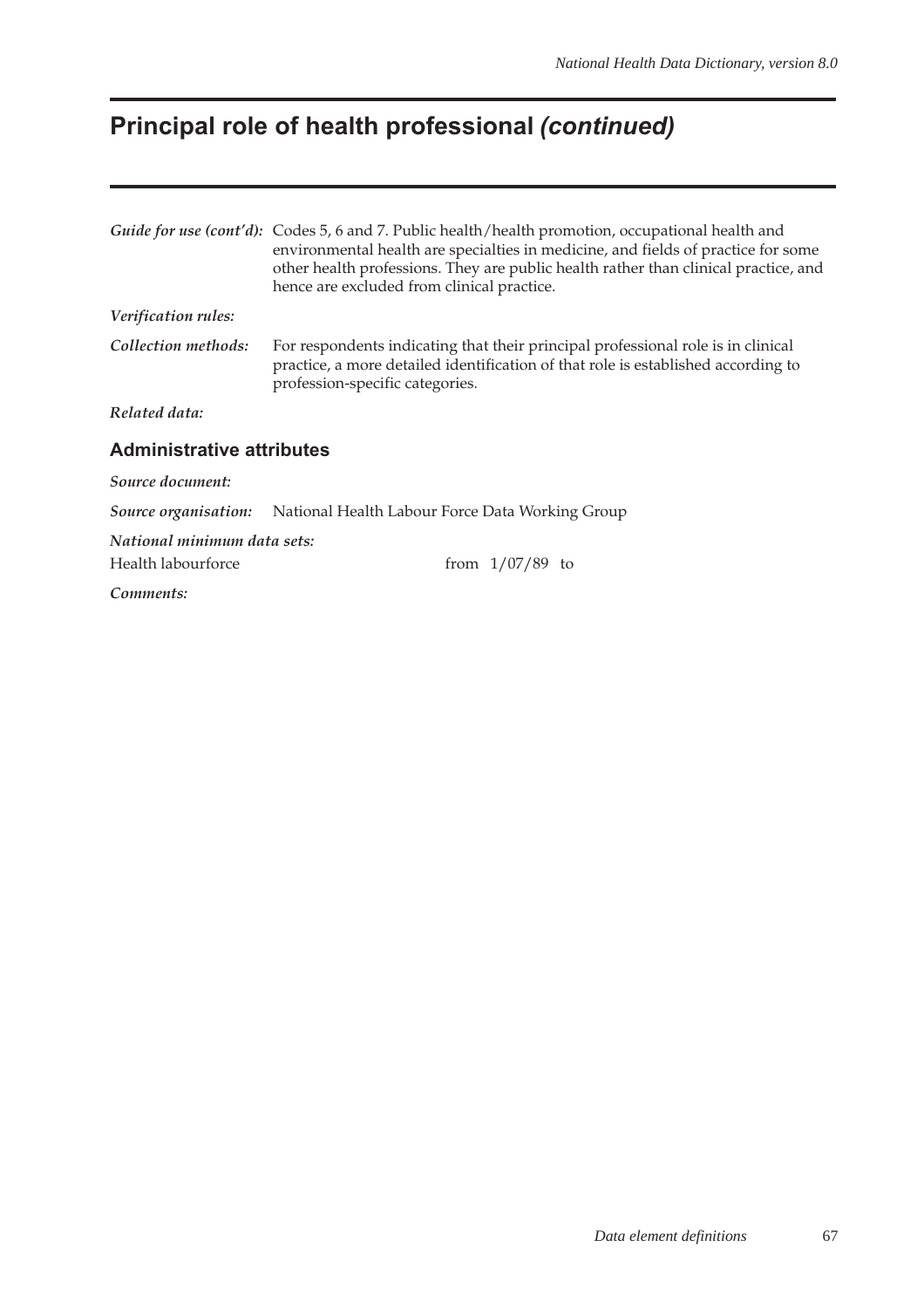# **Principal role of health professional (continued)**

|                                  | Guide for use (cont'd): Codes 5, 6 and 7. Public health/health promotion, occupational health and<br>environmental health are specialties in medicine, and fields of practice for some<br>other health professions. They are public health rather than clinical practice, and<br>hence are excluded from clinical practice. |  |  |
|----------------------------------|-----------------------------------------------------------------------------------------------------------------------------------------------------------------------------------------------------------------------------------------------------------------------------------------------------------------------------|--|--|
| Verification rules:              |                                                                                                                                                                                                                                                                                                                             |  |  |
| Collection methods:              | For respondents indicating that their principal professional role is in clinical<br>practice, a more detailed identification of that role is established according to<br>profession-specific categories.                                                                                                                    |  |  |
| Related data:                    |                                                                                                                                                                                                                                                                                                                             |  |  |
| <b>Administrative attributes</b> |                                                                                                                                                                                                                                                                                                                             |  |  |
| Source document:                 |                                                                                                                                                                                                                                                                                                                             |  |  |
|                                  | <b>Source organisation:</b> National Health Labour Force Data Working Group                                                                                                                                                                                                                                                 |  |  |
| National minimum data sets:      |                                                                                                                                                                                                                                                                                                                             |  |  |
| Health labourforce               | from $1/07/89$ to                                                                                                                                                                                                                                                                                                           |  |  |
| Comments:                        |                                                                                                                                                                                                                                                                                                                             |  |  |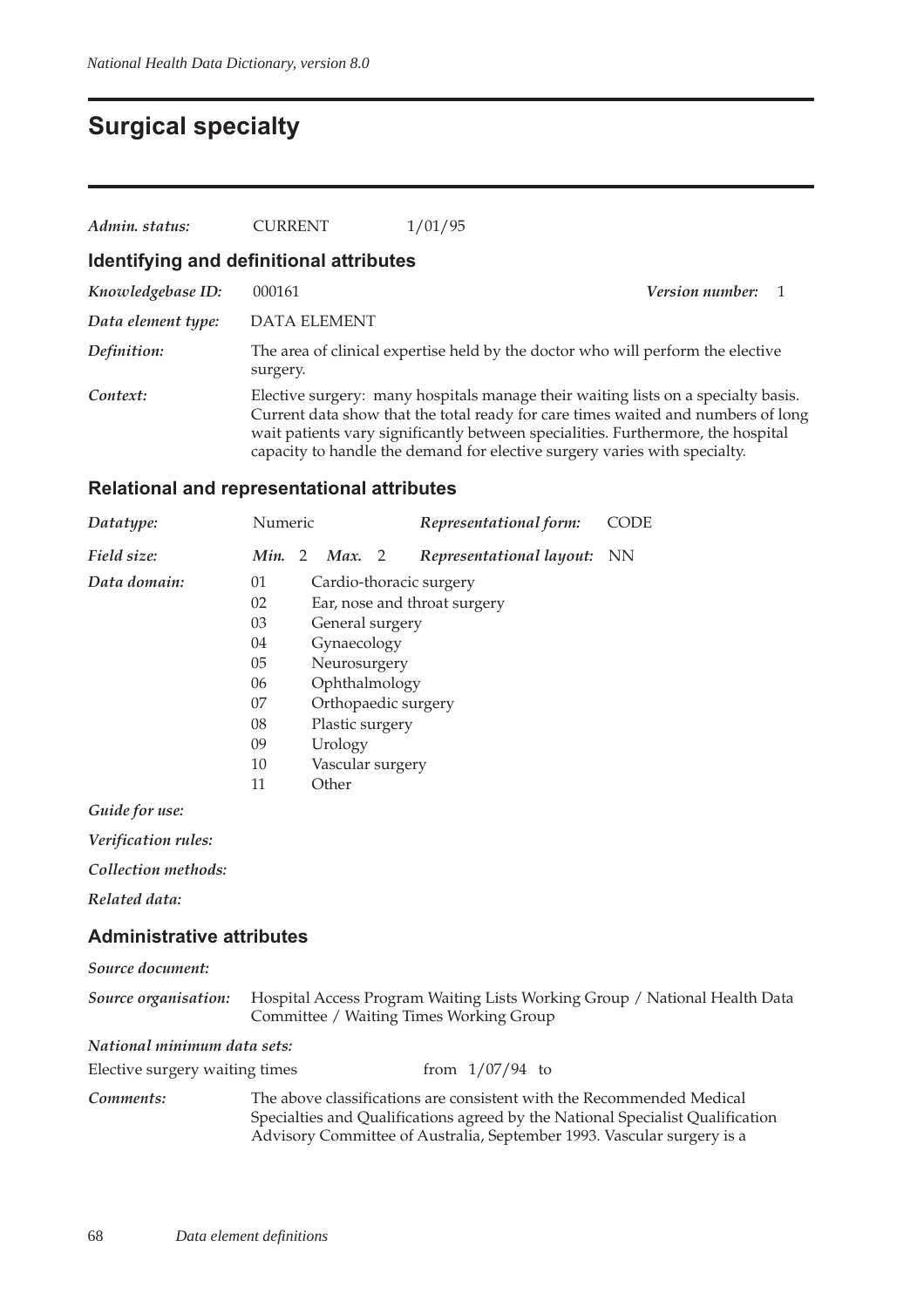## **Surgical specialty**

| Admin. status:     | <b>CURRENT</b>                          | 1/01/95                                                                                                                                                                                                                                                                                                                                |                        |  |
|--------------------|-----------------------------------------|----------------------------------------------------------------------------------------------------------------------------------------------------------------------------------------------------------------------------------------------------------------------------------------------------------------------------------------|------------------------|--|
|                    | Identifying and definitional attributes |                                                                                                                                                                                                                                                                                                                                        |                        |  |
| Knowledgebase ID:  | 000161                                  |                                                                                                                                                                                                                                                                                                                                        | <i>Version number:</i> |  |
| Data element type: | <b>DATA ELEMENT</b>                     |                                                                                                                                                                                                                                                                                                                                        |                        |  |
| Definition:        | surgery.                                | The area of clinical expertise held by the doctor who will perform the elective                                                                                                                                                                                                                                                        |                        |  |
| Context:           |                                         | Elective surgery: many hospitals manage their waiting lists on a specialty basis.<br>Current data show that the total ready for care times waited and numbers of long<br>wait patients vary significantly between specialities. Furthermore, the hospital<br>capacity to handle the demand for elective surgery varies with specialty. |                        |  |

### **Relational and representational attributes**

| Datatype:    | Numeric |   |                     |              | Representational form:       | CODE |
|--------------|---------|---|---------------------|--------------|------------------------------|------|
| Field size:  | Min.    | 2 | Max.                | <sup>2</sup> | Representational layout:     | NN.  |
| Data domain: | 01      |   |                     |              | Cardio-thoracic surgery      |      |
|              | 02      |   |                     |              | Ear, nose and throat surgery |      |
|              | 03      |   | General surgery     |              |                              |      |
|              | 04      |   | Gynaecology         |              |                              |      |
|              | 05      |   | Neurosurgery        |              |                              |      |
|              | 06      |   | Ophthalmology       |              |                              |      |
|              | 07      |   | Orthopaedic surgery |              |                              |      |
|              | 08      |   | Plastic surgery     |              |                              |      |
|              | 09      |   | Urology             |              |                              |      |
|              | 10      |   | Vascular surgery    |              |                              |      |
|              | 11      |   | Other               |              |                              |      |
|              |         |   |                     |              |                              |      |

*Guide for use:*

*Verification rules:*

*Collection methods:*

*Related data:*

#### **Administrative attributes**

| Source document:               |                                                                                                                                                                                                                                   |  |  |  |
|--------------------------------|-----------------------------------------------------------------------------------------------------------------------------------------------------------------------------------------------------------------------------------|--|--|--|
| Source organisation:           | Hospital Access Program Waiting Lists Working Group / National Health Data<br>Committee / Waiting Times Working Group                                                                                                             |  |  |  |
| National minimum data sets:    |                                                                                                                                                                                                                                   |  |  |  |
| Elective surgery waiting times | from $1/07/94$ to                                                                                                                                                                                                                 |  |  |  |
| Comments:                      | The above classifications are consistent with the Recommended Medical<br>Specialties and Qualifications agreed by the National Specialist Qualification<br>Advisory Committee of Australia, September 1993. Vascular surgery is a |  |  |  |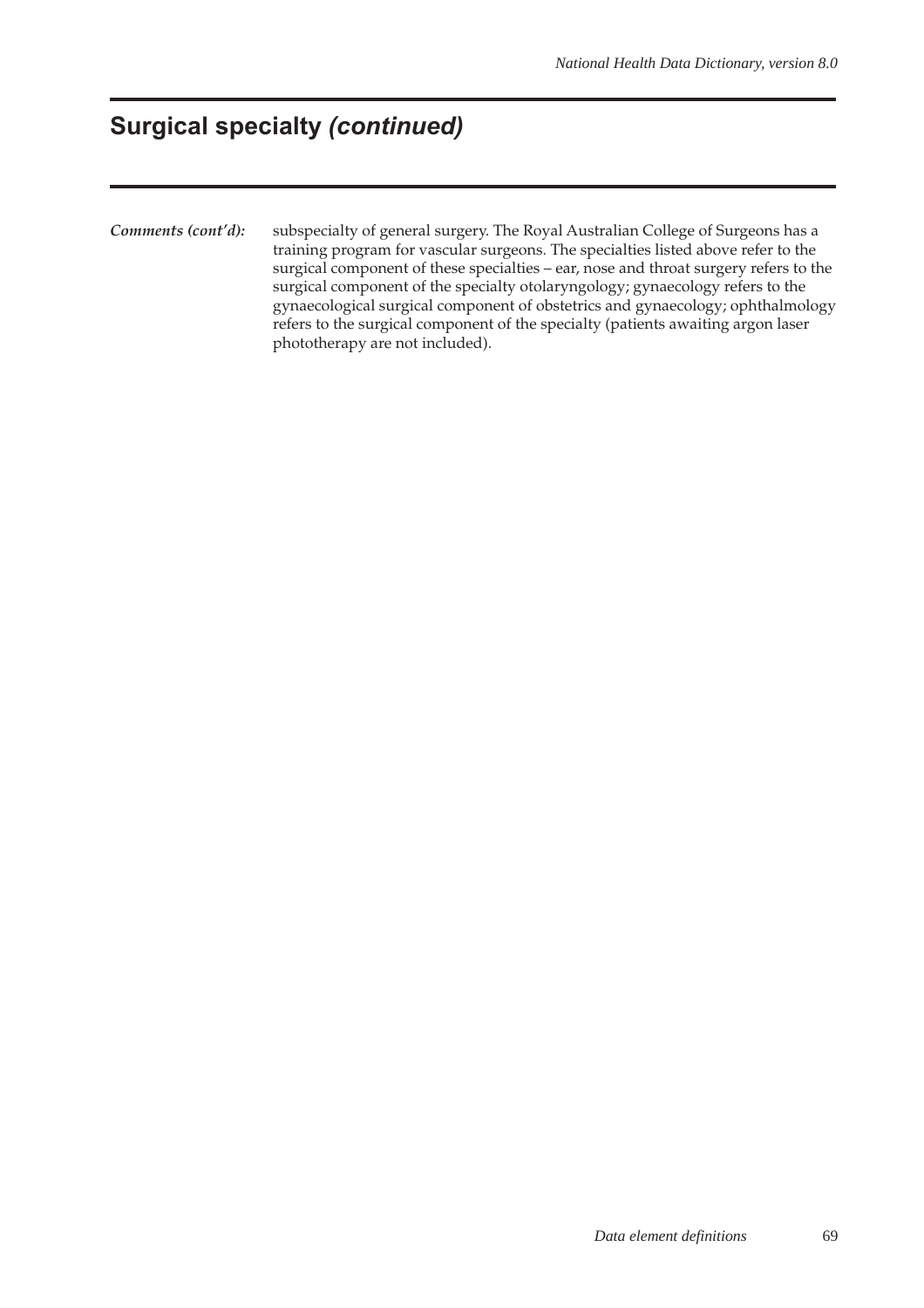## **Surgical specialty (continued)**

*Comments (cont'd):* subspecialty of general surgery. The Royal Australian College of Surgeons has a training program for vascular surgeons. The specialties listed above refer to the surgical component of these specialties – ear, nose and throat surgery refers to the surgical component of the specialty otolaryngology; gynaecology refers to the gynaecological surgical component of obstetrics and gynaecology; ophthalmology refers to the surgical component of the specialty (patients awaiting argon laser phototherapy are not included).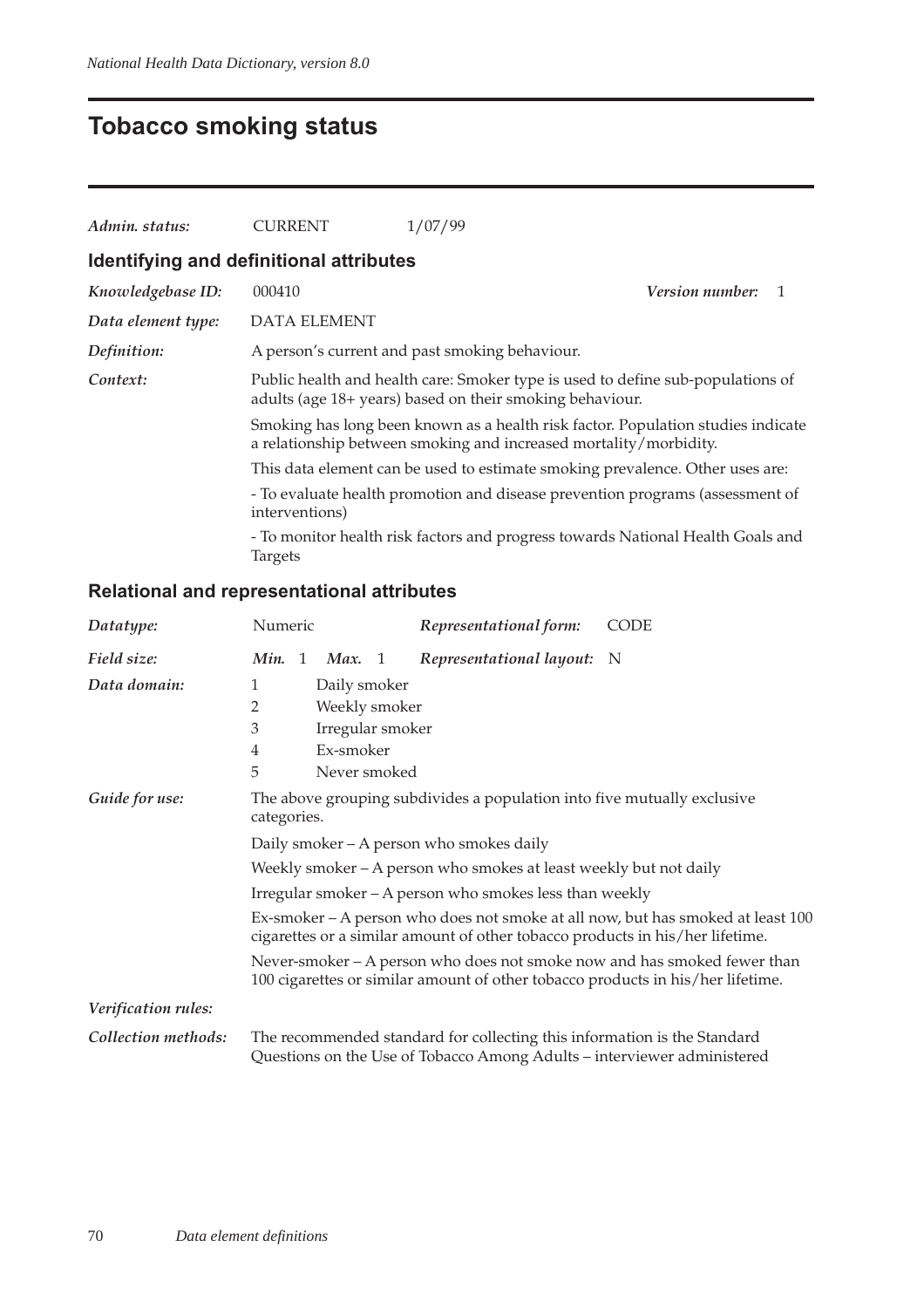# **Tobacco smoking status**

| Admin. status:                                                                                                                                          | <b>CURRENT</b>                                                                | 1/07/99                                                                                                                                               |                        |  |
|---------------------------------------------------------------------------------------------------------------------------------------------------------|-------------------------------------------------------------------------------|-------------------------------------------------------------------------------------------------------------------------------------------------------|------------------------|--|
| Identifying and definitional attributes                                                                                                                 |                                                                               |                                                                                                                                                       |                        |  |
| Knowledgebase ID:                                                                                                                                       | 000410                                                                        |                                                                                                                                                       | <b>Version number:</b> |  |
| Data element type:                                                                                                                                      | <b>DATA ELEMENT</b>                                                           |                                                                                                                                                       |                        |  |
| Definition:                                                                                                                                             |                                                                               | A person's current and past smoking behaviour.                                                                                                        |                        |  |
| Public health and health care: Smoker type is used to define sub-populations of<br>Context:<br>adults (age 18+ years) based on their smoking behaviour. |                                                                               |                                                                                                                                                       |                        |  |
|                                                                                                                                                         |                                                                               | Smoking has long been known as a health risk factor. Population studies indicate<br>a relationship between smoking and increased mortality/morbidity. |                        |  |
|                                                                                                                                                         |                                                                               | This data element can be used to estimate smoking prevalence. Other uses are:                                                                         |                        |  |
|                                                                                                                                                         | - To evaluate health promotion and disease prevention programs (assessment of |                                                                                                                                                       |                        |  |
|                                                                                                                                                         | <b>Targets</b>                                                                | - To monitor health risk factors and progress towards National Health Goals and                                                                       |                        |  |

| Datatype:           | Numeric                                                                                                                                                          | Representational form:                                                                                                                                      | <b>CODE</b> |  |  |
|---------------------|------------------------------------------------------------------------------------------------------------------------------------------------------------------|-------------------------------------------------------------------------------------------------------------------------------------------------------------|-------------|--|--|
| Field size:         | Min.<br>Max.<br>-1                                                                                                                                               | Representational layout: N<br>- 1                                                                                                                           |             |  |  |
| Data domain:        | 1<br>Daily smoker                                                                                                                                                |                                                                                                                                                             |             |  |  |
|                     | 2                                                                                                                                                                | Weekly smoker                                                                                                                                               |             |  |  |
|                     | 3                                                                                                                                                                | Irregular smoker                                                                                                                                            |             |  |  |
|                     | Ex-smoker<br>4                                                                                                                                                   |                                                                                                                                                             |             |  |  |
|                     | 5<br>Never smoked                                                                                                                                                |                                                                                                                                                             |             |  |  |
| Guide for use:      | The above grouping subdivides a population into five mutually exclusive<br>categories.                                                                           |                                                                                                                                                             |             |  |  |
|                     | Daily smoker – A person who smokes daily                                                                                                                         |                                                                                                                                                             |             |  |  |
|                     | Weekly smoker - A person who smokes at least weekly but not daily                                                                                                |                                                                                                                                                             |             |  |  |
|                     | Irregular smoker - A person who smokes less than weekly                                                                                                          |                                                                                                                                                             |             |  |  |
|                     | Ex-smoker – A person who does not smoke at all now, but has smoked at least 100<br>cigarettes or a similar amount of other tobacco products in his/her lifetime. |                                                                                                                                                             |             |  |  |
|                     |                                                                                                                                                                  | Never-smoker – A person who does not smoke now and has smoked fewer than<br>100 cigarettes or similar amount of other tobacco products in his/her lifetime. |             |  |  |
| Verification rules: |                                                                                                                                                                  |                                                                                                                                                             |             |  |  |
| Collection methods: |                                                                                                                                                                  | The recommended standard for collecting this information is the Standard<br>Questions on the Use of Tobacco Among Adults – interviewer administered         |             |  |  |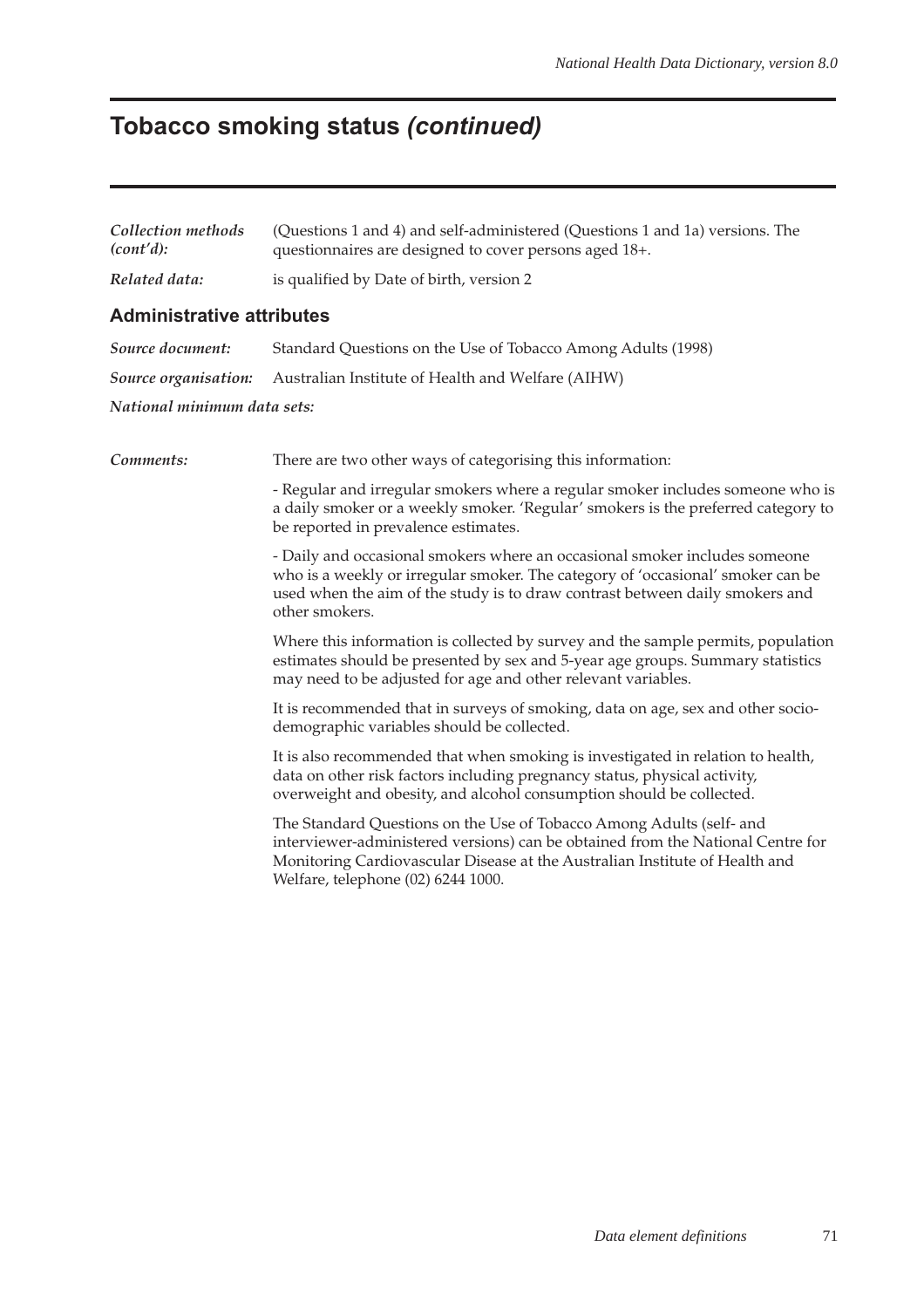# **Tobacco smoking status (continued)**

| Collection methods<br>(cont'd):  | (Questions 1 and 4) and self-administered (Questions 1 and 1a) versions. The<br>questionnaires are designed to cover persons aged 18+.                                                                                                                                       |
|----------------------------------|------------------------------------------------------------------------------------------------------------------------------------------------------------------------------------------------------------------------------------------------------------------------------|
| Related data:                    | is qualified by Date of birth, version 2                                                                                                                                                                                                                                     |
| <b>Administrative attributes</b> |                                                                                                                                                                                                                                                                              |
| Source document:                 | Standard Questions on the Use of Tobacco Among Adults (1998)                                                                                                                                                                                                                 |
| Source organisation:             | Australian Institute of Health and Welfare (AIHW)                                                                                                                                                                                                                            |
| National minimum data sets:      |                                                                                                                                                                                                                                                                              |
| Comments:                        | There are two other ways of categorising this information:                                                                                                                                                                                                                   |
|                                  | - Regular and irregular smokers where a regular smoker includes someone who is<br>a daily smoker or a weekly smoker. 'Regular' smokers is the preferred category to<br>be reported in prevalence estimates.                                                                  |
|                                  | - Daily and occasional smokers where an occasional smoker includes someone<br>who is a weekly or irregular smoker. The category of 'occasional' smoker can be<br>used when the aim of the study is to draw contrast between daily smokers and<br>other smokers.              |
|                                  | Where this information is collected by survey and the sample permits, population<br>estimates should be presented by sex and 5-year age groups. Summary statistics<br>may need to be adjusted for age and other relevant variables.                                          |
|                                  | It is recommended that in surveys of smoking, data on age, sex and other socio-<br>demographic variables should be collected.                                                                                                                                                |
|                                  | It is also recommended that when smoking is investigated in relation to health,<br>data on other risk factors including pregnancy status, physical activity,<br>overweight and obesity, and alcohol consumption should be collected.                                         |
|                                  | The Standard Questions on the Use of Tobacco Among Adults (self- and<br>interviewer-administered versions) can be obtained from the National Centre for<br>Monitoring Cardiovascular Disease at the Australian Institute of Health and<br>Welfare, telephone (02) 6244 1000. |
|                                  |                                                                                                                                                                                                                                                                              |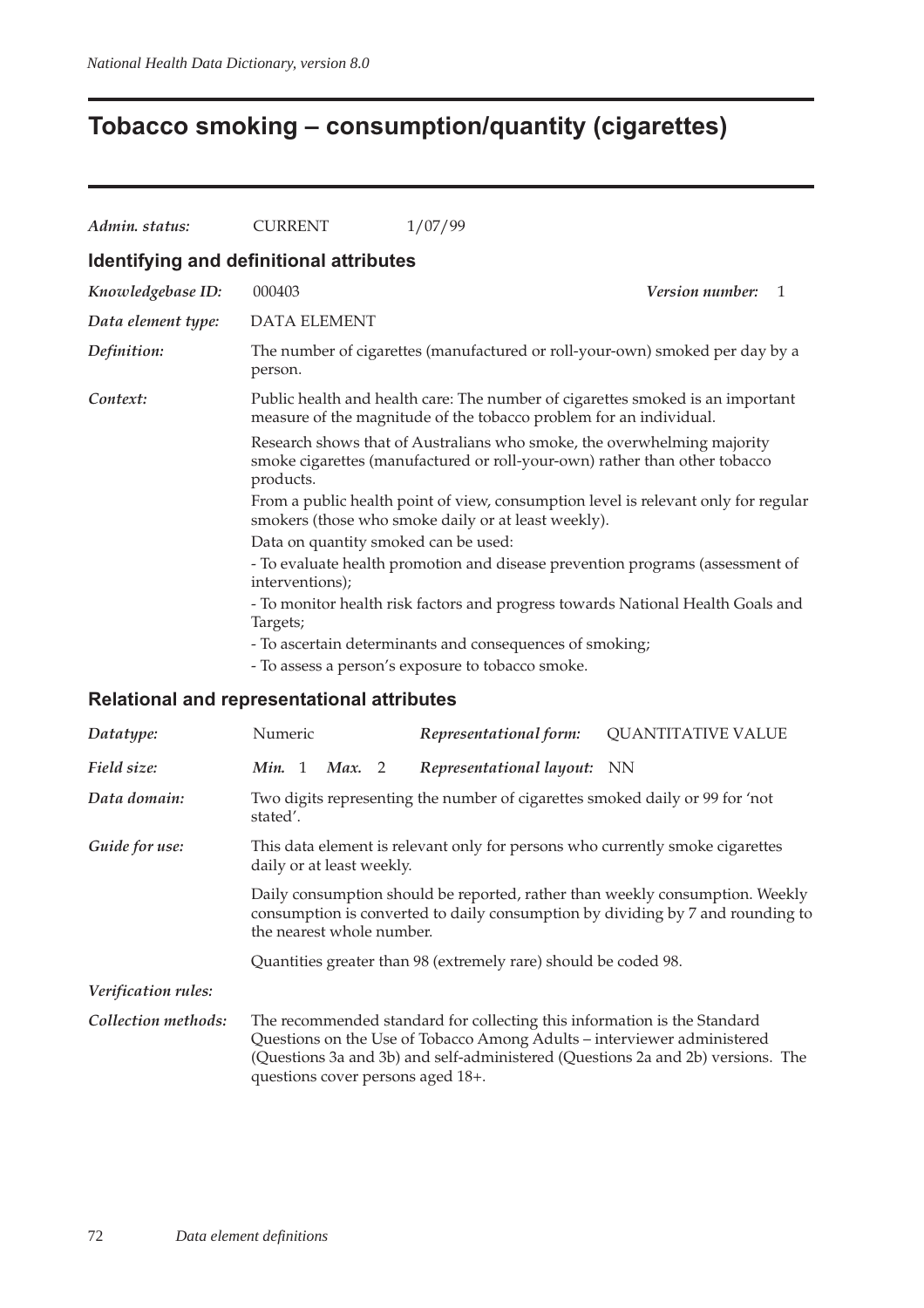# **Tobacco smoking – consumption/quantity (cigarettes)**

| Admin. status:                                                                                                                                                                                  | <b>CURRENT</b>                                                                                                                                                     | 1/07/99                                                                      |  |  |                                                          |
|-------------------------------------------------------------------------------------------------------------------------------------------------------------------------------------------------|--------------------------------------------------------------------------------------------------------------------------------------------------------------------|------------------------------------------------------------------------------|--|--|----------------------------------------------------------|
|                                                                                                                                                                                                 | Identifying and definitional attributes                                                                                                                            |                                                                              |  |  |                                                          |
| Knowledgebase ID:                                                                                                                                                                               | 000403                                                                                                                                                             | Version number:<br>$\mathbf{1}$                                              |  |  |                                                          |
| Data element type:                                                                                                                                                                              | <b>DATA ELEMENT</b>                                                                                                                                                |                                                                              |  |  |                                                          |
| Definition:                                                                                                                                                                                     | person.                                                                                                                                                            | The number of cigarettes (manufactured or roll-your-own) smoked per day by a |  |  |                                                          |
| Context:                                                                                                                                                                                        | Public health and health care: The number of cigarettes smoked is an important<br>measure of the magnitude of the tobacco problem for an individual.               |                                                                              |  |  |                                                          |
|                                                                                                                                                                                                 | Research shows that of Australians who smoke, the overwhelming majority<br>smoke cigarettes (manufactured or roll-your-own) rather than other tobacco<br>products. |                                                                              |  |  |                                                          |
|                                                                                                                                                                                                 | From a public health point of view, consumption level is relevant only for regular<br>smokers (those who smoke daily or at least weekly).                          |                                                                              |  |  |                                                          |
|                                                                                                                                                                                                 | Data on quantity smoked can be used:                                                                                                                               |                                                                              |  |  |                                                          |
| - To evaluate health promotion and disease prevention programs (assessment of<br>interventions);<br>- To monitor health risk factors and progress towards National Health Goals and<br>Targets; |                                                                                                                                                                    |                                                                              |  |  |                                                          |
|                                                                                                                                                                                                 |                                                                                                                                                                    |                                                                              |  |  | - To ascertain determinants and consequences of smoking; |
|                                                                                                                                                                                                 |                                                                                                                                                                    | - To assess a person's exposure to tobacco smoke.                            |  |  |                                                          |

| Datatype:                  | Numeric                                                                                                                                                                                                                                                                                                   | Representational form:                                                                                                                              | <b>QUANTITATIVE VALUE</b>                                                       |  |
|----------------------------|-----------------------------------------------------------------------------------------------------------------------------------------------------------------------------------------------------------------------------------------------------------------------------------------------------------|-----------------------------------------------------------------------------------------------------------------------------------------------------|---------------------------------------------------------------------------------|--|
| Field size:                | Min. 1<br>Max. 2                                                                                                                                                                                                                                                                                          | Representational layout: NN                                                                                                                         |                                                                                 |  |
| Data domain:               | stated'.                                                                                                                                                                                                                                                                                                  | Two digits representing the number of cigarettes smoked daily or 99 for 'not                                                                        |                                                                                 |  |
| Guide for use:             | This data element is relevant only for persons who currently smoke cigarettes<br>daily or at least weekly.<br>Daily consumption should be reported, rather than weekly consumption. Weekly<br>consumption is converted to daily consumption by dividing by 7 and rounding to<br>the nearest whole number. |                                                                                                                                                     |                                                                                 |  |
|                            |                                                                                                                                                                                                                                                                                                           |                                                                                                                                                     |                                                                                 |  |
|                            |                                                                                                                                                                                                                                                                                                           | Quantities greater than 98 (extremely rare) should be coded 98.                                                                                     |                                                                                 |  |
| <i>Verification rules:</i> |                                                                                                                                                                                                                                                                                                           |                                                                                                                                                     |                                                                                 |  |
| Collection methods:        | questions cover persons aged 18+.                                                                                                                                                                                                                                                                         | The recommended standard for collecting this information is the Standard<br>Questions on the Use of Tobacco Among Adults - interviewer administered | (Questions 3a and 3b) and self-administered (Questions 2a and 2b) versions. The |  |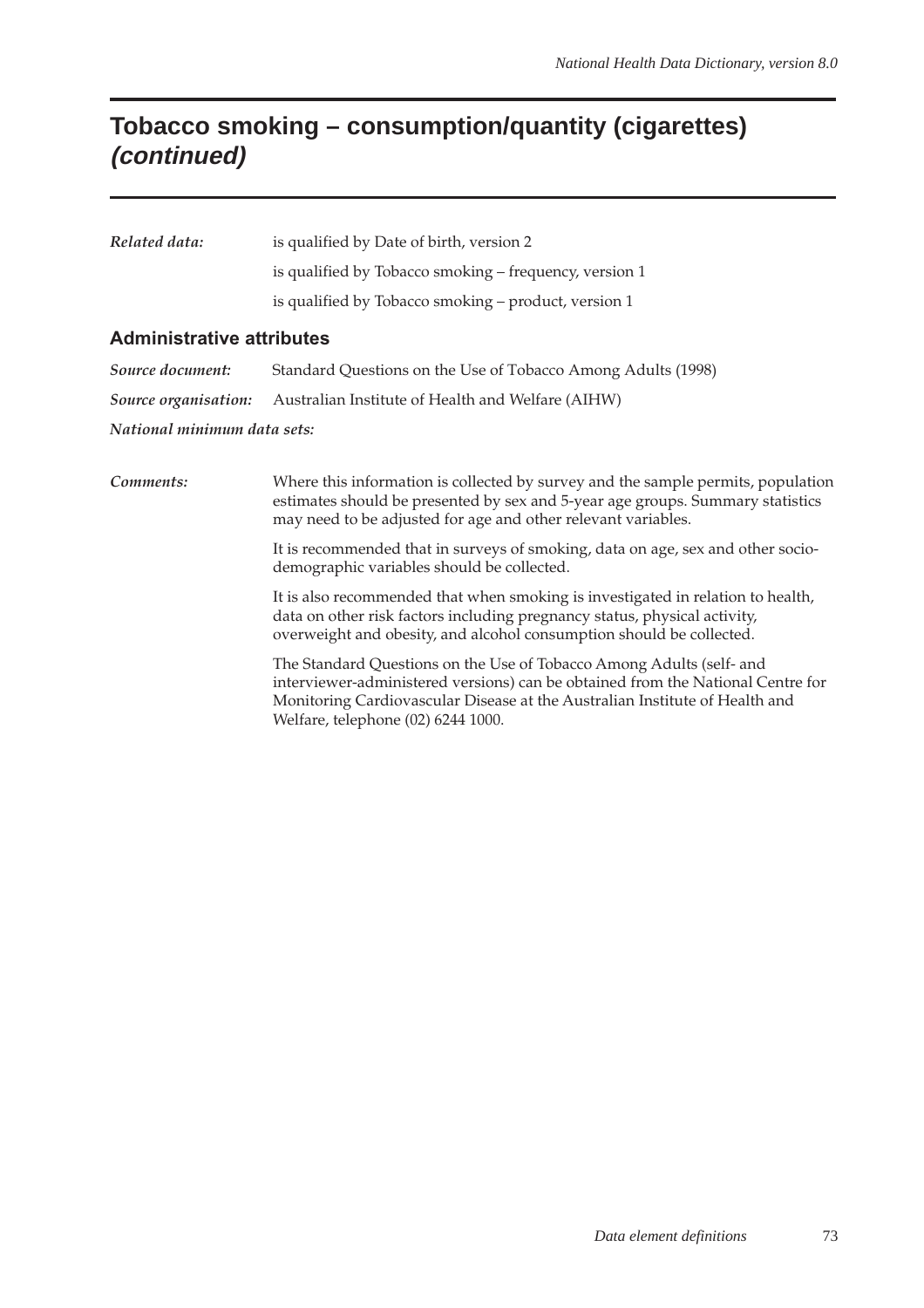## **Tobacco smoking – consumption/quantity (cigarettes) (continued)**

| Related data: | is qualified by Date of birth, version 2               |
|---------------|--------------------------------------------------------|
|               | is qualified by Tobacco smoking - frequency, version 1 |
|               | is qualified by Tobacco smoking – product, version 1   |

#### **Administrative attributes**

| Source document:            | Standard Questions on the Use of Tobacco Among Adults (1998)                  |  |  |  |
|-----------------------------|-------------------------------------------------------------------------------|--|--|--|
|                             | <i>Source organisation:</i> Australian Institute of Health and Welfare (AIHW) |  |  |  |
| National minimum data sets: |                                                                               |  |  |  |

| Comments: | Where this information is collected by survey and the sample permits, population<br>estimates should be presented by sex and 5-year age groups. Summary statistics<br>may need to be adjusted for age and other relevant variables.                                          |
|-----------|------------------------------------------------------------------------------------------------------------------------------------------------------------------------------------------------------------------------------------------------------------------------------|
|           | It is recommended that in surveys of smoking, data on age, sex and other socio-<br>demographic variables should be collected.                                                                                                                                                |
|           | It is also recommended that when smoking is investigated in relation to health,<br>data on other risk factors including pregnancy status, physical activity,<br>overweight and obesity, and alcohol consumption should be collected.                                         |
|           | The Standard Questions on the Use of Tobacco Among Adults (self- and<br>interviewer-administered versions) can be obtained from the National Centre for<br>Monitoring Cardiovascular Disease at the Australian Institute of Health and<br>Welfare, telephone (02) 6244 1000. |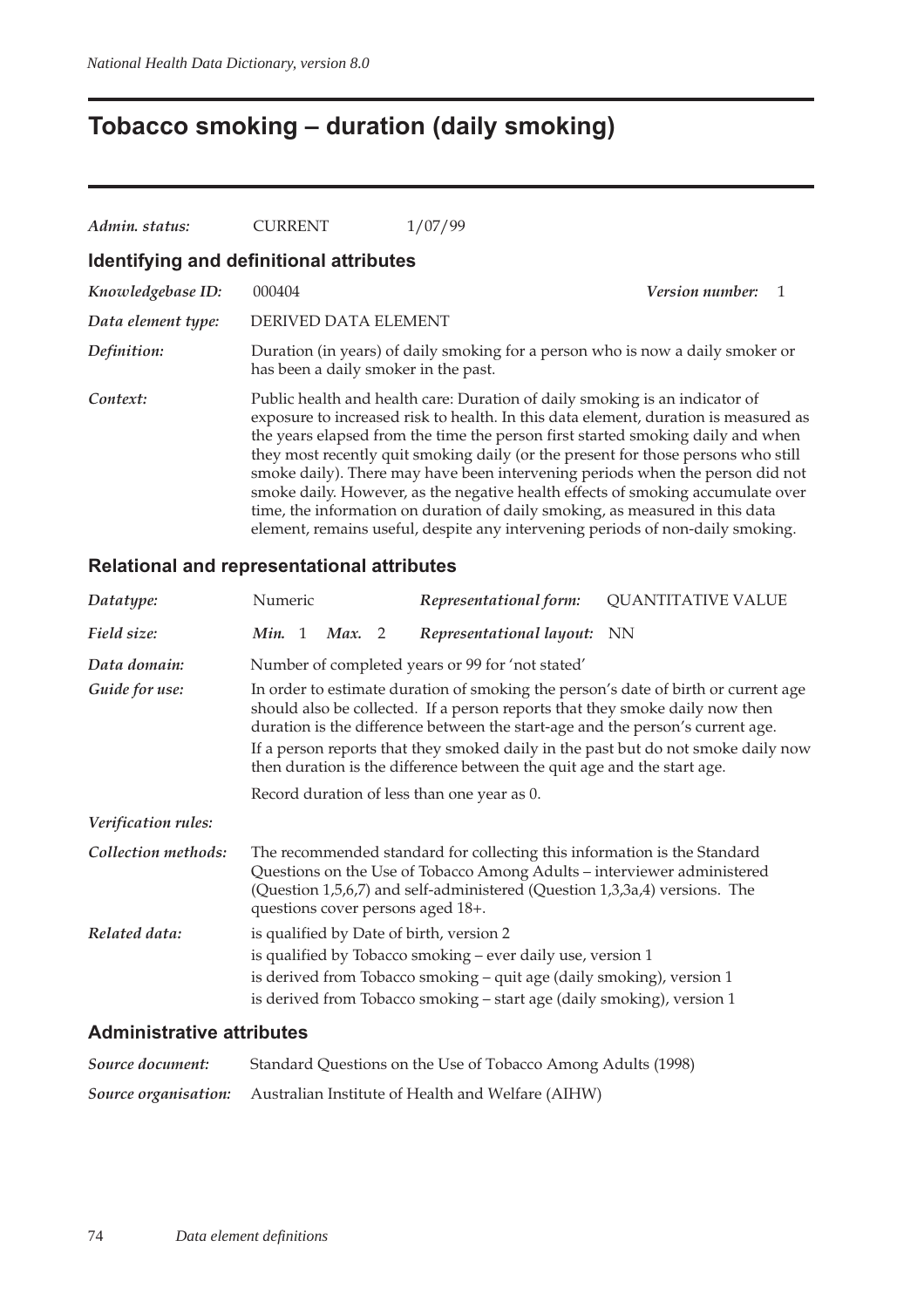## **Tobacco smoking – duration (daily smoking)**

| Admin. status:                          | <b>CURRENT</b>                       | 1/07/99                                                                                                                                                                                                                                                                                                                                                                                                                                                                                                                                                                                                                                                                          |
|-----------------------------------------|--------------------------------------|----------------------------------------------------------------------------------------------------------------------------------------------------------------------------------------------------------------------------------------------------------------------------------------------------------------------------------------------------------------------------------------------------------------------------------------------------------------------------------------------------------------------------------------------------------------------------------------------------------------------------------------------------------------------------------|
| Identifying and definitional attributes |                                      |                                                                                                                                                                                                                                                                                                                                                                                                                                                                                                                                                                                                                                                                                  |
| Knowledgebase ID:                       | 000404                               | <b>Version number:</b>                                                                                                                                                                                                                                                                                                                                                                                                                                                                                                                                                                                                                                                           |
| Data element type:                      | DERIVED DATA ELEMENT                 |                                                                                                                                                                                                                                                                                                                                                                                                                                                                                                                                                                                                                                                                                  |
| Definition:                             | has been a daily smoker in the past. | Duration (in years) of daily smoking for a person who is now a daily smoker or                                                                                                                                                                                                                                                                                                                                                                                                                                                                                                                                                                                                   |
| Context:                                |                                      | Public health and health care: Duration of daily smoking is an indicator of<br>exposure to increased risk to health. In this data element, duration is measured as<br>the years elapsed from the time the person first started smoking daily and when<br>they most recently quit smoking daily (or the present for those persons who still<br>smoke daily). There may have been intervening periods when the person did not<br>smoke daily. However, as the negative health effects of smoking accumulate over<br>time, the information on duration of daily smoking, as measured in this data<br>element, remains useful, despite any intervening periods of non-daily smoking. |

#### **Relational and representational attributes**

| Datatype:           | Numeric |        | Representational form:                                                                                                                                                                                                                                                 | <b>QUANTITATIVE VALUE</b>                                                                                                                                               |
|---------------------|---------|--------|------------------------------------------------------------------------------------------------------------------------------------------------------------------------------------------------------------------------------------------------------------------------|-------------------------------------------------------------------------------------------------------------------------------------------------------------------------|
| Field size:         | Min. 1  | Max. 2 | Representational layout: NN                                                                                                                                                                                                                                            |                                                                                                                                                                         |
| Data domain:        |         |        | Number of completed years or 99 for 'not stated'                                                                                                                                                                                                                       |                                                                                                                                                                         |
| Guide for use:      |         |        | should also be collected. If a person reports that they smoke daily now then<br>duration is the difference between the start-age and the person's current age.<br>then duration is the difference between the quit age and the start age.                              | In order to estimate duration of smoking the person's date of birth or current age<br>If a person reports that they smoked daily in the past but do not smoke daily now |
|                     |         |        | Record duration of less than one year as 0.                                                                                                                                                                                                                            |                                                                                                                                                                         |
| Verification rules: |         |        |                                                                                                                                                                                                                                                                        |                                                                                                                                                                         |
| Collection methods: |         |        | The recommended standard for collecting this information is the Standard<br>Questions on the Use of Tobacco Among Adults – interviewer administered<br>(Question 1,5,6,7) and self-administered (Question 1,3,3a,4) versions. The<br>questions cover persons aged 18+. |                                                                                                                                                                         |
| Related data:       |         |        | is qualified by Date of birth, version 2<br>is qualified by Tobacco smoking – ever daily use, version 1<br>is derived from Tobacco smoking – quit age (daily smoking), version 1<br>is derived from Tobacco smoking – start age (daily smoking), version 1             |                                                                                                                                                                         |

#### **Administrative attributes**

| Source document: | Standard Questions on the Use of Tobacco Among Adults (1998)                  |
|------------------|-------------------------------------------------------------------------------|
|                  | <b>Source organisation:</b> Australian Institute of Health and Welfare (AIHW) |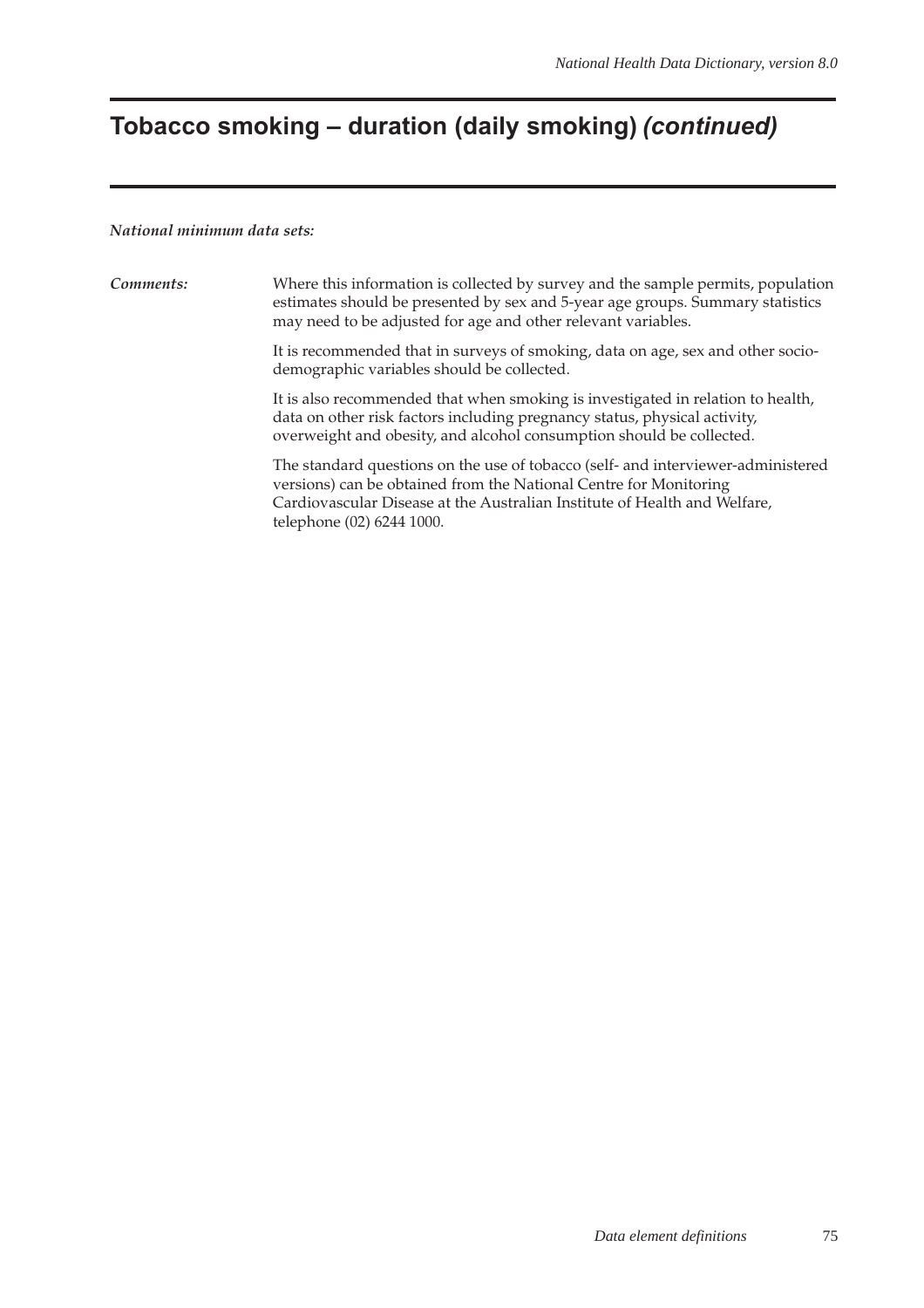# **Tobacco smoking – duration (daily smoking) (continued)**

#### *National minimum data sets:*

| Comments: | Where this information is collected by survey and the sample permits, population<br>estimates should be presented by sex and 5-year age groups. Summary statistics<br>may need to be adjusted for age and other relevant variables.                             |
|-----------|-----------------------------------------------------------------------------------------------------------------------------------------------------------------------------------------------------------------------------------------------------------------|
|           | It is recommended that in surveys of smoking, data on age, sex and other socio-<br>demographic variables should be collected.                                                                                                                                   |
|           | It is also recommended that when smoking is investigated in relation to health,<br>data on other risk factors including pregnancy status, physical activity,<br>overweight and obesity, and alcohol consumption should be collected.                            |
|           | The standard questions on the use of tobacco (self- and interviewer-administered<br>versions) can be obtained from the National Centre for Monitoring<br>Cardiovascular Disease at the Australian Institute of Health and Welfare,<br>telephone (02) 6244 1000. |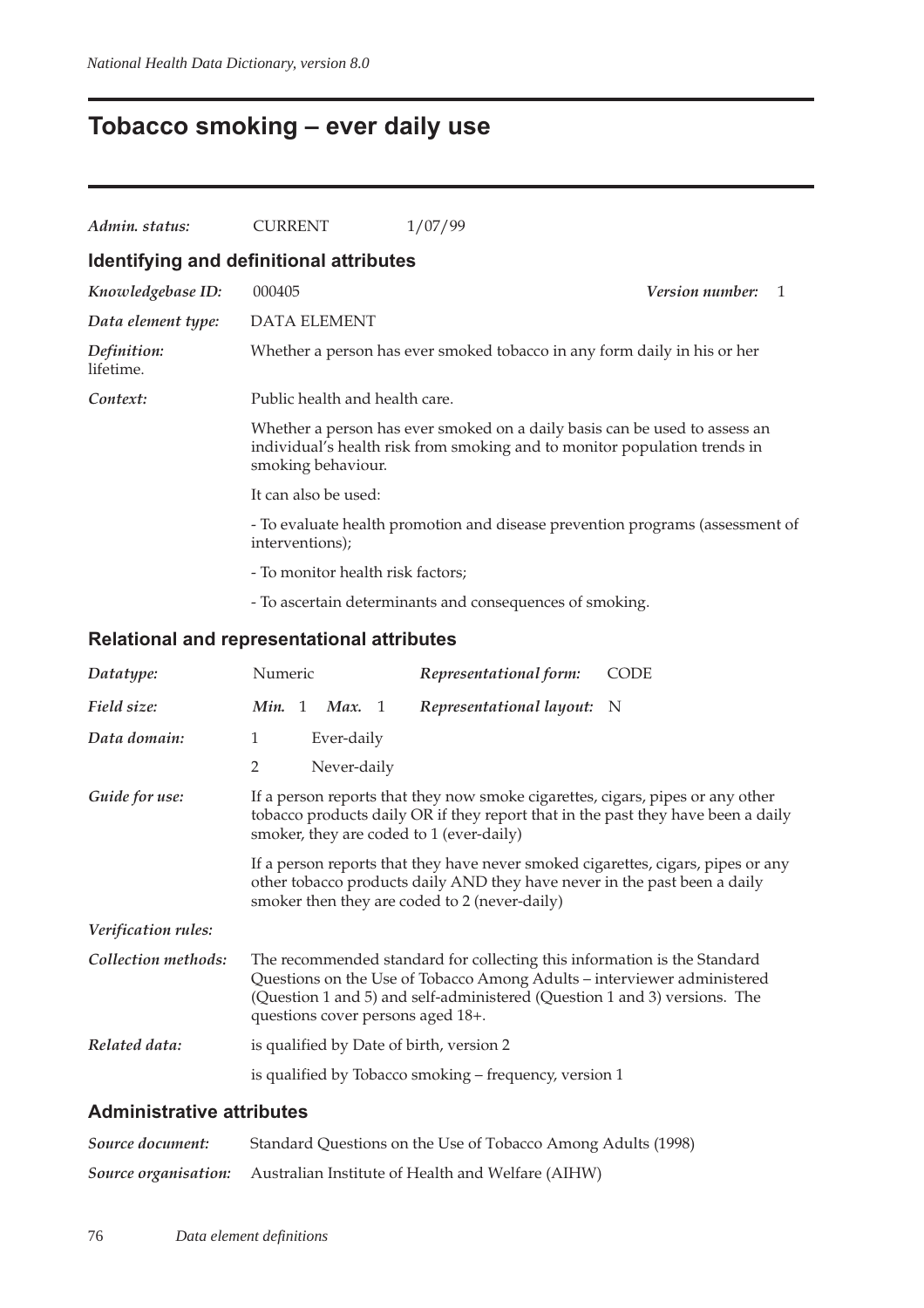## **Tobacco smoking – ever daily use**

| Admin. status:           | <b>CURRENT</b>                                                                                                                                                                | 1/07/99                                                                  |  |  |  |  |  |  |
|--------------------------|-------------------------------------------------------------------------------------------------------------------------------------------------------------------------------|--------------------------------------------------------------------------|--|--|--|--|--|--|
|                          | Identifying and definitional attributes                                                                                                                                       |                                                                          |  |  |  |  |  |  |
| Knowledgebase ID:        | 000405                                                                                                                                                                        | <b>Version number:</b>                                                   |  |  |  |  |  |  |
| Data element type:       | <b>DATA ELEMENT</b>                                                                                                                                                           |                                                                          |  |  |  |  |  |  |
| Definition:<br>lifetime. |                                                                                                                                                                               | Whether a person has ever smoked tobacco in any form daily in his or her |  |  |  |  |  |  |
| Context:                 | Public health and health care.                                                                                                                                                |                                                                          |  |  |  |  |  |  |
|                          | Whether a person has ever smoked on a daily basis can be used to assess an<br>individual's health risk from smoking and to monitor population trends in<br>smoking behaviour. |                                                                          |  |  |  |  |  |  |
|                          | It can also be used:                                                                                                                                                          |                                                                          |  |  |  |  |  |  |
|                          | - To evaluate health promotion and disease prevention programs (assessment of<br>interventions);                                                                              |                                                                          |  |  |  |  |  |  |
|                          | - To monitor health risk factors;                                                                                                                                             |                                                                          |  |  |  |  |  |  |
|                          |                                                                                                                                                                               | - To ascertain determinants and consequences of smoking.                 |  |  |  |  |  |  |

#### **Relational and representational attributes**

| Datatype:           | Numeric                                                                                                                                                                                                        |  |             |  | Representational form:                                                                                                                                                                                                                                                | <b>CODE</b>                                                                      |
|---------------------|----------------------------------------------------------------------------------------------------------------------------------------------------------------------------------------------------------------|--|-------------|--|-----------------------------------------------------------------------------------------------------------------------------------------------------------------------------------------------------------------------------------------------------------------------|----------------------------------------------------------------------------------|
| Field size:         | Min. 1 Max. 1                                                                                                                                                                                                  |  |             |  | Representational layout: N                                                                                                                                                                                                                                            |                                                                                  |
| Data domain:        | $\mathbf{1}$                                                                                                                                                                                                   |  | Ever-daily  |  |                                                                                                                                                                                                                                                                       |                                                                                  |
|                     | $\overline{2}$                                                                                                                                                                                                 |  | Never-daily |  |                                                                                                                                                                                                                                                                       |                                                                                  |
| Guide for use:      | If a person reports that they now smoke cigarettes, cigars, pipes or any other<br>tobacco products daily OR if they report that in the past they have been a daily<br>smoker, they are coded to 1 (ever-daily) |  |             |  |                                                                                                                                                                                                                                                                       |                                                                                  |
|                     |                                                                                                                                                                                                                |  |             |  | other tobacco products daily AND they have never in the past been a daily<br>smoker then they are coded to 2 (never-daily)                                                                                                                                            | If a person reports that they have never smoked cigarettes, cigars, pipes or any |
| Verification rules: |                                                                                                                                                                                                                |  |             |  |                                                                                                                                                                                                                                                                       |                                                                                  |
| Collection methods: |                                                                                                                                                                                                                |  |             |  | The recommended standard for collecting this information is the Standard<br>Questions on the Use of Tobacco Among Adults - interviewer administered<br>(Question 1 and 5) and self-administered (Question 1 and 3) versions. The<br>questions cover persons aged 18+. |                                                                                  |
| Related data:       |                                                                                                                                                                                                                |  |             |  | is qualified by Date of birth, version 2                                                                                                                                                                                                                              |                                                                                  |
|                     |                                                                                                                                                                                                                |  |             |  | is qualified by Tobacco smoking – frequency, version 1                                                                                                                                                                                                                |                                                                                  |

### **Administrative attributes**

| Source document: | Standard Questions on the Use of Tobacco Among Adults (1998)                  |
|------------------|-------------------------------------------------------------------------------|
|                  | <b>Source organisation:</b> Australian Institute of Health and Welfare (AIHW) |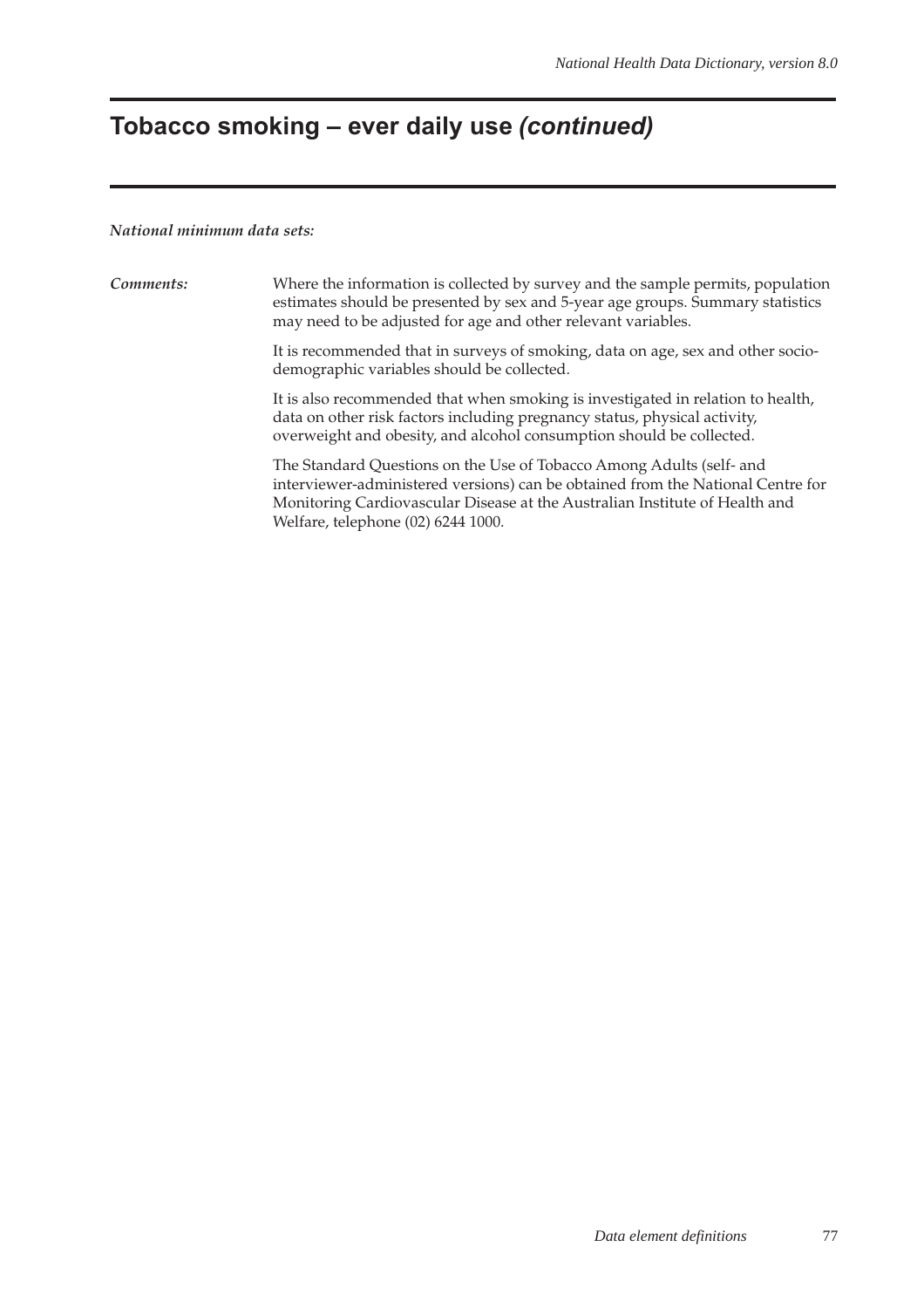# **Tobacco smoking – ever daily use (continued)**

#### *National minimum data sets:*

| Comments: | Where the information is collected by survey and the sample permits, population<br>estimates should be presented by sex and 5-year age groups. Summary statistics<br>may need to be adjusted for age and other relevant variables.                                           |
|-----------|------------------------------------------------------------------------------------------------------------------------------------------------------------------------------------------------------------------------------------------------------------------------------|
|           | It is recommended that in surveys of smoking, data on age, sex and other socio-<br>demographic variables should be collected.                                                                                                                                                |
|           | It is also recommended that when smoking is investigated in relation to health,<br>data on other risk factors including pregnancy status, physical activity,<br>overweight and obesity, and alcohol consumption should be collected.                                         |
|           | The Standard Questions on the Use of Tobacco Among Adults (self- and<br>interviewer-administered versions) can be obtained from the National Centre for<br>Monitoring Cardiovascular Disease at the Australian Institute of Health and<br>Welfare, telephone (02) 6244 1000. |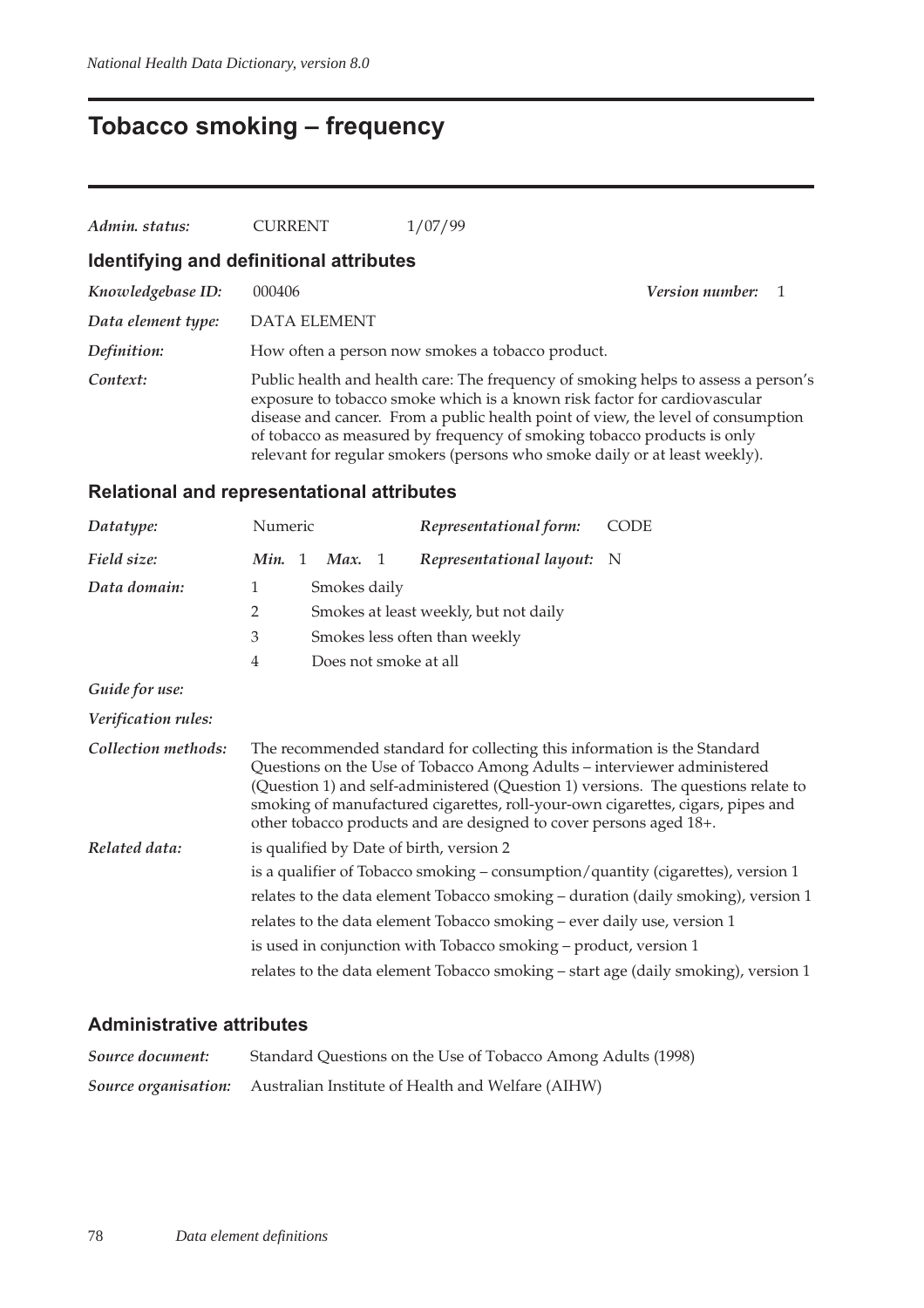## **Tobacco smoking – frequency**

| Admin. status:     | <b>CURRENT</b>                          | 1/07/99                                                                                                                                                                                                                                                                                                                                                                                                      |                        |  |
|--------------------|-----------------------------------------|--------------------------------------------------------------------------------------------------------------------------------------------------------------------------------------------------------------------------------------------------------------------------------------------------------------------------------------------------------------------------------------------------------------|------------------------|--|
|                    | Identifying and definitional attributes |                                                                                                                                                                                                                                                                                                                                                                                                              |                        |  |
| Knowledgebase ID:  | 000406                                  |                                                                                                                                                                                                                                                                                                                                                                                                              | <i>Version number:</i> |  |
| Data element type: | <b>DATA ELEMENT</b>                     |                                                                                                                                                                                                                                                                                                                                                                                                              |                        |  |
| Definition:        |                                         | How often a person now smokes a tobacco product.                                                                                                                                                                                                                                                                                                                                                             |                        |  |
| Context:           |                                         | Public health and health care: The frequency of smoking helps to assess a person's<br>exposure to tobacco smoke which is a known risk factor for cardiovascular<br>disease and cancer. From a public health point of view, the level of consumption<br>of tobacco as measured by frequency of smoking tobacco products is only<br>relevant for regular smokers (persons who smoke daily or at least weekly). |                        |  |

### **Relational and representational attributes**

| Datatype:           | Numeric                                                                                                                                                                                                                                          |                |                       |  | Representational form:                                                                                                                                                                                                    | <b>CODE</b>                                                                                                                                                          |
|---------------------|--------------------------------------------------------------------------------------------------------------------------------------------------------------------------------------------------------------------------------------------------|----------------|-----------------------|--|---------------------------------------------------------------------------------------------------------------------------------------------------------------------------------------------------------------------------|----------------------------------------------------------------------------------------------------------------------------------------------------------------------|
| Field size:         | Min.                                                                                                                                                                                                                                             | $\overline{1}$ | Max. 1                |  | Representational layout: N                                                                                                                                                                                                |                                                                                                                                                                      |
| Data domain:        | 1                                                                                                                                                                                                                                                |                | Smokes daily          |  |                                                                                                                                                                                                                           |                                                                                                                                                                      |
|                     | $\overline{2}$                                                                                                                                                                                                                                   |                |                       |  | Smokes at least weekly, but not daily                                                                                                                                                                                     |                                                                                                                                                                      |
|                     | $\mathfrak{Z}$                                                                                                                                                                                                                                   |                |                       |  | Smokes less often than weekly                                                                                                                                                                                             |                                                                                                                                                                      |
|                     | $\overline{4}$                                                                                                                                                                                                                                   |                | Does not smoke at all |  |                                                                                                                                                                                                                           |                                                                                                                                                                      |
| Guide for use:      |                                                                                                                                                                                                                                                  |                |                       |  |                                                                                                                                                                                                                           |                                                                                                                                                                      |
| Verification rules: |                                                                                                                                                                                                                                                  |                |                       |  |                                                                                                                                                                                                                           |                                                                                                                                                                      |
| Collection methods: |                                                                                                                                                                                                                                                  |                |                       |  | The recommended standard for collecting this information is the Standard<br>Questions on the Use of Tobacco Among Adults - interviewer administered<br>other tobacco products and are designed to cover persons aged 18+. | (Question 1) and self-administered (Question 1) versions. The questions relate to<br>smoking of manufactured cigarettes, roll-your-own cigarettes, cigars, pipes and |
| Related data:       | is qualified by Date of birth, version 2                                                                                                                                                                                                         |                |                       |  |                                                                                                                                                                                                                           |                                                                                                                                                                      |
|                     | is a qualifier of Tobacco smoking - consumption/quantity (cigarettes), version 1<br>relates to the data element Tobacco smoking – duration (daily smoking), version 1<br>relates to the data element Tobacco smoking - ever daily use, version 1 |                |                       |  |                                                                                                                                                                                                                           |                                                                                                                                                                      |
|                     |                                                                                                                                                                                                                                                  |                |                       |  |                                                                                                                                                                                                                           |                                                                                                                                                                      |
|                     |                                                                                                                                                                                                                                                  |                |                       |  |                                                                                                                                                                                                                           |                                                                                                                                                                      |
|                     |                                                                                                                                                                                                                                                  |                |                       |  | is used in conjunction with Tobacco smoking – product, version 1                                                                                                                                                          |                                                                                                                                                                      |
|                     |                                                                                                                                                                                                                                                  |                |                       |  |                                                                                                                                                                                                                           | relates to the data element Tobacco smoking - start age (daily smoking), version 1                                                                                   |

#### **Administrative attributes**

| Source document: | Standard Questions on the Use of Tobacco Among Adults (1998)           |
|------------------|------------------------------------------------------------------------|
|                  | Source organisation: Australian Institute of Health and Welfare (AIHW) |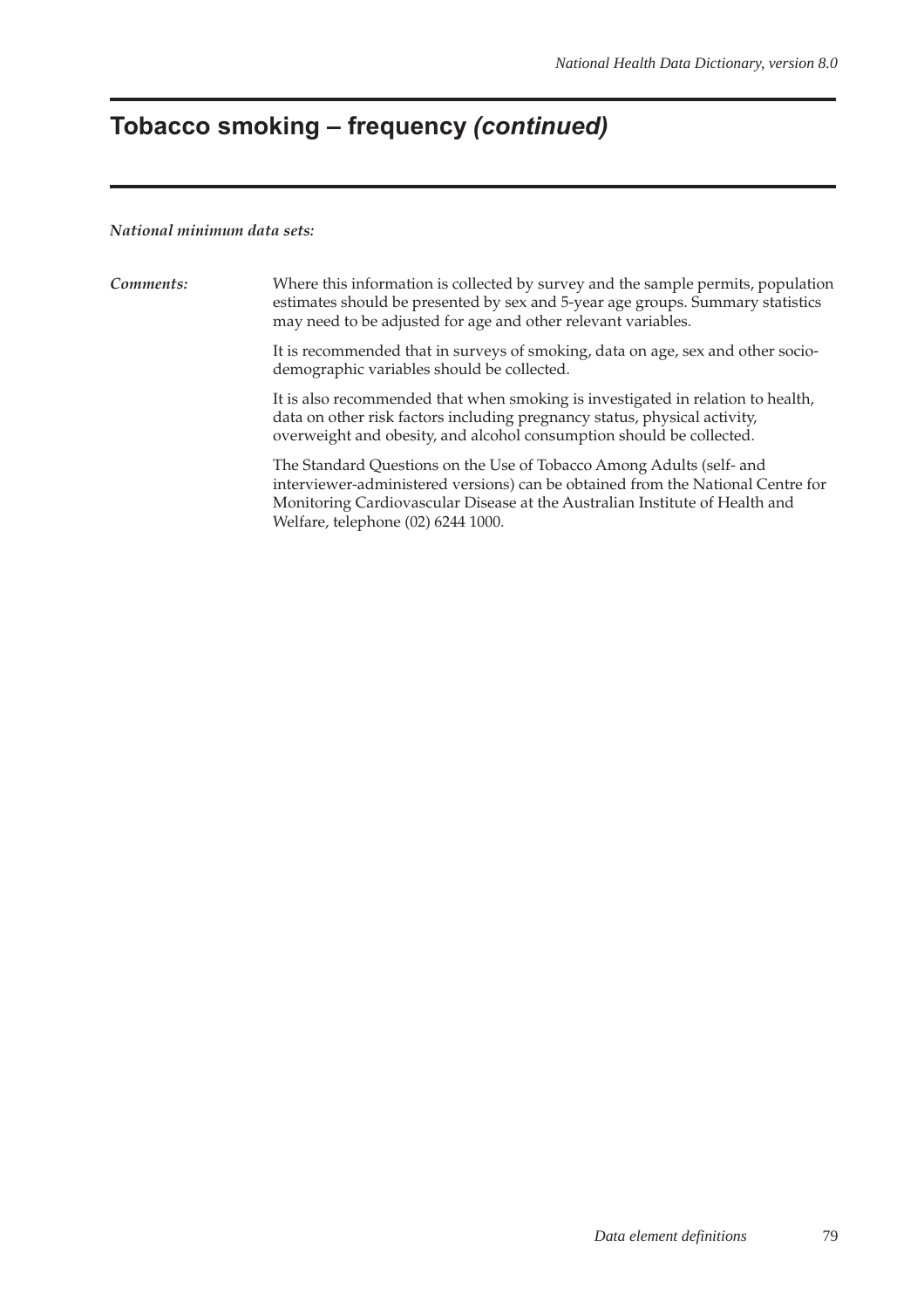# **Tobacco smoking – frequency (continued)**

#### *National minimum data sets:*

| Comments: | Where this information is collected by survey and the sample permits, population<br>estimates should be presented by sex and 5-year age groups. Summary statistics<br>may need to be adjusted for age and other relevant variables.                                          |
|-----------|------------------------------------------------------------------------------------------------------------------------------------------------------------------------------------------------------------------------------------------------------------------------------|
|           | It is recommended that in surveys of smoking, data on age, sex and other socio-<br>demographic variables should be collected.                                                                                                                                                |
|           | It is also recommended that when smoking is investigated in relation to health,<br>data on other risk factors including pregnancy status, physical activity,<br>overweight and obesity, and alcohol consumption should be collected.                                         |
|           | The Standard Questions on the Use of Tobacco Among Adults (self- and<br>interviewer-administered versions) can be obtained from the National Centre for<br>Monitoring Cardiovascular Disease at the Australian Institute of Health and<br>Welfare, telephone (02) 6244 1000. |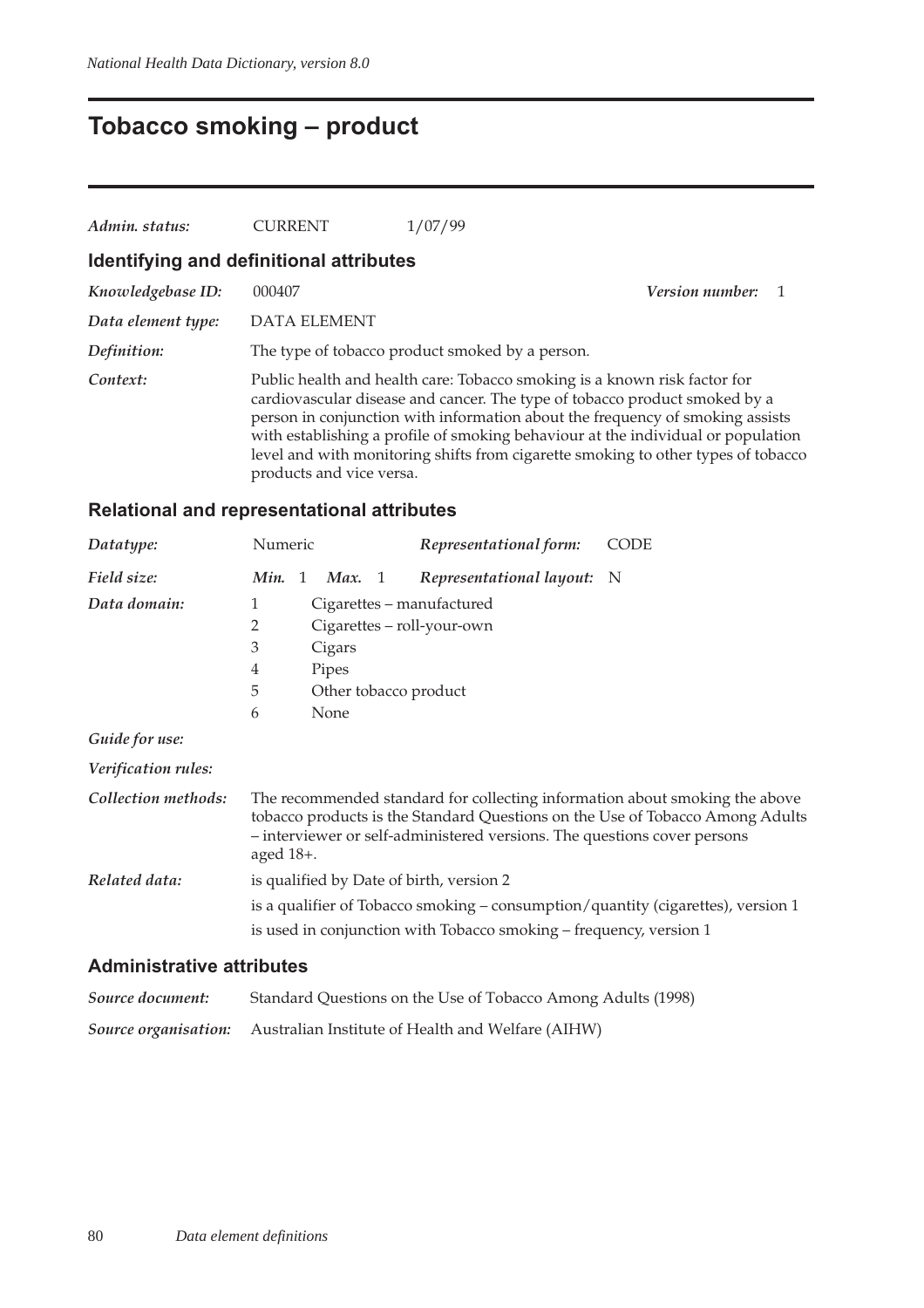## **Tobacco smoking – product**

| Admin. status:     | <b>CURRENT</b>                          | 1/07/99                                                                                                                                                                                                                                                                                                                                                                                                           |                        |  |
|--------------------|-----------------------------------------|-------------------------------------------------------------------------------------------------------------------------------------------------------------------------------------------------------------------------------------------------------------------------------------------------------------------------------------------------------------------------------------------------------------------|------------------------|--|
|                    | Identifying and definitional attributes |                                                                                                                                                                                                                                                                                                                                                                                                                   |                        |  |
| Knowledgebase ID:  | 000407                                  |                                                                                                                                                                                                                                                                                                                                                                                                                   | <i>Version number:</i> |  |
| Data element type: | <b>DATA ELEMENT</b>                     |                                                                                                                                                                                                                                                                                                                                                                                                                   |                        |  |
| Definition:        |                                         | The type of tobacco product smoked by a person.                                                                                                                                                                                                                                                                                                                                                                   |                        |  |
| Context:           | products and vice versa.                | Public health and health care: Tobacco smoking is a known risk factor for<br>cardiovascular disease and cancer. The type of tobacco product smoked by a<br>person in conjunction with information about the frequency of smoking assists<br>with establishing a profile of smoking behaviour at the individual or population<br>level and with monitoring shifts from cigarette smoking to other types of tobacco |                        |  |

### **Relational and representational attributes**

| Datatype:                        | Numeric                                                                          |    |        |  | Representational form:                                                   | <b>CODE</b>                                                                                                                                                  |  |
|----------------------------------|----------------------------------------------------------------------------------|----|--------|--|--------------------------------------------------------------------------|--------------------------------------------------------------------------------------------------------------------------------------------------------------|--|
| Field size:                      | Min.                                                                             | -1 | Max. 1 |  | Representational layout: N                                               |                                                                                                                                                              |  |
| Data domain:                     | 1                                                                                |    |        |  | Cigarettes – manufactured                                                |                                                                                                                                                              |  |
|                                  | 2                                                                                |    |        |  | Cigarettes - roll-your-own                                               |                                                                                                                                                              |  |
|                                  | 3                                                                                |    | Cigars |  |                                                                          |                                                                                                                                                              |  |
|                                  | 4                                                                                |    | Pipes  |  |                                                                          |                                                                                                                                                              |  |
|                                  | 5                                                                                |    |        |  | Other tobacco product                                                    |                                                                                                                                                              |  |
|                                  | 6                                                                                |    | None   |  |                                                                          |                                                                                                                                                              |  |
| Guide for use:                   |                                                                                  |    |        |  |                                                                          |                                                                                                                                                              |  |
| Verification rules:              |                                                                                  |    |        |  |                                                                          |                                                                                                                                                              |  |
| Collection methods:              | aged $18+$ .                                                                     |    |        |  | - interviewer or self-administered versions. The questions cover persons | The recommended standard for collecting information about smoking the above<br>tobacco products is the Standard Questions on the Use of Tobacco Among Adults |  |
| Related data:                    |                                                                                  |    |        |  | is qualified by Date of birth, version 2                                 |                                                                                                                                                              |  |
|                                  | is a qualifier of Tobacco smoking – consumption/quantity (cigarettes), version 1 |    |        |  |                                                                          |                                                                                                                                                              |  |
|                                  |                                                                                  |    |        |  | is used in conjunction with Tobacco smoking – frequency, version 1       |                                                                                                                                                              |  |
| A deste lateratives attuitente e |                                                                                  |    |        |  |                                                                          |                                                                                                                                                              |  |

#### **Administrative attributes**

| Source document: | Standard Questions on the Use of Tobacco Among Adults (1998)           |
|------------------|------------------------------------------------------------------------|
|                  | Source organisation: Australian Institute of Health and Welfare (AIHW) |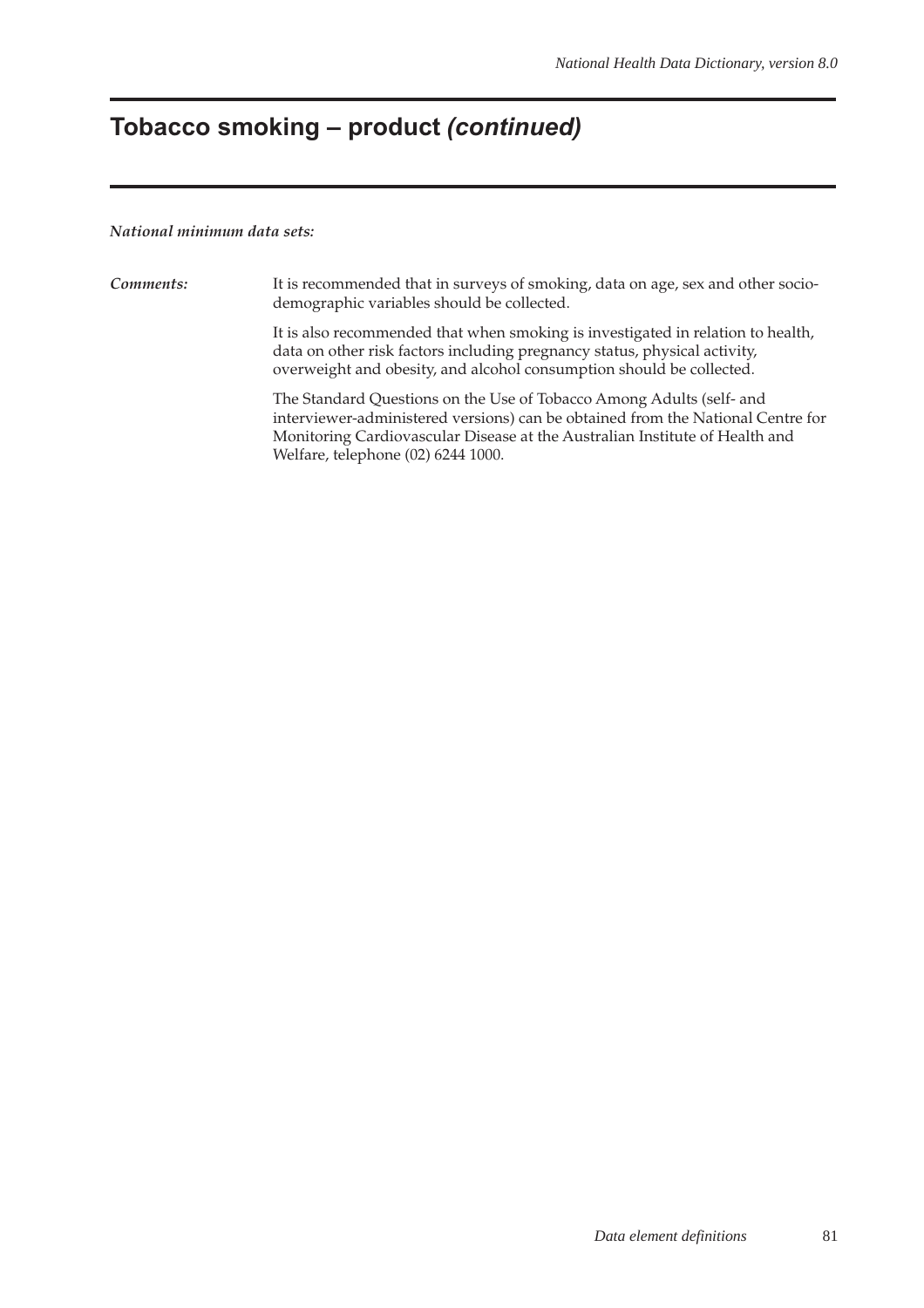### **Tobacco smoking – product (continued)**

#### *National minimum data sets:*

*Comments:* It is recommended that in surveys of smoking, data on age, sex and other sociodemographic variables should be collected. It is also recommended that when smoking is investigated in relation to health, data on other risk factors including pregnancy status, physical activity, overweight and obesity, and alcohol consumption should be collected. The Standard Questions on the Use of Tobacco Among Adults (self- and interviewer-administered versions) can be obtained from the National Centre for Monitoring Cardiovascular Disease at the Australian Institute of Health and Welfare, telephone (02) 6244 1000.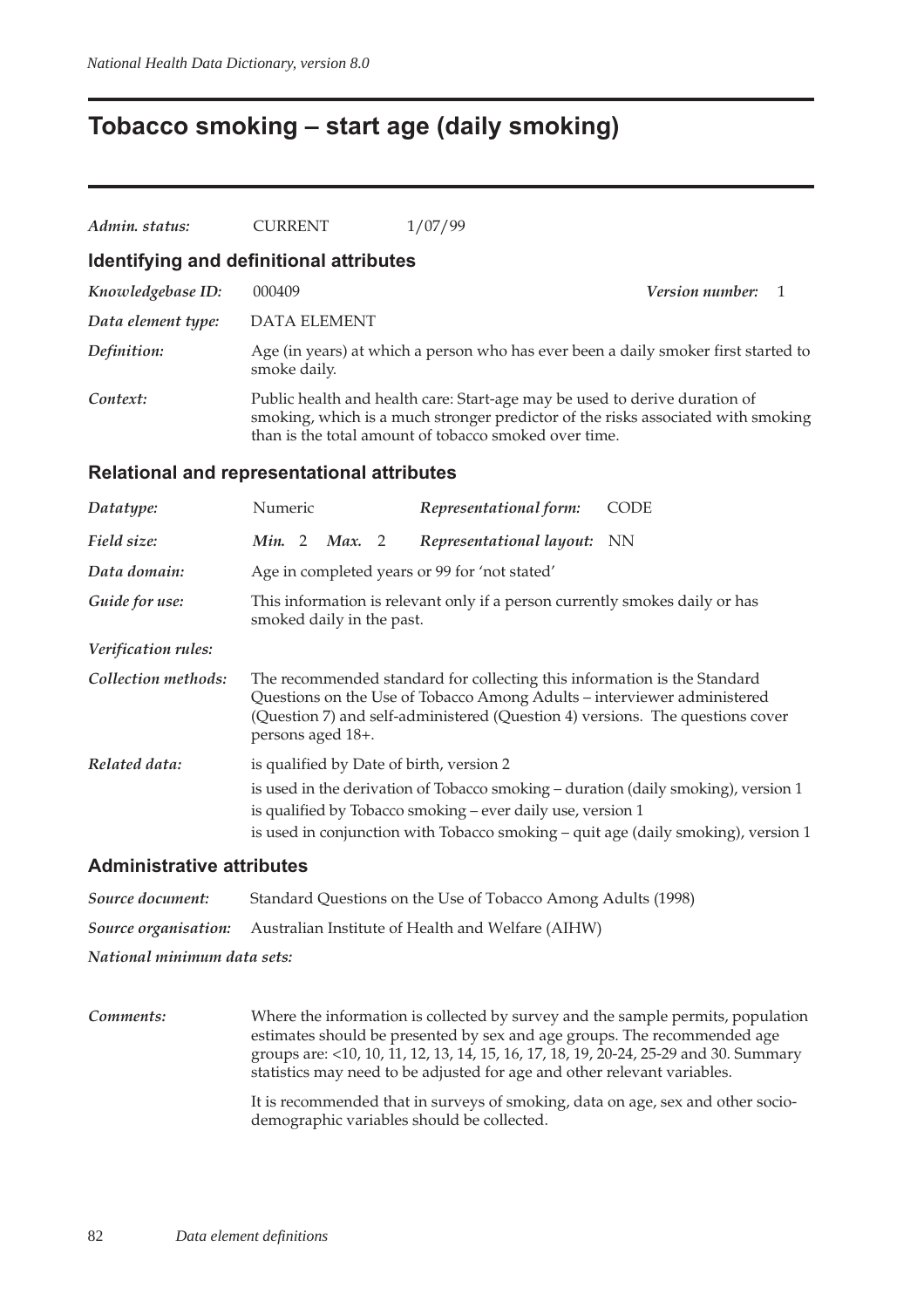### **Tobacco smoking – start age (daily smoking)**

| Admin. status:                   | <b>CURRENT</b>                                                                                                                                                                                                                                            | 1/07/99                               |  |  |  |  |
|----------------------------------|-----------------------------------------------------------------------------------------------------------------------------------------------------------------------------------------------------------------------------------------------------------|---------------------------------------|--|--|--|--|
|                                  | Identifying and definitional attributes                                                                                                                                                                                                                   |                                       |  |  |  |  |
| Knowledgebase ID:                | 000409                                                                                                                                                                                                                                                    | Version number:<br>1                  |  |  |  |  |
| Data element type:               | <b>DATA ELEMENT</b>                                                                                                                                                                                                                                       |                                       |  |  |  |  |
| Definition:                      | Age (in years) at which a person who has ever been a daily smoker first started to<br>smoke daily.                                                                                                                                                        |                                       |  |  |  |  |
| Context:                         | Public health and health care: Start-age may be used to derive duration of<br>smoking, which is a much stronger predictor of the risks associated with smoking<br>than is the total amount of tobacco smoked over time.                                   |                                       |  |  |  |  |
|                                  | Relational and representational attributes                                                                                                                                                                                                                |                                       |  |  |  |  |
| Datatype:                        | Numeric                                                                                                                                                                                                                                                   | <b>CODE</b><br>Representational form: |  |  |  |  |
| Field size:                      | Min. 2<br>Max. 2                                                                                                                                                                                                                                          | Representational layout:<br>NN        |  |  |  |  |
| Data domain:                     | Age in completed years or 99 for 'not stated'                                                                                                                                                                                                             |                                       |  |  |  |  |
| Guide for use:                   | This information is relevant only if a person currently smokes daily or has<br>smoked daily in the past.                                                                                                                                                  |                                       |  |  |  |  |
| Verification rules:              |                                                                                                                                                                                                                                                           |                                       |  |  |  |  |
| Collection methods:              | The recommended standard for collecting this information is the Standard<br>Questions on the Use of Tobacco Among Adults - interviewer administered<br>(Question 7) and self-administered (Question 4) versions. The questions cover<br>persons aged 18+. |                                       |  |  |  |  |
| Related data:                    | is qualified by Date of birth, version 2                                                                                                                                                                                                                  |                                       |  |  |  |  |
|                                  | is used in the derivation of Tobacco smoking – duration (daily smoking), version 1<br>is qualified by Tobacco smoking - ever daily use, version 1<br>is used in conjunction with Tobacco smoking - quit age (daily smoking), version 1                    |                                       |  |  |  |  |
| <b>Administrative attributes</b> |                                                                                                                                                                                                                                                           |                                       |  |  |  |  |

| National minimum data sets: |                                                                               |
|-----------------------------|-------------------------------------------------------------------------------|
|                             | <b>Source organisation:</b> Australian Institute of Health and Welfare (AIHW) |
| Source document:            | Standard Questions on the Use of Tobacco Among Adults (1998)                  |

*Comments:* Where the information is collected by survey and the sample permits, population estimates should be presented by sex and age groups. The recommended age groups are: <10, 10, 11, 12, 13, 14, 15, 16, 17, 18, 19, 20-24, 25-29 and 30. Summary statistics may need to be adjusted for age and other relevant variables. It is recommended that in surveys of smoking, data on age, sex and other sociodemographic variables should be collected.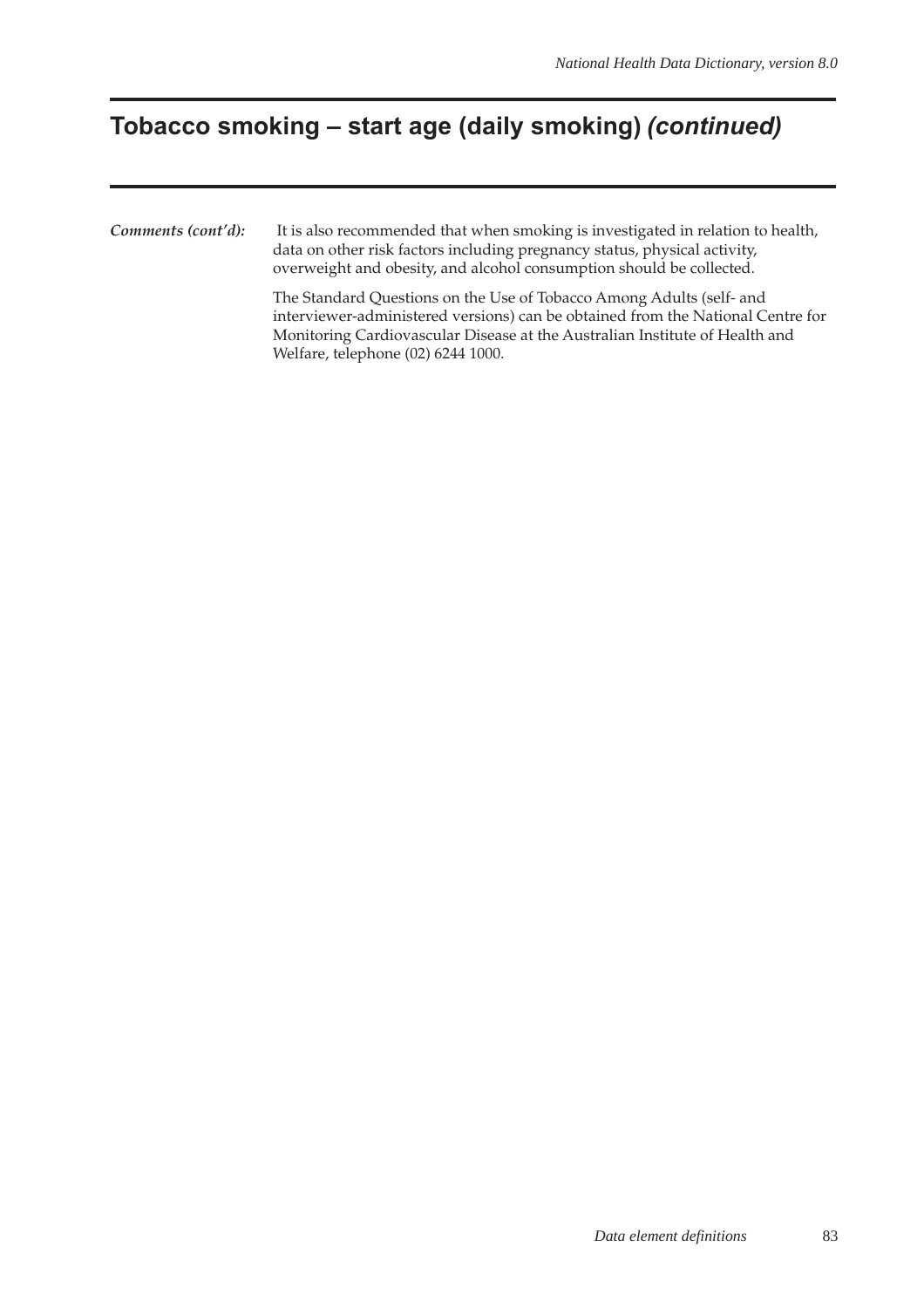## **Tobacco smoking – start age (daily smoking) (continued)**

*Comments (cont'd):* It is also recommended that when smoking is investigated in relation to health, data on other risk factors including pregnancy status, physical activity, overweight and obesity, and alcohol consumption should be collected. The Standard Questions on the Use of Tobacco Among Adults (self- and interviewer-administered versions) can be obtained from the National Centre for Monitoring Cardiovascular Disease at the Australian Institute of Health and

Welfare, telephone (02) 6244 1000.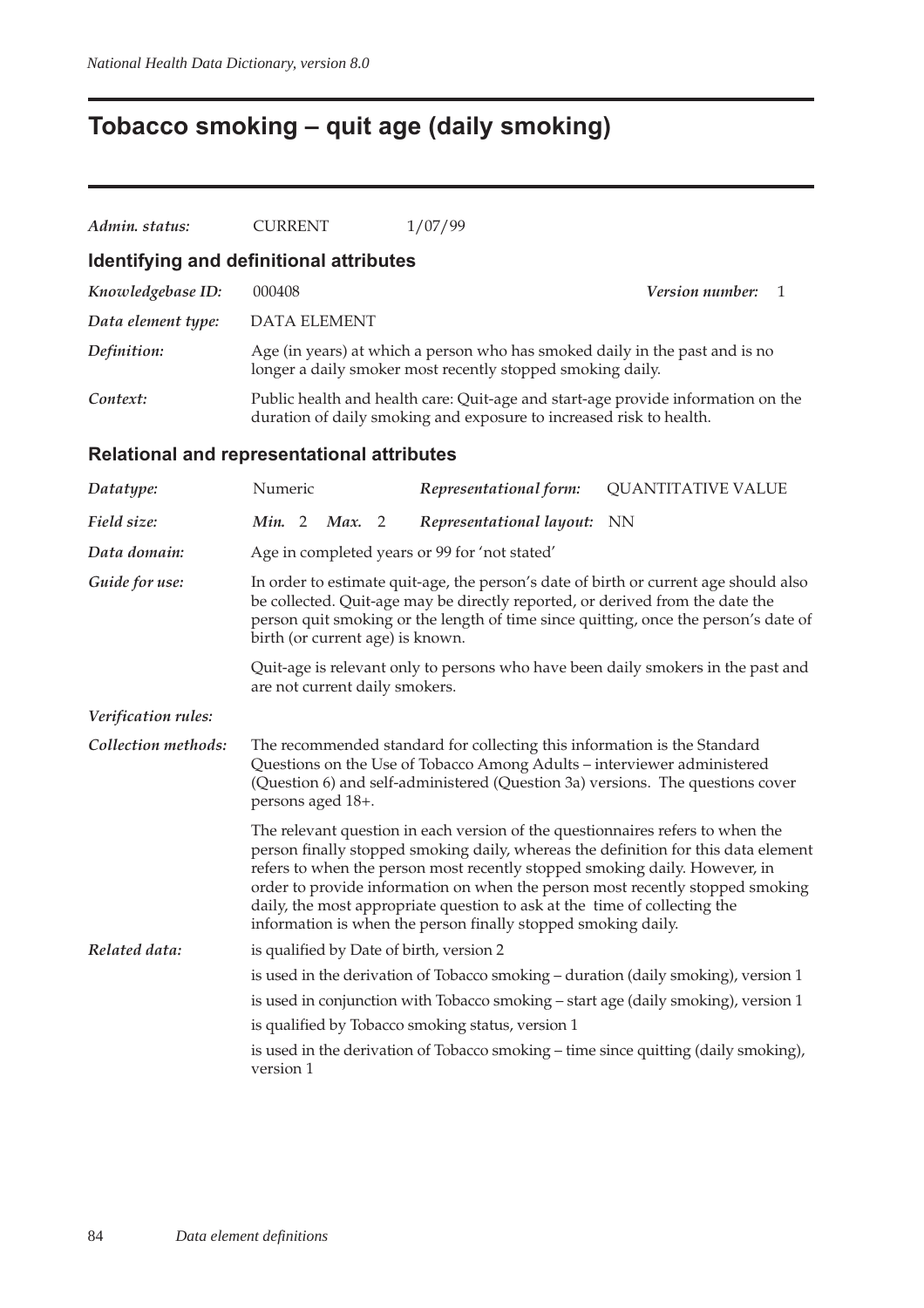# **Tobacco smoking – quit age (daily smoking)**

| Admin. status:      | <b>CURRENT</b>                                                                                                                                                                                                                                                                                   | 1/07/99                                                                                                                                                                                                                                                                                                    |                                                                                                                                                                     |
|---------------------|--------------------------------------------------------------------------------------------------------------------------------------------------------------------------------------------------------------------------------------------------------------------------------------------------|------------------------------------------------------------------------------------------------------------------------------------------------------------------------------------------------------------------------------------------------------------------------------------------------------------|---------------------------------------------------------------------------------------------------------------------------------------------------------------------|
|                     | Identifying and definitional attributes                                                                                                                                                                                                                                                          |                                                                                                                                                                                                                                                                                                            |                                                                                                                                                                     |
| Knowledgebase ID:   | 000408                                                                                                                                                                                                                                                                                           |                                                                                                                                                                                                                                                                                                            | Version number:<br>1                                                                                                                                                |
| Data element type:  | <b>DATA ELEMENT</b>                                                                                                                                                                                                                                                                              |                                                                                                                                                                                                                                                                                                            |                                                                                                                                                                     |
| Definition:         |                                                                                                                                                                                                                                                                                                  | Age (in years) at which a person who has smoked daily in the past and is no<br>longer a daily smoker most recently stopped smoking daily.                                                                                                                                                                  |                                                                                                                                                                     |
| Context:            |                                                                                                                                                                                                                                                                                                  | duration of daily smoking and exposure to increased risk to health.                                                                                                                                                                                                                                        | Public health and health care: Quit-age and start-age provide information on the                                                                                    |
|                     | <b>Relational and representational attributes</b>                                                                                                                                                                                                                                                |                                                                                                                                                                                                                                                                                                            |                                                                                                                                                                     |
| Datatype:           | Numeric                                                                                                                                                                                                                                                                                          | Representational form:                                                                                                                                                                                                                                                                                     | <b>QUANTITATIVE VALUE</b>                                                                                                                                           |
| Field size:         | Min. 2<br>Max.<br>$\overline{\phantom{0}}^2$                                                                                                                                                                                                                                                     | Representational layout:                                                                                                                                                                                                                                                                                   | NN                                                                                                                                                                  |
| Data domain:        |                                                                                                                                                                                                                                                                                                  | Age in completed years or 99 for 'not stated'                                                                                                                                                                                                                                                              |                                                                                                                                                                     |
| Guide for use:      | In order to estimate quit-age, the person's date of birth or current age should also<br>be collected. Quit-age may be directly reported, or derived from the date the<br>person quit smoking or the length of time since quitting, once the person's date of<br>birth (or current age) is known. |                                                                                                                                                                                                                                                                                                            |                                                                                                                                                                     |
|                     | are not current daily smokers.                                                                                                                                                                                                                                                                   |                                                                                                                                                                                                                                                                                                            | Quit-age is relevant only to persons who have been daily smokers in the past and                                                                                    |
| Verification rules: |                                                                                                                                                                                                                                                                                                  |                                                                                                                                                                                                                                                                                                            |                                                                                                                                                                     |
| Collection methods: | persons aged 18+.                                                                                                                                                                                                                                                                                | The recommended standard for collecting this information is the Standard<br>Questions on the Use of Tobacco Among Adults – interviewer administered                                                                                                                                                        | (Question 6) and self-administered (Question 3a) versions. The questions cover                                                                                      |
|                     |                                                                                                                                                                                                                                                                                                  | The relevant question in each version of the questionnaires refers to when the<br>refers to when the person most recently stopped smoking daily. However, in<br>daily, the most appropriate question to ask at the time of collecting the<br>information is when the person finally stopped smoking daily. | person finally stopped smoking daily, whereas the definition for this data element<br>order to provide information on when the person most recently stopped smoking |
| Related data:       | is qualified by Date of birth, version 2                                                                                                                                                                                                                                                         |                                                                                                                                                                                                                                                                                                            |                                                                                                                                                                     |
|                     |                                                                                                                                                                                                                                                                                                  |                                                                                                                                                                                                                                                                                                            | is used in the derivation of Tobacco smoking - duration (daily smoking), version 1                                                                                  |
|                     |                                                                                                                                                                                                                                                                                                  |                                                                                                                                                                                                                                                                                                            | is used in conjunction with Tobacco smoking - start age (daily smoking), version 1                                                                                  |
|                     |                                                                                                                                                                                                                                                                                                  | is qualified by Tobacco smoking status, version 1                                                                                                                                                                                                                                                          |                                                                                                                                                                     |
|                     | version 1                                                                                                                                                                                                                                                                                        |                                                                                                                                                                                                                                                                                                            | is used in the derivation of Tobacco smoking - time since quitting (daily smoking),                                                                                 |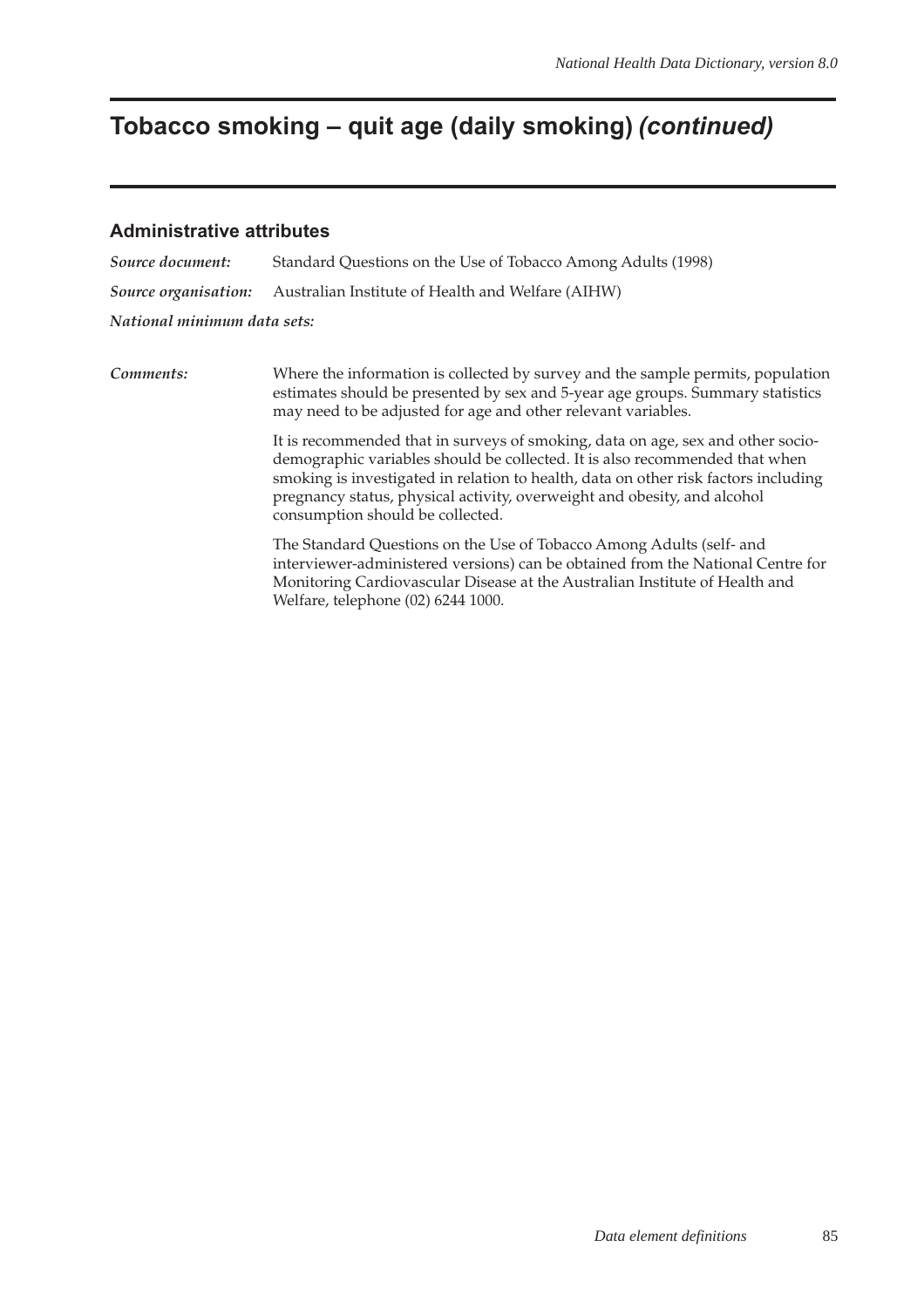### **Tobacco smoking – quit age (daily smoking) (continued)**

#### **Administrative attributes**

| Source document:            | Standard Questions on the Use of Tobacco Among Adults (1998) |
|-----------------------------|--------------------------------------------------------------|
| Source organisation:        | Australian Institute of Health and Welfare (AIHW)            |
| National minimum data sets: |                                                              |

*Comments:* Where the information is collected by survey and the sample permits, population estimates should be presented by sex and 5-year age groups. Summary statistics may need to be adjusted for age and other relevant variables.

> It is recommended that in surveys of smoking, data on age, sex and other sociodemographic variables should be collected. It is also recommended that when smoking is investigated in relation to health, data on other risk factors including pregnancy status, physical activity, overweight and obesity, and alcohol consumption should be collected.

> The Standard Questions on the Use of Tobacco Among Adults (self- and interviewer-administered versions) can be obtained from the National Centre for Monitoring Cardiovascular Disease at the Australian Institute of Health and Welfare, telephone (02) 6244 1000.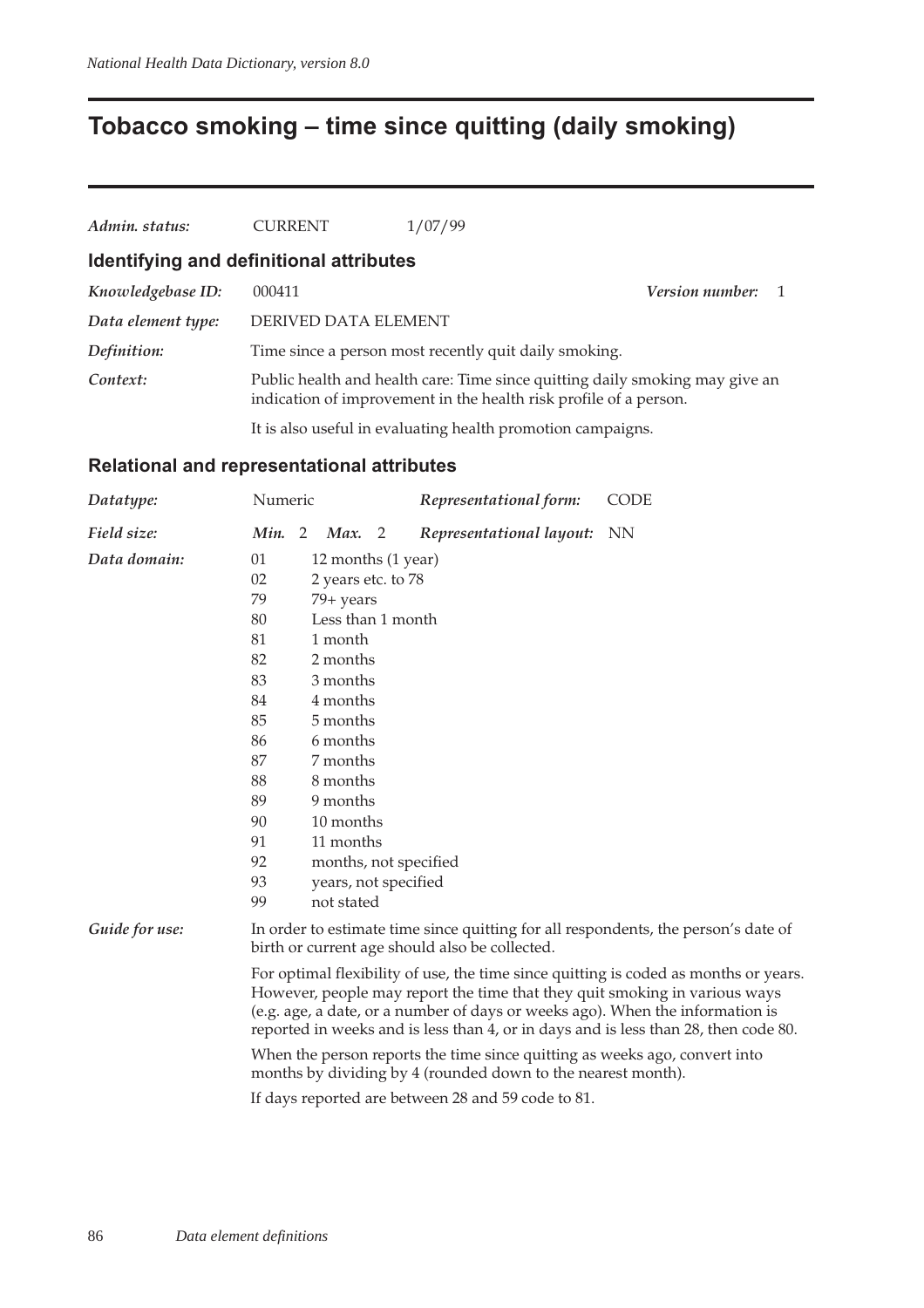## **Tobacco smoking – time since quitting (daily smoking)**

| Admin. status:                          | <b>CURRENT</b>       | 1/07/99                                                           |                                                                              |
|-----------------------------------------|----------------------|-------------------------------------------------------------------|------------------------------------------------------------------------------|
| Identifying and definitional attributes |                      |                                                                   |                                                                              |
| Knowledgebase ID:                       | 000411               |                                                                   | Version number:                                                              |
| Data element type:                      | DERIVED DATA ELEMENT |                                                                   |                                                                              |
| Definition:                             |                      | Time since a person most recently quit daily smoking.             |                                                                              |
| Context:                                |                      | indication of improvement in the health risk profile of a person. | Public health and health care: Time since quitting daily smoking may give an |
|                                         |                      | It is also useful in evaluating health promotion campaigns.       |                                                                              |

#### **Relational and representational attributes**

| Datatype:      | Numeric                                                                                                                              |                                                                                                                                                                                                                                                                                                                                            |                    |  | Representational form:                             | <b>CODE</b> |  |  |  |  |
|----------------|--------------------------------------------------------------------------------------------------------------------------------------|--------------------------------------------------------------------------------------------------------------------------------------------------------------------------------------------------------------------------------------------------------------------------------------------------------------------------------------------|--------------------|--|----------------------------------------------------|-------------|--|--|--|--|
| Field size:    | Min. 2                                                                                                                               |                                                                                                                                                                                                                                                                                                                                            | Max. $2$           |  | Representational layout:                           | NN          |  |  |  |  |
| Data domain:   | 01                                                                                                                                   |                                                                                                                                                                                                                                                                                                                                            | 12 months (1 year) |  |                                                    |             |  |  |  |  |
|                | 02                                                                                                                                   | 2 years etc. to 78                                                                                                                                                                                                                                                                                                                         |                    |  |                                                    |             |  |  |  |  |
|                | 79                                                                                                                                   | 79+ years                                                                                                                                                                                                                                                                                                                                  |                    |  |                                                    |             |  |  |  |  |
|                | 80                                                                                                                                   | Less than 1 month                                                                                                                                                                                                                                                                                                                          |                    |  |                                                    |             |  |  |  |  |
|                | 81                                                                                                                                   | 1 month                                                                                                                                                                                                                                                                                                                                    |                    |  |                                                    |             |  |  |  |  |
|                | 82                                                                                                                                   |                                                                                                                                                                                                                                                                                                                                            | 2 months           |  |                                                    |             |  |  |  |  |
|                | 83                                                                                                                                   |                                                                                                                                                                                                                                                                                                                                            | 3 months           |  |                                                    |             |  |  |  |  |
|                | 84                                                                                                                                   |                                                                                                                                                                                                                                                                                                                                            | 4 months           |  |                                                    |             |  |  |  |  |
|                | 85                                                                                                                                   |                                                                                                                                                                                                                                                                                                                                            | 5 months           |  |                                                    |             |  |  |  |  |
|                | 86                                                                                                                                   |                                                                                                                                                                                                                                                                                                                                            | 6 months           |  |                                                    |             |  |  |  |  |
|                | 87                                                                                                                                   |                                                                                                                                                                                                                                                                                                                                            | 7 months           |  |                                                    |             |  |  |  |  |
|                | 88                                                                                                                                   |                                                                                                                                                                                                                                                                                                                                            | 8 months           |  |                                                    |             |  |  |  |  |
|                | 89                                                                                                                                   | 9 months                                                                                                                                                                                                                                                                                                                                   |                    |  |                                                    |             |  |  |  |  |
|                | 90                                                                                                                                   |                                                                                                                                                                                                                                                                                                                                            | 10 months          |  |                                                    |             |  |  |  |  |
|                |                                                                                                                                      | 91<br>11 months                                                                                                                                                                                                                                                                                                                            |                    |  |                                                    |             |  |  |  |  |
|                | 92                                                                                                                                   |                                                                                                                                                                                                                                                                                                                                            |                    |  | months, not specified                              |             |  |  |  |  |
|                |                                                                                                                                      | 93<br>years, not specified                                                                                                                                                                                                                                                                                                                 |                    |  |                                                    |             |  |  |  |  |
|                | 99                                                                                                                                   |                                                                                                                                                                                                                                                                                                                                            | not stated         |  |                                                    |             |  |  |  |  |
| Guide for use: | In order to estimate time since quitting for all respondents, the person's date of<br>birth or current age should also be collected. |                                                                                                                                                                                                                                                                                                                                            |                    |  |                                                    |             |  |  |  |  |
|                |                                                                                                                                      | For optimal flexibility of use, the time since quitting is coded as months or years.<br>However, people may report the time that they quit smoking in various ways<br>(e.g. age, a date, or a number of days or weeks ago). When the information is<br>reported in weeks and is less than 4, or in days and is less than 28, then code 80. |                    |  |                                                    |             |  |  |  |  |
|                |                                                                                                                                      | When the person reports the time since quitting as weeks ago, convert into<br>months by dividing by 4 (rounded down to the nearest month).                                                                                                                                                                                                 |                    |  |                                                    |             |  |  |  |  |
|                |                                                                                                                                      |                                                                                                                                                                                                                                                                                                                                            |                    |  | If days reported are between 28 and 59 code to 81. |             |  |  |  |  |
|                |                                                                                                                                      |                                                                                                                                                                                                                                                                                                                                            |                    |  |                                                    |             |  |  |  |  |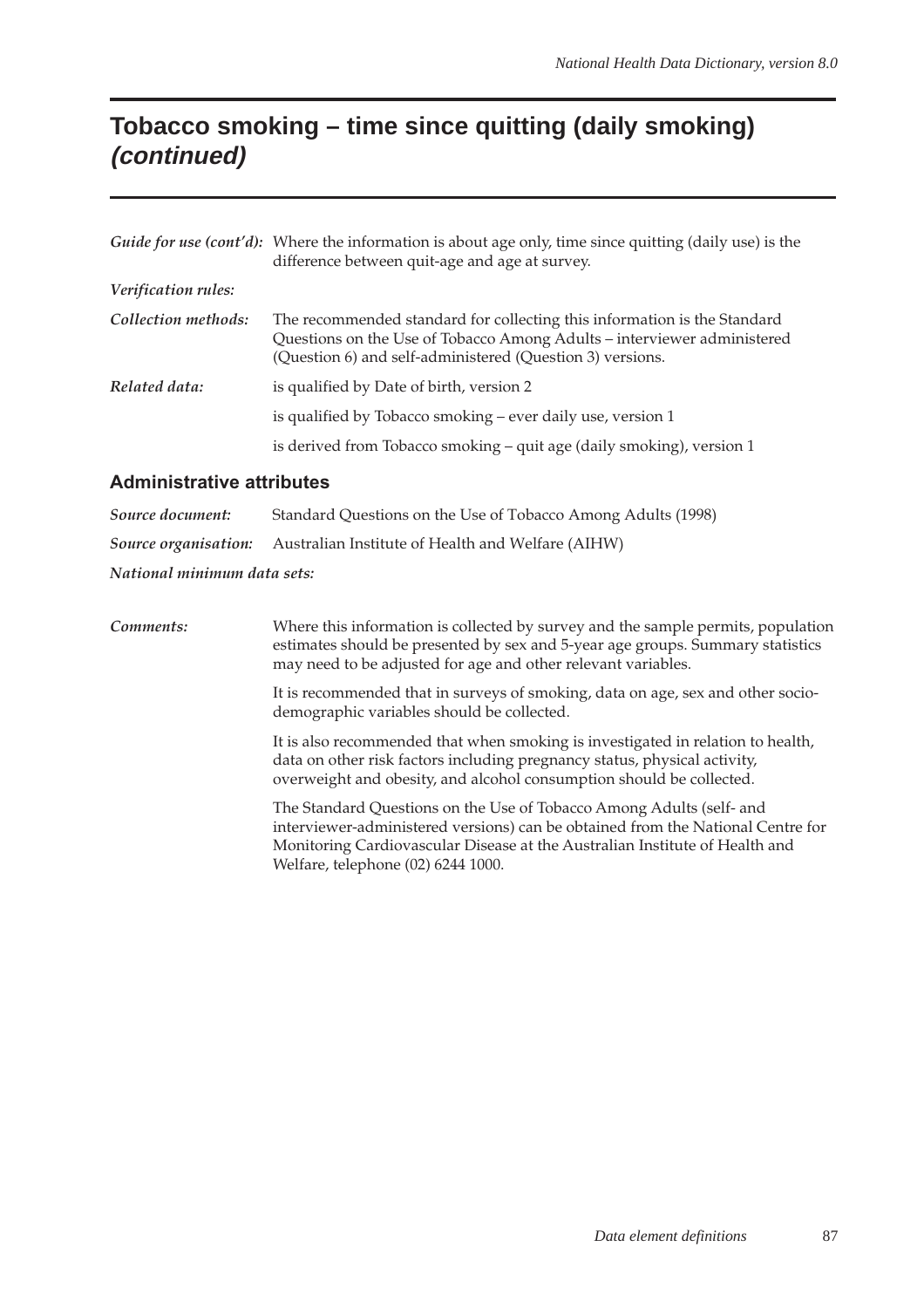## **Tobacco smoking – time since quitting (daily smoking) (continued)**

|                     | Guide for use (cont'd): Where the information is about age only, time since quitting (daily use) is the<br>difference between quit-age and age at survey.                                                        |
|---------------------|------------------------------------------------------------------------------------------------------------------------------------------------------------------------------------------------------------------|
| Verification rules: |                                                                                                                                                                                                                  |
| Collection methods: | The recommended standard for collecting this information is the Standard<br>Questions on the Use of Tobacco Among Adults – interviewer administered<br>(Question 6) and self-administered (Question 3) versions. |
| Related data:       | is qualified by Date of birth, version 2                                                                                                                                                                         |
|                     | is qualified by Tobacco smoking - ever daily use, version 1                                                                                                                                                      |
|                     | is derived from Tobacco smoking – quit age (daily smoking), version 1                                                                                                                                            |

#### **Administrative attributes**

| Source document:            | Standard Questions on the Use of Tobacco Among Adults (1998)                  |  |  |  |  |  |
|-----------------------------|-------------------------------------------------------------------------------|--|--|--|--|--|
|                             | <b>Source organisation:</b> Australian Institute of Health and Welfare (AIHW) |  |  |  |  |  |
| National minimum data sets: |                                                                               |  |  |  |  |  |

*Comments:* Where this information is collected by survey and the sample permits, population estimates should be presented by sex and 5-year age groups. Summary statistics may need to be adjusted for age and other relevant variables.

> It is recommended that in surveys of smoking, data on age, sex and other sociodemographic variables should be collected.

> It is also recommended that when smoking is investigated in relation to health, data on other risk factors including pregnancy status, physical activity, overweight and obesity, and alcohol consumption should be collected.

The Standard Questions on the Use of Tobacco Among Adults (self- and interviewer-administered versions) can be obtained from the National Centre for Monitoring Cardiovascular Disease at the Australian Institute of Health and Welfare, telephone (02) 6244 1000.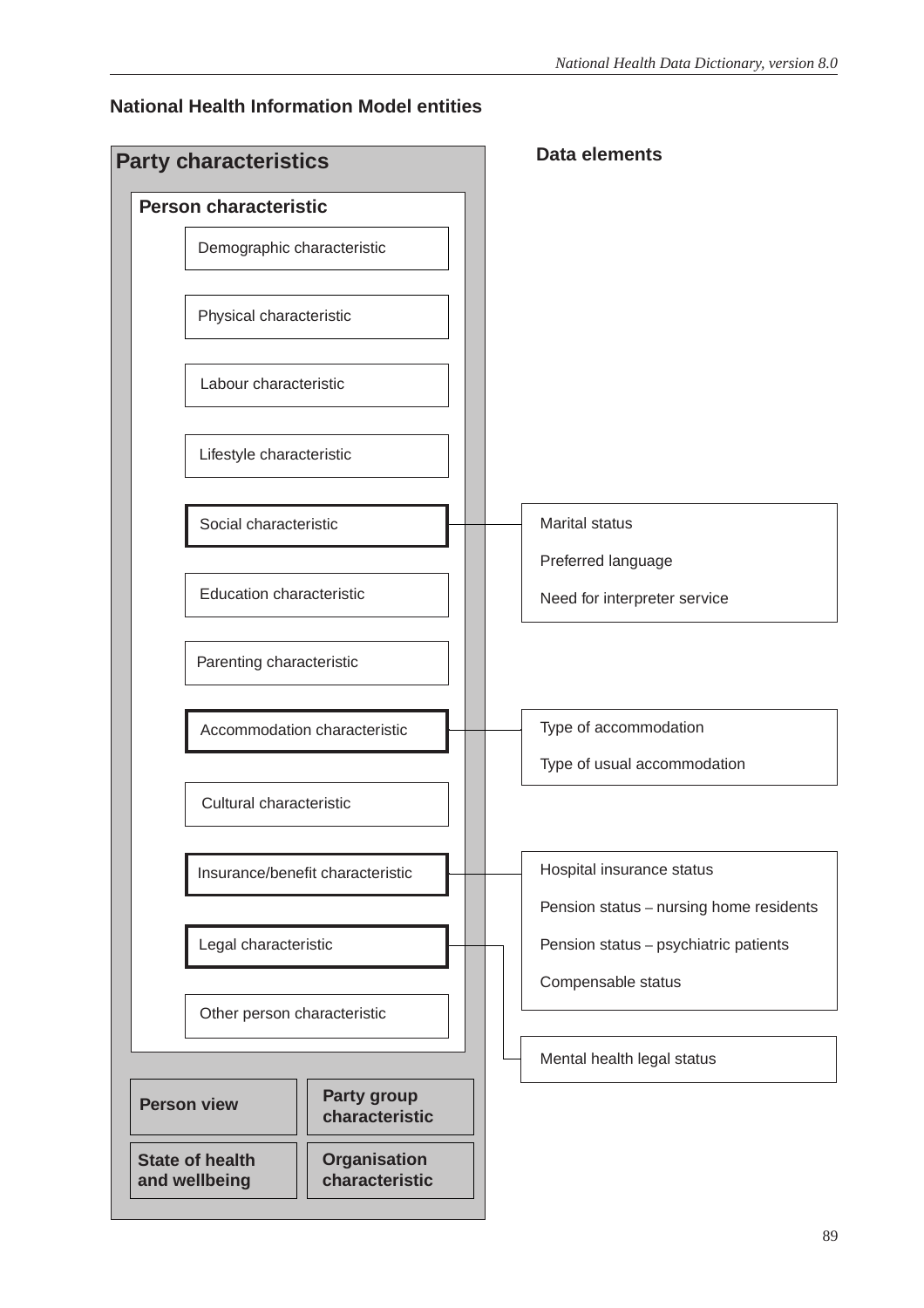#### **National Health Information Model entities**

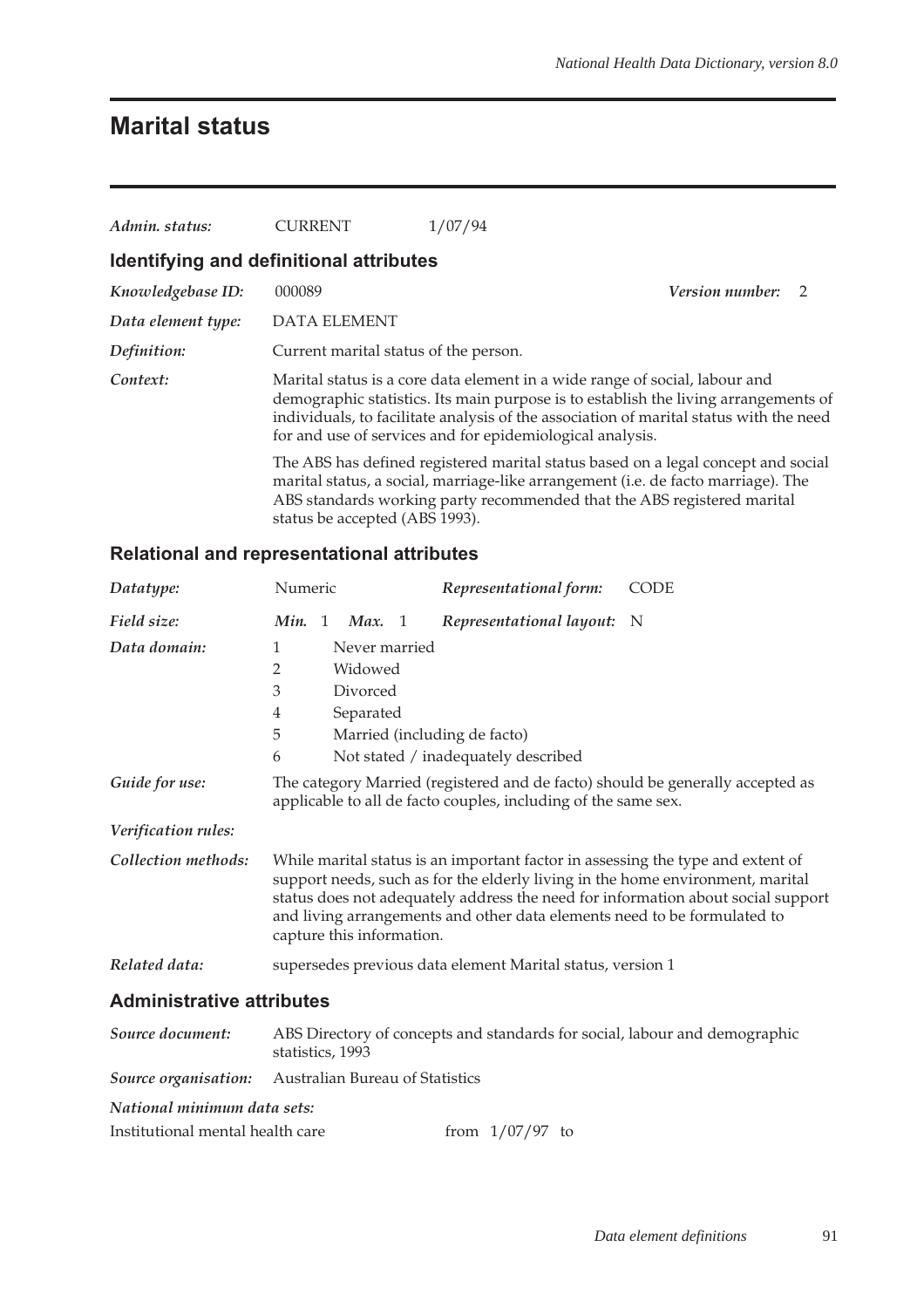## **Marital status**

| Admin. status:     | <b>CURRENT</b>                          | 1/07/94                                                                                                                                                                                                                                                                                                                   |                        |  |
|--------------------|-----------------------------------------|---------------------------------------------------------------------------------------------------------------------------------------------------------------------------------------------------------------------------------------------------------------------------------------------------------------------------|------------------------|--|
|                    | Identifying and definitional attributes |                                                                                                                                                                                                                                                                                                                           |                        |  |
| Knowledgebase ID:  | 000089                                  |                                                                                                                                                                                                                                                                                                                           | <i>Version number:</i> |  |
| Data element type: | <b>DATA ELEMENT</b>                     |                                                                                                                                                                                                                                                                                                                           |                        |  |
| Definition:        | Current marital status of the person.   |                                                                                                                                                                                                                                                                                                                           |                        |  |
| Context:           |                                         | Marital status is a core data element in a wide range of social, labour and<br>demographic statistics. Its main purpose is to establish the living arrangements of<br>individuals, to facilitate analysis of the association of marital status with the need<br>for and use of services and for epidemiological analysis. |                        |  |
|                    | status be accepted (ABS 1993).          | The ABS has defined registered marital status based on a legal concept and social<br>marital status, a social, marriage-like arrangement (i.e. de facto marriage). The<br>ABS standards working party recommended that the ABS registered marital                                                                         |                        |  |

#### **Relational and representational attributes**

| Datatype:                        | Numeric   |                              | Representational form:                                                                                                                                      | <b>CODE</b>                                                                                                                                                        |
|----------------------------------|-----------|------------------------------|-------------------------------------------------------------------------------------------------------------------------------------------------------------|--------------------------------------------------------------------------------------------------------------------------------------------------------------------|
| Field size:                      | Min.<br>1 | Max. 1                       | Representational layout: N                                                                                                                                  |                                                                                                                                                                    |
| Data domain:                     | 1         | Never married                |                                                                                                                                                             |                                                                                                                                                                    |
|                                  | 2         | Widowed                      |                                                                                                                                                             |                                                                                                                                                                    |
|                                  | 3         | Divorced                     |                                                                                                                                                             |                                                                                                                                                                    |
|                                  | 4         | Separated                    |                                                                                                                                                             |                                                                                                                                                                    |
|                                  | 5         | Married (including de facto) |                                                                                                                                                             |                                                                                                                                                                    |
|                                  | 6         |                              | Not stated / inadequately described                                                                                                                         |                                                                                                                                                                    |
| Guide for use:                   |           |                              | applicable to all de facto couples, including of the same sex.                                                                                              | The category Married (registered and de facto) should be generally accepted as                                                                                     |
| Verification rules:              |           |                              |                                                                                                                                                             |                                                                                                                                                                    |
| Collection methods:              |           | capture this information.    | While marital status is an important factor in assessing the type and extent of<br>and living arrangements and other data elements need to be formulated to | support needs, such as for the elderly living in the home environment, marital<br>status does not adequately address the need for information about social support |
| Related data:                    |           |                              | supersedes previous data element Marital status, version 1                                                                                                  |                                                                                                                                                                    |
| <b>Administrative attributes</b> |           |                              |                                                                                                                                                             |                                                                                                                                                                    |

| Source document:                 | ABS Directory of concepts and standards for social, labour and demographic<br>statistics, 1993 |
|----------------------------------|------------------------------------------------------------------------------------------------|
|                                  | <i>Source organisation:</i> Australian Bureau of Statistics                                    |
| National minimum data sets:      |                                                                                                |
| Institutional mental health care | from $1/07/97$ to                                                                              |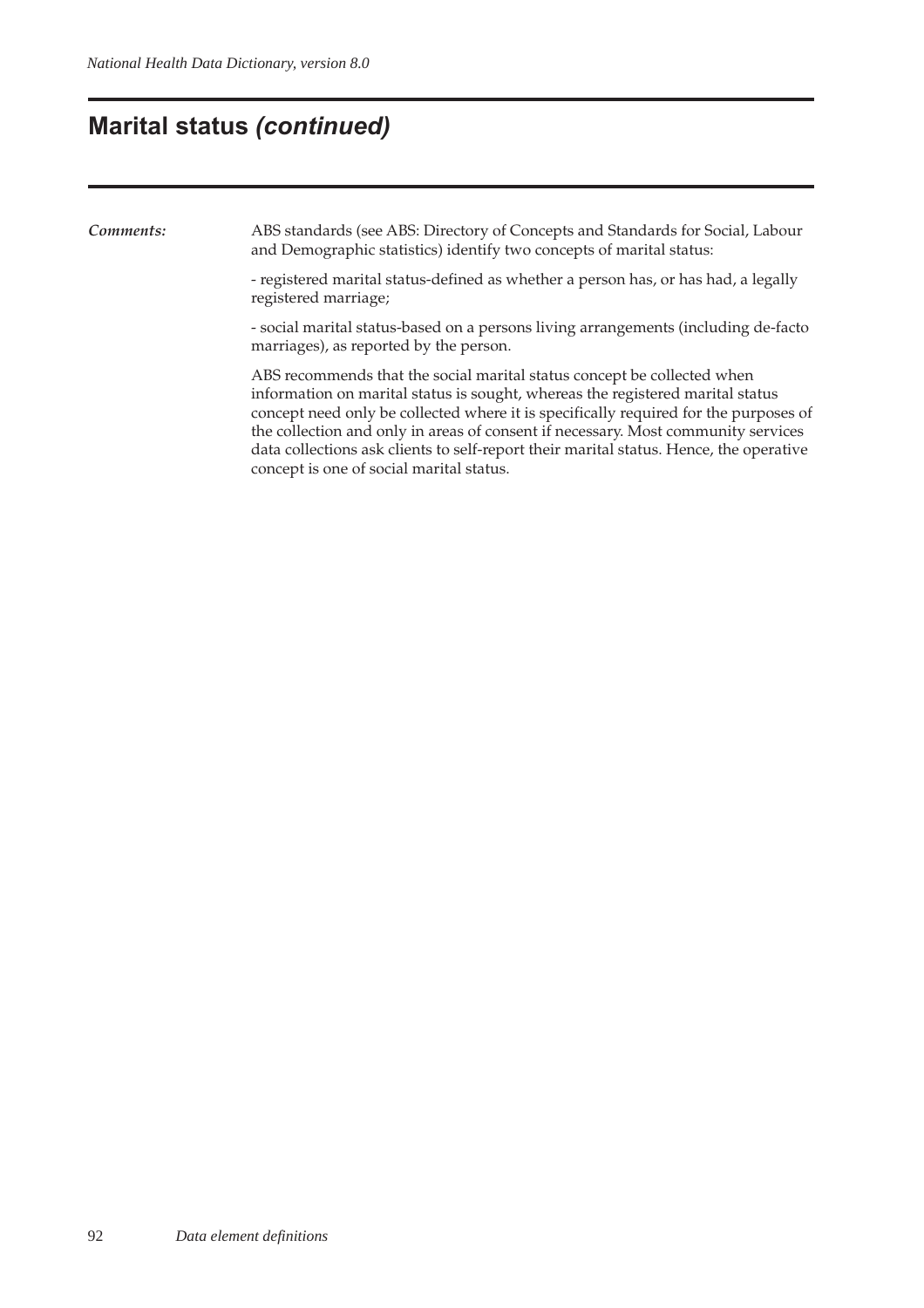### **Marital status (continued)**

*Comments:* ABS standards (see ABS: Directory of Concepts and Standards for Social, Labour and Demographic statistics) identify two concepts of marital status:

> - registered marital status-defined as whether a person has, or has had, a legally registered marriage;

- social marital status-based on a persons living arrangements (including de-facto marriages), as reported by the person.

ABS recommends that the social marital status concept be collected when information on marital status is sought, whereas the registered marital status concept need only be collected where it is specifically required for the purposes of the collection and only in areas of consent if necessary. Most community services data collections ask clients to self-report their marital status. Hence, the operative concept is one of social marital status.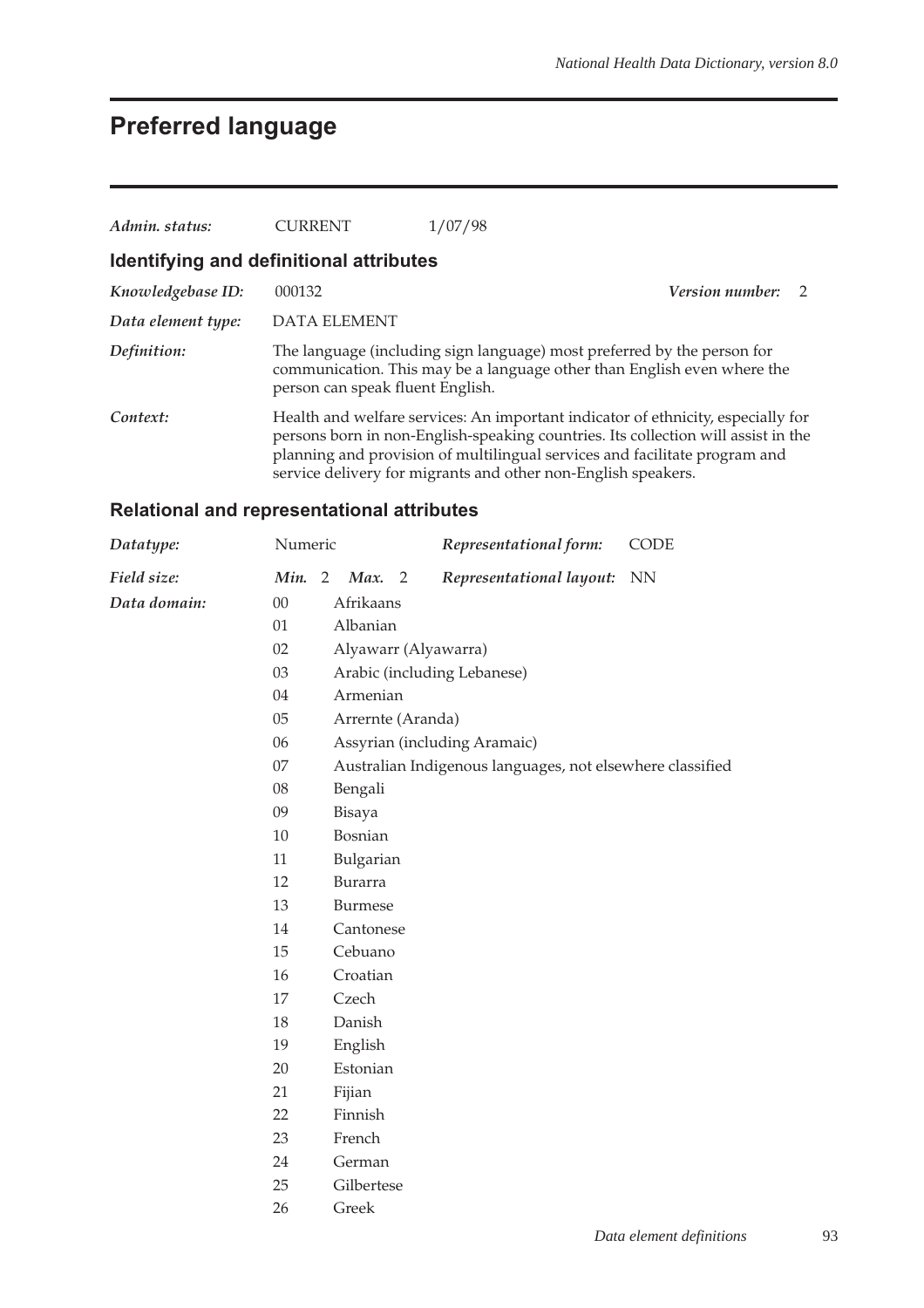# **Preferred language**

| Admin. status:     | <b>CURRENT</b>                          | 1/07/98                                                                                                                                                                                                                                                                                                              |                        |                |  |  |  |
|--------------------|-----------------------------------------|----------------------------------------------------------------------------------------------------------------------------------------------------------------------------------------------------------------------------------------------------------------------------------------------------------------------|------------------------|----------------|--|--|--|
|                    | Identifying and definitional attributes |                                                                                                                                                                                                                                                                                                                      |                        |                |  |  |  |
| Knowledgebase ID:  | 000132                                  |                                                                                                                                                                                                                                                                                                                      | <i>Version number:</i> | $\overline{2}$ |  |  |  |
| Data element type: | DATA ELEMENT                            |                                                                                                                                                                                                                                                                                                                      |                        |                |  |  |  |
| Definition:        | person can speak fluent English.        | The language (including sign language) most preferred by the person for<br>communication. This may be a language other than English even where the                                                                                                                                                                   |                        |                |  |  |  |
| Context:           |                                         | Health and welfare services: An important indicator of ethnicity, especially for<br>persons born in non-English-speaking countries. Its collection will assist in the<br>planning and provision of multilingual services and facilitate program and<br>service delivery for migrants and other non-English speakers. |                        |                |  |  |  |

### **Relational and representational attributes**

| Datatype:    | Numeric |                |                   |   | Representational form:                                    | CODE      |
|--------------|---------|----------------|-------------------|---|-----------------------------------------------------------|-----------|
| Field size:  | Min.    | $\overline{2}$ | Max.              | 2 | Representational layout:                                  | <b>NN</b> |
| Data domain: | $00\,$  |                | Afrikaans         |   |                                                           |           |
|              | 01      |                | Albanian          |   |                                                           |           |
|              | 02      |                |                   |   | Alyawarr (Alyawarra)                                      |           |
|              | 03      |                |                   |   | Arabic (including Lebanese)                               |           |
|              | 04      |                | Armenian          |   |                                                           |           |
|              | 05      |                | Arrernte (Aranda) |   |                                                           |           |
|              | 06      |                |                   |   | Assyrian (including Aramaic)                              |           |
|              | 07      |                |                   |   | Australian Indigenous languages, not elsewhere classified |           |
|              | 08      |                | Bengali           |   |                                                           |           |
|              | 09      |                | Bisaya            |   |                                                           |           |
|              | 10      |                | Bosnian           |   |                                                           |           |
|              | 11      |                | Bulgarian         |   |                                                           |           |
|              | 12      |                | Burarra           |   |                                                           |           |
|              | 13      |                | <b>Burmese</b>    |   |                                                           |           |
|              | 14      |                | Cantonese         |   |                                                           |           |
|              | 15      |                | Cebuano           |   |                                                           |           |
|              | 16      |                | Croatian          |   |                                                           |           |
|              | 17      |                | Czech             |   |                                                           |           |
|              | 18      |                | Danish            |   |                                                           |           |
|              | 19      |                | English           |   |                                                           |           |
|              | 20      |                | Estonian          |   |                                                           |           |
|              | 21      |                | Fijian            |   |                                                           |           |
|              | 22      |                | Finnish           |   |                                                           |           |
|              | 23      |                | French            |   |                                                           |           |
|              | 24      |                | German            |   |                                                           |           |
|              | 25      |                | Gilbertese        |   |                                                           |           |
|              | 26      |                | Greek             |   |                                                           |           |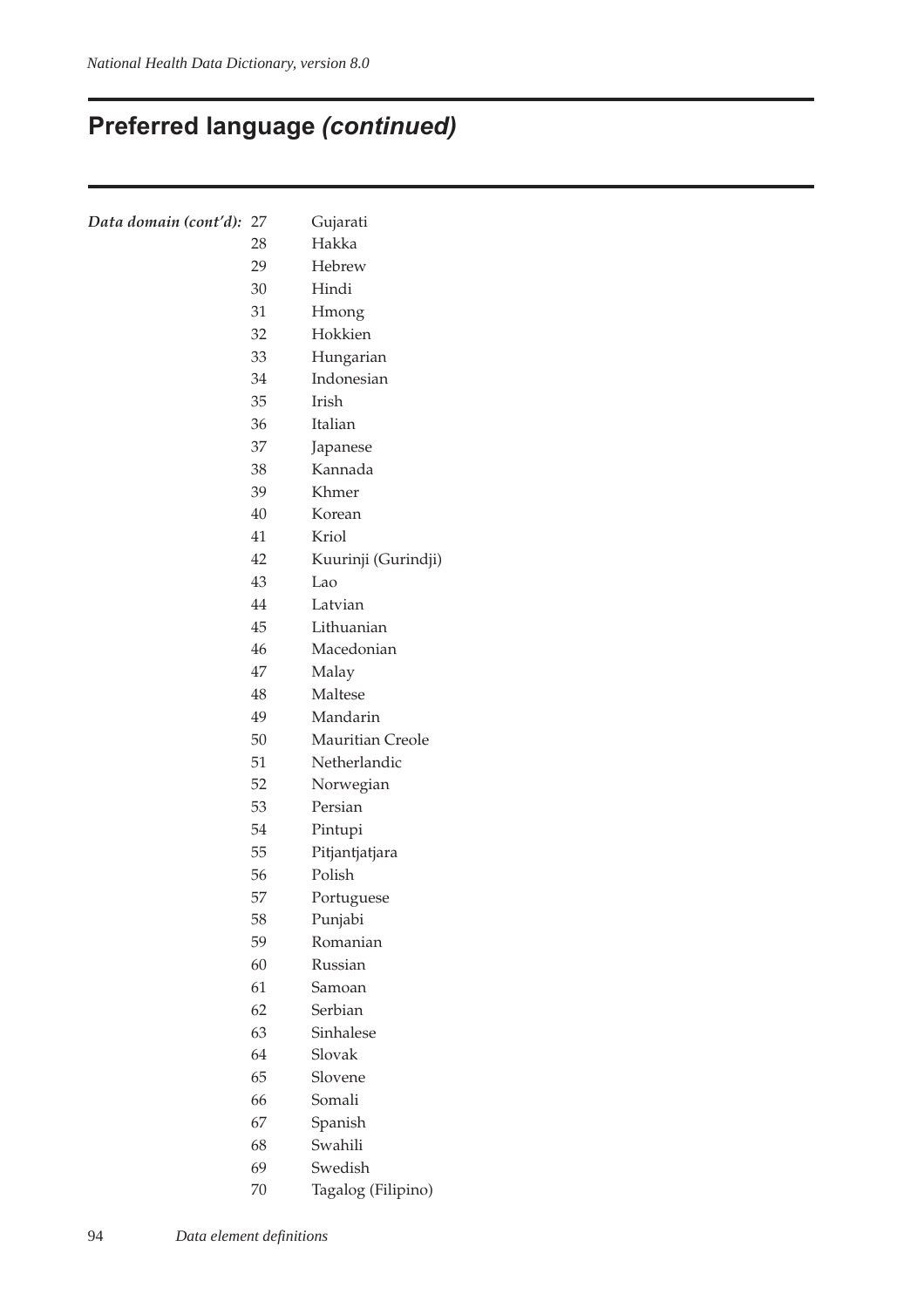# **Preferred language (continued)**

| Data domain (cont'd): | 27 | Gujarati            |
|-----------------------|----|---------------------|
|                       | 28 | Hakka               |
|                       | 29 | Hebrew              |
|                       | 30 | Hindi               |
|                       | 31 | Hmong               |
|                       | 32 | Hokkien             |
|                       | 33 | Hungarian           |
|                       | 34 | Indonesian          |
|                       | 35 | <b>Irish</b>        |
|                       | 36 | Italian             |
|                       | 37 | Japanese            |
|                       | 38 | Kannada             |
|                       | 39 | Khmer               |
|                       | 40 | Korean              |
|                       | 41 | Kriol               |
|                       | 42 | Kuurinji (Gurindji) |
|                       | 43 | Lao                 |
|                       | 44 | Latvian             |
|                       | 45 | Lithuanian          |
|                       | 46 | Macedonian          |
|                       | 47 | Malay               |
|                       | 48 | Maltese             |
|                       | 49 | Mandarin            |
|                       | 50 | Mauritian Creole    |
|                       | 51 | Netherlandic        |
|                       | 52 | Norwegian           |
|                       | 53 | Persian             |
|                       | 54 | Pintupi             |
|                       | 55 | Pitjantjatjara      |
|                       | 56 | Polish              |
|                       | 57 | Portuguese          |
|                       | 58 | Punjabi             |
|                       | 59 | Romanian            |
|                       | 60 | Russian             |
|                       | 61 | Samoan              |
|                       | 62 | Serbian             |
|                       | 63 | Sinhalese           |
|                       | 64 | Slovak              |
|                       | 65 | Slovene             |
|                       | 66 | Somali              |
|                       | 67 | Spanish             |
|                       | 68 | Swahili             |
|                       | 69 | Swedish             |

70 Tagalog (Filipino)

94 *Data element definitions*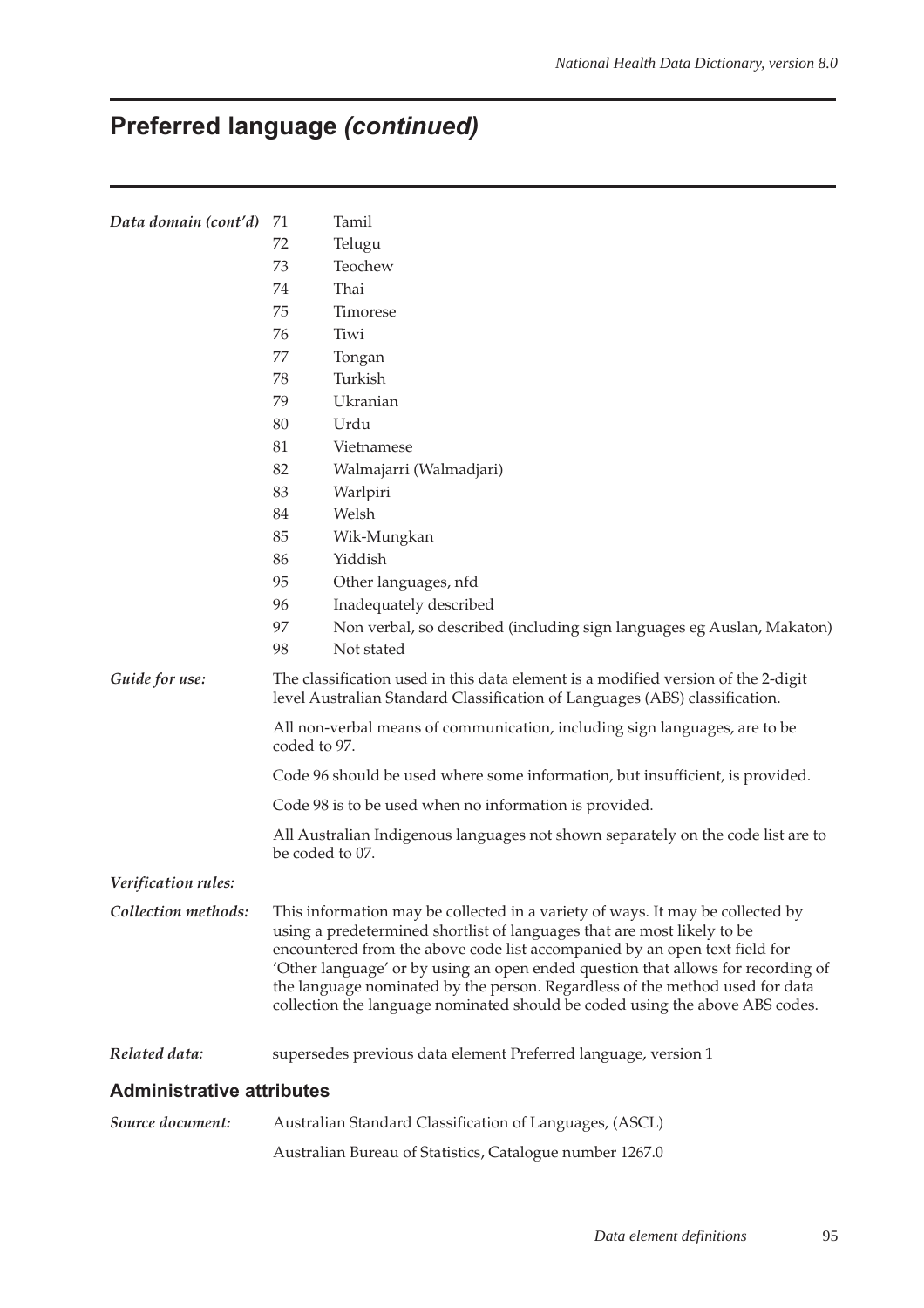# **Preferred language (continued)**

| Data domain (cont'd)             | 71                                                                                                                                                               | Tamil                                                                                                                                                                                                                                                                                                                                                                                                                                                                                       |  |  |  |  |
|----------------------------------|------------------------------------------------------------------------------------------------------------------------------------------------------------------|---------------------------------------------------------------------------------------------------------------------------------------------------------------------------------------------------------------------------------------------------------------------------------------------------------------------------------------------------------------------------------------------------------------------------------------------------------------------------------------------|--|--|--|--|
|                                  | 72                                                                                                                                                               | Telugu                                                                                                                                                                                                                                                                                                                                                                                                                                                                                      |  |  |  |  |
|                                  | 73                                                                                                                                                               | Teochew                                                                                                                                                                                                                                                                                                                                                                                                                                                                                     |  |  |  |  |
|                                  | 74                                                                                                                                                               | Thai                                                                                                                                                                                                                                                                                                                                                                                                                                                                                        |  |  |  |  |
|                                  | 75                                                                                                                                                               | Timorese                                                                                                                                                                                                                                                                                                                                                                                                                                                                                    |  |  |  |  |
|                                  | 76                                                                                                                                                               | Tiwi                                                                                                                                                                                                                                                                                                                                                                                                                                                                                        |  |  |  |  |
|                                  | 77                                                                                                                                                               | Tongan                                                                                                                                                                                                                                                                                                                                                                                                                                                                                      |  |  |  |  |
|                                  | 78                                                                                                                                                               | Turkish                                                                                                                                                                                                                                                                                                                                                                                                                                                                                     |  |  |  |  |
|                                  | 79                                                                                                                                                               | Ukranian                                                                                                                                                                                                                                                                                                                                                                                                                                                                                    |  |  |  |  |
|                                  | 80                                                                                                                                                               | Urdu                                                                                                                                                                                                                                                                                                                                                                                                                                                                                        |  |  |  |  |
|                                  | 81                                                                                                                                                               | Vietnamese                                                                                                                                                                                                                                                                                                                                                                                                                                                                                  |  |  |  |  |
|                                  | 82                                                                                                                                                               | Walmajarri (Walmadjari)                                                                                                                                                                                                                                                                                                                                                                                                                                                                     |  |  |  |  |
|                                  | 83                                                                                                                                                               | Warlpiri                                                                                                                                                                                                                                                                                                                                                                                                                                                                                    |  |  |  |  |
|                                  | 84                                                                                                                                                               | Welsh                                                                                                                                                                                                                                                                                                                                                                                                                                                                                       |  |  |  |  |
|                                  | 85                                                                                                                                                               | Wik-Mungkan                                                                                                                                                                                                                                                                                                                                                                                                                                                                                 |  |  |  |  |
|                                  | 86                                                                                                                                                               | Yiddish                                                                                                                                                                                                                                                                                                                                                                                                                                                                                     |  |  |  |  |
|                                  | 95                                                                                                                                                               | Other languages, nfd                                                                                                                                                                                                                                                                                                                                                                                                                                                                        |  |  |  |  |
|                                  | 96                                                                                                                                                               | Inadequately described                                                                                                                                                                                                                                                                                                                                                                                                                                                                      |  |  |  |  |
|                                  | 97                                                                                                                                                               | Non verbal, so described (including sign languages eg Auslan, Makaton)                                                                                                                                                                                                                                                                                                                                                                                                                      |  |  |  |  |
|                                  | 98                                                                                                                                                               | Not stated                                                                                                                                                                                                                                                                                                                                                                                                                                                                                  |  |  |  |  |
| Guide for use:                   | The classification used in this data element is a modified version of the 2-digit<br>level Australian Standard Classification of Languages (ABS) classification. |                                                                                                                                                                                                                                                                                                                                                                                                                                                                                             |  |  |  |  |
|                                  | All non-verbal means of communication, including sign languages, are to be<br>coded to 97.                                                                       |                                                                                                                                                                                                                                                                                                                                                                                                                                                                                             |  |  |  |  |
|                                  | Code 96 should be used where some information, but insufficient, is provided.                                                                                    |                                                                                                                                                                                                                                                                                                                                                                                                                                                                                             |  |  |  |  |
|                                  | Code 98 is to be used when no information is provided.                                                                                                           |                                                                                                                                                                                                                                                                                                                                                                                                                                                                                             |  |  |  |  |
|                                  | All Australian Indigenous languages not shown separately on the code list are to<br>be coded to 07.                                                              |                                                                                                                                                                                                                                                                                                                                                                                                                                                                                             |  |  |  |  |
| Verification rules:              |                                                                                                                                                                  |                                                                                                                                                                                                                                                                                                                                                                                                                                                                                             |  |  |  |  |
| Collection methods:              |                                                                                                                                                                  | This information may be collected in a variety of ways. It may be collected by<br>using a predetermined shortlist of languages that are most likely to be<br>encountered from the above code list accompanied by an open text field for<br>'Other language' or by using an open ended question that allows for recording of<br>the language nominated by the person. Regardless of the method used for data<br>collection the language nominated should be coded using the above ABS codes. |  |  |  |  |
| Related data:                    |                                                                                                                                                                  | supersedes previous data element Preferred language, version 1                                                                                                                                                                                                                                                                                                                                                                                                                              |  |  |  |  |
| <b>Administrative attributes</b> |                                                                                                                                                                  |                                                                                                                                                                                                                                                                                                                                                                                                                                                                                             |  |  |  |  |
| Source document:                 |                                                                                                                                                                  | Australian Standard Classification of Languages, (ASCL)                                                                                                                                                                                                                                                                                                                                                                                                                                     |  |  |  |  |
|                                  |                                                                                                                                                                  | Australian Bureau of Statistics, Catalogue number 1267.0                                                                                                                                                                                                                                                                                                                                                                                                                                    |  |  |  |  |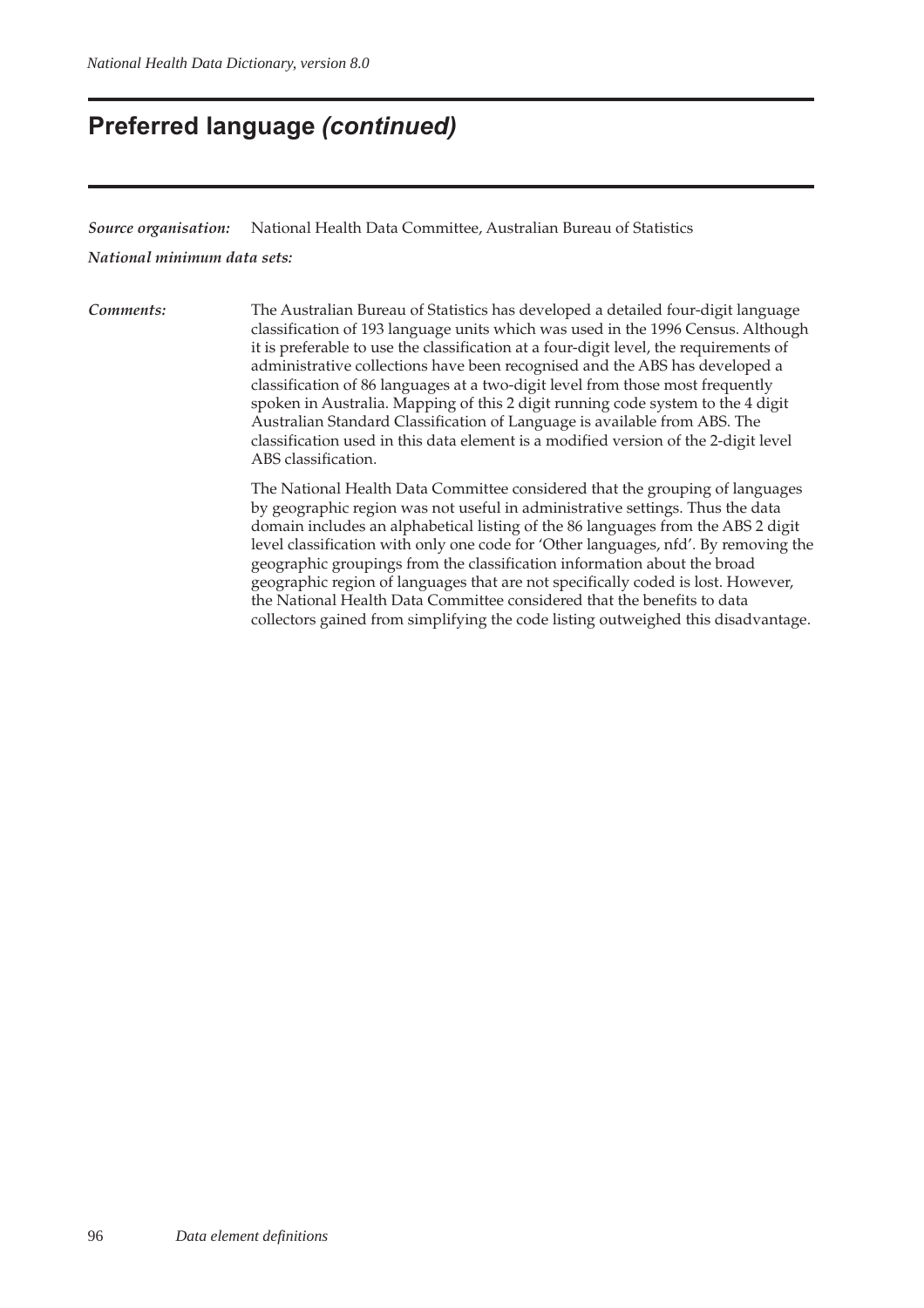### **Preferred language (continued)**

*Source organisation:* National Health Data Committee, Australian Bureau of Statistics

*National minimum data sets:*

*Comments:* The Australian Bureau of Statistics has developed a detailed four-digit language classification of 193 language units which was used in the 1996 Census. Although it is preferable to use the classification at a four-digit level, the requirements of administrative collections have been recognised and the ABS has developed a classification of 86 languages at a two-digit level from those most frequently spoken in Australia. Mapping of this 2 digit running code system to the 4 digit Australian Standard Classification of Language is available from ABS. The classification used in this data element is a modified version of the 2-digit level ABS classification.

> The National Health Data Committee considered that the grouping of languages by geographic region was not useful in administrative settings. Thus the data domain includes an alphabetical listing of the 86 languages from the ABS 2 digit level classification with only one code for 'Other languages, nfd'. By removing the geographic groupings from the classification information about the broad geographic region of languages that are not specifically coded is lost. However, the National Health Data Committee considered that the benefits to data collectors gained from simplifying the code listing outweighed this disadvantage.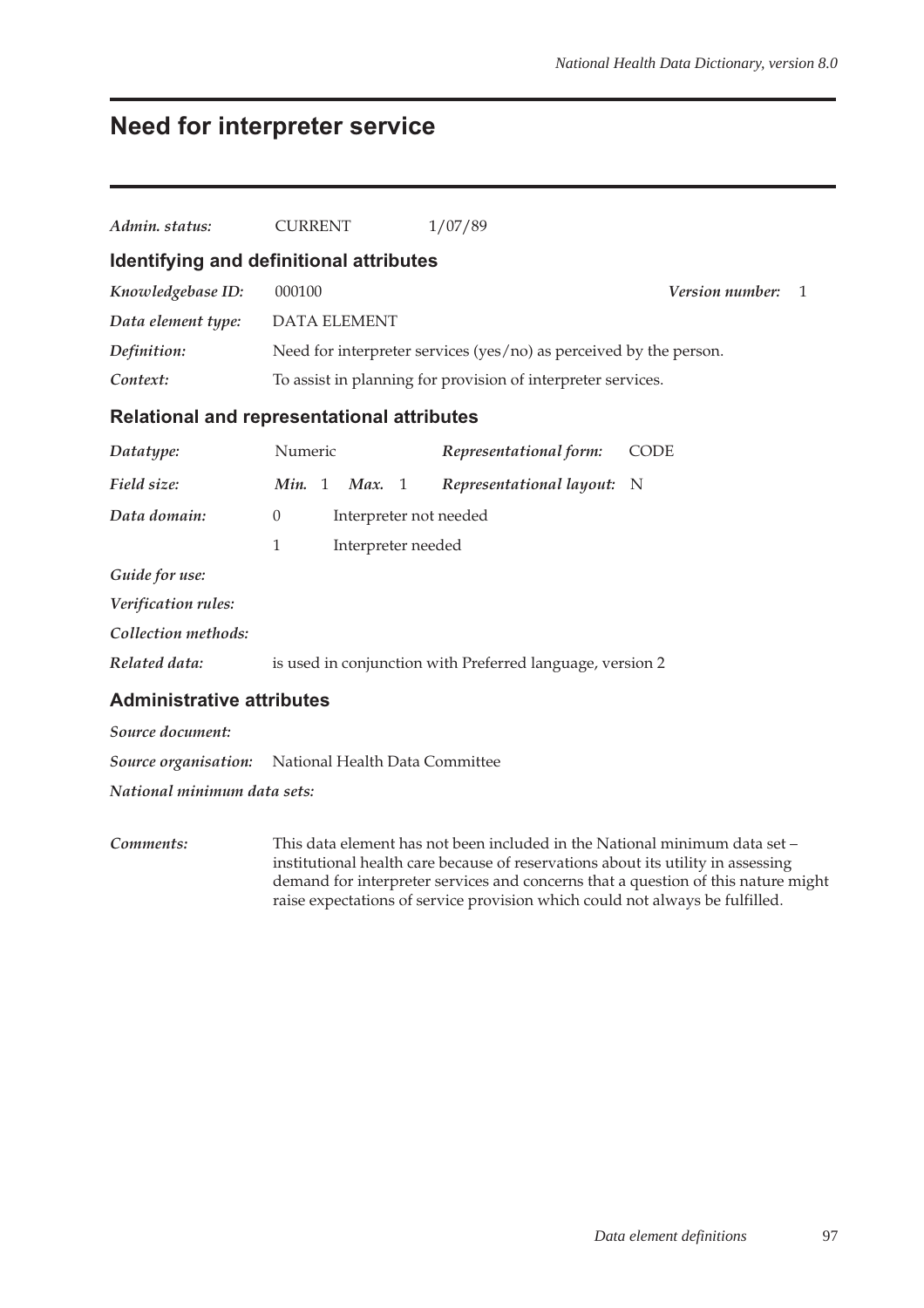## **Need for interpreter service**

| Admin. status:                                             | <b>CURRENT</b>                           | 1/07/89                                                            |                                        |  |  |  |  |
|------------------------------------------------------------|------------------------------------------|--------------------------------------------------------------------|----------------------------------------|--|--|--|--|
| Identifying and definitional attributes                    |                                          |                                                                    |                                        |  |  |  |  |
| Knowledgebase ID:                                          | 000100                                   |                                                                    | <b>Version number:</b><br>$\mathbf{1}$ |  |  |  |  |
| Data element type:                                         | <b>DATA ELEMENT</b>                      |                                                                    |                                        |  |  |  |  |
| Definition:                                                |                                          | Need for interpreter services (yes/no) as perceived by the person. |                                        |  |  |  |  |
| Context:                                                   |                                          | To assist in planning for provision of interpreter services.       |                                        |  |  |  |  |
| <b>Relational and representational attributes</b>          |                                          |                                                                    |                                        |  |  |  |  |
| Datatype:                                                  | Numeric                                  | Representational form:                                             | <b>CODE</b>                            |  |  |  |  |
| Field size:                                                | Min. 1<br>Max. 1                         | Representational layout:                                           | N                                      |  |  |  |  |
| Data domain:                                               | $\overline{0}$<br>Interpreter not needed |                                                                    |                                        |  |  |  |  |
|                                                            | 1                                        | Interpreter needed                                                 |                                        |  |  |  |  |
| Guide for use:                                             |                                          |                                                                    |                                        |  |  |  |  |
| Verification rules:                                        |                                          |                                                                    |                                        |  |  |  |  |
| Collection methods:                                        |                                          |                                                                    |                                        |  |  |  |  |
| Related data:                                              |                                          | is used in conjunction with Preferred language, version 2          |                                        |  |  |  |  |
| <b>Administrative attributes</b>                           |                                          |                                                                    |                                        |  |  |  |  |
| Source document:                                           |                                          |                                                                    |                                        |  |  |  |  |
| <b>Source organisation:</b> National Health Data Committee |                                          |                                                                    |                                        |  |  |  |  |
| National minimum data sets:                                |                                          |                                                                    |                                        |  |  |  |  |

*Comments:* This data element has not been included in the National minimum data set – institutional health care because of reservations about its utility in assessing demand for interpreter services and concerns that a question of this nature might raise expectations of service provision which could not always be fulfilled.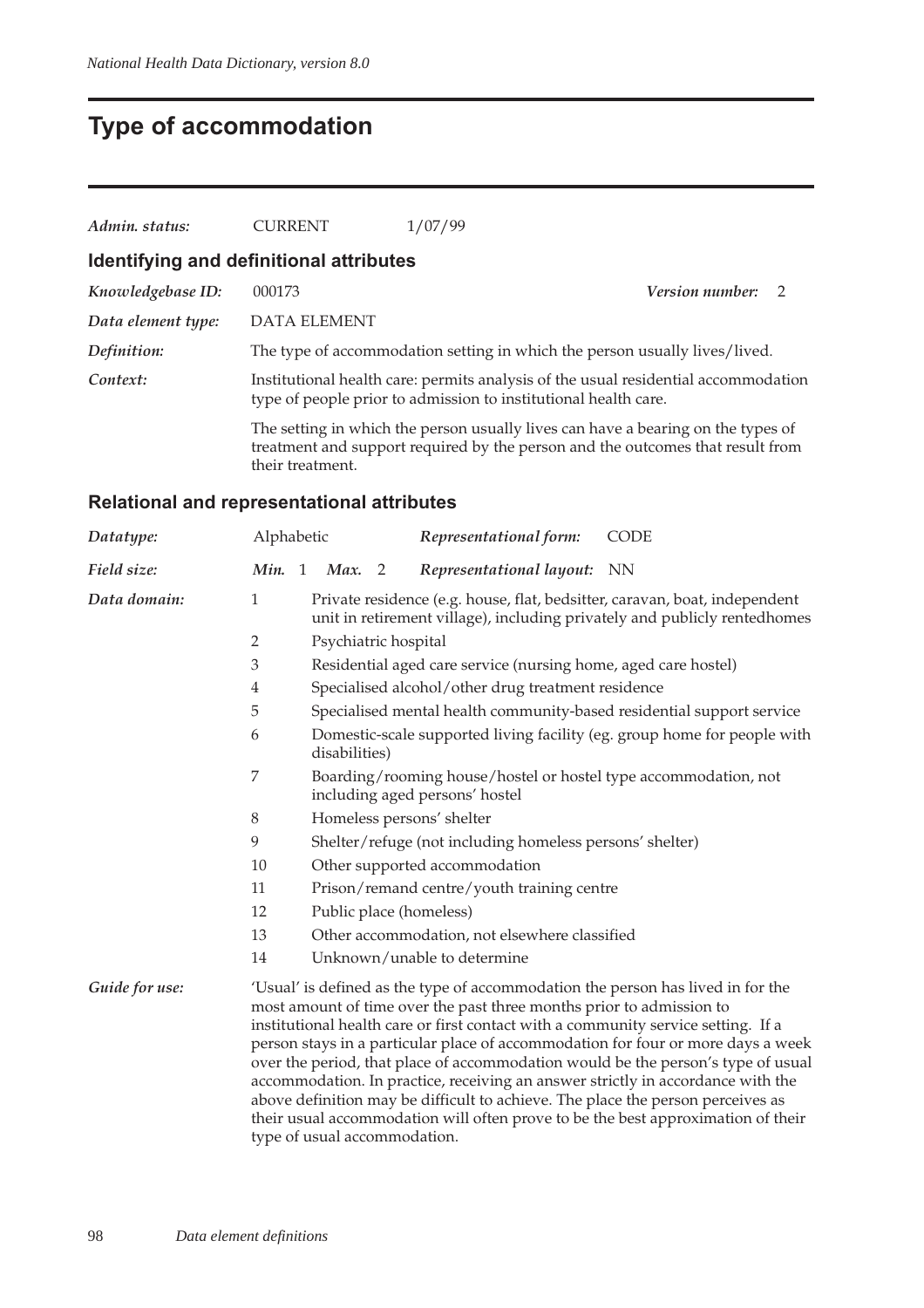# **Type of accommodation**

| Admin. status:     | <b>CURRENT</b>                          | 1/07/99                                                                                                                                                            |                          |  |
|--------------------|-----------------------------------------|--------------------------------------------------------------------------------------------------------------------------------------------------------------------|--------------------------|--|
|                    | Identifying and definitional attributes |                                                                                                                                                                    |                          |  |
| Knowledgebase ID:  | 000173                                  |                                                                                                                                                                    | <b>Version number:</b> 2 |  |
| Data element type: | DATA ELEMENT                            |                                                                                                                                                                    |                          |  |
| Definition:        |                                         | The type of accommodation setting in which the person usually lives/lived.                                                                                         |                          |  |
| Context:           |                                         | Institutional health care: permits analysis of the usual residential accommodation<br>type of people prior to admission to institutional health care.              |                          |  |
|                    | their treatment.                        | The setting in which the person usually lives can have a bearing on the types of<br>treatment and support required by the person and the outcomes that result from |                          |  |

#### **Relational and representational attributes**

| Datatype:      | Alphabetic                          |                                                                                                                                                         |                           |                | Representational form:                                                                                                                                                                                                                       | <b>CODE</b>                                                                                                                                                                                                                                                                                                                                                                                                                    |  |  |
|----------------|-------------------------------------|---------------------------------------------------------------------------------------------------------------------------------------------------------|---------------------------|----------------|----------------------------------------------------------------------------------------------------------------------------------------------------------------------------------------------------------------------------------------------|--------------------------------------------------------------------------------------------------------------------------------------------------------------------------------------------------------------------------------------------------------------------------------------------------------------------------------------------------------------------------------------------------------------------------------|--|--|
| Field size:    | Min. 1 Max.                         |                                                                                                                                                         |                           | $\overline{2}$ | Representational layout: NN                                                                                                                                                                                                                  |                                                                                                                                                                                                                                                                                                                                                                                                                                |  |  |
| Data domain:   | $\mathbf{1}$                        | Private residence (e.g. house, flat, bedsitter, caravan, boat, independent<br>unit in retirement village), including privately and publicly rentedhomes |                           |                |                                                                                                                                                                                                                                              |                                                                                                                                                                                                                                                                                                                                                                                                                                |  |  |
|                | $\overline{2}$                      |                                                                                                                                                         | Psychiatric hospital      |                |                                                                                                                                                                                                                                              |                                                                                                                                                                                                                                                                                                                                                                                                                                |  |  |
|                | 3                                   |                                                                                                                                                         |                           |                | Residential aged care service (nursing home, aged care hostel)                                                                                                                                                                               |                                                                                                                                                                                                                                                                                                                                                                                                                                |  |  |
|                | $\overline{4}$                      |                                                                                                                                                         |                           |                | Specialised alcohol/other drug treatment residence                                                                                                                                                                                           |                                                                                                                                                                                                                                                                                                                                                                                                                                |  |  |
|                | 5                                   |                                                                                                                                                         |                           |                |                                                                                                                                                                                                                                              | Specialised mental health community-based residential support service                                                                                                                                                                                                                                                                                                                                                          |  |  |
|                | 6                                   |                                                                                                                                                         | disabilities)             |                |                                                                                                                                                                                                                                              | Domestic-scale supported living facility (eg. group home for people with                                                                                                                                                                                                                                                                                                                                                       |  |  |
|                | $\overline{7}$                      |                                                                                                                                                         |                           |                | Boarding/rooming house/hostel or hostel type accommodation, not<br>including aged persons' hostel                                                                                                                                            |                                                                                                                                                                                                                                                                                                                                                                                                                                |  |  |
|                | $8\,$                               |                                                                                                                                                         | Homeless persons' shelter |                |                                                                                                                                                                                                                                              |                                                                                                                                                                                                                                                                                                                                                                                                                                |  |  |
|                | 9                                   |                                                                                                                                                         |                           |                | Shelter/refuge (not including homeless persons' shelter)                                                                                                                                                                                     |                                                                                                                                                                                                                                                                                                                                                                                                                                |  |  |
|                | 10<br>Other supported accommodation |                                                                                                                                                         |                           |                |                                                                                                                                                                                                                                              |                                                                                                                                                                                                                                                                                                                                                                                                                                |  |  |
|                | 11                                  |                                                                                                                                                         |                           |                | Prison/remand centre/youth training centre                                                                                                                                                                                                   |                                                                                                                                                                                                                                                                                                                                                                                                                                |  |  |
|                | 12                                  |                                                                                                                                                         |                           |                | Public place (homeless)                                                                                                                                                                                                                      |                                                                                                                                                                                                                                                                                                                                                                                                                                |  |  |
|                | 13                                  |                                                                                                                                                         |                           |                | Other accommodation, not elsewhere classified                                                                                                                                                                                                |                                                                                                                                                                                                                                                                                                                                                                                                                                |  |  |
|                | 14                                  |                                                                                                                                                         |                           |                | Unknown/unable to determine                                                                                                                                                                                                                  |                                                                                                                                                                                                                                                                                                                                                                                                                                |  |  |
| Guide for use: | type of usual accommodation.        |                                                                                                                                                         |                           |                | most amount of time over the past three months prior to admission to<br>institutional health care or first contact with a community service setting. If a<br>above definition may be difficult to achieve. The place the person perceives as | 'Usual' is defined as the type of accommodation the person has lived in for the<br>person stays in a particular place of accommodation for four or more days a week<br>over the period, that place of accommodation would be the person's type of usual<br>accommodation. In practice, receiving an answer strictly in accordance with the<br>their usual accommodation will often prove to be the best approximation of their |  |  |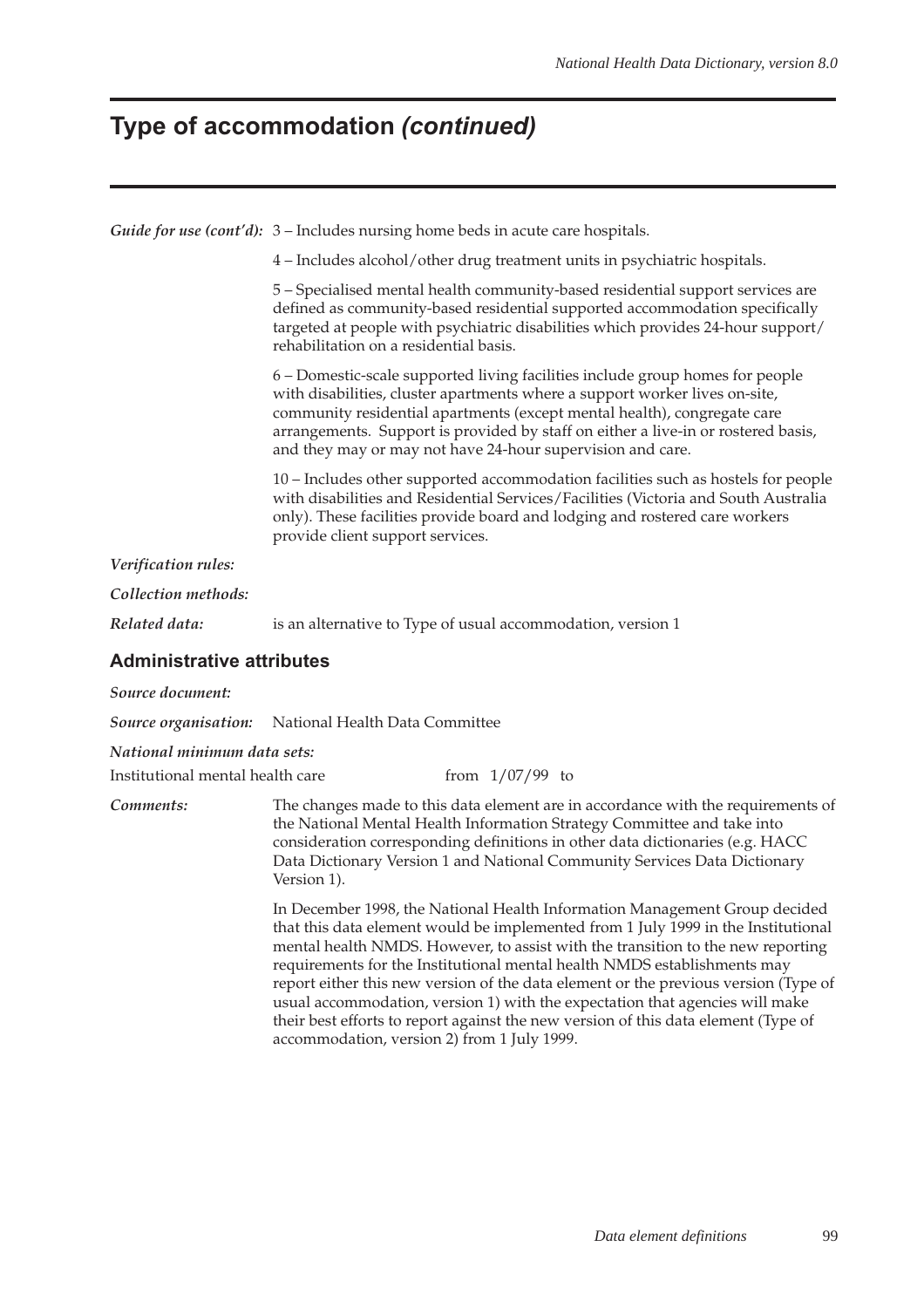### **Type of accommodation (continued)**

*Guide for use (cont'd):* 3 – Includes nursing home beds in acute care hospitals.

4 – Includes alcohol/other drug treatment units in psychiatric hospitals.

5 – Specialised mental health community-based residential support services are defined as community-based residential supported accommodation specifically targeted at people with psychiatric disabilities which provides 24-hour support/ rehabilitation on a residential basis.

6 – Domestic-scale supported living facilities include group homes for people with disabilities, cluster apartments where a support worker lives on-site, community residential apartments (except mental health), congregate care arrangements. Support is provided by staff on either a live-in or rostered basis, and they may or may not have 24-hour supervision and care.

10 – Includes other supported accommodation facilities such as hostels for people with disabilities and Residential Services/Facilities (Victoria and South Australia only). These facilities provide board and lodging and rostered care workers provide client support services.

*Verification rules:*

*Collection methods:*

*Related data:* is an alternative to Type of usual accommodation, version 1

#### **Administrative attributes**

*Source document:*

*Source organisation:* National Health Data Committee

*National minimum data sets:*

Institutional mental health care  $\frac{1}{07/99}$  to

*Comments:* The changes made to this data element are in accordance with the requirements of the National Mental Health Information Strategy Committee and take into consideration corresponding definitions in other data dictionaries (e.g. HACC Data Dictionary Version 1 and National Community Services Data Dictionary Version 1).

> In December 1998, the National Health Information Management Group decided that this data element would be implemented from 1 July 1999 in the Institutional mental health NMDS. However, to assist with the transition to the new reporting requirements for the Institutional mental health NMDS establishments may report either this new version of the data element or the previous version (Type of usual accommodation, version 1) with the expectation that agencies will make their best efforts to report against the new version of this data element (Type of accommodation, version 2) from 1 July 1999.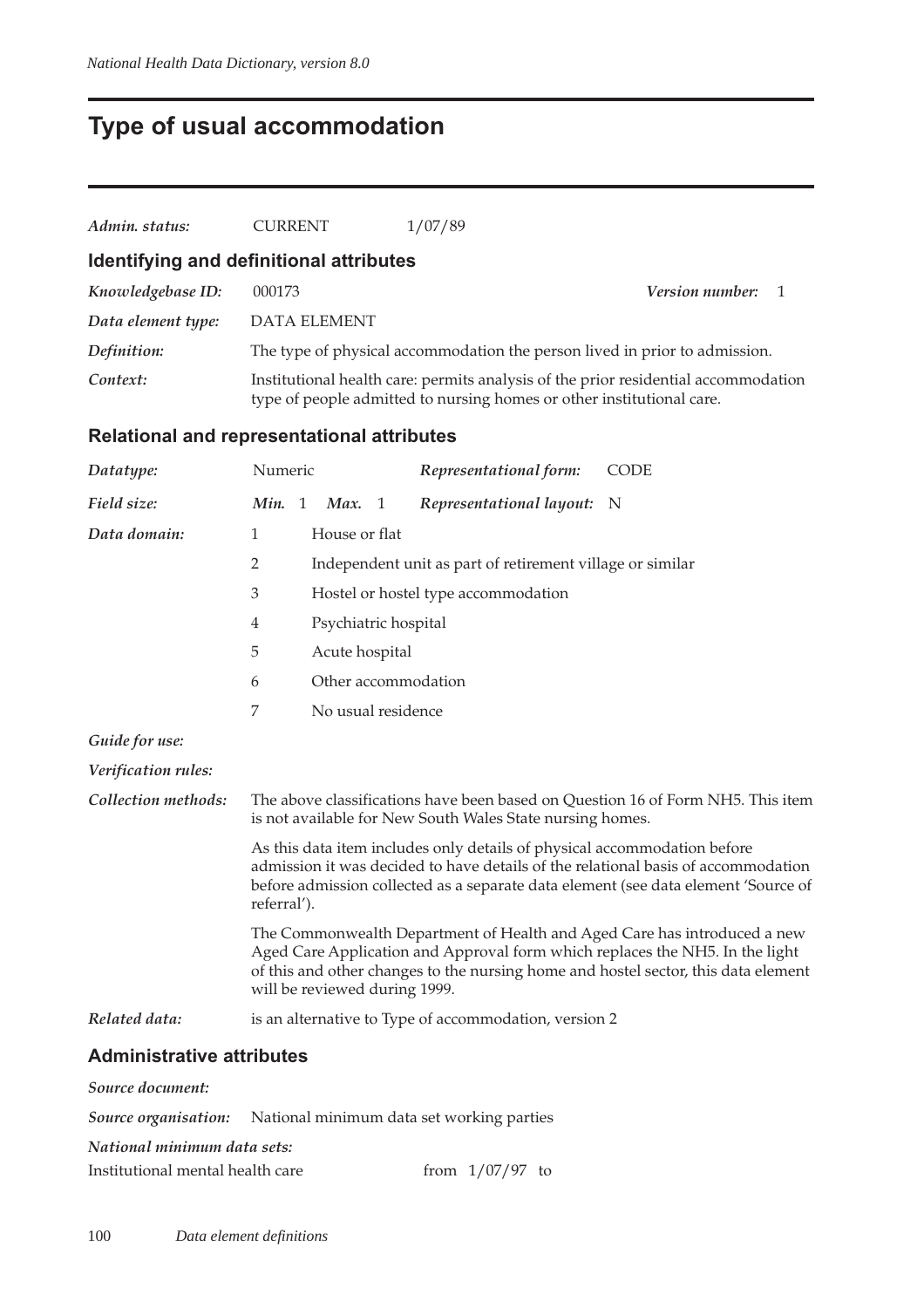## **Type of usual accommodation**

| Admin. status:     | <b>CURRENT</b>                          | 1/07/89                                                                                                                                                     |  |
|--------------------|-----------------------------------------|-------------------------------------------------------------------------------------------------------------------------------------------------------------|--|
|                    | Identifying and definitional attributes |                                                                                                                                                             |  |
| Knowledgebase ID:  | 000173                                  | <i>Version number:</i>                                                                                                                                      |  |
| Data element type: | <b>DATA ELEMENT</b>                     |                                                                                                                                                             |  |
| Definition:        |                                         | The type of physical accommodation the person lived in prior to admission.                                                                                  |  |
| Context:           |                                         | Institutional health care: permits analysis of the prior residential accommodation<br>type of people admitted to nursing homes or other institutional care. |  |
|                    |                                         |                                                                                                                                                             |  |

#### **Relational and representational attributes**

| Datatype:           | Numeric                                                                                                                                                                                                                                                            |  |                      |                | Representational form:                                    | <b>CODE</b>                                                                                                                                                                                                                                    |
|---------------------|--------------------------------------------------------------------------------------------------------------------------------------------------------------------------------------------------------------------------------------------------------------------|--|----------------------|----------------|-----------------------------------------------------------|------------------------------------------------------------------------------------------------------------------------------------------------------------------------------------------------------------------------------------------------|
| Field size:         | Min. 1                                                                                                                                                                                                                                                             |  | Max.                 | $\overline{1}$ | Representational layout:                                  | N                                                                                                                                                                                                                                              |
| Data domain:        | $\mathbf{1}$                                                                                                                                                                                                                                                       |  | House or flat        |                |                                                           |                                                                                                                                                                                                                                                |
|                     | $\overline{2}$                                                                                                                                                                                                                                                     |  |                      |                | Independent unit as part of retirement village or similar |                                                                                                                                                                                                                                                |
|                     | $\mathfrak{Z}$                                                                                                                                                                                                                                                     |  |                      |                | Hostel or hostel type accommodation                       |                                                                                                                                                                                                                                                |
|                     | $\overline{4}$                                                                                                                                                                                                                                                     |  | Psychiatric hospital |                |                                                           |                                                                                                                                                                                                                                                |
|                     | 5                                                                                                                                                                                                                                                                  |  | Acute hospital       |                |                                                           |                                                                                                                                                                                                                                                |
|                     | 6                                                                                                                                                                                                                                                                  |  |                      |                | Other accommodation                                       |                                                                                                                                                                                                                                                |
|                     | $\overline{7}$                                                                                                                                                                                                                                                     |  | No usual residence   |                |                                                           |                                                                                                                                                                                                                                                |
| Guide for use:      |                                                                                                                                                                                                                                                                    |  |                      |                |                                                           |                                                                                                                                                                                                                                                |
| Verification rules: |                                                                                                                                                                                                                                                                    |  |                      |                |                                                           |                                                                                                                                                                                                                                                |
| Collection methods: |                                                                                                                                                                                                                                                                    |  |                      |                | is not available for New South Wales State nursing homes. | The above classifications have been based on Question 16 of Form NH5. This item                                                                                                                                                                |
|                     | As this data item includes only details of physical accommodation before<br>admission it was decided to have details of the relational basis of accommodation<br>before admission collected as a separate data element (see data element 'Source of<br>referral'). |  |                      |                |                                                           |                                                                                                                                                                                                                                                |
|                     | will be reviewed during 1999.                                                                                                                                                                                                                                      |  |                      |                |                                                           | The Commonwealth Department of Health and Aged Care has introduced a new<br>Aged Care Application and Approval form which replaces the NH5. In the light<br>of this and other changes to the nursing home and hostel sector, this data element |
| Related data:       |                                                                                                                                                                                                                                                                    |  |                      |                | is an alternative to Type of accommodation, version 2     |                                                                                                                                                                                                                                                |
|                     |                                                                                                                                                                                                                                                                    |  |                      |                |                                                           |                                                                                                                                                                                                                                                |

### **Administrative attributes**

| Source document:            |                                                                       |
|-----------------------------|-----------------------------------------------------------------------|
|                             | <b>Source organisation:</b> National minimum data set working parties |
| National minimum data sets: |                                                                       |

| Institutional mental health care | from $1/07/97$ to |  |
|----------------------------------|-------------------|--|
|                                  |                   |  |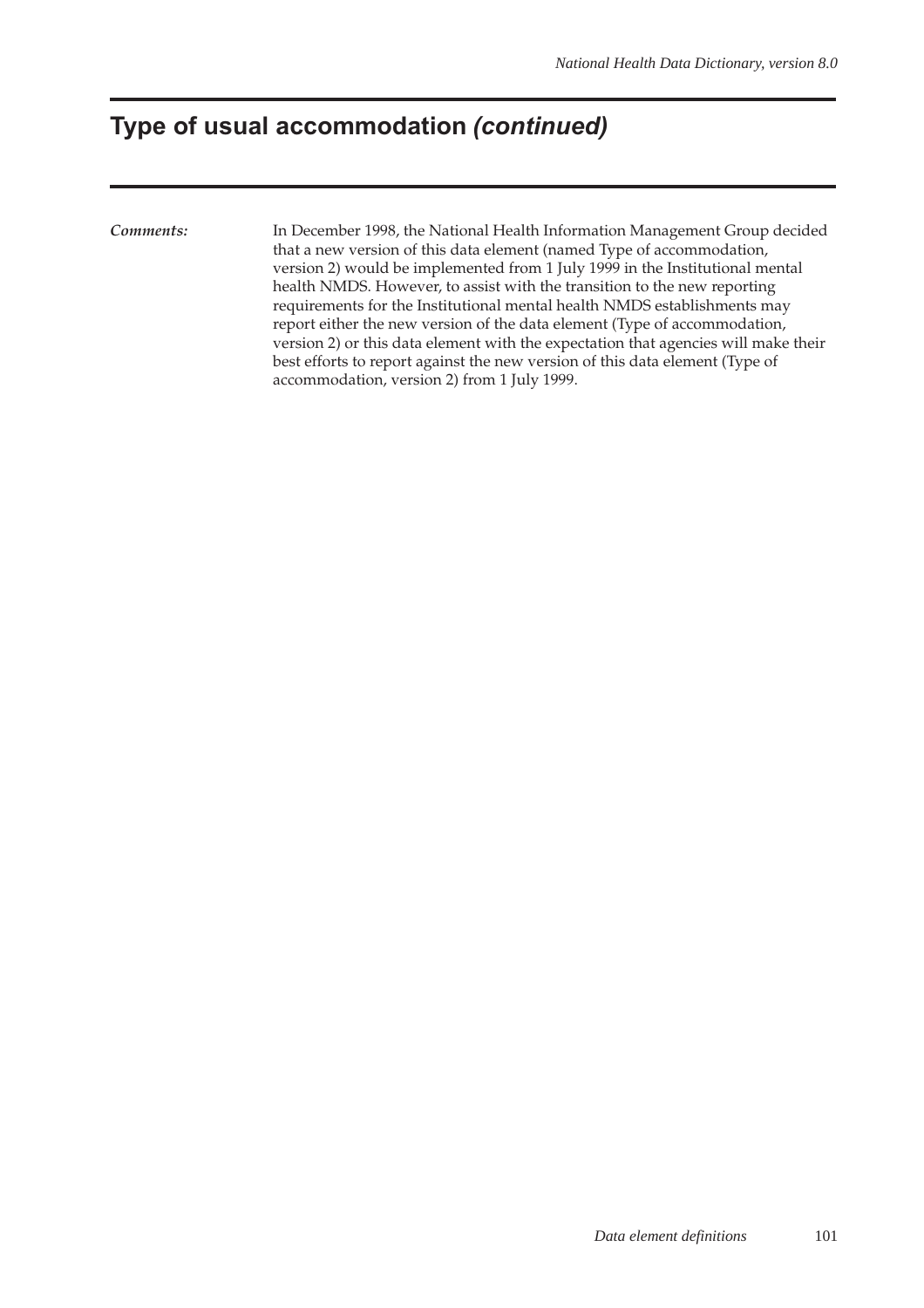### **Type of usual accommodation (continued)**

*Comments:* In December 1998, the National Health Information Management Group decided that a new version of this data element (named Type of accommodation, version 2) would be implemented from 1 July 1999 in the Institutional mental health NMDS. However, to assist with the transition to the new reporting requirements for the Institutional mental health NMDS establishments may report either the new version of the data element (Type of accommodation, version 2) or this data element with the expectation that agencies will make their best efforts to report against the new version of this data element (Type of accommodation, version 2) from 1 July 1999.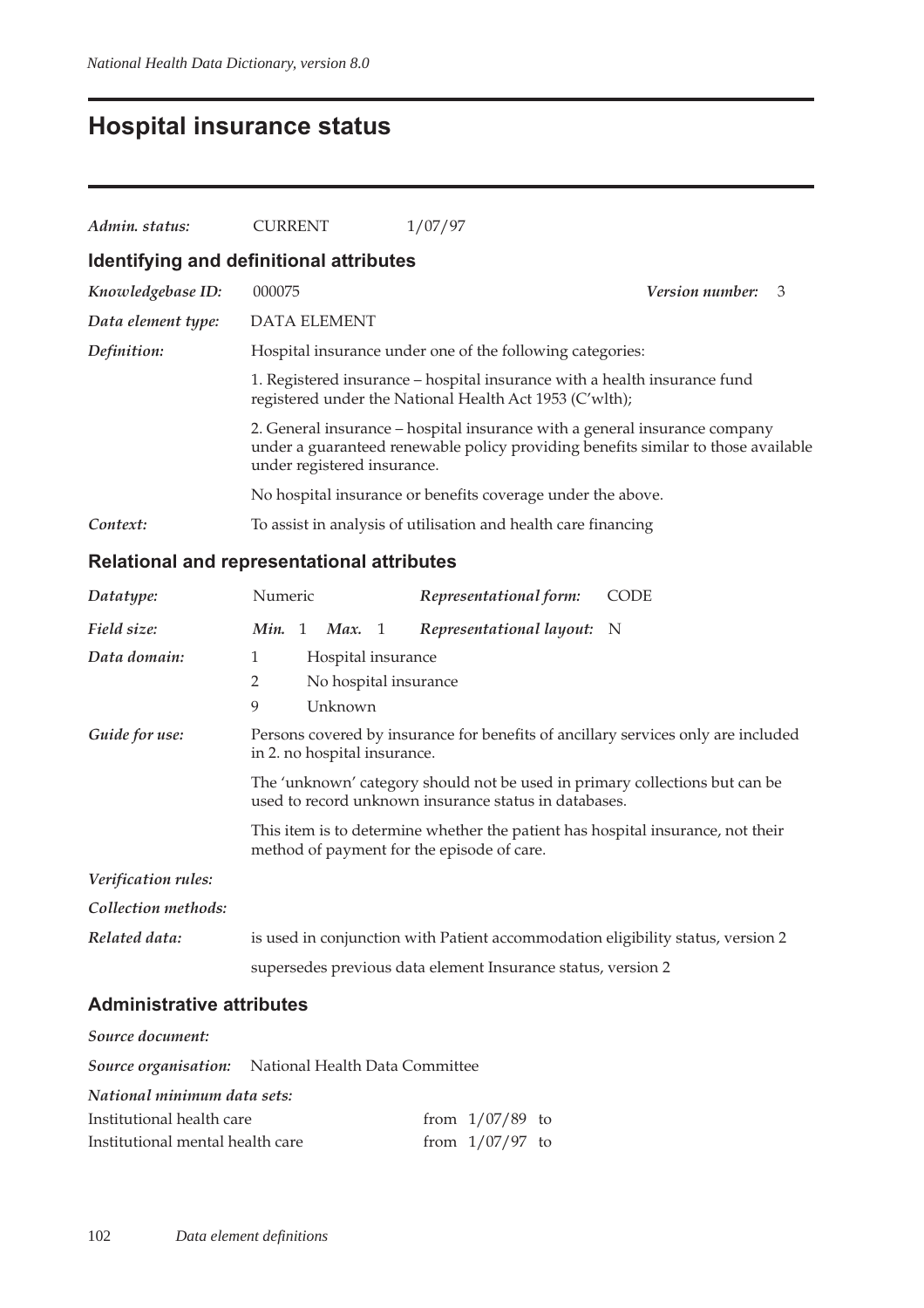## **Hospital insurance status**

| Admin. status:     | <b>CURRENT</b>                                                                                                                       | 1/07/97                                                                                                                                                         |                 |   |  |  |  |
|--------------------|--------------------------------------------------------------------------------------------------------------------------------------|-----------------------------------------------------------------------------------------------------------------------------------------------------------------|-----------------|---|--|--|--|
|                    | Identifying and definitional attributes                                                                                              |                                                                                                                                                                 |                 |   |  |  |  |
| Knowledgebase ID:  | 000075                                                                                                                               |                                                                                                                                                                 | Version number: | 3 |  |  |  |
| Data element type: | <b>DATA ELEMENT</b>                                                                                                                  |                                                                                                                                                                 |                 |   |  |  |  |
| Definition:        |                                                                                                                                      | Hospital insurance under one of the following categories:                                                                                                       |                 |   |  |  |  |
|                    | 1. Registered insurance – hospital insurance with a health insurance fund<br>registered under the National Health Act 1953 (C'wlth); |                                                                                                                                                                 |                 |   |  |  |  |
|                    | under registered insurance.                                                                                                          | 2. General insurance – hospital insurance with a general insurance company<br>under a guaranteed renewable policy providing benefits similar to those available |                 |   |  |  |  |
|                    |                                                                                                                                      | No hospital insurance or benefits coverage under the above.                                                                                                     |                 |   |  |  |  |
| Context:           |                                                                                                                                      | To assist in analysis of utilisation and health care financing                                                                                                  |                 |   |  |  |  |

### **Relational and representational attributes**

| Datatype:           | Numeric                                                                                                                              |  |         |                    | Representational form:                                                                                                        | <b>CODE</b>                                                                       |
|---------------------|--------------------------------------------------------------------------------------------------------------------------------------|--|---------|--------------------|-------------------------------------------------------------------------------------------------------------------------------|-----------------------------------------------------------------------------------|
| Field size:         | <i>Min.</i> 1 <i>Max.</i> 1                                                                                                          |  |         |                    | Representational layout: N                                                                                                    |                                                                                   |
| Data domain:        | 1                                                                                                                                    |  |         | Hospital insurance |                                                                                                                               |                                                                                   |
|                     | 2                                                                                                                                    |  |         |                    | No hospital insurance                                                                                                         |                                                                                   |
|                     | 9                                                                                                                                    |  | Unknown |                    |                                                                                                                               |                                                                                   |
| Guide for use:      | in 2. no hospital insurance.                                                                                                         |  |         |                    |                                                                                                                               | Persons covered by insurance for benefits of ancillary services only are included |
|                     | The 'unknown' category should not be used in primary collections but can be<br>used to record unknown insurance status in databases. |  |         |                    |                                                                                                                               |                                                                                   |
|                     |                                                                                                                                      |  |         |                    | This item is to determine whether the patient has hospital insurance, not their<br>method of payment for the episode of care. |                                                                                   |
| Verification rules: |                                                                                                                                      |  |         |                    |                                                                                                                               |                                                                                   |
| Collection methods: |                                                                                                                                      |  |         |                    |                                                                                                                               |                                                                                   |
| Related data:       |                                                                                                                                      |  |         |                    | is used in conjunction with Patient accommodation eligibility status, version 2                                               |                                                                                   |
|                     |                                                                                                                                      |  |         |                    | supersedes previous data element Insurance status, version 2                                                                  |                                                                                   |

#### **Administrative attributes**

| Source document:                 |                                                            |                   |  |  |  |  |  |
|----------------------------------|------------------------------------------------------------|-------------------|--|--|--|--|--|
|                                  | <b>Source organisation:</b> National Health Data Committee |                   |  |  |  |  |  |
| National minimum data sets:      |                                                            |                   |  |  |  |  |  |
| Institutional health care        |                                                            | from $1/07/89$ to |  |  |  |  |  |
| Institutional mental health care |                                                            | from $1/07/97$ to |  |  |  |  |  |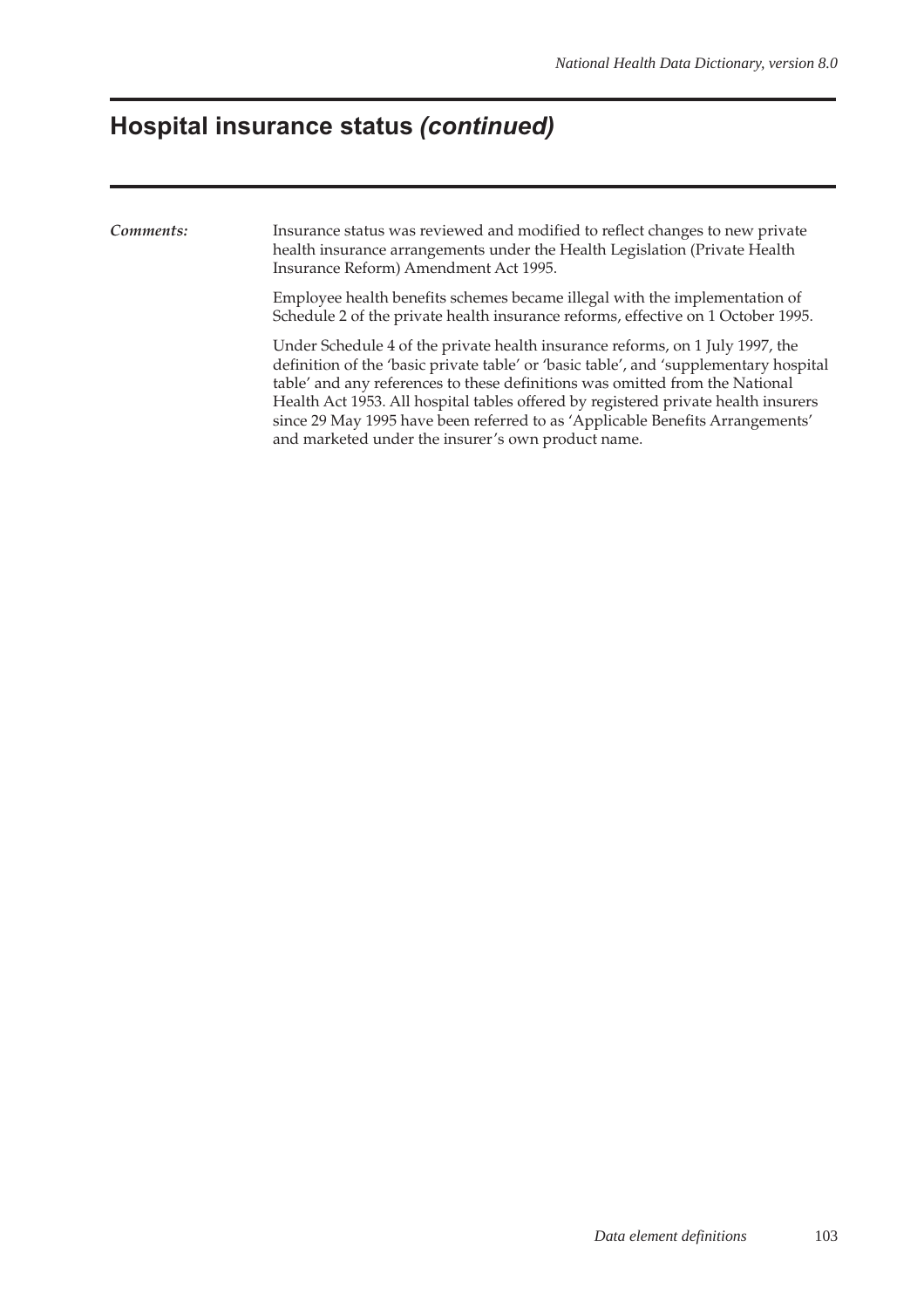### **Hospital insurance status (continued)**

*Comments:* Insurance status was reviewed and modified to reflect changes to new private health insurance arrangements under the Health Legislation (Private Health Insurance Reform) Amendment Act 1995.

> Employee health benefits schemes became illegal with the implementation of Schedule 2 of the private health insurance reforms, effective on 1 October 1995.

Under Schedule 4 of the private health insurance reforms, on 1 July 1997, the definition of the 'basic private table' or 'basic table', and 'supplementary hospital table' and any references to these definitions was omitted from the National Health Act 1953. All hospital tables offered by registered private health insurers since 29 May 1995 have been referred to as 'Applicable Benefits Arrangements' and marketed under the insurer's own product name.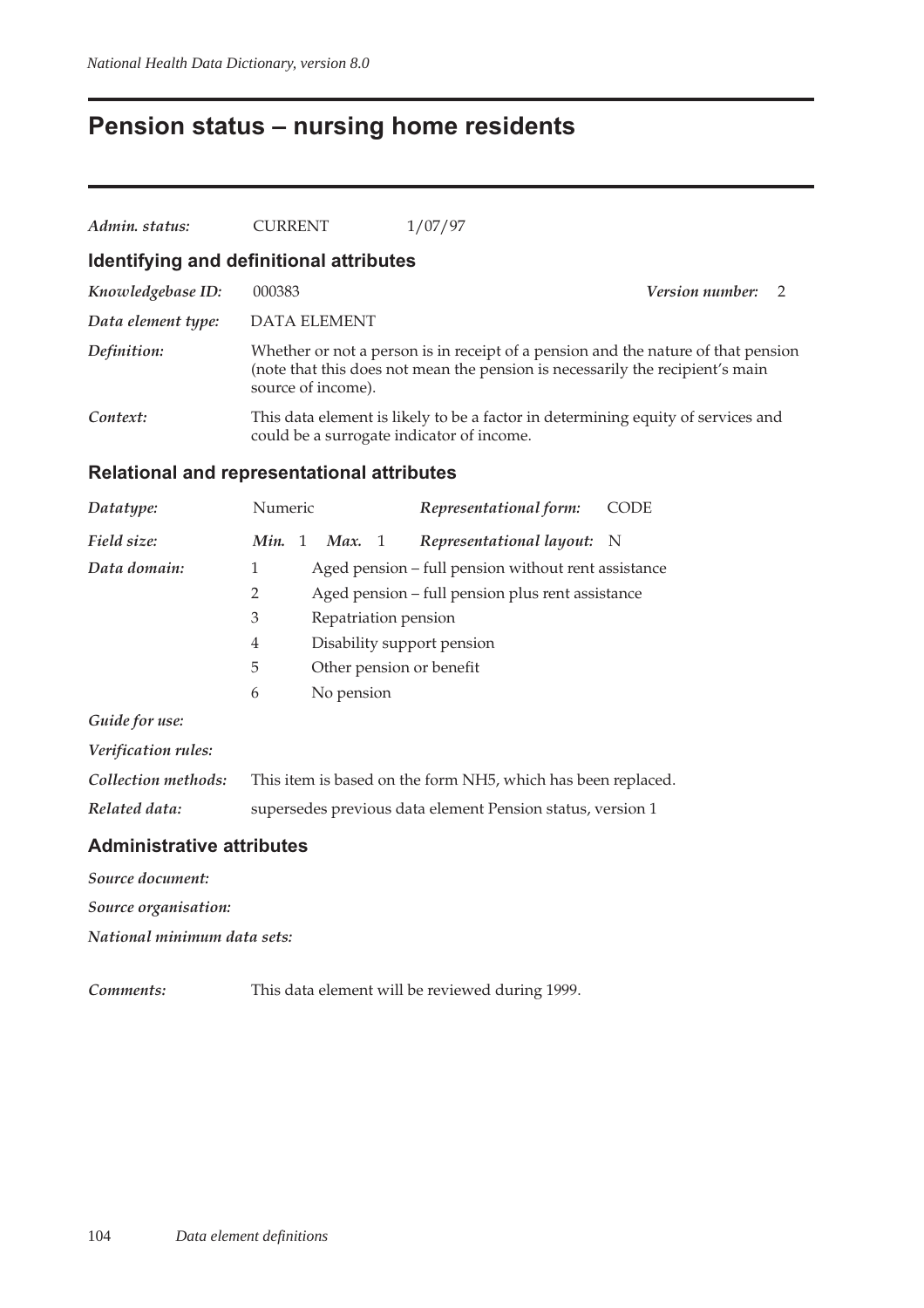### **Pension status – nursing home residents**

| Admin. status:                          | <b>CURRENT</b>                            | 1/07/97                                                                                                                                                            |                        |  |
|-----------------------------------------|-------------------------------------------|--------------------------------------------------------------------------------------------------------------------------------------------------------------------|------------------------|--|
| Identifying and definitional attributes |                                           |                                                                                                                                                                    |                        |  |
| Knowledgebase ID:                       | 000383                                    |                                                                                                                                                                    | <b>Version number:</b> |  |
| Data element type:                      | DATA ELEMENT                              |                                                                                                                                                                    |                        |  |
| Definition:                             | source of income).                        | Whether or not a person is in receipt of a pension and the nature of that pension<br>(note that this does not mean the pension is necessarily the recipient's main |                        |  |
| Context:                                | could be a surrogate indicator of income. | This data element is likely to be a factor in determining equity of services and                                                                                   |                        |  |

#### **Relational and representational attributes**

| Datatype:      | Numeric                |                                                     | Representational form:                           | <b>CODE</b> |  |
|----------------|------------------------|-----------------------------------------------------|--------------------------------------------------|-------------|--|
| Field size:    | $\overline{1}$<br>Min. | Max. 1                                              | Representational layout: N                       |             |  |
| Data domain:   | 1                      | Aged pension – full pension without rent assistance |                                                  |             |  |
|                | 2                      |                                                     | Aged pension – full pension plus rent assistance |             |  |
|                | 3                      | Repatriation pension                                |                                                  |             |  |
|                | 4                      | Disability support pension                          |                                                  |             |  |
|                | 5                      | Other pension or benefit                            |                                                  |             |  |
|                | 6                      | No pension                                          |                                                  |             |  |
| Guide for use: |                        |                                                     |                                                  |             |  |

|  | Verification rules: |  |
|--|---------------------|--|
|--|---------------------|--|

| Collection methods: | This item is based on the form NH5, which has been replaced. |
|---------------------|--------------------------------------------------------------|
| Related data:       | supersedes previous data element Pension status, version 1   |

### **Administrative attributes**

*Source document:*

*Source organisation:*

*National minimum data sets:*

*Comments:* This data element will be reviewed during 1999.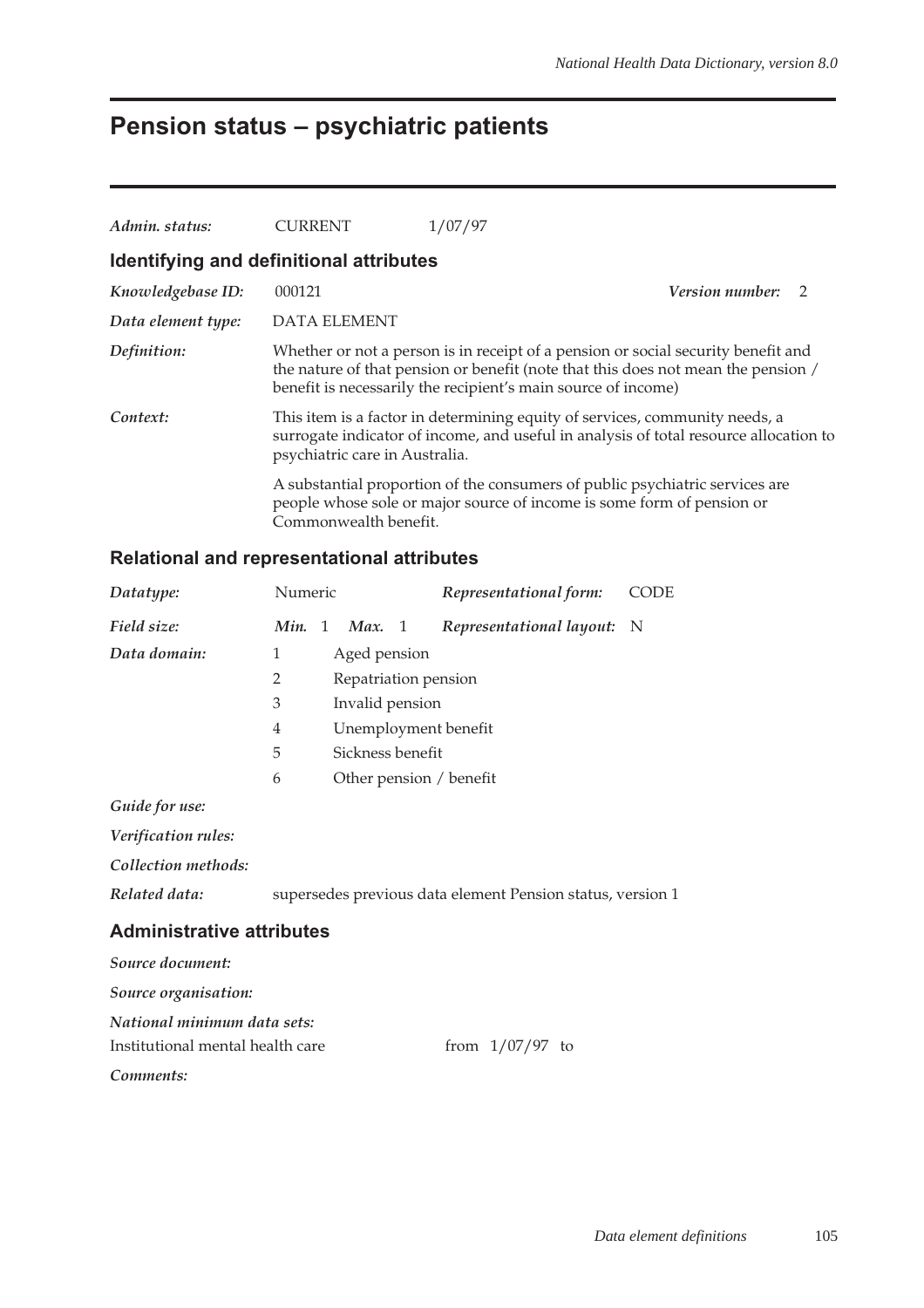# **Pension status – psychiatric patients**

| Admin. status:                          | CURRENT                        | 1/07/97                                                                                                                                                                                                                                 |  |
|-----------------------------------------|--------------------------------|-----------------------------------------------------------------------------------------------------------------------------------------------------------------------------------------------------------------------------------------|--|
| Identifying and definitional attributes |                                |                                                                                                                                                                                                                                         |  |
| Knowledgebase ID:                       | 000121                         | Version number: 2                                                                                                                                                                                                                       |  |
| Data element type:                      | DATA ELEMENT                   |                                                                                                                                                                                                                                         |  |
| Definition:                             |                                | Whether or not a person is in receipt of a pension or social security benefit and<br>the nature of that pension or benefit (note that this does not mean the pension /<br>benefit is necessarily the recipient's main source of income) |  |
| Context:                                | psychiatric care in Australia. | This item is a factor in determining equity of services, community needs, a<br>surrogate indicator of income, and useful in analysis of total resource allocation to                                                                    |  |
|                                         | Commonwealth benefit.          | A substantial proportion of the consumers of public psychiatric services are<br>people whose sole or major source of income is some form of pension or                                                                                  |  |

### **Relational and representational attributes**

| Datatype:                        | Numeric        |   |                      |    | Representational form:                                     | <b>CODE</b> |
|----------------------------------|----------------|---|----------------------|----|------------------------------------------------------------|-------------|
| Field size:                      | Min.           | 1 | Max.                 | -1 | Representational layout:                                   | N           |
| Data domain:                     | 1              |   | Aged pension         |    |                                                            |             |
|                                  | $\overline{2}$ |   | Repatriation pension |    |                                                            |             |
|                                  | 3              |   | Invalid pension      |    |                                                            |             |
|                                  | 4              |   |                      |    | Unemployment benefit                                       |             |
|                                  | 5              |   | Sickness benefit     |    |                                                            |             |
|                                  | 6              |   |                      |    | Other pension / benefit                                    |             |
| Guide for use:                   |                |   |                      |    |                                                            |             |
| Verification rules:              |                |   |                      |    |                                                            |             |
| Collection methods:              |                |   |                      |    |                                                            |             |
| Related data:                    |                |   |                      |    | supersedes previous data element Pension status, version 1 |             |
| <b>Administrative attributes</b> |                |   |                      |    |                                                            |             |
| Source document:                 |                |   |                      |    |                                                            |             |
| Source organisation:             |                |   |                      |    |                                                            |             |
| National minimum data sets:      |                |   |                      |    |                                                            |             |
| Institutional mental health care |                |   |                      |    | from $1/07/97$ to                                          |             |

*Comments:*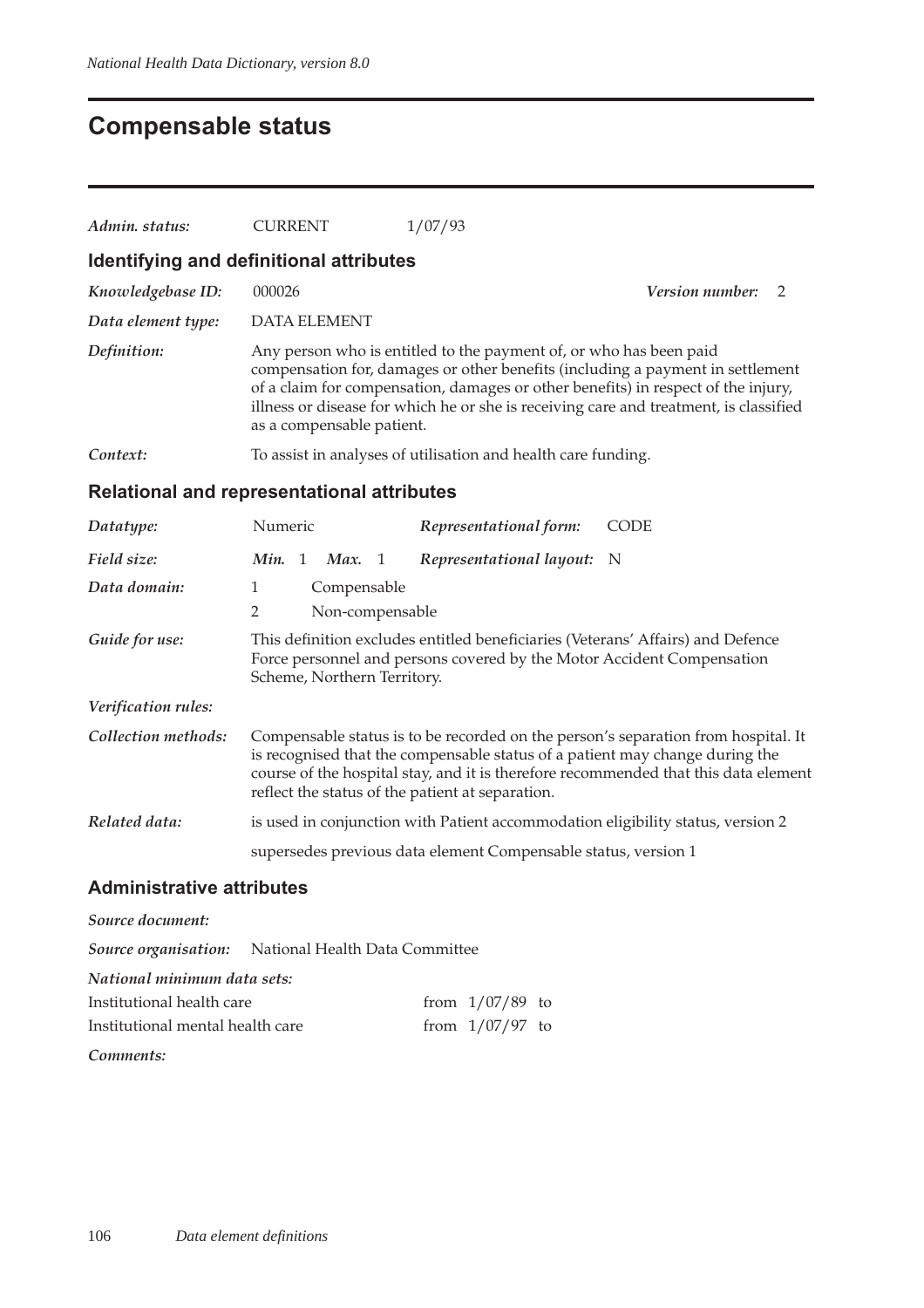# **Compensable status**

| Admin. status:                                    | <b>CURRENT</b>                    | 1/07/93                                                                                                                                                                                                                                                                                                                            |                   |
|---------------------------------------------------|-----------------------------------|------------------------------------------------------------------------------------------------------------------------------------------------------------------------------------------------------------------------------------------------------------------------------------------------------------------------------------|-------------------|
| Identifying and definitional attributes           |                                   |                                                                                                                                                                                                                                                                                                                                    |                   |
| Knowledgebase ID:                                 | 000026                            |                                                                                                                                                                                                                                                                                                                                    | Version number: 2 |
| Data element type:                                | <b>DATA ELEMENT</b>               |                                                                                                                                                                                                                                                                                                                                    |                   |
| Definition:                                       | as a compensable patient.         | Any person who is entitled to the payment of, or who has been paid<br>compensation for, damages or other benefits (including a payment in settlement<br>of a claim for compensation, damages or other benefits) in respect of the injury,<br>illness or disease for which he or she is receiving care and treatment, is classified |                   |
| Context:                                          |                                   | To assist in analyses of utilisation and health care funding.                                                                                                                                                                                                                                                                      |                   |
| <b>Relational and representational attributes</b> |                                   |                                                                                                                                                                                                                                                                                                                                    |                   |
| Datatype:                                         | Numeric                           | Representational form:                                                                                                                                                                                                                                                                                                             | <b>CODE</b>       |
| Field size:                                       | Min. 1<br>Max. $1$                | Representational layout:                                                                                                                                                                                                                                                                                                           | N                 |
| Data domain:                                      | 1<br>Compensable                  |                                                                                                                                                                                                                                                                                                                                    |                   |
|                                                   | $\overline{2}$<br>Non-compensable |                                                                                                                                                                                                                                                                                                                                    |                   |
| Guide for use:                                    | Scheme, Northern Territory.       | This definition excludes entitled beneficiaries (Veterans' Affairs) and Defence<br>Force personnel and persons covered by the Motor Accident Compensation                                                                                                                                                                          |                   |
| Verification rules:                               |                                   |                                                                                                                                                                                                                                                                                                                                    |                   |
| Collection methods:                               |                                   | Compensable status is to be recorded on the person's separation from hospital. It<br>is recognised that the compensable status of a patient may change during the<br>course of the hospital stay, and it is therefore recommended that this data element<br>reflect the status of the patient at separation.                       |                   |
| Related data:                                     |                                   | is used in conjunction with Patient accommodation eligibility status, version 2                                                                                                                                                                                                                                                    |                   |
|                                                   |                                   | supersedes previous data element Compensable status, version 1                                                                                                                                                                                                                                                                     |                   |
| <b>Administrative attributes</b>                  |                                   |                                                                                                                                                                                                                                                                                                                                    |                   |
| Source document:                                  |                                   |                                                                                                                                                                                                                                                                                                                                    |                   |
| Source organisation:                              | National Health Data Committee    |                                                                                                                                                                                                                                                                                                                                    |                   |

| National minimum data sets:      |                   |  |
|----------------------------------|-------------------|--|
| Institutional health care        | from $1/07/89$ to |  |
| Institutional mental health care | from $1/07/97$ to |  |
|                                  |                   |  |

*Comments:*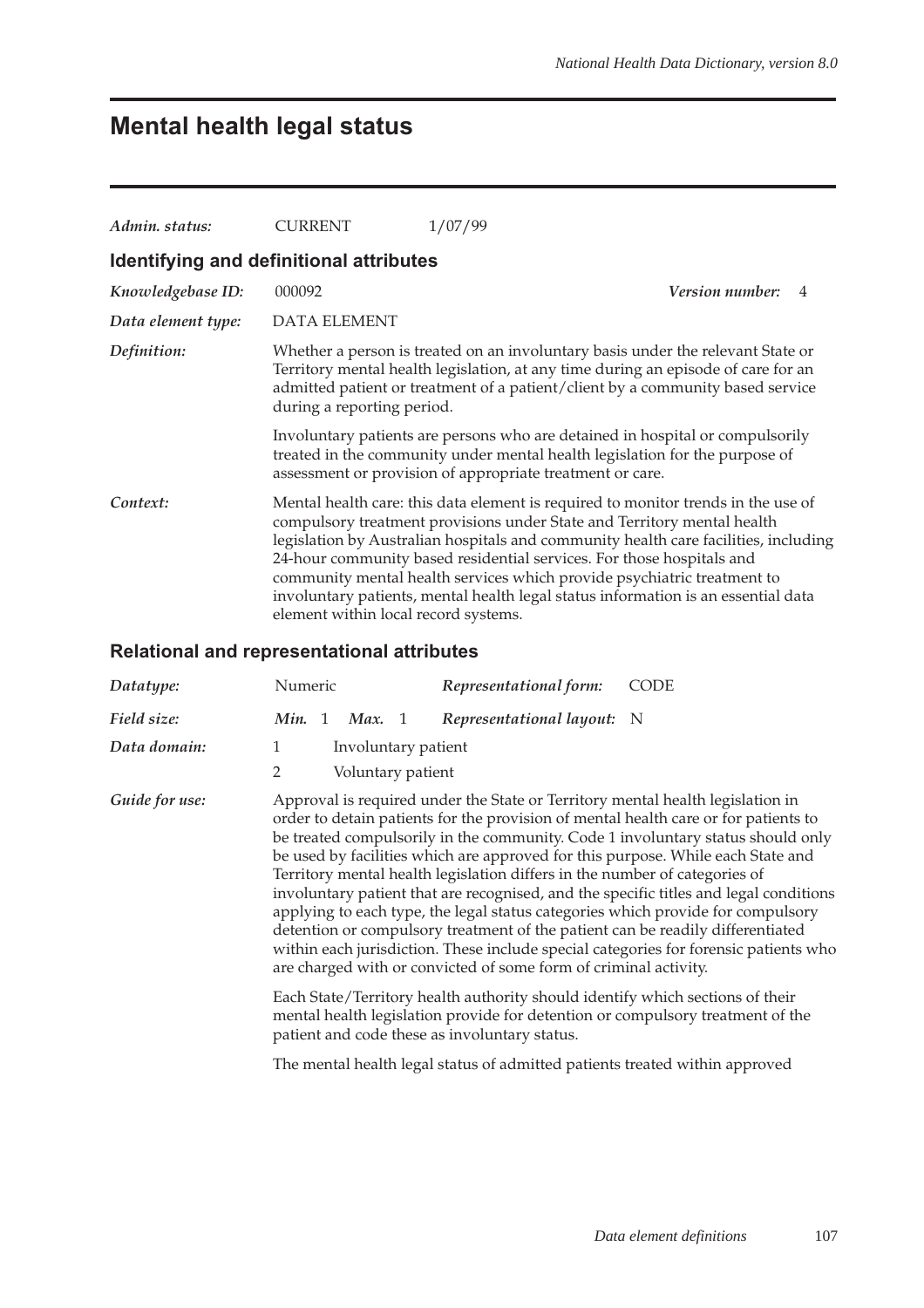# **Mental health legal status**

| Admin. status:                          | <b>CURRENT</b>                                                                                                                                                                                                            | 1/07/99                                                                                                                                                                                                                                                                                                                                                                                                                                                                                      |  |  |  |
|-----------------------------------------|---------------------------------------------------------------------------------------------------------------------------------------------------------------------------------------------------------------------------|----------------------------------------------------------------------------------------------------------------------------------------------------------------------------------------------------------------------------------------------------------------------------------------------------------------------------------------------------------------------------------------------------------------------------------------------------------------------------------------------|--|--|--|
| Identifying and definitional attributes |                                                                                                                                                                                                                           |                                                                                                                                                                                                                                                                                                                                                                                                                                                                                              |  |  |  |
| Knowledgebase ID:                       | 000092                                                                                                                                                                                                                    | <b>Version number:</b>                                                                                                                                                                                                                                                                                                                                                                                                                                                                       |  |  |  |
| Data element type:                      | <b>DATA ELEMENT</b>                                                                                                                                                                                                       |                                                                                                                                                                                                                                                                                                                                                                                                                                                                                              |  |  |  |
| Definition:                             | during a reporting period.                                                                                                                                                                                                | Whether a person is treated on an involuntary basis under the relevant State or<br>Territory mental health legislation, at any time during an episode of care for an<br>admitted patient or treatment of a patient/client by a community based service                                                                                                                                                                                                                                       |  |  |  |
|                                         | Involuntary patients are persons who are detained in hospital or compulsorily<br>treated in the community under mental health legislation for the purpose of<br>assessment or provision of appropriate treatment or care. |                                                                                                                                                                                                                                                                                                                                                                                                                                                                                              |  |  |  |
| Context:                                | element within local record systems.                                                                                                                                                                                      | Mental health care: this data element is required to monitor trends in the use of<br>compulsory treatment provisions under State and Territory mental health<br>legislation by Australian hospitals and community health care facilities, including<br>24-hour community based residential services. For those hospitals and<br>community mental health services which provide psychiatric treatment to<br>involuntary patients, mental health legal status information is an essential data |  |  |  |

### **Relational and representational attributes**

| Datatype:      | Numeric                                            | Representational form:                                                                                                                         | <b>CODE</b>                                                                                                                                                                                                                                                                                                                                                                                                                                                                                                                                                                                                                                                                                       |
|----------------|----------------------------------------------------|------------------------------------------------------------------------------------------------------------------------------------------------|---------------------------------------------------------------------------------------------------------------------------------------------------------------------------------------------------------------------------------------------------------------------------------------------------------------------------------------------------------------------------------------------------------------------------------------------------------------------------------------------------------------------------------------------------------------------------------------------------------------------------------------------------------------------------------------------------|
| Field size:    | Min. 1<br>Max. 1                                   | Representational layout: N                                                                                                                     |                                                                                                                                                                                                                                                                                                                                                                                                                                                                                                                                                                                                                                                                                                   |
| Data domain:   | Involuntary patient<br>1<br>2<br>Voluntary patient |                                                                                                                                                |                                                                                                                                                                                                                                                                                                                                                                                                                                                                                                                                                                                                                                                                                                   |
| Guide for use: |                                                    | Territory mental health legislation differs in the number of categories of<br>are charged with or convicted of some form of criminal activity. | Approval is required under the State or Territory mental health legislation in<br>order to detain patients for the provision of mental health care or for patients to<br>be treated compulsorily in the community. Code 1 involuntary status should only<br>be used by facilities which are approved for this purpose. While each State and<br>involuntary patient that are recognised, and the specific titles and legal conditions<br>applying to each type, the legal status categories which provide for compulsory<br>detention or compulsory treatment of the patient can be readily differentiated<br>within each jurisdiction. These include special categories for forensic patients who |
|                | patient and code these as involuntary status.      |                                                                                                                                                | Each State/Territory health authority should identify which sections of their<br>mental health legislation provide for detention or compulsory treatment of the                                                                                                                                                                                                                                                                                                                                                                                                                                                                                                                                   |
|                |                                                    | The mental health legal status of admitted patients treated within approved                                                                    |                                                                                                                                                                                                                                                                                                                                                                                                                                                                                                                                                                                                                                                                                                   |